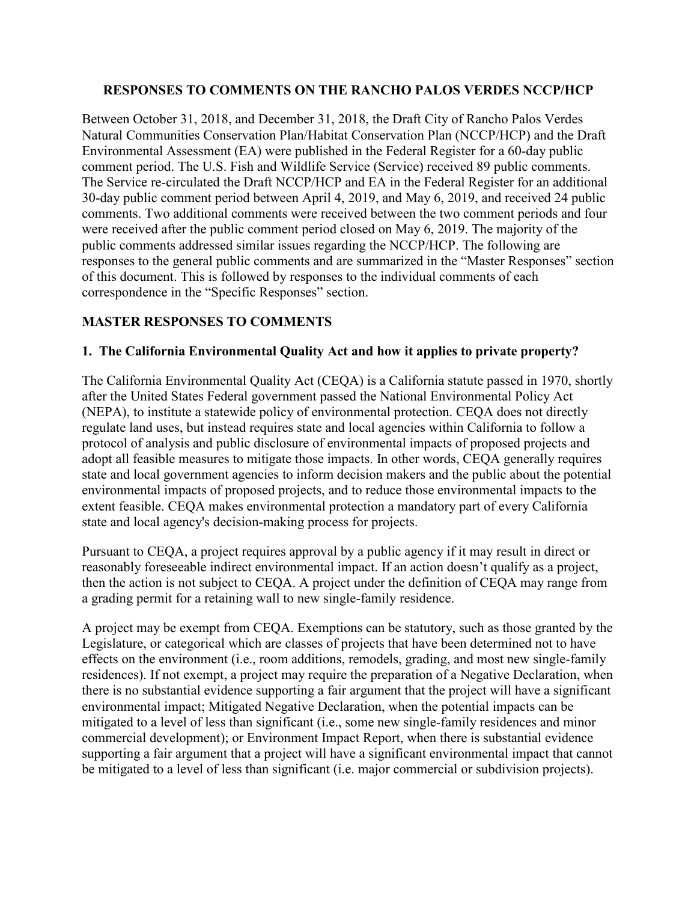## **RESPONSES TO COMMENTS ON THE RANCHO PALOS VERDES NCCP/HCP**

Between October 31, 2018, and December 31, 2018, the Draft City of Rancho Palos Verdes Natural Communities Conservation Plan/Habitat Conservation Plan (NCCP/HCP) and the Draft Environmental Assessment (EA) were published in the Federal Register for a 60-day public comment period. The U.S. Fish and Wildlife Service (Service) received 89 public comments. The Service re-circulated the Draft NCCP/HCP and EA in the Federal Register for an additional 30-day public comment period between April 4, 2019, and May 6, 2019, and received 24 public comments. Two additional comments were received between the two comment periods and four were received after the public comment period closed on May 6, 2019. The majority of the public comments addressed similar issues regarding the NCCP/HCP. The following are responses to the general public comments and are summarized in the "Master Responses" section of this document. This is followed by responses to the individual comments of each correspondence in the "Specific Responses" section.

# **MASTER RESPONSES TO COMMENTS**

# **1. The California Environmental Quality Act and how it applies to private property?**

The California Environmental Quality Act (CEQA) is a California statute passed in 1970, shortly after the United States Federal government passed the National Environmental Policy Act (NEPA), to institute a statewide policy of environmental protection. CEQA does not directly regulate land uses, but instead requires state and local agencies within California to follow a protocol of analysis and public disclosure of environmental impacts of proposed projects and adopt all feasible measures to mitigate those impacts. In other words, CEQA generally requires state and local government agencies to inform decision makers and the public about the potential environmental impacts of proposed projects, and to reduce those environmental impacts to the extent feasible. CEQA makes environmental protection a mandatory part of every California state and local agency's decision-making process for projects.

Pursuant to CEQA, a project requires approval by a public agency if it may result in direct or reasonably foreseeable indirect environmental impact. If an action doesn't qualify as a project, then the action is not subject to CEQA. A project under the definition of CEQA may range from a grading permit for a retaining wall to new single-family residence.

A project may be exempt from CEQA. Exemptions can be statutory, such as those granted by the Legislature, or categorical which are classes of projects that have been determined not to have effects on the environment (i.e., room additions, remodels, grading, and most new single-family residences). If not exempt, a project may require the preparation of a Negative Declaration, when there is no substantial evidence supporting a fair argument that the project will have a significant environmental impact; Mitigated Negative Declaration, when the potential impacts can be mitigated to a level of less than significant (i.e., some new single-family residences and minor commercial development); or Environment Impact Report, when there is substantial evidence supporting a fair argument that a project will have a significant environmental impact that cannot be mitigated to a level of less than significant (i.e. major commercial or subdivision projects).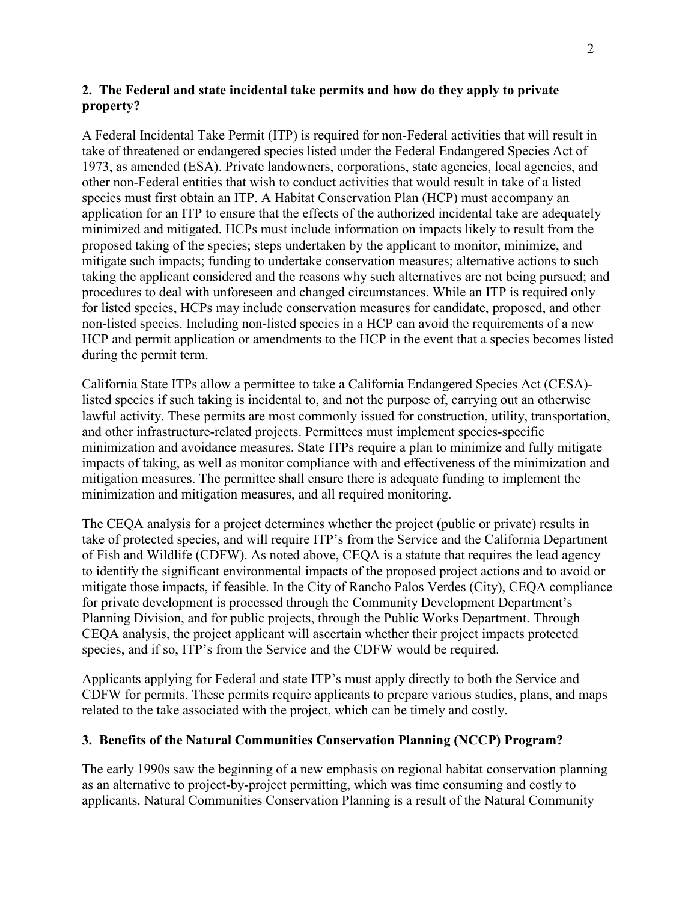# **2. The Federal and state incidental take permits and how do they apply to private property?**

A Federal Incidental Take Permit (ITP) is required for non-Federal activities that will result in take of threatened or endangered species listed under the Federal Endangered Species Act of 1973, as amended (ESA). Private landowners, corporations, state agencies, local agencies, and other non-Federal entities that wish to conduct activities that would result in take of a listed species must first obtain an ITP. A Habitat Conservation Plan (HCP) must accompany an application for an ITP to ensure that the effects of the authorized incidental take are adequately minimized and mitigated. HCPs must include information on impacts likely to result from the proposed taking of the species; steps undertaken by the applicant to monitor, minimize, and mitigate such impacts; funding to undertake conservation measures; alternative actions to such taking the applicant considered and the reasons why such alternatives are not being pursued; and procedures to deal with unforeseen and changed circumstances. While an ITP is required only for listed species, HCPs may include conservation measures for candidate, proposed, and other non-listed species. Including non-listed species in a HCP can avoid the requirements of a new HCP and permit application or amendments to the HCP in the event that a species becomes listed during the permit term.

California State ITPs allow a permittee to take a California Endangered Species Act (CESA) listed species if such taking is incidental to, and not the purpose of, carrying out an otherwise lawful activity. These permits are most commonly issued for construction, utility, transportation, and other infrastructure-related projects. Permittees must implement species-specific minimization and avoidance measures. State ITPs require a plan to minimize and fully mitigate impacts of taking, as well as monitor compliance with and effectiveness of the minimization and mitigation measures. The permittee shall ensure there is adequate funding to implement the minimization and mitigation measures, and all required monitoring.

The CEQA analysis for a project determines whether the project (public or private) results in take of protected species, and will require ITP's from the Service and the California Department of Fish and Wildlife (CDFW). As noted above, CEQA is a statute that requires the lead agency to identify the significant environmental impacts of the proposed project actions and to avoid or mitigate those impacts, if feasible. In the City of Rancho Palos Verdes (City), CEQA compliance for private development is processed through the Community Development Department's Planning Division, and for public projects, through the Public Works Department. Through CEQA analysis, the project applicant will ascertain whether their project impacts protected species, and if so, ITP's from the Service and the CDFW would be required.

Applicants applying for Federal and state ITP's must apply directly to both the Service and CDFW for permits. These permits require applicants to prepare various studies, plans, and maps related to the take associated with the project, which can be timely and costly.

## **3. Benefits of the Natural Communities Conservation Planning (NCCP) Program?**

The early 1990s saw the beginning of a new emphasis on regional habitat conservation planning as an alternative to project-by-project permitting, which was time consuming and costly to applicants. Natural Communities Conservation Planning is a result of the Natural Community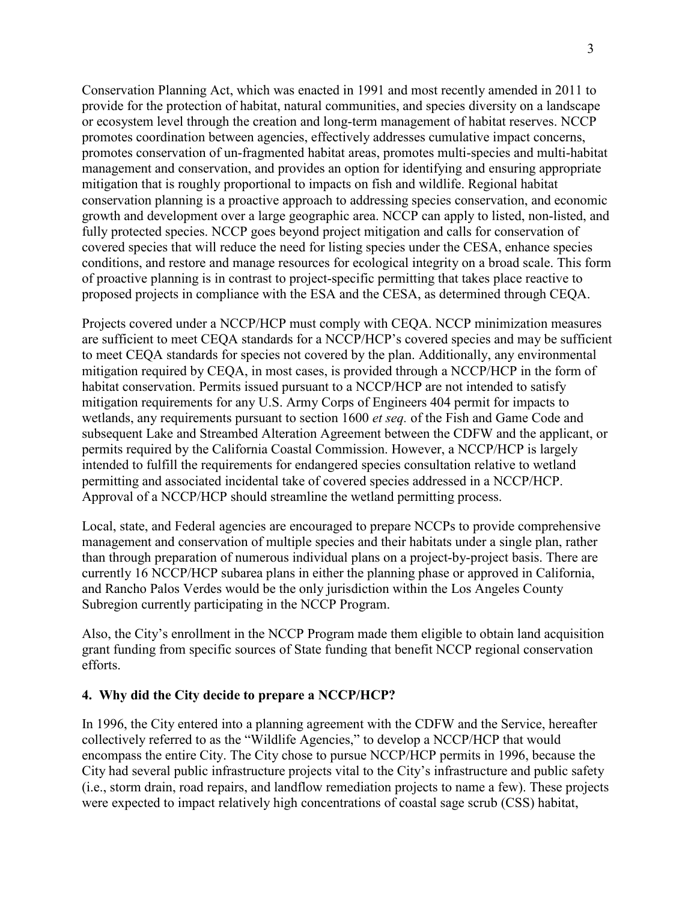Conservation Planning Act, which was enacted in 1991 and most recently amended in 2011 to provide for the protection of habitat, natural communities, and species diversity on a landscape or ecosystem level through the creation and long-term management of habitat reserves. NCCP promotes coordination between agencies, effectively addresses cumulative impact concerns, promotes conservation of un-fragmented habitat areas, promotes multi-species and multi-habitat management and conservation, and provides an option for identifying and ensuring appropriate mitigation that is roughly proportional to impacts on fish and wildlife. Regional habitat conservation planning is a proactive approach to addressing species conservation, and economic growth and development over a large geographic area. NCCP can apply to listed, non-listed, and fully protected species. NCCP goes beyond project mitigation and calls for conservation of covered species that will reduce the need for listing species under the CESA, enhance species conditions, and restore and manage resources for ecological integrity on a broad scale. This form of proactive planning is in contrast to project-specific permitting that takes place reactive to proposed projects in compliance with the ESA and the CESA, as determined through CEQA.

Projects covered under a NCCP/HCP must comply with CEQA. NCCP minimization measures are sufficient to meet CEQA standards for a NCCP/HCP's covered species and may be sufficient to meet CEQA standards for species not covered by the plan. Additionally, any environmental mitigation required by CEQA, in most cases, is provided through a NCCP/HCP in the form of habitat conservation. Permits issued pursuant to a NCCP/HCP are not intended to satisfy mitigation requirements for any U.S. Army Corps of Engineers 404 permit for impacts to wetlands, any requirements pursuant to section 1600 *et seq.* of the Fish and Game Code and subsequent Lake and Streambed Alteration Agreement between the CDFW and the applicant, or permits required by the California Coastal Commission. However, a NCCP/HCP is largely intended to fulfill the requirements for endangered species consultation relative to wetland permitting and associated incidental take of covered species addressed in a NCCP/HCP. Approval of a NCCP/HCP should streamline the wetland permitting process.

Local, state, and Federal agencies are encouraged to prepare NCCPs to provide comprehensive management and conservation of multiple species and their habitats under a single plan, rather than through preparation of numerous individual plans on a project-by-project basis. There are currently 16 NCCP/HCP subarea plans in either the planning phase or approved in California, and Rancho Palos Verdes would be the only jurisdiction within the Los Angeles County Subregion currently participating in the NCCP Program.

Also, the City's enrollment in the NCCP Program made them eligible to obtain land acquisition grant funding from specific sources of State funding that benefit NCCP regional conservation efforts.

# **4. Why did the City decide to prepare a NCCP/HCP?**

In 1996, the City entered into a planning agreement with the CDFW and the Service, hereafter collectively referred to as the "Wildlife Agencies," to develop a NCCP/HCP that would encompass the entire City. The City chose to pursue NCCP/HCP permits in 1996, because the City had several public infrastructure projects vital to the City's infrastructure and public safety (i.e., storm drain, road repairs, and landflow remediation projects to name a few). These projects were expected to impact relatively high concentrations of coastal sage scrub (CSS) habitat,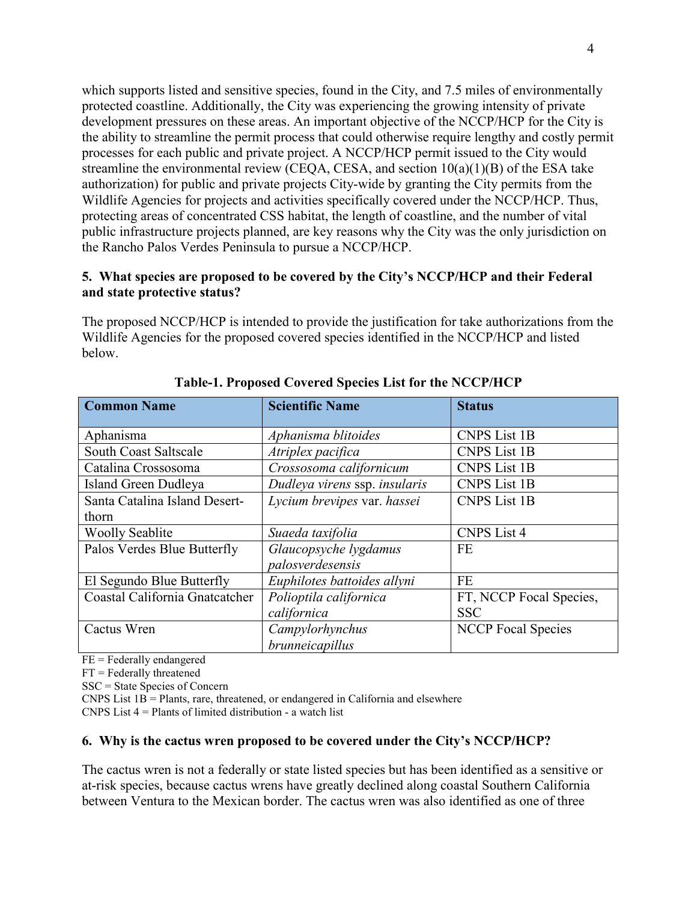which supports listed and sensitive species, found in the City, and 7.5 miles of environmentally protected coastline. Additionally, the City was experiencing the growing intensity of private development pressures on these areas. An important objective of the NCCP/HCP for the City is the ability to streamline the permit process that could otherwise require lengthy and costly permit processes for each public and private project. A NCCP/HCP permit issued to the City would streamline the environmental review (CEQA, CESA, and section  $10(a)(1)(B)$  of the ESA take authorization) for public and private projects City-wide by granting the City permits from the Wildlife Agencies for projects and activities specifically covered under the NCCP/HCP. Thus, protecting areas of concentrated CSS habitat, the length of coastline, and the number of vital public infrastructure projects planned, are key reasons why the City was the only jurisdiction on the Rancho Palos Verdes Peninsula to pursue a NCCP/HCP.

# **5. What species are proposed to be covered by the City's NCCP/HCP and their Federal and state protective status?**

The proposed NCCP/HCP is intended to provide the justification for take authorizations from the Wildlife Agencies for the proposed covered species identified in the NCCP/HCP and listed below.

| <b>Common Name</b>             | <b>Scientific Name</b>        | <b>Status</b>             |
|--------------------------------|-------------------------------|---------------------------|
|                                |                               |                           |
| Aphanisma                      | Aphanisma blitoides           | <b>CNPS</b> List 1B       |
| South Coast Saltscale          | Atriplex pacifica             | <b>CNPS</b> List 1B       |
| Catalina Crossosoma            | Crossosoma californicum       | <b>CNPS</b> List 1B       |
| Island Green Dudleya           | Dudleya virens ssp. insularis | <b>CNPS List 1B</b>       |
| Santa Catalina Island Desert-  | Lycium brevipes var. hassei   | <b>CNPS</b> List 1B       |
| thorn                          |                               |                           |
| <b>Woolly Seablite</b>         | Suaeda taxifolia              | <b>CNPS</b> List 4        |
| Palos Verdes Blue Butterfly    | Glaucopsyche lygdamus         | <b>FE</b>                 |
|                                | palosverdesensis              |                           |
| El Segundo Blue Butterfly      | Euphilotes battoides allyni   | <b>FE</b>                 |
| Coastal California Gnatcatcher | Polioptila californica        | FT, NCCP Focal Species,   |
|                                | californica                   | <b>SSC</b>                |
| Cactus Wren                    | Campylorhynchus               | <b>NCCP</b> Focal Species |
|                                | brunneicapillus               |                           |

## **Table-1. Proposed Covered Species List for the NCCP/HCP**

FE = Federally endangered

FT = Federally threatened

SSC = State Species of Concern

CNPS List  $1B =$  Plants, rare, threatened, or endangered in California and elsewhere

CNPS List 4 = Plants of limited distribution - a watch list

## **6. Why is the cactus wren proposed to be covered under the City's NCCP/HCP?**

The cactus wren is not a federally or state listed species but has been identified as a sensitive or at-risk species, because cactus wrens have greatly declined along coastal Southern California between Ventura to the Mexican border. The cactus wren was also identified as one of three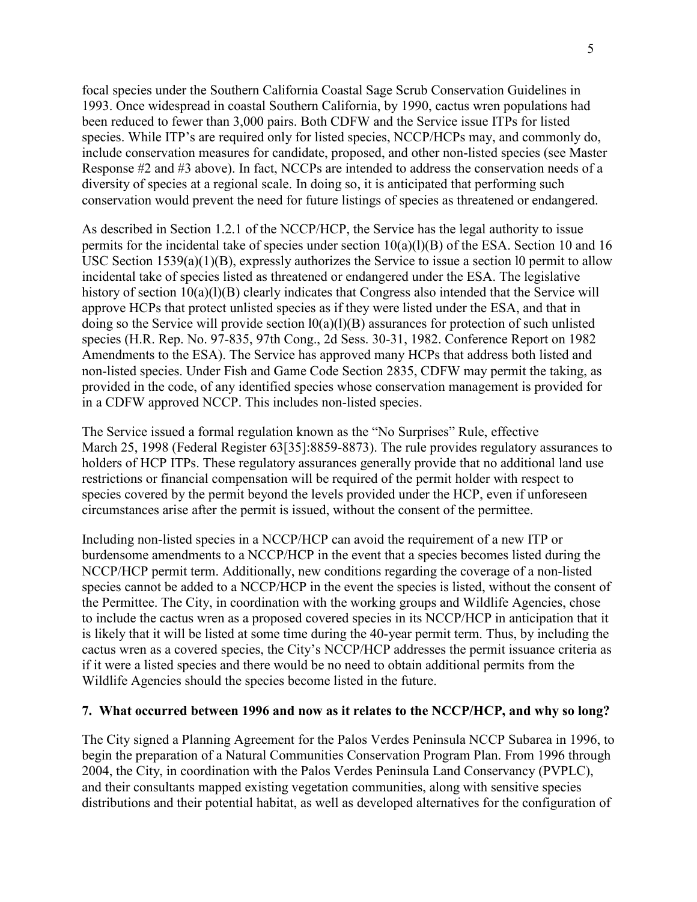focal species under the Southern California Coastal Sage Scrub Conservation Guidelines in 1993. Once widespread in coastal Southern California, by 1990, cactus wren populations had been reduced to fewer than 3,000 pairs. Both CDFW and the Service issue ITPs for listed species. While ITP's are required only for listed species, NCCP/HCPs may, and commonly do, include conservation measures for candidate, proposed, and other non-listed species (see Master Response #2 and #3 above). In fact, NCCPs are intended to address the conservation needs of a diversity of species at a regional scale. In doing so, it is anticipated that performing such conservation would prevent the need for future listings of species as threatened or endangered.

As described in Section 1.2.1 of the NCCP/HCP, the Service has the legal authority to issue permits for the incidental take of species under section 10(a)(l)(B) of the ESA. Section 10 and 16 USC Section 1539(a)(1)(B), expressly authorizes the Service to issue a section l0 permit to allow incidental take of species listed as threatened or endangered under the ESA. The legislative history of section 10(a)(1)(B) clearly indicates that Congress also intended that the Service will approve HCPs that protect unlisted species as if they were listed under the ESA, and that in doing so the Service will provide section l0(a)(l)(B) assurances for protection of such unlisted species (H.R. Rep. No. 97-835, 97th Cong., 2d Sess. 30-31, 1982. Conference Report on 1982 Amendments to the ESA). The Service has approved many HCPs that address both listed and non-listed species. Under Fish and Game Code Section 2835, CDFW may permit the taking, as provided in the code, of any identified species whose conservation management is provided for in a CDFW approved NCCP. This includes non-listed species.

The Service issued a formal regulation known as the "No Surprises" Rule, effective March 25, 1998 (Federal Register 63[35]:8859-8873). The rule provides regulatory assurances to holders of HCP ITPs. These regulatory assurances generally provide that no additional land use restrictions or financial compensation will be required of the permit holder with respect to species covered by the permit beyond the levels provided under the HCP, even if unforeseen circumstances arise after the permit is issued, without the consent of the permittee.

Including non-listed species in a NCCP/HCP can avoid the requirement of a new ITP or burdensome amendments to a NCCP/HCP in the event that a species becomes listed during the NCCP/HCP permit term. Additionally, new conditions regarding the coverage of a non-listed species cannot be added to a NCCP/HCP in the event the species is listed, without the consent of the Permittee. The City, in coordination with the working groups and Wildlife Agencies, chose to include the cactus wren as a proposed covered species in its NCCP/HCP in anticipation that it is likely that it will be listed at some time during the 40-year permit term. Thus, by including the cactus wren as a covered species, the City's NCCP/HCP addresses the permit issuance criteria as if it were a listed species and there would be no need to obtain additional permits from the Wildlife Agencies should the species become listed in the future.

## **7. What occurred between 1996 and now as it relates to the NCCP/HCP, and why so long?**

The City signed a Planning Agreement for the Palos Verdes Peninsula NCCP Subarea in 1996, to begin the preparation of a Natural Communities Conservation Program Plan. From 1996 through 2004, the City, in coordination with the Palos Verdes Peninsula Land Conservancy (PVPLC), and their consultants mapped existing vegetation communities, along with sensitive species distributions and their potential habitat, as well as developed alternatives for the configuration of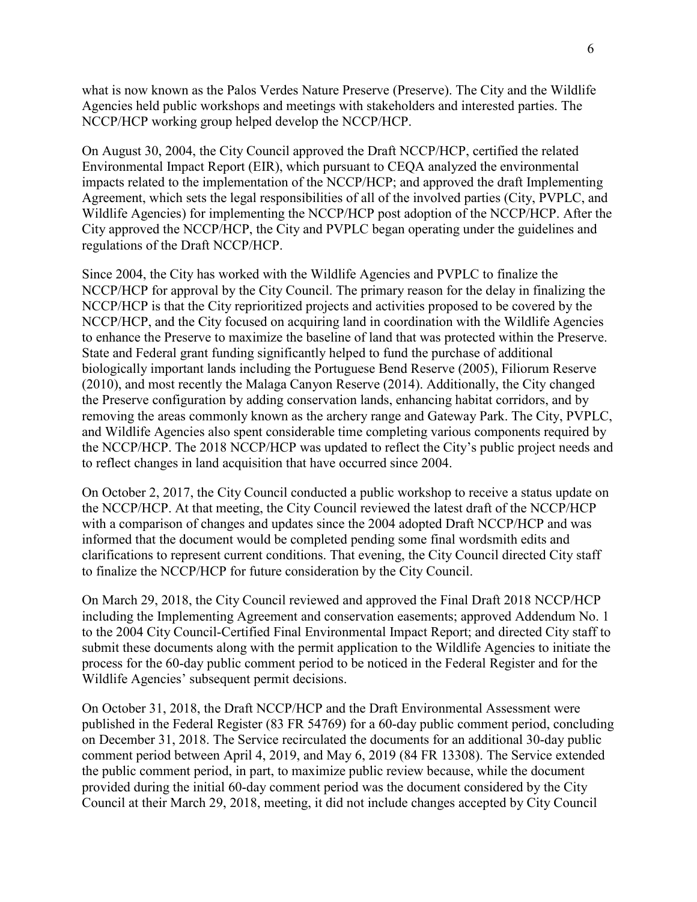what is now known as the Palos Verdes Nature Preserve (Preserve). The City and the Wildlife Agencies held public workshops and meetings with stakeholders and interested parties. The NCCP/HCP working group helped develop the NCCP/HCP.

On August 30, 2004, the City Council approved the Draft NCCP/HCP, certified the related Environmental Impact Report (EIR), which pursuant to CEQA analyzed the environmental impacts related to the implementation of the NCCP/HCP; and approved the draft Implementing Agreement, which sets the legal responsibilities of all of the involved parties (City, PVPLC, and Wildlife Agencies) for implementing the NCCP/HCP post adoption of the NCCP/HCP. After the City approved the NCCP/HCP, the City and PVPLC began operating under the guidelines and regulations of the Draft NCCP/HCP.

Since 2004, the City has worked with the Wildlife Agencies and PVPLC to finalize the NCCP/HCP for approval by the City Council. The primary reason for the delay in finalizing the NCCP/HCP is that the City reprioritized projects and activities proposed to be covered by the NCCP/HCP, and the City focused on acquiring land in coordination with the Wildlife Agencies to enhance the Preserve to maximize the baseline of land that was protected within the Preserve. State and Federal grant funding significantly helped to fund the purchase of additional biologically important lands including the Portuguese Bend Reserve (2005), Filiorum Reserve (2010), and most recently the Malaga Canyon Reserve (2014). Additionally, the City changed the Preserve configuration by adding conservation lands, enhancing habitat corridors, and by removing the areas commonly known as the archery range and Gateway Park. The City, PVPLC, and Wildlife Agencies also spent considerable time completing various components required by the NCCP/HCP. The 2018 NCCP/HCP was updated to reflect the City's public project needs and to reflect changes in land acquisition that have occurred since 2004.

On October 2, 2017, the City Council conducted a public workshop to receive a status update on the NCCP/HCP. At that meeting, the City Council reviewed the latest draft of the NCCP/HCP with a comparison of changes and updates since the 2004 adopted Draft NCCP/HCP and was informed that the document would be completed pending some final wordsmith edits and clarifications to represent current conditions. That evening, the City Council directed City staff to finalize the NCCP/HCP for future consideration by the City Council.

On March 29, 2018, the City Council reviewed and approved the Final Draft 2018 NCCP/HCP including the Implementing Agreement and conservation easements; approved Addendum No. 1 to the 2004 City Council-Certified Final Environmental Impact Report; and directed City staff to submit these documents along with the permit application to the Wildlife Agencies to initiate the process for the 60-day public comment period to be noticed in the Federal Register and for the Wildlife Agencies' subsequent permit decisions.

On October 31, 2018, the Draft NCCP/HCP and the Draft Environmental Assessment were published in the Federal Register (83 FR 54769) for a 60-day public comment period, concluding on December 31, 2018. The Service recirculated the documents for an additional 30-day public comment period between April 4, 2019, and May 6, 2019 (84 FR 13308). The Service extended the public comment period, in part, to maximize public review because, while the document provided during the initial 60-day comment period was the document considered by the City Council at their March 29, 2018, meeting, it did not include changes accepted by City Council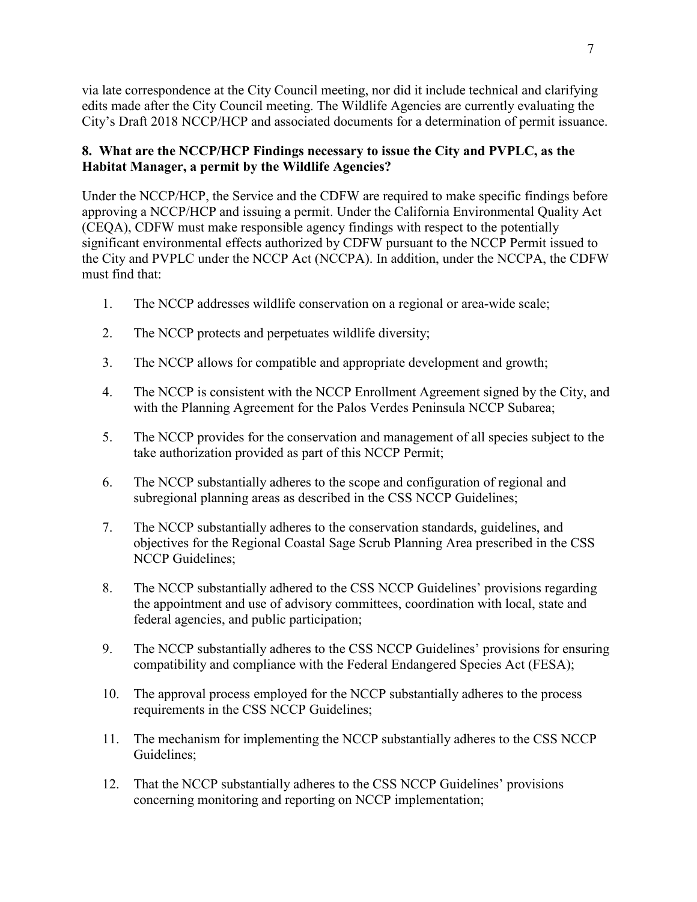via late correspondence at the City Council meeting, nor did it include technical and clarifying edits made after the City Council meeting. The Wildlife Agencies are currently evaluating the City's Draft 2018 NCCP/HCP and associated documents for a determination of permit issuance.

# **8. What are the NCCP/HCP Findings necessary to issue the City and PVPLC, as the Habitat Manager, a permit by the Wildlife Agencies?**

Under the NCCP/HCP, the Service and the CDFW are required to make specific findings before approving a NCCP/HCP and issuing a permit. Under the California Environmental Quality Act (CEQA), CDFW must make responsible agency findings with respect to the potentially significant environmental effects authorized by CDFW pursuant to the NCCP Permit issued to the City and PVPLC under the NCCP Act (NCCPA). In addition, under the NCCPA, the CDFW must find that:

- 1. The NCCP addresses wildlife conservation on a regional or area-wide scale;
- 2. The NCCP protects and perpetuates wildlife diversity;
- 3. The NCCP allows for compatible and appropriate development and growth;
- 4. The NCCP is consistent with the NCCP Enrollment Agreement signed by the City, and with the Planning Agreement for the Palos Verdes Peninsula NCCP Subarea;
- 5. The NCCP provides for the conservation and management of all species subject to the take authorization provided as part of this NCCP Permit;
- 6. The NCCP substantially adheres to the scope and configuration of regional and subregional planning areas as described in the CSS NCCP Guidelines;
- 7. The NCCP substantially adheres to the conservation standards, guidelines, and objectives for the Regional Coastal Sage Scrub Planning Area prescribed in the CSS NCCP Guidelines;
- 8. The NCCP substantially adhered to the CSS NCCP Guidelines' provisions regarding the appointment and use of advisory committees, coordination with local, state and federal agencies, and public participation;
- 9. The NCCP substantially adheres to the CSS NCCP Guidelines' provisions for ensuring compatibility and compliance with the Federal Endangered Species Act (FESA);
- 10. The approval process employed for the NCCP substantially adheres to the process requirements in the CSS NCCP Guidelines;
- 11. The mechanism for implementing the NCCP substantially adheres to the CSS NCCP Guidelines;
- 12. That the NCCP substantially adheres to the CSS NCCP Guidelines' provisions concerning monitoring and reporting on NCCP implementation;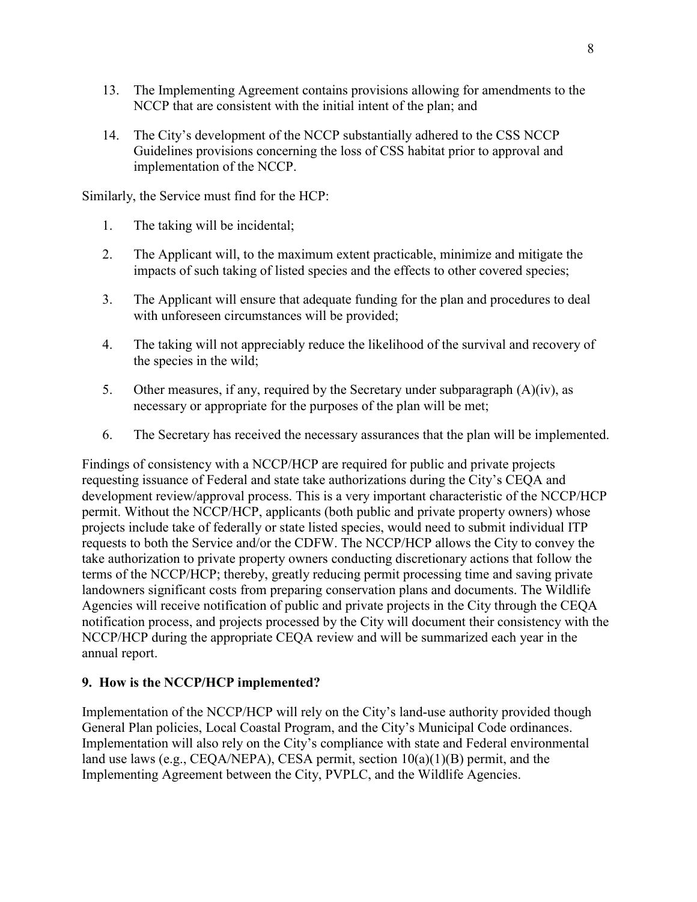- 13. The Implementing Agreement contains provisions allowing for amendments to the NCCP that are consistent with the initial intent of the plan; and
- 14. The City's development of the NCCP substantially adhered to the CSS NCCP Guidelines provisions concerning the loss of CSS habitat prior to approval and implementation of the NCCP.

Similarly, the Service must find for the HCP:

- 1. The taking will be incidental;
- 2. The Applicant will, to the maximum extent practicable, minimize and mitigate the impacts of such taking of listed species and the effects to other covered species;
- 3. The Applicant will ensure that adequate funding for the plan and procedures to deal with unforeseen circumstances will be provided;
- 4. The taking will not appreciably reduce the likelihood of the survival and recovery of the species in the wild;
- 5. Other measures, if any, required by the Secretary under subparagraph (A)(iv), as necessary or appropriate for the purposes of the plan will be met;
- 6. The Secretary has received the necessary assurances that the plan will be implemented.

Findings of consistency with a NCCP/HCP are required for public and private projects requesting issuance of Federal and state take authorizations during the City's CEQA and development review/approval process. This is a very important characteristic of the NCCP/HCP permit. Without the NCCP/HCP, applicants (both public and private property owners) whose projects include take of federally or state listed species, would need to submit individual ITP requests to both the Service and/or the CDFW. The NCCP/HCP allows the City to convey the take authorization to private property owners conducting discretionary actions that follow the terms of the NCCP/HCP; thereby, greatly reducing permit processing time and saving private landowners significant costs from preparing conservation plans and documents. The Wildlife Agencies will receive notification of public and private projects in the City through the CEQA notification process, and projects processed by the City will document their consistency with the NCCP/HCP during the appropriate CEQA review and will be summarized each year in the annual report.

## **9. How is the NCCP/HCP implemented?**

Implementation of the NCCP/HCP will rely on the City's land-use authority provided though General Plan policies, Local Coastal Program, and the City's Municipal Code ordinances. Implementation will also rely on the City's compliance with state and Federal environmental land use laws (e.g., CEQA/NEPA), CESA permit, section 10(a)(1)(B) permit, and the Implementing Agreement between the City, PVPLC, and the Wildlife Agencies.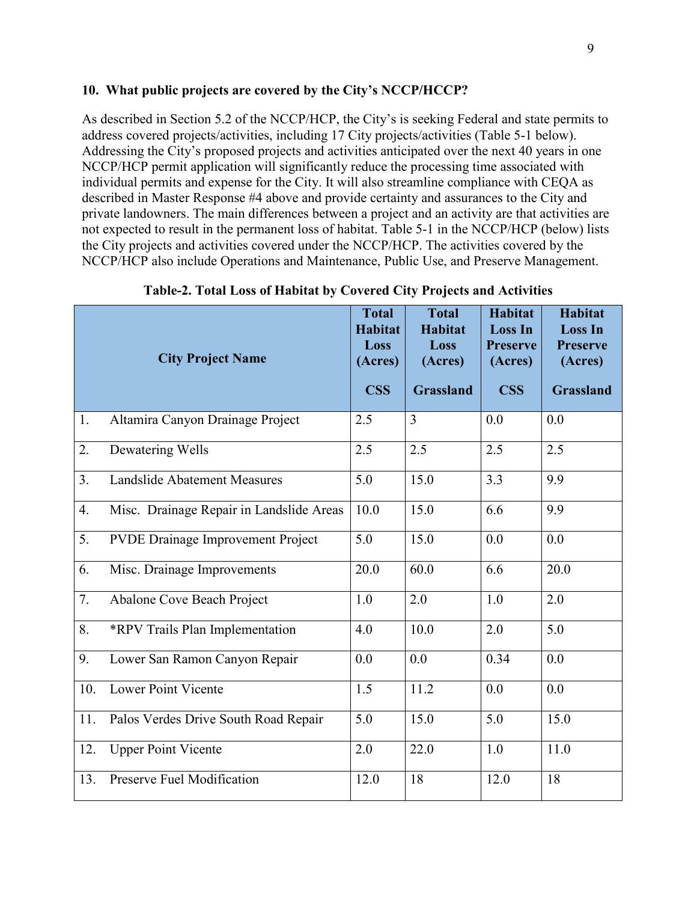## **10. What public projects are covered by the City's NCCP/HCCP?**

As described in Section 5.2 of the NCCP/HCP, the City's is seeking Federal and state permits to address covered projects/activities, including 17 City projects/activities (Table 5-1 below). Addressing the City's proposed projects and activities anticipated over the next 40 years in one NCCP/HCP permit application will significantly reduce the processing time associated with individual permits and expense for the City. It will also streamline compliance with CEQA as described in Master Response #4 above and provide certainty and assurances to the City and private landowners. The main differences between a project and an activity are that activities are not expected to result in the permanent loss of habitat. Table 5-1 in the NCCP/HCP (below) lists the City projects and activities covered under the NCCP/HCP. The activities covered by the NCCP/HCP also include Operations and Maintenance, Public Use, and Preserve Management.

|     | <b>City Project Name</b>                 | <b>Total</b><br><b>Habitat</b><br>Loss<br>(Acres)<br><b>CSS</b> | <b>Total</b><br><b>Habitat</b><br>Loss<br>(Acres)<br><b>Grassland</b> | <b>Habitat</b><br><b>Loss In</b><br><b>Preserve</b><br>(Acres)<br><b>CSS</b> | <b>Habitat</b><br><b>Loss In</b><br><b>Preserve</b><br>(Acres)<br><b>Grassland</b> |
|-----|------------------------------------------|-----------------------------------------------------------------|-----------------------------------------------------------------------|------------------------------------------------------------------------------|------------------------------------------------------------------------------------|
| 1.  | Altamira Canyon Drainage Project         | 2.5                                                             | $\overline{3}$                                                        | 0.0                                                                          | 0.0                                                                                |
| 2.  | Dewatering Wells                         | 2.5                                                             | 2.5                                                                   | 2.5                                                                          | 2.5                                                                                |
| 3.  | <b>Landslide Abatement Measures</b>      | 5.0                                                             | 15.0                                                                  | 3.3                                                                          | 9.9                                                                                |
| 4.  | Misc. Drainage Repair in Landslide Areas | 10.0                                                            | 15.0                                                                  | 6.6                                                                          | 9.9                                                                                |
| 5.  | <b>PVDE Drainage Improvement Project</b> | 5.0                                                             | 15.0                                                                  | 0.0                                                                          | 0.0                                                                                |
| 6.  | Misc. Drainage Improvements              | 20.0                                                            | 60.0                                                                  | 6.6                                                                          | 20.0                                                                               |
| 7.  | Abalone Cove Beach Project               | 1.0                                                             | 2.0                                                                   | 1.0                                                                          | 2.0                                                                                |
| 8.  | *RPV Trails Plan Implementation          | 4.0                                                             | 10.0                                                                  | 2.0                                                                          | 5.0                                                                                |
| 9.  | Lower San Ramon Canyon Repair            | 0.0                                                             | 0.0                                                                   | 0.34                                                                         | 0.0                                                                                |
| 10. | Lower Point Vicente                      | 1.5                                                             | 11.2                                                                  | 0.0                                                                          | 0.0                                                                                |
| 11. | Palos Verdes Drive South Road Repair     | 5.0                                                             | 15.0                                                                  | 5.0                                                                          | 15.0                                                                               |
| 12. | <b>Upper Point Vicente</b>               | 2.0                                                             | 22.0                                                                  | 1.0                                                                          | 11.0                                                                               |
| 13. | Preserve Fuel Modification               | 12.0                                                            | 18                                                                    | 12.0                                                                         | 18                                                                                 |

**Table-2. Total Loss of Habitat by Covered City Projects and Activities**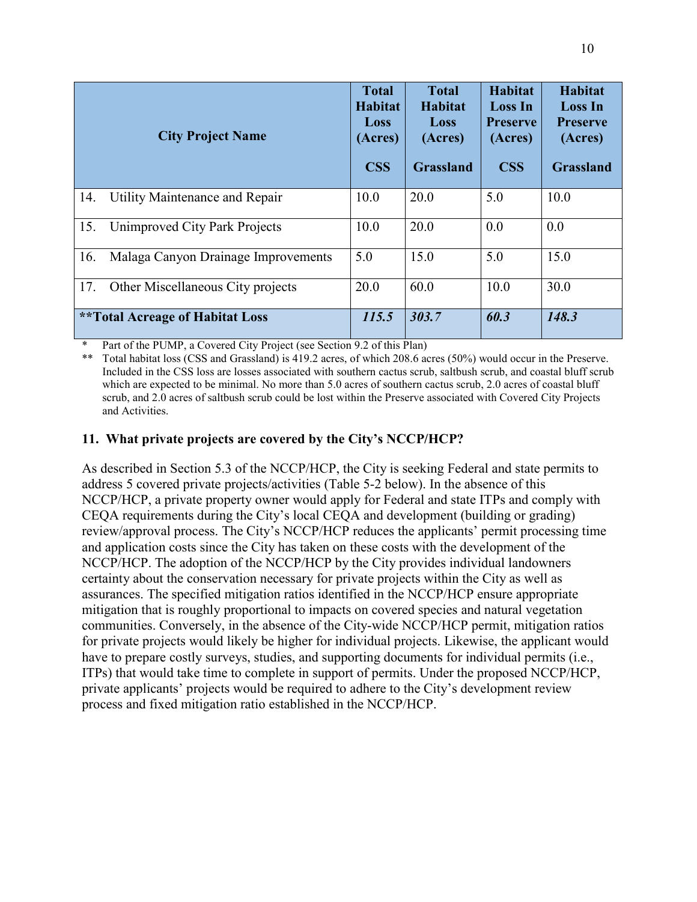|     | <b>City Project Name</b>                | <b>Total</b><br><b>Habitat</b><br>Loss<br>(Acres)<br><b>CSS</b> | <b>Total</b><br>Habitat<br>Loss<br>(Acres)<br><b>Grassland</b> | Habitat<br><b>Loss In</b><br><b>Preserve</b><br>(Acres)<br><b>CSS</b> | Habitat<br><b>Loss In</b><br><b>Preserve</b><br>(Acres)<br><b>Grassland</b> |
|-----|-----------------------------------------|-----------------------------------------------------------------|----------------------------------------------------------------|-----------------------------------------------------------------------|-----------------------------------------------------------------------------|
| 14. | Utility Maintenance and Repair          | 10.0                                                            | 20.0                                                           | 5.0                                                                   | 10.0                                                                        |
| 15. | Unimproved City Park Projects           | 10.0                                                            | 20.0                                                           | 0.0                                                                   | 0.0                                                                         |
| 16. | Malaga Canyon Drainage Improvements     | 5.0                                                             | 15.0                                                           | 5.0                                                                   | 15.0                                                                        |
| 17. | Other Miscellaneous City projects       | 20.0                                                            | 60.0                                                           | 10.0                                                                  | 30.0                                                                        |
|     | <i>**</i> Total Acreage of Habitat Loss | 115.5                                                           | 303.7                                                          | 60.3                                                                  | 148.3                                                                       |

Part of the PUMP, a Covered City Project (see Section 9.2 of this Plan)

\*\* Total habitat loss (CSS and Grassland) is 419.2 acres, of which 208.6 acres (50%) would occur in the Preserve. Included in the CSS loss are losses associated with southern cactus scrub, saltbush scrub, and coastal bluff scrub which are expected to be minimal. No more than 5.0 acres of southern cactus scrub, 2.0 acres of coastal bluff scrub, and 2.0 acres of saltbush scrub could be lost within the Preserve associated with Covered City Projects and Activities.

# **11. What private projects are covered by the City's NCCP/HCP?**

As described in Section 5.3 of the NCCP/HCP, the City is seeking Federal and state permits to address 5 covered private projects/activities (Table 5-2 below). In the absence of this NCCP/HCP, a private property owner would apply for Federal and state ITPs and comply with CEQA requirements during the City's local CEQA and development (building or grading) review/approval process. The City's NCCP/HCP reduces the applicants' permit processing time and application costs since the City has taken on these costs with the development of the NCCP/HCP. The adoption of the NCCP/HCP by the City provides individual landowners certainty about the conservation necessary for private projects within the City as well as assurances. The specified mitigation ratios identified in the NCCP/HCP ensure appropriate mitigation that is roughly proportional to impacts on covered species and natural vegetation communities. Conversely, in the absence of the City-wide NCCP/HCP permit, mitigation ratios for private projects would likely be higher for individual projects. Likewise, the applicant would have to prepare costly surveys, studies, and supporting documents for individual permits (i.e., ITPs) that would take time to complete in support of permits. Under the proposed NCCP/HCP, private applicants' projects would be required to adhere to the City's development review process and fixed mitigation ratio established in the NCCP/HCP.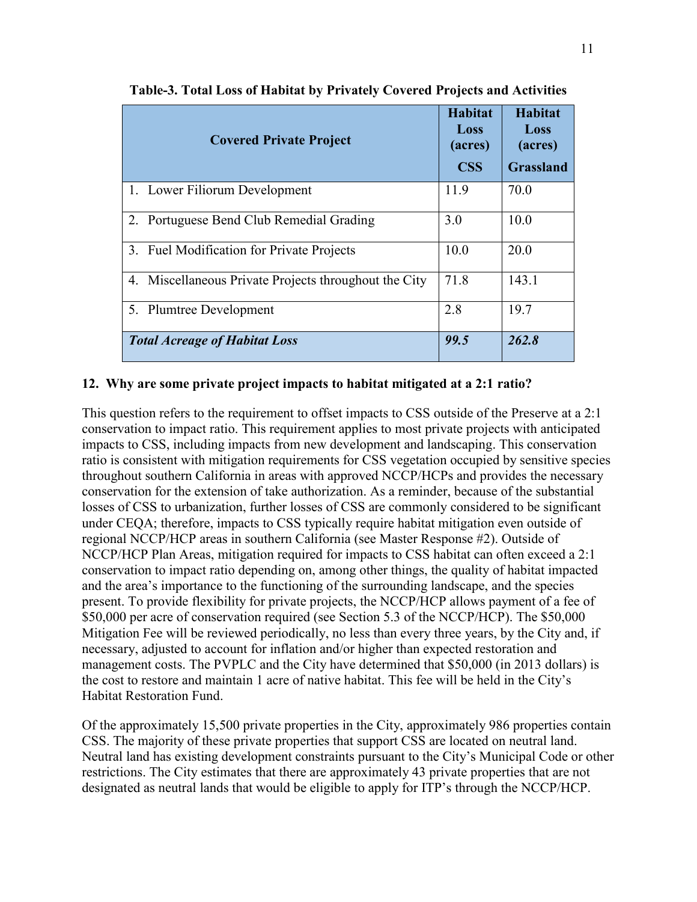| <b>Covered Private Project</b>                        | Habitat<br>Loss<br>(acres)<br><b>CSS</b> | <b>Habitat</b><br>Loss<br>(acres)<br><b>Grassland</b> |
|-------------------------------------------------------|------------------------------------------|-------------------------------------------------------|
| 1. Lower Filiorum Development                         | 11.9                                     | 70.0                                                  |
| 2. Portuguese Bend Club Remedial Grading              | 3.0                                      | 10.0                                                  |
| 3. Fuel Modification for Private Projects             | 10.0                                     | 20.0                                                  |
| 4. Miscellaneous Private Projects throughout the City | 71.8                                     | 143.1                                                 |
| 5. Plumtree Development                               | 2.8                                      | 19.7                                                  |
| <b>Total Acreage of Habitat Loss</b>                  | 99.5                                     | 262.8                                                 |

**Table-3. Total Loss of Habitat by Privately Covered Projects and Activities**

## **12. Why are some private project impacts to habitat mitigated at a 2:1 ratio?**

This question refers to the requirement to offset impacts to CSS outside of the Preserve at a 2:1 conservation to impact ratio. This requirement applies to most private projects with anticipated impacts to CSS, including impacts from new development and landscaping. This conservation ratio is consistent with mitigation requirements for CSS vegetation occupied by sensitive species throughout southern California in areas with approved NCCP/HCPs and provides the necessary conservation for the extension of take authorization. As a reminder, because of the substantial losses of CSS to urbanization, further losses of CSS are commonly considered to be significant under CEQA; therefore, impacts to CSS typically require habitat mitigation even outside of regional NCCP/HCP areas in southern California (see Master Response #2). Outside of NCCP/HCP Plan Areas, mitigation required for impacts to CSS habitat can often exceed a 2:1 conservation to impact ratio depending on, among other things, the quality of habitat impacted and the area's importance to the functioning of the surrounding landscape, and the species present. To provide flexibility for private projects, the NCCP/HCP allows payment of a fee of \$50,000 per acre of conservation required (see Section 5.3 of the NCCP/HCP). The \$50,000 Mitigation Fee will be reviewed periodically, no less than every three years, by the City and, if necessary, adjusted to account for inflation and/or higher than expected restoration and management costs. The PVPLC and the City have determined that \$50,000 (in 2013 dollars) is the cost to restore and maintain 1 acre of native habitat. This fee will be held in the City's Habitat Restoration Fund.

Of the approximately 15,500 private properties in the City, approximately 986 properties contain CSS. The majority of these private properties that support CSS are located on neutral land. Neutral land has existing development constraints pursuant to the City's Municipal Code or other restrictions. The City estimates that there are approximately 43 private properties that are not designated as neutral lands that would be eligible to apply for ITP's through the NCCP/HCP.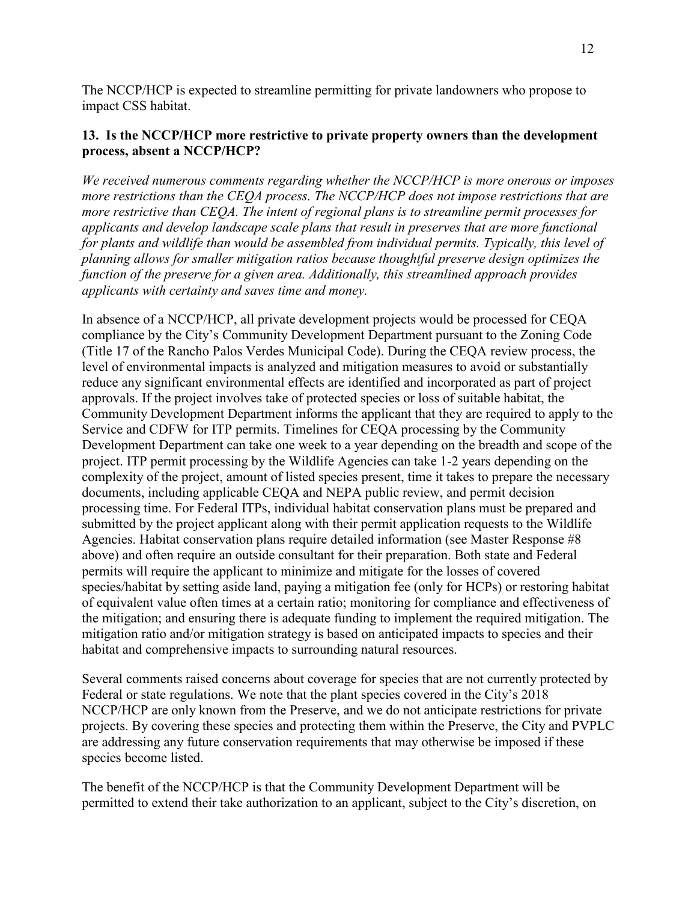The NCCP/HCP is expected to streamline permitting for private landowners who propose to impact CSS habitat.

## **13. Is the NCCP/HCP more restrictive to private property owners than the development process, absent a NCCP/HCP?**

*We received numerous comments regarding whether the NCCP/HCP is more onerous or imposes more restrictions than the CEQA process. The NCCP/HCP does not impose restrictions that are more restrictive than CEQA. The intent of regional plans is to streamline permit processes for applicants and develop landscape scale plans that result in preserves that are more functional for plants and wildlife than would be assembled from individual permits. Typically, this level of planning allows for smaller mitigation ratios because thoughtful preserve design optimizes the function of the preserve for a given area. Additionally, this streamlined approach provides applicants with certainty and saves time and money.*

In absence of a NCCP/HCP, all private development projects would be processed for CEQA compliance by the City's Community Development Department pursuant to the Zoning Code (Title 17 of the Rancho Palos Verdes Municipal Code). During the CEQA review process, the level of environmental impacts is analyzed and mitigation measures to avoid or substantially reduce any significant environmental effects are identified and incorporated as part of project approvals. If the project involves take of protected species or loss of suitable habitat, the Community Development Department informs the applicant that they are required to apply to the Service and CDFW for ITP permits. Timelines for CEQA processing by the Community Development Department can take one week to a year depending on the breadth and scope of the project. ITP permit processing by the Wildlife Agencies can take 1-2 years depending on the complexity of the project, amount of listed species present, time it takes to prepare the necessary documents, including applicable CEQA and NEPA public review, and permit decision processing time. For Federal ITPs, individual habitat conservation plans must be prepared and submitted by the project applicant along with their permit application requests to the Wildlife Agencies. Habitat conservation plans require detailed information (see Master Response #8 above) and often require an outside consultant for their preparation. Both state and Federal permits will require the applicant to minimize and mitigate for the losses of covered species/habitat by setting aside land, paying a mitigation fee (only for HCPs) or restoring habitat of equivalent value often times at a certain ratio; monitoring for compliance and effectiveness of the mitigation; and ensuring there is adequate funding to implement the required mitigation. The mitigation ratio and/or mitigation strategy is based on anticipated impacts to species and their habitat and comprehensive impacts to surrounding natural resources.

Several comments raised concerns about coverage for species that are not currently protected by Federal or state regulations. We note that the plant species covered in the City's 2018 NCCP/HCP are only known from the Preserve, and we do not anticipate restrictions for private projects. By covering these species and protecting them within the Preserve, the City and PVPLC are addressing any future conservation requirements that may otherwise be imposed if these species become listed.

The benefit of the NCCP/HCP is that the Community Development Department will be permitted to extend their take authorization to an applicant, subject to the City's discretion, on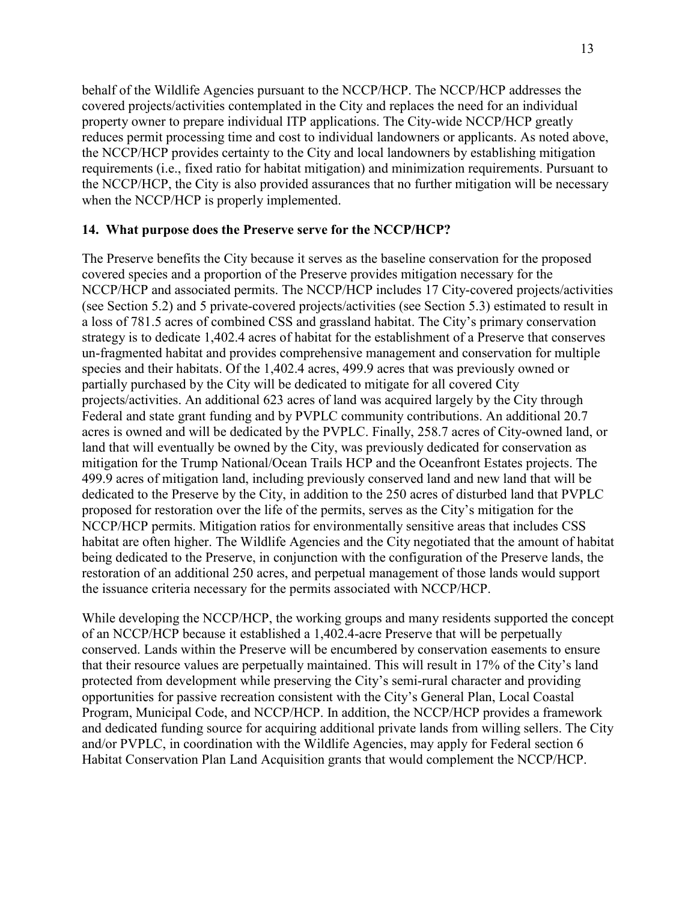behalf of the Wildlife Agencies pursuant to the NCCP/HCP. The NCCP/HCP addresses the covered projects/activities contemplated in the City and replaces the need for an individual property owner to prepare individual ITP applications. The City-wide NCCP/HCP greatly reduces permit processing time and cost to individual landowners or applicants. As noted above, the NCCP/HCP provides certainty to the City and local landowners by establishing mitigation requirements (i.e., fixed ratio for habitat mitigation) and minimization requirements. Pursuant to the NCCP/HCP, the City is also provided assurances that no further mitigation will be necessary when the NCCP/HCP is properly implemented.

### **14. What purpose does the Preserve serve for the NCCP/HCP?**

The Preserve benefits the City because it serves as the baseline conservation for the proposed covered species and a proportion of the Preserve provides mitigation necessary for the NCCP/HCP and associated permits. The NCCP/HCP includes 17 City-covered projects/activities (see Section 5.2) and 5 private-covered projects/activities (see Section 5.3) estimated to result in a loss of 781.5 acres of combined CSS and grassland habitat. The City's primary conservation strategy is to dedicate 1,402.4 acres of habitat for the establishment of a Preserve that conserves un-fragmented habitat and provides comprehensive management and conservation for multiple species and their habitats. Of the 1,402.4 acres, 499.9 acres that was previously owned or partially purchased by the City will be dedicated to mitigate for all covered City projects/activities. An additional 623 acres of land was acquired largely by the City through Federal and state grant funding and by PVPLC community contributions. An additional 20.7 acres is owned and will be dedicated by the PVPLC. Finally, 258.7 acres of City-owned land, or land that will eventually be owned by the City, was previously dedicated for conservation as mitigation for the Trump National/Ocean Trails HCP and the Oceanfront Estates projects. The 499.9 acres of mitigation land, including previously conserved land and new land that will be dedicated to the Preserve by the City, in addition to the 250 acres of disturbed land that PVPLC proposed for restoration over the life of the permits, serves as the City's mitigation for the NCCP/HCP permits. Mitigation ratios for environmentally sensitive areas that includes CSS habitat are often higher. The Wildlife Agencies and the City negotiated that the amount of habitat being dedicated to the Preserve, in conjunction with the configuration of the Preserve lands, the restoration of an additional 250 acres, and perpetual management of those lands would support the issuance criteria necessary for the permits associated with NCCP/HCP.

While developing the NCCP/HCP, the working groups and many residents supported the concept of an NCCP/HCP because it established a 1,402.4-acre Preserve that will be perpetually conserved. Lands within the Preserve will be encumbered by conservation easements to ensure that their resource values are perpetually maintained. This will result in 17% of the City's land protected from development while preserving the City's semi-rural character and providing opportunities for passive recreation consistent with the City's General Plan, Local Coastal Program, Municipal Code, and NCCP/HCP. In addition, the NCCP/HCP provides a framework and dedicated funding source for acquiring additional private lands from willing sellers. The City and/or PVPLC, in coordination with the Wildlife Agencies, may apply for Federal section 6 Habitat Conservation Plan Land Acquisition grants that would complement the NCCP/HCP.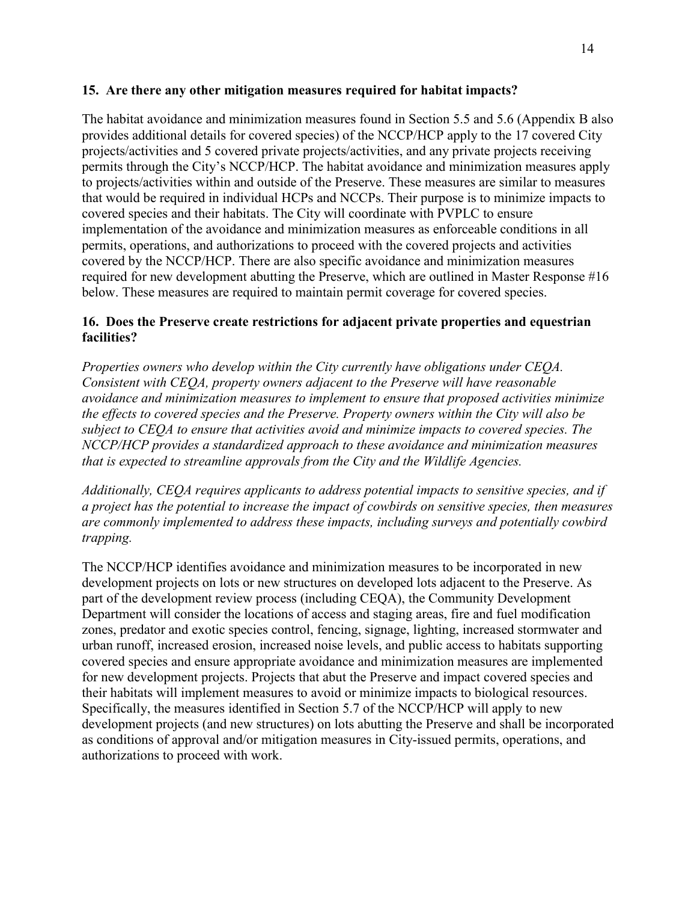## **15. Are there any other mitigation measures required for habitat impacts?**

The habitat avoidance and minimization measures found in Section 5.5 and 5.6 (Appendix B also provides additional details for covered species) of the NCCP/HCP apply to the 17 covered City projects/activities and 5 covered private projects/activities, and any private projects receiving permits through the City's NCCP/HCP. The habitat avoidance and minimization measures apply to projects/activities within and outside of the Preserve. These measures are similar to measures that would be required in individual HCPs and NCCPs. Their purpose is to minimize impacts to covered species and their habitats. The City will coordinate with PVPLC to ensure implementation of the avoidance and minimization measures as enforceable conditions in all permits, operations, and authorizations to proceed with the covered projects and activities covered by the NCCP/HCP. There are also specific avoidance and minimization measures required for new development abutting the Preserve, which are outlined in Master Response #16 below. These measures are required to maintain permit coverage for covered species.

## **16. Does the Preserve create restrictions for adjacent private properties and equestrian facilities?**

*Properties owners who develop within the City currently have obligations under CEQA. Consistent with CEQA, property owners adjacent to the Preserve will have reasonable avoidance and minimization measures to implement to ensure that proposed activities minimize the effects to covered species and the Preserve. Property owners within the City will also be subject to CEQA to ensure that activities avoid and minimize impacts to covered species. The NCCP/HCP provides a standardized approach to these avoidance and minimization measures that is expected to streamline approvals from the City and the Wildlife Agencies.* 

*Additionally, CEQA requires applicants to address potential impacts to sensitive species, and if a project has the potential to increase the impact of cowbirds on sensitive species, then measures are commonly implemented to address these impacts, including surveys and potentially cowbird trapping.*

The NCCP/HCP identifies avoidance and minimization measures to be incorporated in new development projects on lots or new structures on developed lots adjacent to the Preserve. As part of the development review process (including CEQA), the Community Development Department will consider the locations of access and staging areas, fire and fuel modification zones, predator and exotic species control, fencing, signage, lighting, increased stormwater and urban runoff, increased erosion, increased noise levels, and public access to habitats supporting covered species and ensure appropriate avoidance and minimization measures are implemented for new development projects. Projects that abut the Preserve and impact covered species and their habitats will implement measures to avoid or minimize impacts to biological resources. Specifically, the measures identified in Section 5.7 of the NCCP/HCP will apply to new development projects (and new structures) on lots abutting the Preserve and shall be incorporated as conditions of approval and/or mitigation measures in City-issued permits, operations, and authorizations to proceed with work.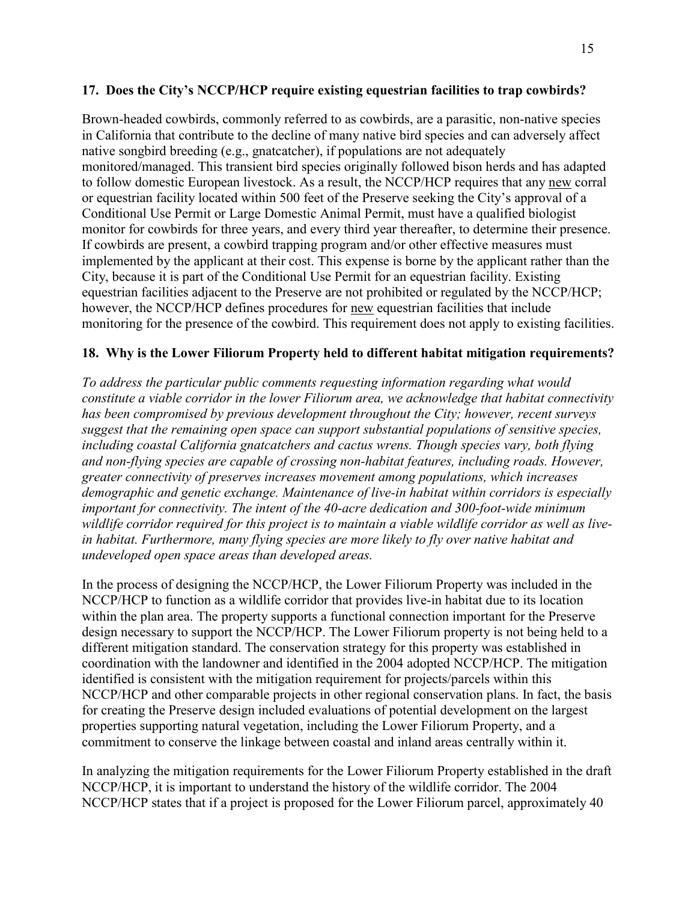## **17. Does the City's NCCP/HCP require existing equestrian facilities to trap cowbirds?**

Brown-headed cowbirds, commonly referred to as cowbirds, are a parasitic, non-native species in California that contribute to the decline of many native bird species and can adversely affect native songbird breeding (e.g., gnatcatcher), if populations are not adequately monitored/managed. This transient bird species originally followed bison herds and has adapted to follow domestic European livestock. As a result, the NCCP/HCP requires that any new corral or equestrian facility located within 500 feet of the Preserve seeking the City's approval of a Conditional Use Permit or Large Domestic Animal Permit, must have a qualified biologist monitor for cowbirds for three years, and every third year thereafter, to determine their presence. If cowbirds are present, a cowbird trapping program and/or other effective measures must implemented by the applicant at their cost. This expense is borne by the applicant rather than the City, because it is part of the Conditional Use Permit for an equestrian facility. Existing equestrian facilities adjacent to the Preserve are not prohibited or regulated by the NCCP/HCP; however, the NCCP/HCP defines procedures for new equestrian facilities that include monitoring for the presence of the cowbird. This requirement does not apply to existing facilities.

## **18. Why is the Lower Filiorum Property held to different habitat mitigation requirements?**

*To address the particular public comments requesting information regarding what would constitute a viable corridor in the lower Filiorum area, we acknowledge that habitat connectivity has been compromised by previous development throughout the City; however, recent surveys suggest that the remaining open space can support substantial populations of sensitive species, including coastal California gnatcatchers and cactus wrens. Though species vary, both flying and non-flying species are capable of crossing non-habitat features, including roads. However, greater connectivity of preserves increases movement among populations, which increases demographic and genetic exchange. Maintenance of live-in habitat within corridors is especially important for connectivity. The intent of the 40-acre dedication and 300-foot-wide minimum wildlife corridor required for this project is to maintain a viable wildlife corridor as well as livein habitat. Furthermore, many flying species are more likely to fly over native habitat and undeveloped open space areas than developed areas.*

In the process of designing the NCCP/HCP, the Lower Filiorum Property was included in the NCCP/HCP to function as a wildlife corridor that provides live-in habitat due to its location within the plan area. The property supports a functional connection important for the Preserve design necessary to support the NCCP/HCP. The Lower Filiorum property is not being held to a different mitigation standard. The conservation strategy for this property was established in coordination with the landowner and identified in the 2004 adopted NCCP/HCP. The mitigation identified is consistent with the mitigation requirement for projects/parcels within this NCCP/HCP and other comparable projects in other regional conservation plans. In fact, the basis for creating the Preserve design included evaluations of potential development on the largest properties supporting natural vegetation, including the Lower Filiorum Property, and a commitment to conserve the linkage between coastal and inland areas centrally within it.

In analyzing the mitigation requirements for the Lower Filiorum Property established in the draft NCCP/HCP, it is important to understand the history of the wildlife corridor. The 2004 NCCP/HCP states that if a project is proposed for the Lower Filiorum parcel, approximately 40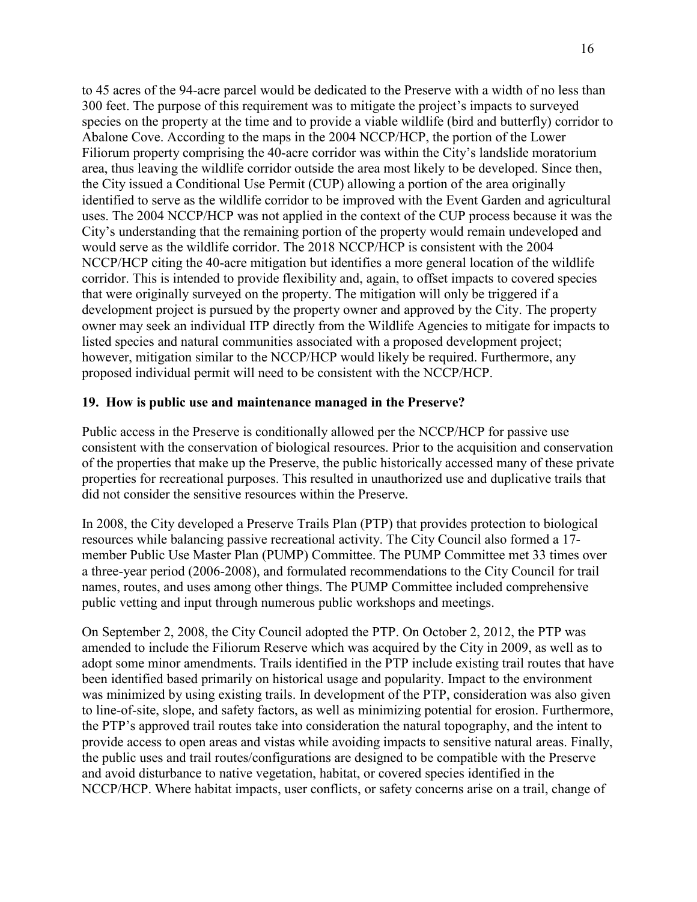to 45 acres of the 94-acre parcel would be dedicated to the Preserve with a width of no less than 300 feet. The purpose of this requirement was to mitigate the project's impacts to surveyed species on the property at the time and to provide a viable wildlife (bird and butterfly) corridor to Abalone Cove. According to the maps in the 2004 NCCP/HCP, the portion of the Lower Filiorum property comprising the 40-acre corridor was within the City's landslide moratorium area, thus leaving the wildlife corridor outside the area most likely to be developed. Since then, the City issued a Conditional Use Permit (CUP) allowing a portion of the area originally identified to serve as the wildlife corridor to be improved with the Event Garden and agricultural uses. The 2004 NCCP/HCP was not applied in the context of the CUP process because it was the City's understanding that the remaining portion of the property would remain undeveloped and would serve as the wildlife corridor. The 2018 NCCP/HCP is consistent with the 2004 NCCP/HCP citing the 40-acre mitigation but identifies a more general location of the wildlife corridor. This is intended to provide flexibility and, again, to offset impacts to covered species that were originally surveyed on the property. The mitigation will only be triggered if a development project is pursued by the property owner and approved by the City. The property owner may seek an individual ITP directly from the Wildlife Agencies to mitigate for impacts to listed species and natural communities associated with a proposed development project; however, mitigation similar to the NCCP/HCP would likely be required. Furthermore, any proposed individual permit will need to be consistent with the NCCP/HCP.

#### **19. How is public use and maintenance managed in the Preserve?**

Public access in the Preserve is conditionally allowed per the NCCP/HCP for passive use consistent with the conservation of biological resources. Prior to the acquisition and conservation of the properties that make up the Preserve, the public historically accessed many of these private properties for recreational purposes. This resulted in unauthorized use and duplicative trails that did not consider the sensitive resources within the Preserve.

In 2008, the City developed a Preserve Trails Plan (PTP) that provides protection to biological resources while balancing passive recreational activity. The City Council also formed a 17 member Public Use Master Plan (PUMP) Committee. The PUMP Committee met 33 times over a three-year period (2006-2008), and formulated recommendations to the City Council for trail names, routes, and uses among other things. The PUMP Committee included comprehensive public vetting and input through numerous public workshops and meetings.

On September 2, 2008, the City Council adopted the PTP. On October 2, 2012, the PTP was amended to include the Filiorum Reserve which was acquired by the City in 2009, as well as to adopt some minor amendments. Trails identified in the PTP include existing trail routes that have been identified based primarily on historical usage and popularity. Impact to the environment was minimized by using existing trails. In development of the PTP, consideration was also given to line-of-site, slope, and safety factors, as well as minimizing potential for erosion. Furthermore, the PTP's approved trail routes take into consideration the natural topography, and the intent to provide access to open areas and vistas while avoiding impacts to sensitive natural areas. Finally, the public uses and trail routes/configurations are designed to be compatible with the Preserve and avoid disturbance to native vegetation, habitat, or covered species identified in the NCCP/HCP. Where habitat impacts, user conflicts, or safety concerns arise on a trail, change of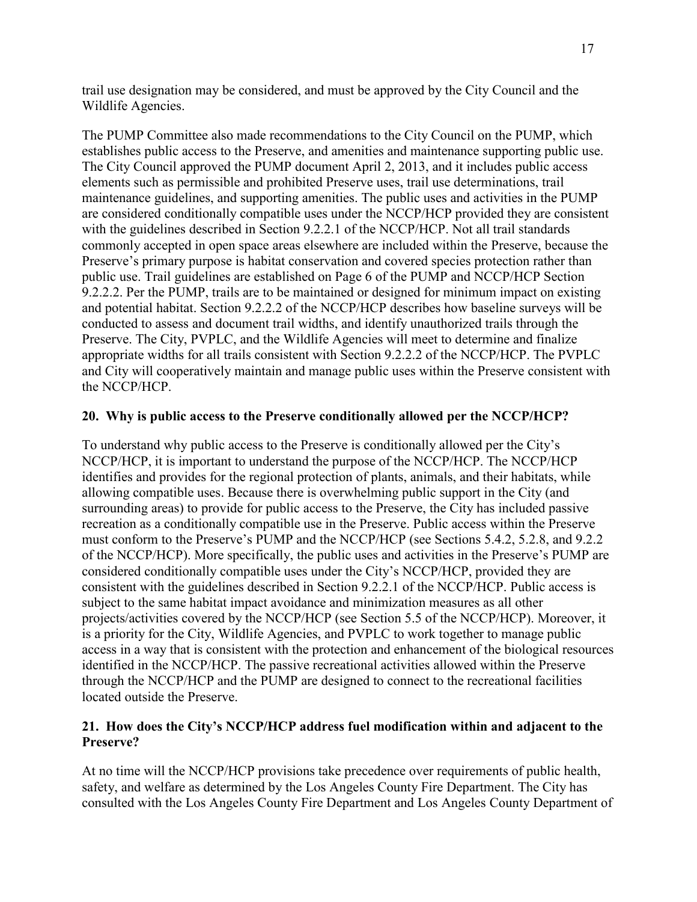trail use designation may be considered, and must be approved by the City Council and the Wildlife Agencies.

The PUMP Committee also made recommendations to the City Council on the PUMP, which establishes public access to the Preserve, and amenities and maintenance supporting public use. The City Council approved the PUMP document April 2, 2013, and it includes public access elements such as permissible and prohibited Preserve uses, trail use determinations, trail maintenance guidelines, and supporting amenities. The public uses and activities in the PUMP are considered conditionally compatible uses under the NCCP/HCP provided they are consistent with the guidelines described in Section 9.2.2.1 of the NCCP/HCP. Not all trail standards commonly accepted in open space areas elsewhere are included within the Preserve, because the Preserve's primary purpose is habitat conservation and covered species protection rather than public use. Trail guidelines are established on Page 6 of the PUMP and NCCP/HCP Section 9.2.2.2. Per the PUMP, trails are to be maintained or designed for minimum impact on existing and potential habitat. Section 9.2.2.2 of the NCCP/HCP describes how baseline surveys will be conducted to assess and document trail widths, and identify unauthorized trails through the Preserve. The City, PVPLC, and the Wildlife Agencies will meet to determine and finalize appropriate widths for all trails consistent with Section 9.2.2.2 of the NCCP/HCP. The PVPLC and City will cooperatively maintain and manage public uses within the Preserve consistent with the NCCP/HCP.

## **20. Why is public access to the Preserve conditionally allowed per the NCCP/HCP?**

To understand why public access to the Preserve is conditionally allowed per the City's NCCP/HCP, it is important to understand the purpose of the NCCP/HCP. The NCCP/HCP identifies and provides for the regional protection of plants, animals, and their habitats, while allowing compatible uses. Because there is overwhelming public support in the City (and surrounding areas) to provide for public access to the Preserve, the City has included passive recreation as a conditionally compatible use in the Preserve. Public access within the Preserve must conform to the Preserve's PUMP and the NCCP/HCP (see Sections 5.4.2, 5.2.8, and 9.2.2 of the NCCP/HCP). More specifically, the public uses and activities in the Preserve's PUMP are considered conditionally compatible uses under the City's NCCP/HCP, provided they are consistent with the guidelines described in Section 9.2.2.1 of the NCCP/HCP. Public access is subject to the same habitat impact avoidance and minimization measures as all other projects/activities covered by the NCCP/HCP (see Section 5.5 of the NCCP/HCP). Moreover, it is a priority for the City, Wildlife Agencies, and PVPLC to work together to manage public access in a way that is consistent with the protection and enhancement of the biological resources identified in the NCCP/HCP. The passive recreational activities allowed within the Preserve through the NCCP/HCP and the PUMP are designed to connect to the recreational facilities located outside the Preserve.

## **21. How does the City's NCCP/HCP address fuel modification within and adjacent to the Preserve?**

At no time will the NCCP/HCP provisions take precedence over requirements of public health, safety, and welfare as determined by the Los Angeles County Fire Department. The City has consulted with the Los Angeles County Fire Department and Los Angeles County Department of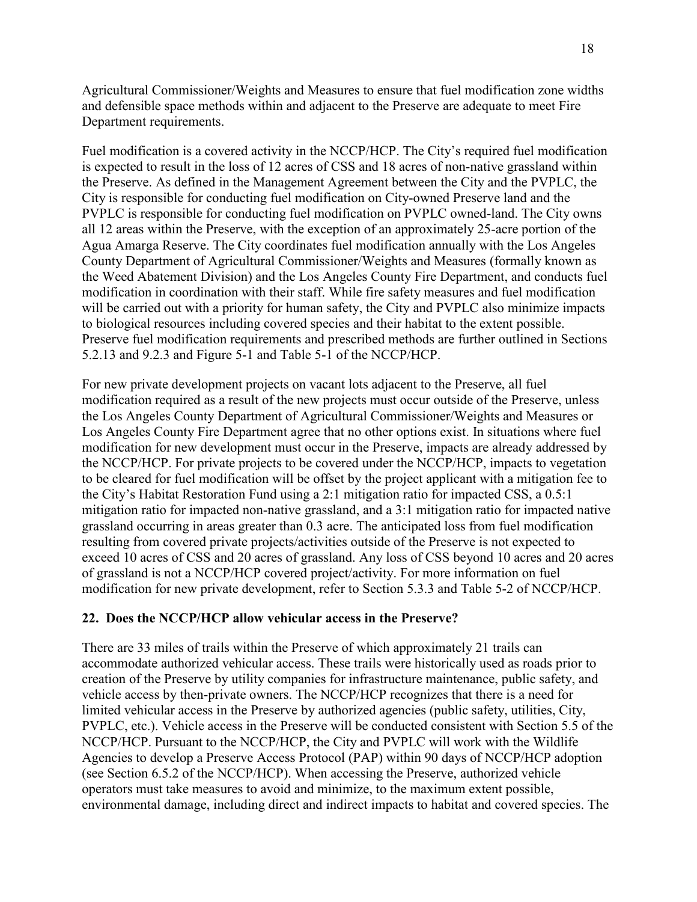Agricultural Commissioner/Weights and Measures to ensure that fuel modification zone widths and defensible space methods within and adjacent to the Preserve are adequate to meet Fire Department requirements.

Fuel modification is a covered activity in the NCCP/HCP. The City's required fuel modification is expected to result in the loss of 12 acres of CSS and 18 acres of non-native grassland within the Preserve. As defined in the Management Agreement between the City and the PVPLC, the City is responsible for conducting fuel modification on City-owned Preserve land and the PVPLC is responsible for conducting fuel modification on PVPLC owned-land. The City owns all 12 areas within the Preserve, with the exception of an approximately 25-acre portion of the Agua Amarga Reserve. The City coordinates fuel modification annually with the Los Angeles County Department of Agricultural Commissioner/Weights and Measures (formally known as the Weed Abatement Division) and the Los Angeles County Fire Department, and conducts fuel modification in coordination with their staff. While fire safety measures and fuel modification will be carried out with a priority for human safety, the City and PVPLC also minimize impacts to biological resources including covered species and their habitat to the extent possible. Preserve fuel modification requirements and prescribed methods are further outlined in Sections 5.2.13 and 9.2.3 and Figure 5-1 and Table 5-1 of the NCCP/HCP.

For new private development projects on vacant lots adjacent to the Preserve, all fuel modification required as a result of the new projects must occur outside of the Preserve, unless the Los Angeles County Department of Agricultural Commissioner/Weights and Measures or Los Angeles County Fire Department agree that no other options exist. In situations where fuel modification for new development must occur in the Preserve, impacts are already addressed by the NCCP/HCP. For private projects to be covered under the NCCP/HCP, impacts to vegetation to be cleared for fuel modification will be offset by the project applicant with a mitigation fee to the City's Habitat Restoration Fund using a 2:1 mitigation ratio for impacted CSS, a 0.5:1 mitigation ratio for impacted non-native grassland, and a 3:1 mitigation ratio for impacted native grassland occurring in areas greater than 0.3 acre. The anticipated loss from fuel modification resulting from covered private projects/activities outside of the Preserve is not expected to exceed 10 acres of CSS and 20 acres of grassland. Any loss of CSS beyond 10 acres and 20 acres of grassland is not a NCCP/HCP covered project/activity. For more information on fuel modification for new private development, refer to Section 5.3.3 and Table 5-2 of NCCP/HCP.

# **22. Does the NCCP/HCP allow vehicular access in the Preserve?**

There are 33 miles of trails within the Preserve of which approximately 21 trails can accommodate authorized vehicular access. These trails were historically used as roads prior to creation of the Preserve by utility companies for infrastructure maintenance, public safety, and vehicle access by then-private owners. The NCCP/HCP recognizes that there is a need for limited vehicular access in the Preserve by authorized agencies (public safety, utilities, City, PVPLC, etc.). Vehicle access in the Preserve will be conducted consistent with Section 5.5 of the NCCP/HCP. Pursuant to the NCCP/HCP, the City and PVPLC will work with the Wildlife Agencies to develop a Preserve Access Protocol (PAP) within 90 days of NCCP/HCP adoption (see Section 6.5.2 of the NCCP/HCP). When accessing the Preserve, authorized vehicle operators must take measures to avoid and minimize, to the maximum extent possible, environmental damage, including direct and indirect impacts to habitat and covered species. The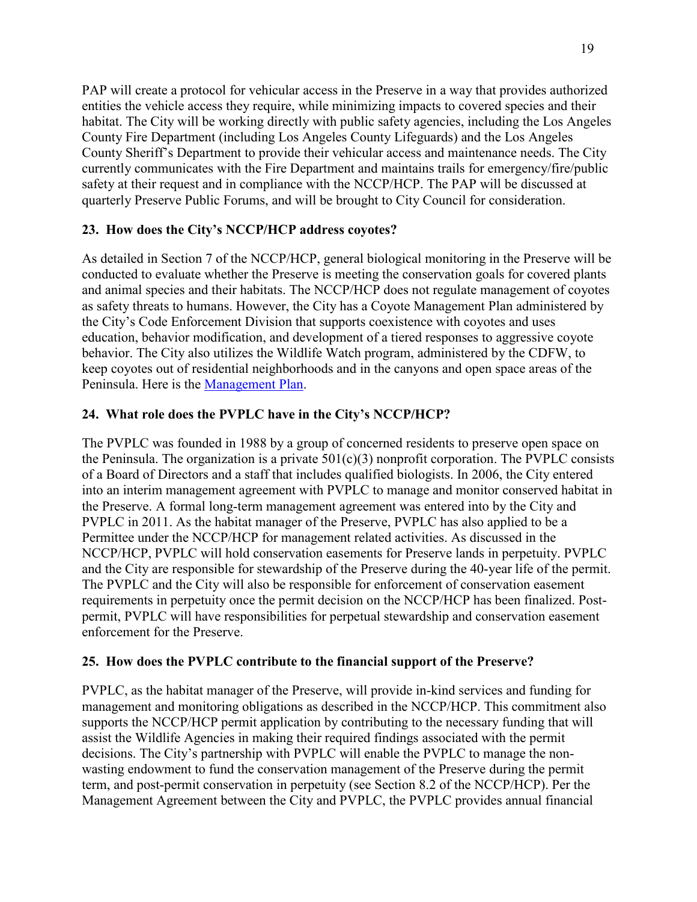PAP will create a protocol for vehicular access in the Preserve in a way that provides authorized entities the vehicle access they require, while minimizing impacts to covered species and their habitat. The City will be working directly with public safety agencies, including the Los Angeles County Fire Department (including Los Angeles County Lifeguards) and the Los Angeles County Sheriff's Department to provide their vehicular access and maintenance needs. The City currently communicates with the Fire Department and maintains trails for emergency/fire/public safety at their request and in compliance with the NCCP/HCP. The PAP will be discussed at quarterly Preserve Public Forums, and will be brought to City Council for consideration.

# **23. How does the City's NCCP/HCP address coyotes?**

As detailed in Section 7 of the NCCP/HCP, general biological monitoring in the Preserve will be conducted to evaluate whether the Preserve is meeting the conservation goals for covered plants and animal species and their habitats. The NCCP/HCP does not regulate management of coyotes as safety threats to humans. However, the City has a Coyote Management Plan administered by the City's Code Enforcement Division that supports coexistence with coyotes and uses education, behavior modification, and development of a tiered responses to aggressive coyote behavior. The City also utilizes the Wildlife Watch program, administered by the CDFW, to keep coyotes out of residential neighborhoods and in the canyons and open space areas of the Peninsula. Here is the [Management Plan.](https://www.rpvca.gov/DocumentCenter/View/12546/Revised-coyote-management-plan-AM-9-25-18-edits_2)

# **24. What role does the PVPLC have in the City's NCCP/HCP?**

The PVPLC was founded in 1988 by a group of concerned residents to preserve open space on the Peninsula. The organization is a private  $501(c)(3)$  nonprofit corporation. The PVPLC consists of a Board of Directors and a staff that includes qualified biologists. In 2006, the City entered into an interim management agreement with PVPLC to manage and monitor conserved habitat in the Preserve. A formal long-term management agreement was entered into by the City and PVPLC in 2011. As the habitat manager of the Preserve, PVPLC has also applied to be a Permittee under the NCCP/HCP for management related activities. As discussed in the NCCP/HCP, PVPLC will hold conservation easements for Preserve lands in perpetuity. PVPLC and the City are responsible for stewardship of the Preserve during the 40-year life of the permit. The PVPLC and the City will also be responsible for enforcement of conservation easement requirements in perpetuity once the permit decision on the NCCP/HCP has been finalized. Postpermit, PVPLC will have responsibilities for perpetual stewardship and conservation easement enforcement for the Preserve.

# **25. How does the PVPLC contribute to the financial support of the Preserve?**

PVPLC, as the habitat manager of the Preserve, will provide in-kind services and funding for management and monitoring obligations as described in the NCCP/HCP. This commitment also supports the NCCP/HCP permit application by contributing to the necessary funding that will assist the Wildlife Agencies in making their required findings associated with the permit decisions. The City's partnership with PVPLC will enable the PVPLC to manage the nonwasting endowment to fund the conservation management of the Preserve during the permit term, and post-permit conservation in perpetuity (see Section 8.2 of the NCCP/HCP). Per the Management Agreement between the City and PVPLC, the PVPLC provides annual financial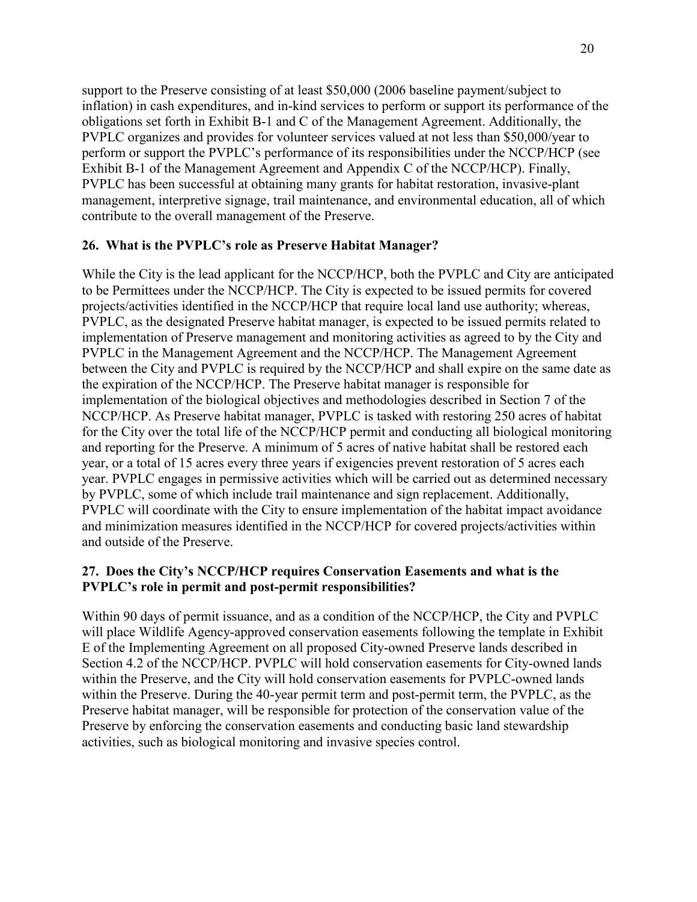support to the Preserve consisting of at least \$50,000 (2006 baseline payment/subject to inflation) in cash expenditures, and in-kind services to perform or support its performance of the obligations set forth in Exhibit B-1 and C of the Management Agreement. Additionally, the PVPLC organizes and provides for volunteer services valued at not less than \$50,000/year to perform or support the PVPLC's performance of its responsibilities under the NCCP/HCP (see Exhibit B-1 of the Management Agreement and Appendix C of the NCCP/HCP). Finally, PVPLC has been successful at obtaining many grants for habitat restoration, invasive-plant management, interpretive signage, trail maintenance, and environmental education, all of which contribute to the overall management of the Preserve.

#### **26. What is the PVPLC's role as Preserve Habitat Manager?**

While the City is the lead applicant for the NCCP/HCP, both the PVPLC and City are anticipated to be Permittees under the NCCP/HCP. The City is expected to be issued permits for covered projects/activities identified in the NCCP/HCP that require local land use authority; whereas, PVPLC, as the designated Preserve habitat manager, is expected to be issued permits related to implementation of Preserve management and monitoring activities as agreed to by the City and PVPLC in the Management Agreement and the NCCP/HCP. The Management Agreement between the City and PVPLC is required by the NCCP/HCP and shall expire on the same date as the expiration of the NCCP/HCP. The Preserve habitat manager is responsible for implementation of the biological objectives and methodologies described in Section 7 of the NCCP/HCP. As Preserve habitat manager, PVPLC is tasked with restoring 250 acres of habitat for the City over the total life of the NCCP/HCP permit and conducting all biological monitoring and reporting for the Preserve. A minimum of 5 acres of native habitat shall be restored each year, or a total of 15 acres every three years if exigencies prevent restoration of 5 acres each year. PVPLC engages in permissive activities which will be carried out as determined necessary by PVPLC, some of which include trail maintenance and sign replacement. Additionally, PVPLC will coordinate with the City to ensure implementation of the habitat impact avoidance and minimization measures identified in the NCCP/HCP for covered projects/activities within and outside of the Preserve.

#### **27. Does the City's NCCP/HCP requires Conservation Easements and what is the PVPLC's role in permit and post-permit responsibilities?**

Within 90 days of permit issuance, and as a condition of the NCCP/HCP, the City and PVPLC will place Wildlife Agency-approved conservation easements following the template in Exhibit E of the Implementing Agreement on all proposed City-owned Preserve lands described in Section 4.2 of the NCCP/HCP. PVPLC will hold conservation easements for City-owned lands within the Preserve, and the City will hold conservation easements for PVPLC-owned lands within the Preserve. During the 40-year permit term and post-permit term, the PVPLC, as the Preserve habitat manager, will be responsible for protection of the conservation value of the Preserve by enforcing the conservation easements and conducting basic land stewardship activities, such as biological monitoring and invasive species control.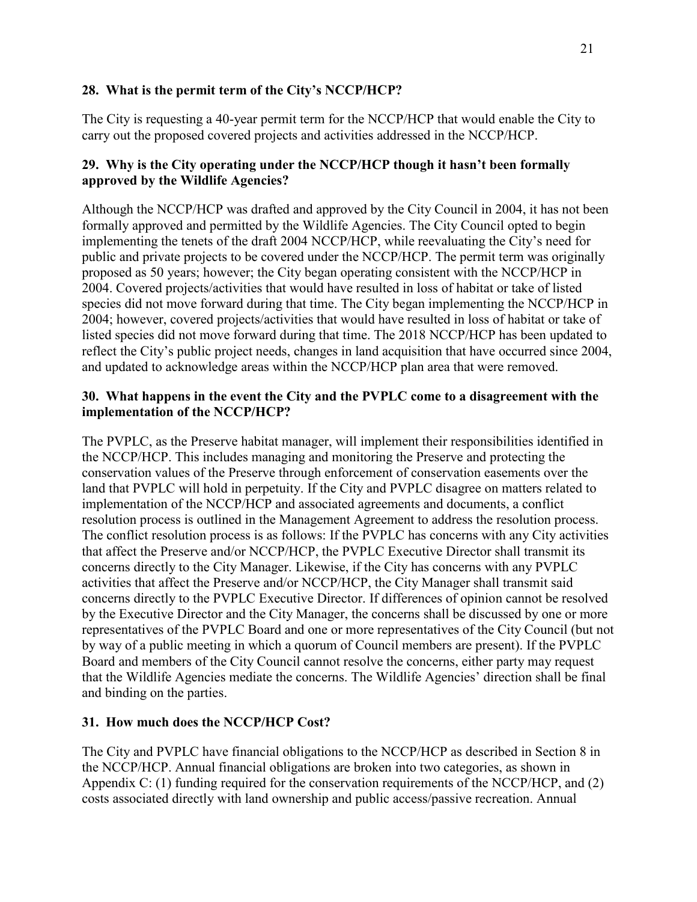## **28. What is the permit term of the City's NCCP/HCP?**

The City is requesting a 40-year permit term for the NCCP/HCP that would enable the City to carry out the proposed covered projects and activities addressed in the NCCP/HCP.

# **29. Why is the City operating under the NCCP/HCP though it hasn't been formally approved by the Wildlife Agencies?**

Although the NCCP/HCP was drafted and approved by the City Council in 2004, it has not been formally approved and permitted by the Wildlife Agencies. The City Council opted to begin implementing the tenets of the draft 2004 NCCP/HCP, while reevaluating the City's need for public and private projects to be covered under the NCCP/HCP. The permit term was originally proposed as 50 years; however; the City began operating consistent with the NCCP/HCP in 2004. Covered projects/activities that would have resulted in loss of habitat or take of listed species did not move forward during that time. The City began implementing the NCCP/HCP in 2004; however, covered projects/activities that would have resulted in loss of habitat or take of listed species did not move forward during that time. The 2018 NCCP/HCP has been updated to reflect the City's public project needs, changes in land acquisition that have occurred since 2004, and updated to acknowledge areas within the NCCP/HCP plan area that were removed.

# **30. What happens in the event the City and the PVPLC come to a disagreement with the implementation of the NCCP/HCP?**

The PVPLC, as the Preserve habitat manager, will implement their responsibilities identified in the NCCP/HCP. This includes managing and monitoring the Preserve and protecting the conservation values of the Preserve through enforcement of conservation easements over the land that PVPLC will hold in perpetuity. If the City and PVPLC disagree on matters related to implementation of the NCCP/HCP and associated agreements and documents, a conflict resolution process is outlined in the Management Agreement to address the resolution process. The conflict resolution process is as follows: If the PVPLC has concerns with any City activities that affect the Preserve and/or NCCP/HCP, the PVPLC Executive Director shall transmit its concerns directly to the City Manager. Likewise, if the City has concerns with any PVPLC activities that affect the Preserve and/or NCCP/HCP, the City Manager shall transmit said concerns directly to the PVPLC Executive Director. If differences of opinion cannot be resolved by the Executive Director and the City Manager, the concerns shall be discussed by one or more representatives of the PVPLC Board and one or more representatives of the City Council (but not by way of a public meeting in which a quorum of Council members are present). If the PVPLC Board and members of the City Council cannot resolve the concerns, either party may request that the Wildlife Agencies mediate the concerns. The Wildlife Agencies' direction shall be final and binding on the parties.

# **31. How much does the NCCP/HCP Cost?**

The City and PVPLC have financial obligations to the NCCP/HCP as described in Section 8 in the NCCP/HCP. Annual financial obligations are broken into two categories, as shown in Appendix C: (1) funding required for the conservation requirements of the NCCP/HCP, and (2) costs associated directly with land ownership and public access/passive recreation. Annual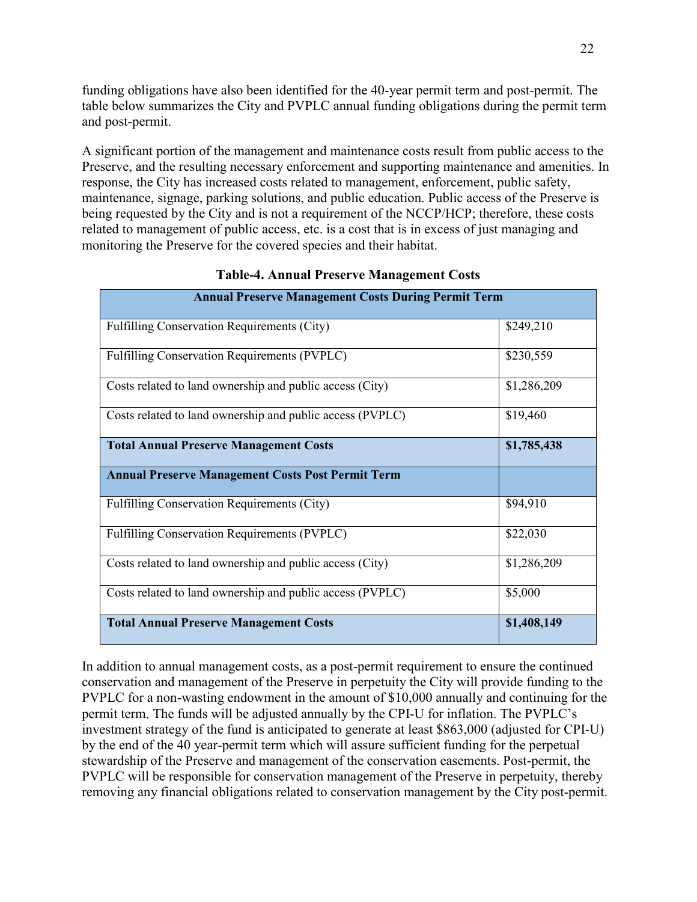funding obligations have also been identified for the 40-year permit term and post-permit. The table below summarizes the City and PVPLC annual funding obligations during the permit term and post-permit.

A significant portion of the management and maintenance costs result from public access to the Preserve, and the resulting necessary enforcement and supporting maintenance and amenities. In response, the City has increased costs related to management, enforcement, public safety, maintenance, signage, parking solutions, and public education. Public access of the Preserve is being requested by the City and is not a requirement of the NCCP/HCP; therefore, these costs related to management of public access, etc. is a cost that is in excess of just managing and monitoring the Preserve for the covered species and their habitat.

| <b>Annual Preserve Management Costs During Permit Term</b> |             |  |  |
|------------------------------------------------------------|-------------|--|--|
| Fulfilling Conservation Requirements (City)                | \$249,210   |  |  |
| Fulfilling Conservation Requirements (PVPLC)               | \$230,559   |  |  |
| Costs related to land ownership and public access (City)   | \$1,286,209 |  |  |
| Costs related to land ownership and public access (PVPLC)  | \$19,460    |  |  |
| <b>Total Annual Preserve Management Costs</b>              | \$1,785,438 |  |  |
| <b>Annual Preserve Management Costs Post Permit Term</b>   |             |  |  |
| Fulfilling Conservation Requirements (City)                | \$94,910    |  |  |
| Fulfilling Conservation Requirements (PVPLC)               | \$22,030    |  |  |
| Costs related to land ownership and public access (City)   | \$1,286,209 |  |  |
| Costs related to land ownership and public access (PVPLC)  | \$5,000     |  |  |
| <b>Total Annual Preserve Management Costs</b>              | \$1,408,149 |  |  |

## **Table-4. Annual Preserve Management Costs**

In addition to annual management costs, as a post-permit requirement to ensure the continued conservation and management of the Preserve in perpetuity the City will provide funding to the PVPLC for a non-wasting endowment in the amount of \$10,000 annually and continuing for the permit term. The funds will be adjusted annually by the CPI-U for inflation. The PVPLC's investment strategy of the fund is anticipated to generate at least \$863,000 (adjusted for CPI-U) by the end of the 40 year-permit term which will assure sufficient funding for the perpetual stewardship of the Preserve and management of the conservation easements. Post-permit, the PVPLC will be responsible for conservation management of the Preserve in perpetuity, thereby removing any financial obligations related to conservation management by the City post-permit.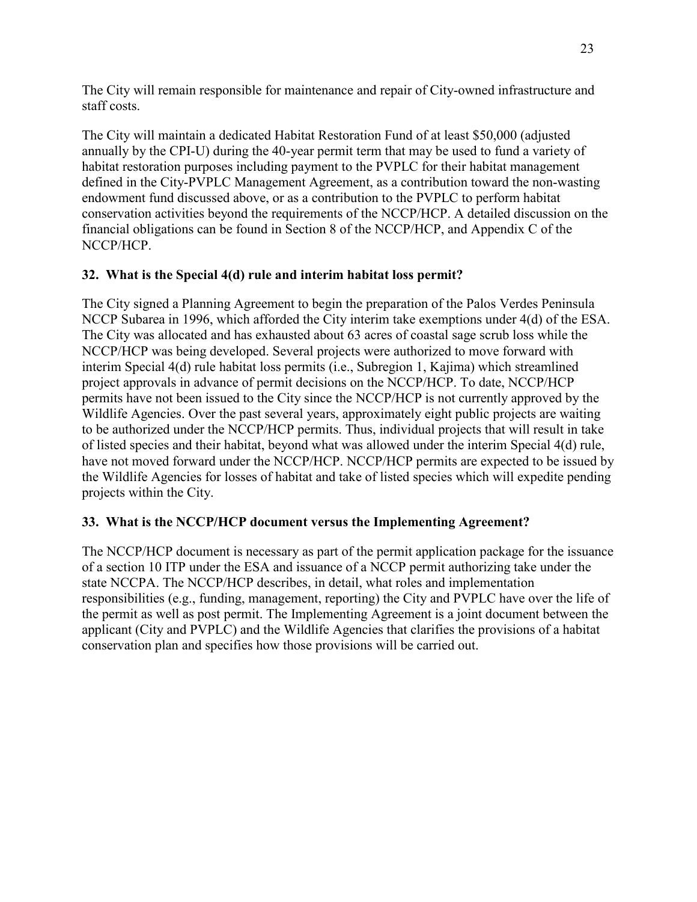The City will remain responsible for maintenance and repair of City-owned infrastructure and staff costs.

The City will maintain a dedicated Habitat Restoration Fund of at least \$50,000 (adjusted annually by the CPI-U) during the 40-year permit term that may be used to fund a variety of habitat restoration purposes including payment to the PVPLC for their habitat management defined in the City-PVPLC Management Agreement, as a contribution toward the non-wasting endowment fund discussed above, or as a contribution to the PVPLC to perform habitat conservation activities beyond the requirements of the NCCP/HCP. A detailed discussion on the financial obligations can be found in Section 8 of the NCCP/HCP, and Appendix C of the NCCP/HCP.

# **32. What is the Special 4(d) rule and interim habitat loss permit?**

The City signed a Planning Agreement to begin the preparation of the Palos Verdes Peninsula NCCP Subarea in 1996, which afforded the City interim take exemptions under 4(d) of the ESA. The City was allocated and has exhausted about 63 acres of coastal sage scrub loss while the NCCP/HCP was being developed. Several projects were authorized to move forward with interim Special 4(d) rule habitat loss permits (i.e., Subregion 1, Kajima) which streamlined project approvals in advance of permit decisions on the NCCP/HCP. To date, NCCP/HCP permits have not been issued to the City since the NCCP/HCP is not currently approved by the Wildlife Agencies. Over the past several years, approximately eight public projects are waiting to be authorized under the NCCP/HCP permits. Thus, individual projects that will result in take of listed species and their habitat, beyond what was allowed under the interim Special 4(d) rule, have not moved forward under the NCCP/HCP. NCCP/HCP permits are expected to be issued by the Wildlife Agencies for losses of habitat and take of listed species which will expedite pending projects within the City.

# **33. What is the NCCP/HCP document versus the Implementing Agreement?**

The NCCP/HCP document is necessary as part of the permit application package for the issuance of a section 10 ITP under the ESA and issuance of a NCCP permit authorizing take under the state NCCPA. The NCCP/HCP describes, in detail, what roles and implementation responsibilities (e.g., funding, management, reporting) the City and PVPLC have over the life of the permit as well as post permit. The Implementing Agreement is a joint document between the applicant (City and PVPLC) and the Wildlife Agencies that clarifies the provisions of a habitat conservation plan and specifies how those provisions will be carried out.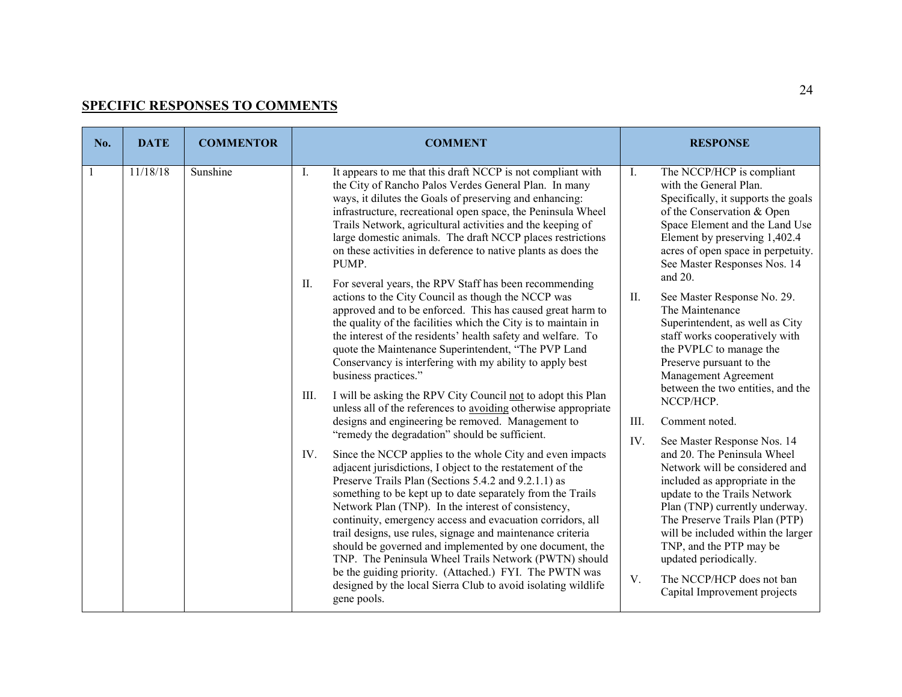# **SPECIFIC RESPONSES TO COMMENTS**

| No. | <b>DATE</b> | <b>COMMENTOR</b> | <b>COMMENT</b>                                                                                                                                                                                                                                                                                                                                                                                                                                                                                                                                                                                                                                                                                                                                                                                                                                                                                                                                                                                                                                                                                                                                                                                                                                                                                                                                                                                                                                                                                                                                                                                                                                                                                                                                                                                                                                                                          | <b>RESPONSE</b>                                                                                                                                                                                                                                                                                                                                                                                                                                                                                                                                                                                                                                                                                                                                                                                                                                                                                                                                                                                   |
|-----|-------------|------------------|-----------------------------------------------------------------------------------------------------------------------------------------------------------------------------------------------------------------------------------------------------------------------------------------------------------------------------------------------------------------------------------------------------------------------------------------------------------------------------------------------------------------------------------------------------------------------------------------------------------------------------------------------------------------------------------------------------------------------------------------------------------------------------------------------------------------------------------------------------------------------------------------------------------------------------------------------------------------------------------------------------------------------------------------------------------------------------------------------------------------------------------------------------------------------------------------------------------------------------------------------------------------------------------------------------------------------------------------------------------------------------------------------------------------------------------------------------------------------------------------------------------------------------------------------------------------------------------------------------------------------------------------------------------------------------------------------------------------------------------------------------------------------------------------------------------------------------------------------------------------------------------------|---------------------------------------------------------------------------------------------------------------------------------------------------------------------------------------------------------------------------------------------------------------------------------------------------------------------------------------------------------------------------------------------------------------------------------------------------------------------------------------------------------------------------------------------------------------------------------------------------------------------------------------------------------------------------------------------------------------------------------------------------------------------------------------------------------------------------------------------------------------------------------------------------------------------------------------------------------------------------------------------------|
|     | 11/18/18    | Sunshine         | I.<br>It appears to me that this draft NCCP is not compliant with<br>the City of Rancho Palos Verdes General Plan. In many<br>ways, it dilutes the Goals of preserving and enhancing:<br>infrastructure, recreational open space, the Peninsula Wheel<br>Trails Network, agricultural activities and the keeping of<br>large domestic animals. The draft NCCP places restrictions<br>on these activities in deference to native plants as does the<br>PUMP.<br>For several years, the RPV Staff has been recommending<br>II.<br>actions to the City Council as though the NCCP was<br>approved and to be enforced. This has caused great harm to<br>the quality of the facilities which the City is to maintain in<br>the interest of the residents' health safety and welfare. To<br>quote the Maintenance Superintendent, "The PVP Land<br>Conservancy is interfering with my ability to apply best<br>business practices."<br>I will be asking the RPV City Council not to adopt this Plan<br>III.<br>unless all of the references to avoiding otherwise appropriate<br>designs and engineering be removed. Management to<br>"remedy the degradation" should be sufficient.<br>IV.<br>Since the NCCP applies to the whole City and even impacts<br>adjacent jurisdictions, I object to the restatement of the<br>Preserve Trails Plan (Sections 5.4.2 and 9.2.1.1) as<br>something to be kept up to date separately from the Trails<br>Network Plan (TNP). In the interest of consistency,<br>continuity, emergency access and evacuation corridors, all<br>trail designs, use rules, signage and maintenance criteria<br>should be governed and implemented by one document, the<br>TNP. The Peninsula Wheel Trails Network (PWTN) should<br>be the guiding priority. (Attached.) FYI. The PWTN was<br>designed by the local Sierra Club to avoid isolating wildlife<br>gene pools. | $\mathbf{I}$ .<br>The NCCP/HCP is compliant<br>with the General Plan.<br>Specifically, it supports the goals<br>of the Conservation & Open<br>Space Element and the Land Use<br>Element by preserving 1,402.4<br>acres of open space in perpetuity.<br>See Master Responses Nos. 14<br>and 20.<br>II.<br>See Master Response No. 29.<br>The Maintenance<br>Superintendent, as well as City<br>staff works cooperatively with<br>the PVPLC to manage the<br>Preserve pursuant to the<br>Management Agreement<br>between the two entities, and the<br>NCCP/HCP.<br>III.<br>Comment noted.<br>IV.<br>See Master Response Nos. 14<br>and 20. The Peninsula Wheel<br>Network will be considered and<br>included as appropriate in the<br>update to the Trails Network<br>Plan (TNP) currently underway.<br>The Preserve Trails Plan (PTP)<br>will be included within the larger<br>TNP, and the PTP may be<br>updated periodically.<br>V.<br>The NCCP/HCP does not ban<br>Capital Improvement projects |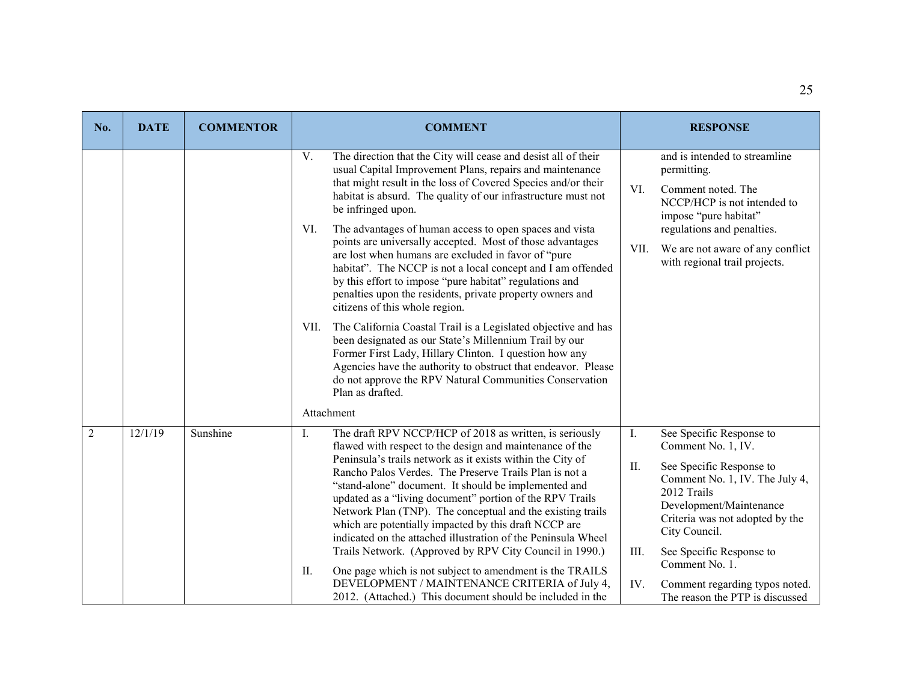| No.            | <b>DATE</b> | <b>COMMENTOR</b> | <b>COMMENT</b>                                                                                                                                                                                                                                                                                                                                                                                                                                                                                                                                                                                                                                                                                                                                                                                                                                                                                                                                                                                                                                                      | <b>RESPONSE</b>                                                                                                                                                                                                                                                                                                                                           |
|----------------|-------------|------------------|---------------------------------------------------------------------------------------------------------------------------------------------------------------------------------------------------------------------------------------------------------------------------------------------------------------------------------------------------------------------------------------------------------------------------------------------------------------------------------------------------------------------------------------------------------------------------------------------------------------------------------------------------------------------------------------------------------------------------------------------------------------------------------------------------------------------------------------------------------------------------------------------------------------------------------------------------------------------------------------------------------------------------------------------------------------------|-----------------------------------------------------------------------------------------------------------------------------------------------------------------------------------------------------------------------------------------------------------------------------------------------------------------------------------------------------------|
|                |             |                  | V.<br>The direction that the City will cease and desist all of their<br>usual Capital Improvement Plans, repairs and maintenance<br>that might result in the loss of Covered Species and/or their<br>habitat is absurd. The quality of our infrastructure must not<br>be infringed upon.<br>The advantages of human access to open spaces and vista<br>VI.<br>points are universally accepted. Most of those advantages<br>are lost when humans are excluded in favor of "pure<br>habitat". The NCCP is not a local concept and I am offended<br>by this effort to impose "pure habitat" regulations and<br>penalties upon the residents, private property owners and<br>citizens of this whole region.<br>The California Coastal Trail is a Legislated objective and has<br>VII.<br>been designated as our State's Millennium Trail by our<br>Former First Lady, Hillary Clinton. I question how any<br>Agencies have the authority to obstruct that endeavor. Please<br>do not approve the RPV Natural Communities Conservation<br>Plan as drafted.<br>Attachment | and is intended to streamline<br>permitting.<br>VI.<br>Comment noted. The<br>NCCP/HCP is not intended to<br>impose "pure habitat"<br>regulations and penalties.<br>We are not aware of any conflict<br>VII.<br>with regional trail projects.                                                                                                              |
| $\overline{2}$ | 12/1/19     | Sunshine         | The draft RPV NCCP/HCP of 2018 as written, is seriously<br>I.<br>flawed with respect to the design and maintenance of the<br>Peninsula's trails network as it exists within the City of<br>Rancho Palos Verdes. The Preserve Trails Plan is not a<br>"stand-alone" document. It should be implemented and<br>updated as a "living document" portion of the RPV Trails<br>Network Plan (TNP). The conceptual and the existing trails<br>which are potentially impacted by this draft NCCP are<br>indicated on the attached illustration of the Peninsula Wheel<br>Trails Network. (Approved by RPV City Council in 1990.)<br>One page which is not subject to amendment is the TRAILS<br>II.<br>DEVELOPMENT / MAINTENANCE CRITERIA of July 4,<br>2012. (Attached.) This document should be included in the                                                                                                                                                                                                                                                           | I.<br>See Specific Response to<br>Comment No. 1, IV.<br>II.<br>See Specific Response to<br>Comment No. 1, IV. The July 4,<br>2012 Trails<br>Development/Maintenance<br>Criteria was not adopted by the<br>City Council.<br>III.<br>See Specific Response to<br>Comment No. 1.<br>IV.<br>Comment regarding typos noted.<br>The reason the PTP is discussed |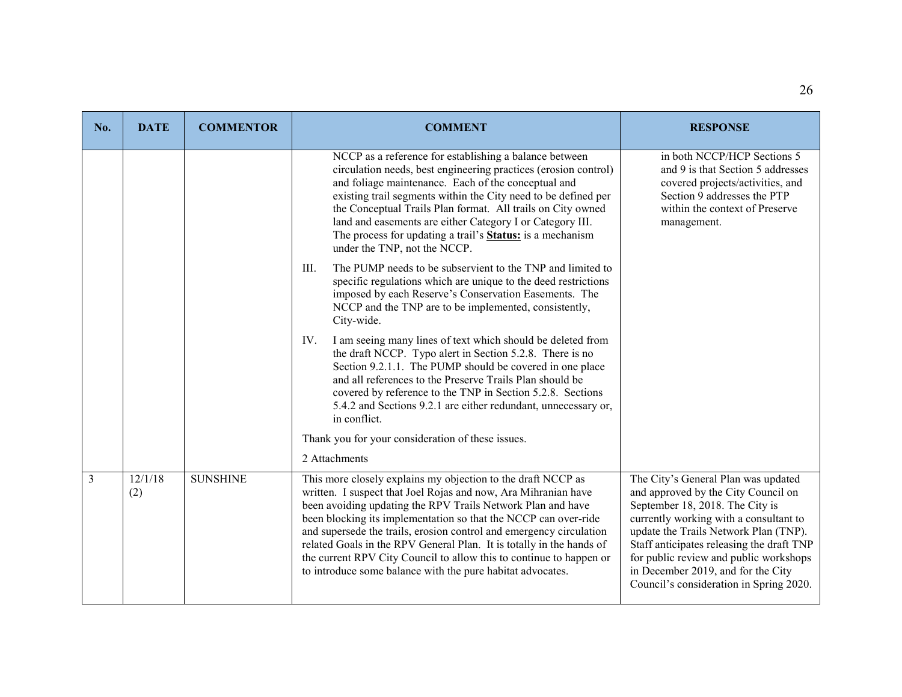| No.            | <b>DATE</b>    | <b>COMMENTOR</b> | <b>COMMENT</b>                                                                                                                                                                                                                                                                                                                                                                                                                                                                                                                                                        | <b>RESPONSE</b>                                                                                                                                                                                                                                                                                                                                                          |
|----------------|----------------|------------------|-----------------------------------------------------------------------------------------------------------------------------------------------------------------------------------------------------------------------------------------------------------------------------------------------------------------------------------------------------------------------------------------------------------------------------------------------------------------------------------------------------------------------------------------------------------------------|--------------------------------------------------------------------------------------------------------------------------------------------------------------------------------------------------------------------------------------------------------------------------------------------------------------------------------------------------------------------------|
|                |                |                  | NCCP as a reference for establishing a balance between<br>circulation needs, best engineering practices (erosion control)<br>and foliage maintenance. Each of the conceptual and<br>existing trail segments within the City need to be defined per<br>the Conceptual Trails Plan format. All trails on City owned<br>land and easements are either Category I or Category III.<br>The process for updating a trail's <b>Status</b> : is a mechanism<br>under the TNP, not the NCCP.                                                                                   | in both NCCP/HCP Sections 5<br>and 9 is that Section 5 addresses<br>covered projects/activities, and<br>Section 9 addresses the PTP<br>within the context of Preserve<br>management.                                                                                                                                                                                     |
|                |                |                  | The PUMP needs to be subservient to the TNP and limited to<br>III.<br>specific regulations which are unique to the deed restrictions<br>imposed by each Reserve's Conservation Easements. The<br>NCCP and the TNP are to be implemented, consistently,<br>City-wide.                                                                                                                                                                                                                                                                                                  |                                                                                                                                                                                                                                                                                                                                                                          |
|                |                |                  | IV.<br>I am seeing many lines of text which should be deleted from<br>the draft NCCP. Typo alert in Section 5.2.8. There is no<br>Section 9.2.1.1. The PUMP should be covered in one place<br>and all references to the Preserve Trails Plan should be<br>covered by reference to the TNP in Section 5.2.8. Sections<br>5.4.2 and Sections 9.2.1 are either redundant, unnecessary or,<br>in conflict.                                                                                                                                                                |                                                                                                                                                                                                                                                                                                                                                                          |
|                |                |                  | Thank you for your consideration of these issues.                                                                                                                                                                                                                                                                                                                                                                                                                                                                                                                     |                                                                                                                                                                                                                                                                                                                                                                          |
| $\mathfrak{Z}$ | 12/1/18<br>(2) | <b>SUNSHINE</b>  | 2 Attachments<br>This more closely explains my objection to the draft NCCP as<br>written. I suspect that Joel Rojas and now, Ara Mihranian have<br>been avoiding updating the RPV Trails Network Plan and have<br>been blocking its implementation so that the NCCP can over-ride<br>and supersede the trails, erosion control and emergency circulation<br>related Goals in the RPV General Plan. It is totally in the hands of<br>the current RPV City Council to allow this to continue to happen or<br>to introduce some balance with the pure habitat advocates. | The City's General Plan was updated<br>and approved by the City Council on<br>September 18, 2018. The City is<br>currently working with a consultant to<br>update the Trails Network Plan (TNP).<br>Staff anticipates releasing the draft TNP<br>for public review and public workshops<br>in December 2019, and for the City<br>Council's consideration in Spring 2020. |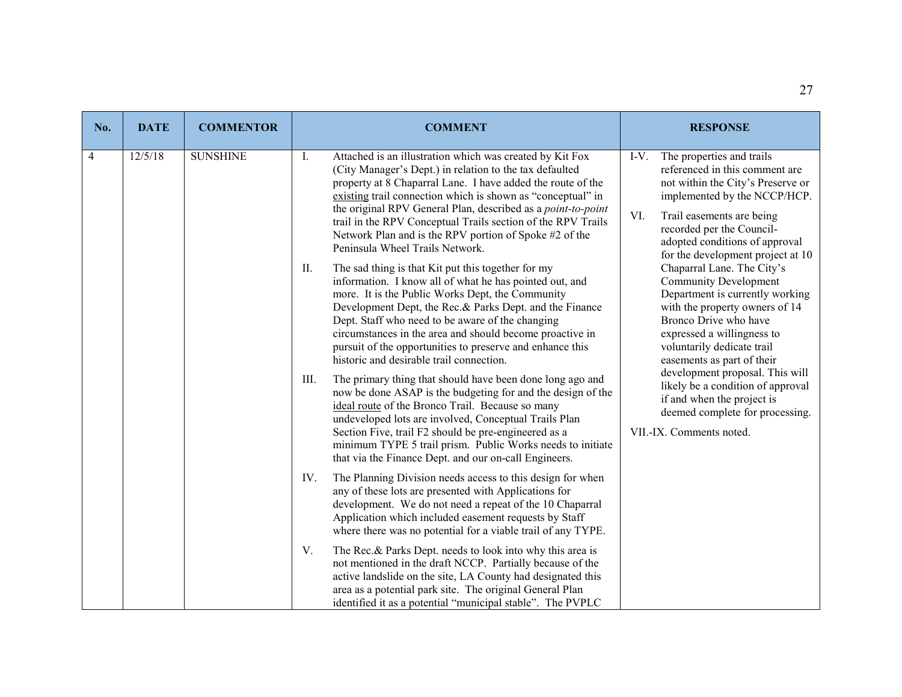| No. | <b>DATE</b> | <b>COMMENTOR</b> | <b>COMMENT</b>                                                                                                                                                                                                                                                                                                                                                                                                                                               | <b>RESPONSE</b>                                                                                                                                                                                                                                    |
|-----|-------------|------------------|--------------------------------------------------------------------------------------------------------------------------------------------------------------------------------------------------------------------------------------------------------------------------------------------------------------------------------------------------------------------------------------------------------------------------------------------------------------|----------------------------------------------------------------------------------------------------------------------------------------------------------------------------------------------------------------------------------------------------|
| 4   | 12/5/18     | <b>SUNSHINE</b>  | Attached is an illustration which was created by Kit Fox<br>Ι.<br>(City Manager's Dept.) in relation to the tax defaulted<br>property at 8 Chaparral Lane. I have added the route of the<br>existing trail connection which is shown as "conceptual" in                                                                                                                                                                                                      | $I-V.$<br>The properties and trails<br>referenced in this comment are<br>not within the City's Preserve or<br>implemented by the NCCP/HCP.                                                                                                         |
|     |             |                  | the original RPV General Plan, described as a point-to-point<br>trail in the RPV Conceptual Trails section of the RPV Trails<br>Network Plan and is the RPV portion of Spoke #2 of the<br>Peninsula Wheel Trails Network.                                                                                                                                                                                                                                    | VI.<br>Trail easements are being<br>recorded per the Council-<br>adopted conditions of approval<br>for the development project at 10                                                                                                               |
|     |             |                  | II.<br>The sad thing is that Kit put this together for my<br>information. I know all of what he has pointed out, and<br>more. It is the Public Works Dept, the Community<br>Development Dept, the Rec.& Parks Dept. and the Finance<br>Dept. Staff who need to be aware of the changing<br>circumstances in the area and should become proactive in<br>pursuit of the opportunities to preserve and enhance this<br>historic and desirable trail connection. | Chaparral Lane. The City's<br><b>Community Development</b><br>Department is currently working<br>with the property owners of 14<br>Bronco Drive who have<br>expressed a willingness to<br>voluntarily dedicate trail<br>easements as part of their |
|     |             |                  | III.<br>The primary thing that should have been done long ago and<br>now be done ASAP is the budgeting for and the design of the<br>ideal route of the Bronco Trail. Because so many<br>undeveloped lots are involved, Conceptual Trails Plan<br>Section Five, trail F2 should be pre-engineered as a<br>minimum TYPE 5 trail prism. Public Works needs to initiate<br>that via the Finance Dept. and our on-call Engineers.                                 | development proposal. This will<br>likely be a condition of approval<br>if and when the project is<br>deemed complete for processing.<br>VII.-IX. Comments noted.                                                                                  |
|     |             |                  | The Planning Division needs access to this design for when<br>IV.<br>any of these lots are presented with Applications for<br>development. We do not need a repeat of the 10 Chaparral<br>Application which included easement requests by Staff<br>where there was no potential for a viable trail of any TYPE.                                                                                                                                              |                                                                                                                                                                                                                                                    |
|     |             |                  | V.<br>The Rec.& Parks Dept. needs to look into why this area is<br>not mentioned in the draft NCCP. Partially because of the<br>active landslide on the site, LA County had designated this<br>area as a potential park site. The original General Plan<br>identified it as a potential "municipal stable". The PVPLC                                                                                                                                        |                                                                                                                                                                                                                                                    |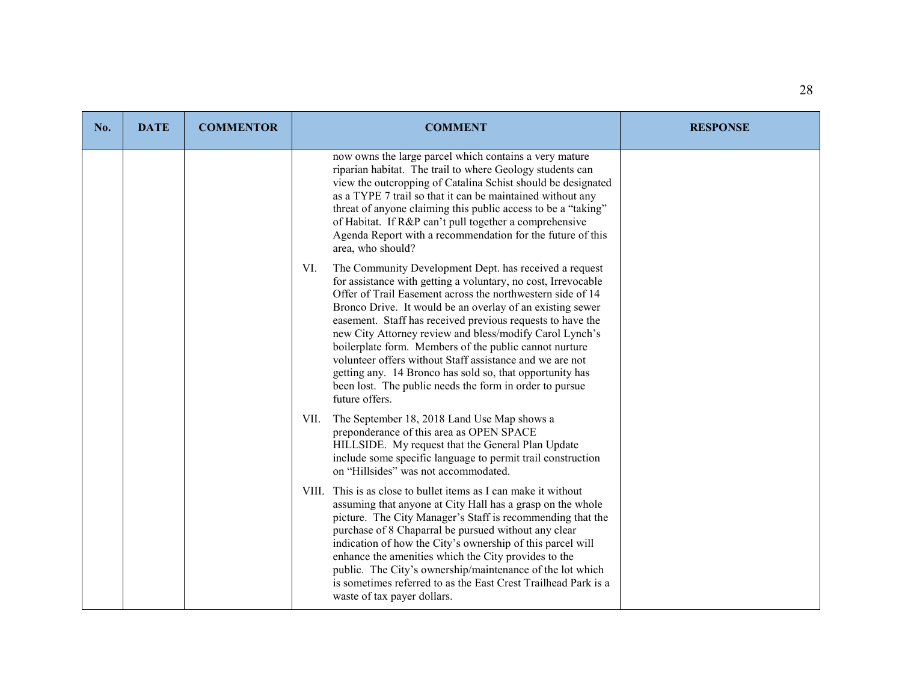| No. | <b>DATE</b> | <b>COMMENTOR</b> | <b>COMMENT</b>                                                                                                                                                                                                                                                                                                                                                                                                                                                                                                                                                                                                                                    | <b>RESPONSE</b> |
|-----|-------------|------------------|---------------------------------------------------------------------------------------------------------------------------------------------------------------------------------------------------------------------------------------------------------------------------------------------------------------------------------------------------------------------------------------------------------------------------------------------------------------------------------------------------------------------------------------------------------------------------------------------------------------------------------------------------|-----------------|
|     |             |                  | now owns the large parcel which contains a very mature<br>riparian habitat. The trail to where Geology students can<br>view the outcropping of Catalina Schist should be designated<br>as a TYPE 7 trail so that it can be maintained without any<br>threat of anyone claiming this public access to be a "taking"<br>of Habitat. If R&P can't pull together a comprehensive<br>Agenda Report with a recommendation for the future of this<br>area, who should?                                                                                                                                                                                   |                 |
|     |             |                  | The Community Development Dept. has received a request<br>VI.<br>for assistance with getting a voluntary, no cost, Irrevocable<br>Offer of Trail Easement across the northwestern side of 14<br>Bronco Drive. It would be an overlay of an existing sewer<br>easement. Staff has received previous requests to have the<br>new City Attorney review and bless/modify Carol Lynch's<br>boilerplate form. Members of the public cannot nurture<br>volunteer offers without Staff assistance and we are not<br>getting any. 14 Bronco has sold so, that opportunity has<br>been lost. The public needs the form in order to pursue<br>future offers. |                 |
|     |             |                  | The September 18, 2018 Land Use Map shows a<br>VII.<br>preponderance of this area as OPEN SPACE<br>HILLSIDE. My request that the General Plan Update<br>include some specific language to permit trail construction<br>on "Hillsides" was not accommodated.                                                                                                                                                                                                                                                                                                                                                                                       |                 |
|     |             |                  | VIII. This is as close to bullet items as I can make it without<br>assuming that anyone at City Hall has a grasp on the whole<br>picture. The City Manager's Staff is recommending that the<br>purchase of 8 Chaparral be pursued without any clear<br>indication of how the City's ownership of this parcel will<br>enhance the amenities which the City provides to the<br>public. The City's ownership/maintenance of the lot which<br>is sometimes referred to as the East Crest Trailhead Park is a<br>waste of tax payer dollars.                                                                                                           |                 |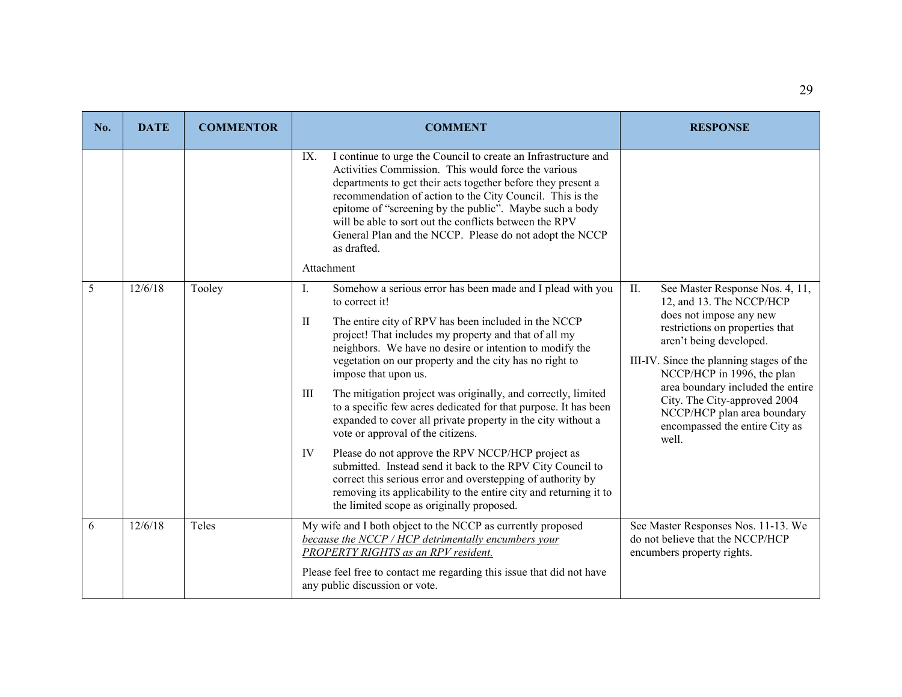| No. | <b>DATE</b> | <b>COMMENTOR</b> | <b>COMMENT</b>                                                                                                                                                                                                                                                                                                                                                                                                                                                                                                                                                                                                                                                                                                                                                                                                                      | <b>RESPONSE</b>                                                                                                                                                                                                                                                                                                |
|-----|-------------|------------------|-------------------------------------------------------------------------------------------------------------------------------------------------------------------------------------------------------------------------------------------------------------------------------------------------------------------------------------------------------------------------------------------------------------------------------------------------------------------------------------------------------------------------------------------------------------------------------------------------------------------------------------------------------------------------------------------------------------------------------------------------------------------------------------------------------------------------------------|----------------------------------------------------------------------------------------------------------------------------------------------------------------------------------------------------------------------------------------------------------------------------------------------------------------|
|     |             |                  | I continue to urge the Council to create an Infrastructure and<br>IX.<br>Activities Commission. This would force the various<br>departments to get their acts together before they present a<br>recommendation of action to the City Council. This is the<br>epitome of "screening by the public". Maybe such a body<br>will be able to sort out the conflicts between the RPV<br>General Plan and the NCCP. Please do not adopt the NCCP<br>as drafted.<br>Attachment                                                                                                                                                                                                                                                                                                                                                              |                                                                                                                                                                                                                                                                                                                |
| 5   | 12/6/18     | Tooley           | I.<br>Somehow a serious error has been made and I plead with you<br>to correct it!                                                                                                                                                                                                                                                                                                                                                                                                                                                                                                                                                                                                                                                                                                                                                  | $\prod$ .<br>See Master Response Nos. 4, 11,<br>12, and 13. The NCCP/HCP                                                                                                                                                                                                                                       |
|     |             |                  | The entire city of RPV has been included in the NCCP<br>$\mathbf{I}$<br>project! That includes my property and that of all my<br>neighbors. We have no desire or intention to modify the<br>vegetation on our property and the city has no right to<br>impose that upon us.<br>The mitigation project was originally, and correctly, limited<br>Ш<br>to a specific few acres dedicated for that purpose. It has been<br>expanded to cover all private property in the city without a<br>vote or approval of the citizens.<br>Please do not approve the RPV NCCP/HCP project as<br>IV<br>submitted. Instead send it back to the RPV City Council to<br>correct this serious error and overstepping of authority by<br>removing its applicability to the entire city and returning it to<br>the limited scope as originally proposed. | does not impose any new<br>restrictions on properties that<br>aren't being developed.<br>III-IV. Since the planning stages of the<br>NCCP/HCP in 1996, the plan<br>area boundary included the entire<br>City. The City-approved 2004<br>NCCP/HCP plan area boundary<br>encompassed the entire City as<br>well. |
| 6   | 12/6/18     | Teles            | My wife and I both object to the NCCP as currently proposed<br>because the NCCP / HCP detrimentally encumbers your<br>PROPERTY RIGHTS as an RPV resident.<br>Please feel free to contact me regarding this issue that did not have<br>any public discussion or vote.                                                                                                                                                                                                                                                                                                                                                                                                                                                                                                                                                                | See Master Responses Nos. 11-13. We<br>do not believe that the NCCP/HCP<br>encumbers property rights.                                                                                                                                                                                                          |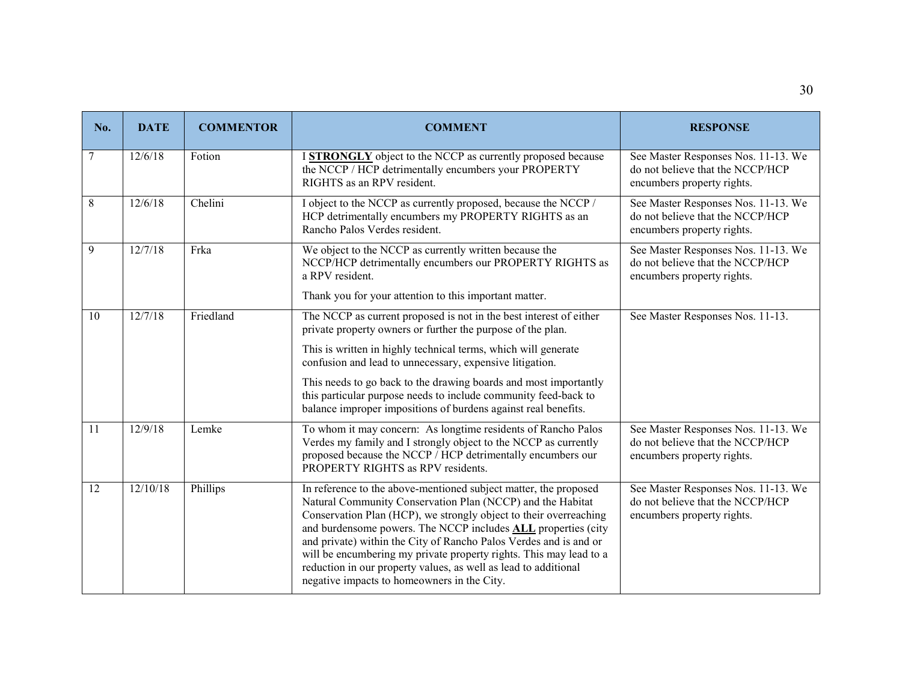| No. | <b>DATE</b> | <b>COMMENTOR</b> | <b>COMMENT</b>                                                                                                                                                                                                                                                                                                                                                                                                                                                                                                                           | <b>RESPONSE</b>                                                                                       |
|-----|-------------|------------------|------------------------------------------------------------------------------------------------------------------------------------------------------------------------------------------------------------------------------------------------------------------------------------------------------------------------------------------------------------------------------------------------------------------------------------------------------------------------------------------------------------------------------------------|-------------------------------------------------------------------------------------------------------|
| 7   | 12/6/18     | Fotion           | I STRONGLY object to the NCCP as currently proposed because<br>the NCCP / HCP detrimentally encumbers your PROPERTY<br>RIGHTS as an RPV resident.                                                                                                                                                                                                                                                                                                                                                                                        | See Master Responses Nos. 11-13. We<br>do not believe that the NCCP/HCP<br>encumbers property rights. |
| 8   | 12/6/18     | Chelini          | I object to the NCCP as currently proposed, because the NCCP /<br>HCP detrimentally encumbers my PROPERTY RIGHTS as an<br>Rancho Palos Verdes resident.                                                                                                                                                                                                                                                                                                                                                                                  | See Master Responses Nos. 11-13. We<br>do not believe that the NCCP/HCP<br>encumbers property rights. |
| 9   | 12/7/18     | Frka             | We object to the NCCP as currently written because the<br>NCCP/HCP detrimentally encumbers our PROPERTY RIGHTS as<br>a RPV resident.                                                                                                                                                                                                                                                                                                                                                                                                     | See Master Responses Nos. 11-13. We<br>do not believe that the NCCP/HCP<br>encumbers property rights. |
|     |             |                  | Thank you for your attention to this important matter.                                                                                                                                                                                                                                                                                                                                                                                                                                                                                   |                                                                                                       |
| 10  | 12/7/18     | Friedland        | The NCCP as current proposed is not in the best interest of either<br>private property owners or further the purpose of the plan.                                                                                                                                                                                                                                                                                                                                                                                                        | See Master Responses Nos. 11-13.                                                                      |
|     |             |                  | This is written in highly technical terms, which will generate<br>confusion and lead to unnecessary, expensive litigation.                                                                                                                                                                                                                                                                                                                                                                                                               |                                                                                                       |
|     |             |                  | This needs to go back to the drawing boards and most importantly<br>this particular purpose needs to include community feed-back to<br>balance improper impositions of burdens against real benefits.                                                                                                                                                                                                                                                                                                                                    |                                                                                                       |
| 11  | 12/9/18     | Lemke            | To whom it may concern: As longtime residents of Rancho Palos<br>Verdes my family and I strongly object to the NCCP as currently<br>proposed because the NCCP / HCP detrimentally encumbers our<br>PROPERTY RIGHTS as RPV residents.                                                                                                                                                                                                                                                                                                     | See Master Responses Nos. 11-13. We<br>do not believe that the NCCP/HCP<br>encumbers property rights. |
| 12  | 12/10/18    | Phillips         | In reference to the above-mentioned subject matter, the proposed<br>Natural Community Conservation Plan (NCCP) and the Habitat<br>Conservation Plan (HCP), we strongly object to their overreaching<br>and burdensome powers. The NCCP includes <b>ALL</b> properties (city<br>and private) within the City of Rancho Palos Verdes and is and or<br>will be encumbering my private property rights. This may lead to a<br>reduction in our property values, as well as lead to additional<br>negative impacts to homeowners in the City. | See Master Responses Nos. 11-13. We<br>do not believe that the NCCP/HCP<br>encumbers property rights. |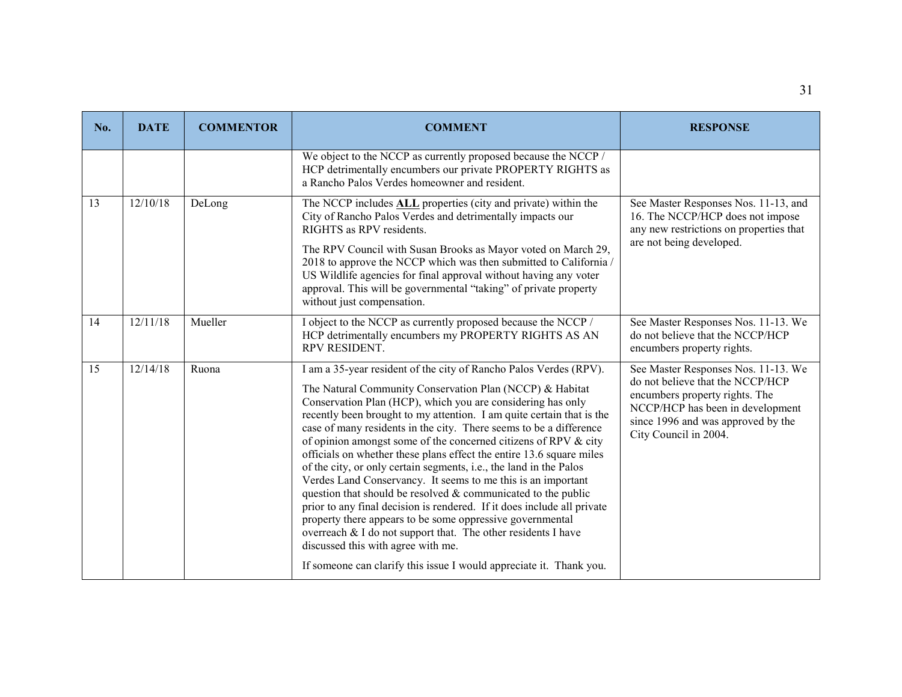| No. | <b>DATE</b>     | <b>COMMENTOR</b> | <b>COMMENT</b>                                                                                                                                                                                                                                                                                                                                                                                                                                                                                                                                                                                                                                                                                                                                                                                                                                                                                                                                                                                                        | <b>RESPONSE</b>                                                                                                                                                                                              |
|-----|-----------------|------------------|-----------------------------------------------------------------------------------------------------------------------------------------------------------------------------------------------------------------------------------------------------------------------------------------------------------------------------------------------------------------------------------------------------------------------------------------------------------------------------------------------------------------------------------------------------------------------------------------------------------------------------------------------------------------------------------------------------------------------------------------------------------------------------------------------------------------------------------------------------------------------------------------------------------------------------------------------------------------------------------------------------------------------|--------------------------------------------------------------------------------------------------------------------------------------------------------------------------------------------------------------|
|     |                 |                  | We object to the NCCP as currently proposed because the NCCP /<br>HCP detrimentally encumbers our private PROPERTY RIGHTS as<br>a Rancho Palos Verdes homeowner and resident.                                                                                                                                                                                                                                                                                                                                                                                                                                                                                                                                                                                                                                                                                                                                                                                                                                         |                                                                                                                                                                                                              |
| 13  | 12/10/18        | DeLong           | The NCCP includes <b>ALL</b> properties (city and private) within the<br>City of Rancho Palos Verdes and detrimentally impacts our<br>RIGHTS as RPV residents.<br>The RPV Council with Susan Brooks as Mayor voted on March 29,<br>2018 to approve the NCCP which was then submitted to California /<br>US Wildlife agencies for final approval without having any voter<br>approval. This will be governmental "taking" of private property<br>without just compensation.                                                                                                                                                                                                                                                                                                                                                                                                                                                                                                                                            | See Master Responses Nos. 11-13, and<br>16. The NCCP/HCP does not impose<br>any new restrictions on properties that<br>are not being developed.                                                              |
| 14  | $\frac{12}{11}$ | Mueller          | I object to the NCCP as currently proposed because the NCCP /<br>HCP detrimentally encumbers my PROPERTY RIGHTS AS AN<br>RPV RESIDENT.                                                                                                                                                                                                                                                                                                                                                                                                                                                                                                                                                                                                                                                                                                                                                                                                                                                                                | See Master Responses Nos. 11-13. We<br>do not believe that the NCCP/HCP<br>encumbers property rights.                                                                                                        |
| 15  | 12/14/18        | Ruona            | I am a 35-year resident of the city of Rancho Palos Verdes (RPV).<br>The Natural Community Conservation Plan (NCCP) & Habitat<br>Conservation Plan (HCP), which you are considering has only<br>recently been brought to my attention. I am quite certain that is the<br>case of many residents in the city. There seems to be a difference<br>of opinion amongst some of the concerned citizens of RPV & city<br>officials on whether these plans effect the entire 13.6 square miles<br>of the city, or only certain segments, i.e., the land in the Palos<br>Verdes Land Conservancy. It seems to me this is an important<br>question that should be resolved $&$ communicated to the public<br>prior to any final decision is rendered. If it does include all private<br>property there appears to be some oppressive governmental<br>overreach & I do not support that. The other residents I have<br>discussed this with agree with me.<br>If someone can clarify this issue I would appreciate it. Thank you. | See Master Responses Nos. 11-13. We<br>do not believe that the NCCP/HCP<br>encumbers property rights. The<br>NCCP/HCP has been in development<br>since 1996 and was approved by the<br>City Council in 2004. |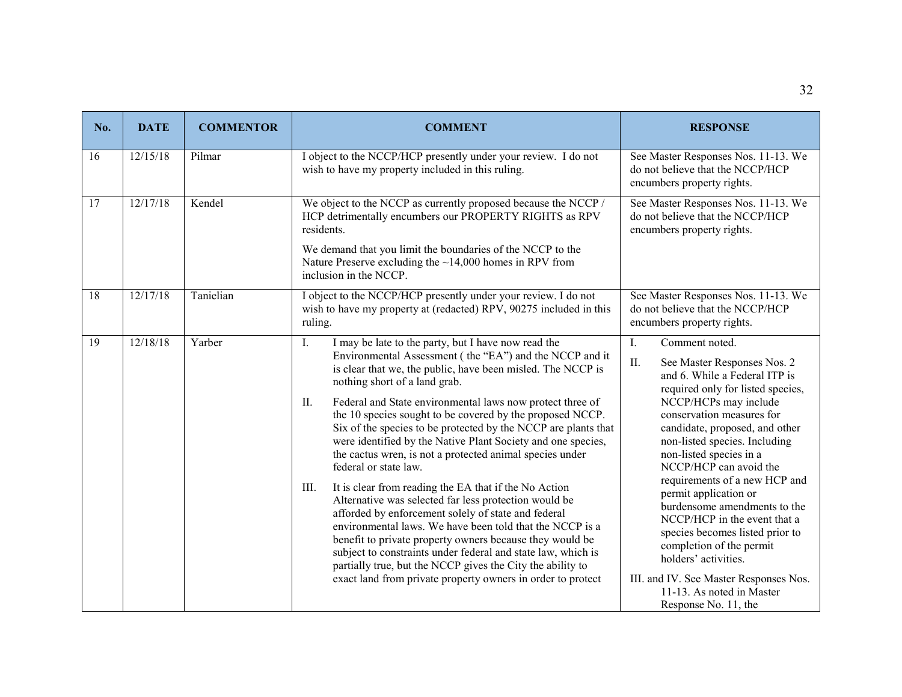| No. | <b>DATE</b> | <b>COMMENTOR</b> | <b>COMMENT</b>                                                                                                                                                                                                                                                                                                                                                                                                                                                                                                                                                                                                                                                                                                                                                                                                                                                                                                                                                                                                                                                                     | <b>RESPONSE</b>                                                                                                                                                                                                                                                                                                                                                                                                                                                                                                                                                                                                                |
|-----|-------------|------------------|------------------------------------------------------------------------------------------------------------------------------------------------------------------------------------------------------------------------------------------------------------------------------------------------------------------------------------------------------------------------------------------------------------------------------------------------------------------------------------------------------------------------------------------------------------------------------------------------------------------------------------------------------------------------------------------------------------------------------------------------------------------------------------------------------------------------------------------------------------------------------------------------------------------------------------------------------------------------------------------------------------------------------------------------------------------------------------|--------------------------------------------------------------------------------------------------------------------------------------------------------------------------------------------------------------------------------------------------------------------------------------------------------------------------------------------------------------------------------------------------------------------------------------------------------------------------------------------------------------------------------------------------------------------------------------------------------------------------------|
| 16  | 12/15/18    | Pilmar           | I object to the NCCP/HCP presently under your review. I do not<br>wish to have my property included in this ruling.                                                                                                                                                                                                                                                                                                                                                                                                                                                                                                                                                                                                                                                                                                                                                                                                                                                                                                                                                                | See Master Responses Nos. 11-13. We<br>do not believe that the NCCP/HCP<br>encumbers property rights.                                                                                                                                                                                                                                                                                                                                                                                                                                                                                                                          |
| 17  | 12/17/18    | Kendel           | We object to the NCCP as currently proposed because the NCCP /<br>HCP detrimentally encumbers our PROPERTY RIGHTS as RPV<br>residents.<br>We demand that you limit the boundaries of the NCCP to the<br>Nature Preserve excluding the $~14,000$ homes in RPV from<br>inclusion in the NCCP.                                                                                                                                                                                                                                                                                                                                                                                                                                                                                                                                                                                                                                                                                                                                                                                        | See Master Responses Nos. 11-13. We<br>do not believe that the NCCP/HCP<br>encumbers property rights.                                                                                                                                                                                                                                                                                                                                                                                                                                                                                                                          |
| 18  | 12/17/18    | Tanielian        | I object to the NCCP/HCP presently under your review. I do not<br>wish to have my property at (redacted) RPV, 90275 included in this<br>ruling.                                                                                                                                                                                                                                                                                                                                                                                                                                                                                                                                                                                                                                                                                                                                                                                                                                                                                                                                    | See Master Responses Nos. 11-13. We<br>do not believe that the NCCP/HCP<br>encumbers property rights.                                                                                                                                                                                                                                                                                                                                                                                                                                                                                                                          |
| 19  | 12/18/18    | Yarber           | I.<br>I may be late to the party, but I have now read the<br>Environmental Assessment (the "EA") and the NCCP and it<br>is clear that we, the public, have been misled. The NCCP is<br>nothing short of a land grab.<br>Federal and State environmental laws now protect three of<br>II.<br>the 10 species sought to be covered by the proposed NCCP.<br>Six of the species to be protected by the NCCP are plants that<br>were identified by the Native Plant Society and one species,<br>the cactus wren, is not a protected animal species under<br>federal or state law.<br>It is clear from reading the EA that if the No Action<br>III.<br>Alternative was selected far less protection would be<br>afforded by enforcement solely of state and federal<br>environmental laws. We have been told that the NCCP is a<br>benefit to private property owners because they would be<br>subject to constraints under federal and state law, which is<br>partially true, but the NCCP gives the City the ability to<br>exact land from private property owners in order to protect | I.<br>Comment noted.<br>II.<br>See Master Responses Nos. 2<br>and 6. While a Federal ITP is<br>required only for listed species,<br>NCCP/HCPs may include<br>conservation measures for<br>candidate, proposed, and other<br>non-listed species. Including<br>non-listed species in a<br>NCCP/HCP can avoid the<br>requirements of a new HCP and<br>permit application or<br>burdensome amendments to the<br>NCCP/HCP in the event that a<br>species becomes listed prior to<br>completion of the permit<br>holders' activities.<br>III. and IV. See Master Responses Nos.<br>11-13. As noted in Master<br>Response No. 11, the |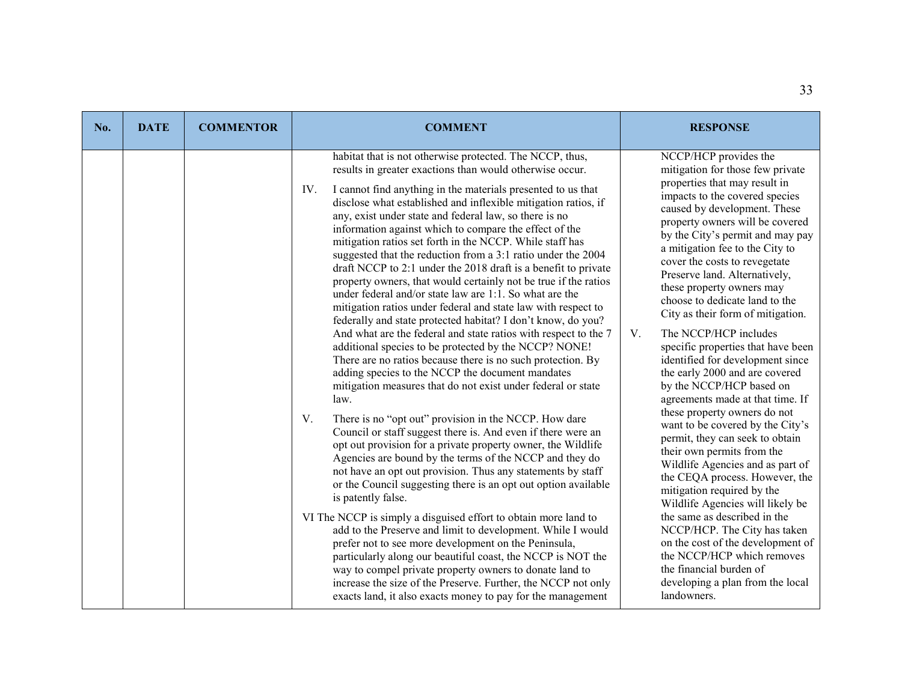| No. | <b>DATE</b> | <b>COMMENTOR</b> | <b>COMMENT</b>                                                                                                                                                                                                                                                                                                                                                                                                                                                                                                                                                                                                                                                                                                                                                                                                                                                                                                                                                                                                                                                                                                                                                                                                                                                                                                                                                                                                                                                                                                                                                                                                                                                                                                                                                                                                                                                                                                                                                                                                                             | <b>RESPONSE</b>                                                                                                                                                                                                                                                                                                                                                                                                                                                                                                                                                                                                                                                                                                                                                                                                                                                                                                                                                                                                                                                                                                                                       |
|-----|-------------|------------------|--------------------------------------------------------------------------------------------------------------------------------------------------------------------------------------------------------------------------------------------------------------------------------------------------------------------------------------------------------------------------------------------------------------------------------------------------------------------------------------------------------------------------------------------------------------------------------------------------------------------------------------------------------------------------------------------------------------------------------------------------------------------------------------------------------------------------------------------------------------------------------------------------------------------------------------------------------------------------------------------------------------------------------------------------------------------------------------------------------------------------------------------------------------------------------------------------------------------------------------------------------------------------------------------------------------------------------------------------------------------------------------------------------------------------------------------------------------------------------------------------------------------------------------------------------------------------------------------------------------------------------------------------------------------------------------------------------------------------------------------------------------------------------------------------------------------------------------------------------------------------------------------------------------------------------------------------------------------------------------------------------------------------------------------|-------------------------------------------------------------------------------------------------------------------------------------------------------------------------------------------------------------------------------------------------------------------------------------------------------------------------------------------------------------------------------------------------------------------------------------------------------------------------------------------------------------------------------------------------------------------------------------------------------------------------------------------------------------------------------------------------------------------------------------------------------------------------------------------------------------------------------------------------------------------------------------------------------------------------------------------------------------------------------------------------------------------------------------------------------------------------------------------------------------------------------------------------------|
|     |             |                  | habitat that is not otherwise protected. The NCCP, thus,<br>results in greater exactions than would otherwise occur.<br>I cannot find anything in the materials presented to us that<br>IV.<br>disclose what established and inflexible mitigation ratios, if<br>any, exist under state and federal law, so there is no<br>information against which to compare the effect of the<br>mitigation ratios set forth in the NCCP. While staff has<br>suggested that the reduction from a 3:1 ratio under the 2004<br>draft NCCP to 2:1 under the 2018 draft is a benefit to private<br>property owners, that would certainly not be true if the ratios<br>under federal and/or state law are 1:1. So what are the<br>mitigation ratios under federal and state law with respect to<br>federally and state protected habitat? I don't know, do you?<br>And what are the federal and state ratios with respect to the 7<br>additional species to be protected by the NCCP? NONE!<br>There are no ratios because there is no such protection. By<br>adding species to the NCCP the document mandates<br>mitigation measures that do not exist under federal or state<br>law.<br>There is no "opt out" provision in the NCCP. How dare<br>V.<br>Council or staff suggest there is. And even if there were an<br>opt out provision for a private property owner, the Wildlife<br>Agencies are bound by the terms of the NCCP and they do<br>not have an opt out provision. Thus any statements by staff<br>or the Council suggesting there is an opt out option available<br>is patently false.<br>VI The NCCP is simply a disguised effort to obtain more land to<br>add to the Preserve and limit to development. While I would<br>prefer not to see more development on the Peninsula,<br>particularly along our beautiful coast, the NCCP is NOT the<br>way to compel private property owners to donate land to<br>increase the size of the Preserve. Further, the NCCP not only<br>exacts land, it also exacts money to pay for the management | NCCP/HCP provides the<br>mitigation for those few private<br>properties that may result in<br>impacts to the covered species<br>caused by development. These<br>property owners will be covered<br>by the City's permit and may pay<br>a mitigation fee to the City to<br>cover the costs to revegetate<br>Preserve land. Alternatively,<br>these property owners may<br>choose to dedicate land to the<br>City as their form of mitigation.<br>The NCCP/HCP includes<br>V.<br>specific properties that have been<br>identified for development since<br>the early 2000 and are covered<br>by the NCCP/HCP based on<br>agreements made at that time. If<br>these property owners do not<br>want to be covered by the City's<br>permit, they can seek to obtain<br>their own permits from the<br>Wildlife Agencies and as part of<br>the CEQA process. However, the<br>mitigation required by the<br>Wildlife Agencies will likely be<br>the same as described in the<br>NCCP/HCP. The City has taken<br>on the cost of the development of<br>the NCCP/HCP which removes<br>the financial burden of<br>developing a plan from the local<br>landowners. |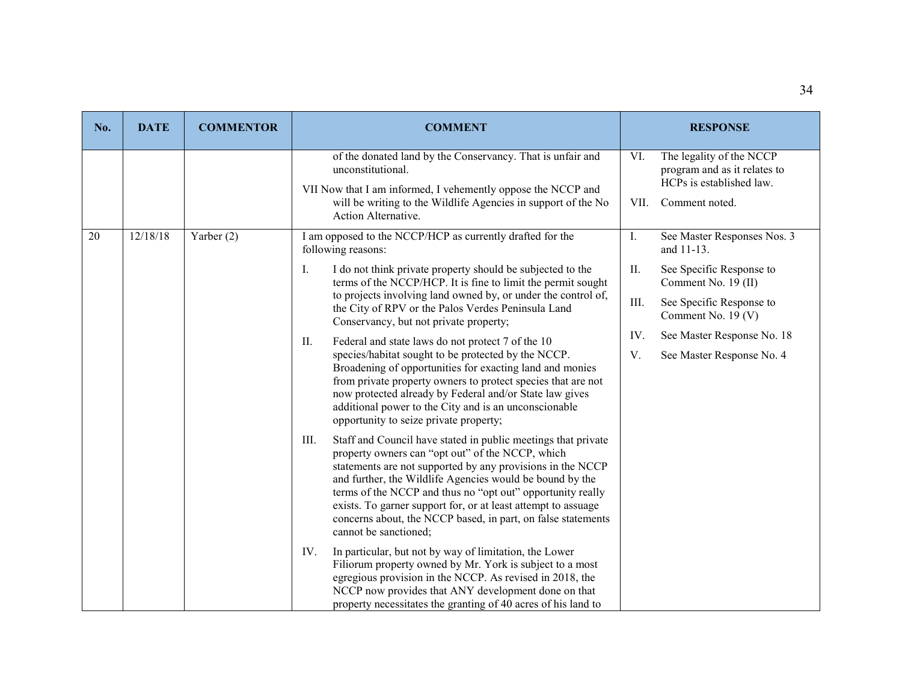| No. | <b>DATE</b> | <b>COMMENTOR</b>                                                                                                                                                                        | <b>COMMENT</b>                                                                                                                                                                                                                                                                                                                                                                                                                                                              |             | <b>RESPONSE</b>                                                                                        |
|-----|-------------|-----------------------------------------------------------------------------------------------------------------------------------------------------------------------------------------|-----------------------------------------------------------------------------------------------------------------------------------------------------------------------------------------------------------------------------------------------------------------------------------------------------------------------------------------------------------------------------------------------------------------------------------------------------------------------------|-------------|--------------------------------------------------------------------------------------------------------|
|     |             |                                                                                                                                                                                         | of the donated land by the Conservancy. That is unfair and<br>unconstitutional.<br>VII Now that I am informed, I vehemently oppose the NCCP and<br>will be writing to the Wildlife Agencies in support of the No<br>Action Alternative.                                                                                                                                                                                                                                     | VI.<br>VII. | The legality of the NCCP<br>program and as it relates to<br>HCPs is established law.<br>Comment noted. |
| 20  | 12/18/18    | Yarber (2)                                                                                                                                                                              | I am opposed to the NCCP/HCP as currently drafted for the<br>following reasons:                                                                                                                                                                                                                                                                                                                                                                                             | I.          | See Master Responses Nos. 3<br>and 11-13.                                                              |
|     |             | Ι.<br>I do not think private property should be subjected to the<br>to projects involving land owned by, or under the control of,<br>the City of RPV or the Palos Verdes Peninsula Land | terms of the NCCP/HCP. It is fine to limit the permit sought                                                                                                                                                                                                                                                                                                                                                                                                                | II.         | See Specific Response to<br>Comment No. 19 (II)                                                        |
|     |             |                                                                                                                                                                                         | Conservancy, but not private property;                                                                                                                                                                                                                                                                                                                                                                                                                                      | III.        | See Specific Response to<br>Comment No. 19 (V)                                                         |
|     |             |                                                                                                                                                                                         | Federal and state laws do not protect 7 of the 10<br>II.                                                                                                                                                                                                                                                                                                                                                                                                                    | IV.         | See Master Response No. 18                                                                             |
|     |             |                                                                                                                                                                                         | species/habitat sought to be protected by the NCCP.<br>Broadening of opportunities for exacting land and monies<br>from private property owners to protect species that are not<br>now protected already by Federal and/or State law gives<br>additional power to the City and is an unconscionable<br>opportunity to seize private property;                                                                                                                               | V.          | See Master Response No. 4                                                                              |
|     |             |                                                                                                                                                                                         | III.<br>Staff and Council have stated in public meetings that private<br>property owners can "opt out" of the NCCP, which<br>statements are not supported by any provisions in the NCCP<br>and further, the Wildlife Agencies would be bound by the<br>terms of the NCCP and thus no "opt out" opportunity really<br>exists. To garner support for, or at least attempt to assuage<br>concerns about, the NCCP based, in part, on false statements<br>cannot be sanctioned; |             |                                                                                                        |
|     |             |                                                                                                                                                                                         | IV.<br>In particular, but not by way of limitation, the Lower<br>Filiorum property owned by Mr. York is subject to a most<br>egregious provision in the NCCP. As revised in 2018, the<br>NCCP now provides that ANY development done on that<br>property necessitates the granting of 40 acres of his land to                                                                                                                                                               |             |                                                                                                        |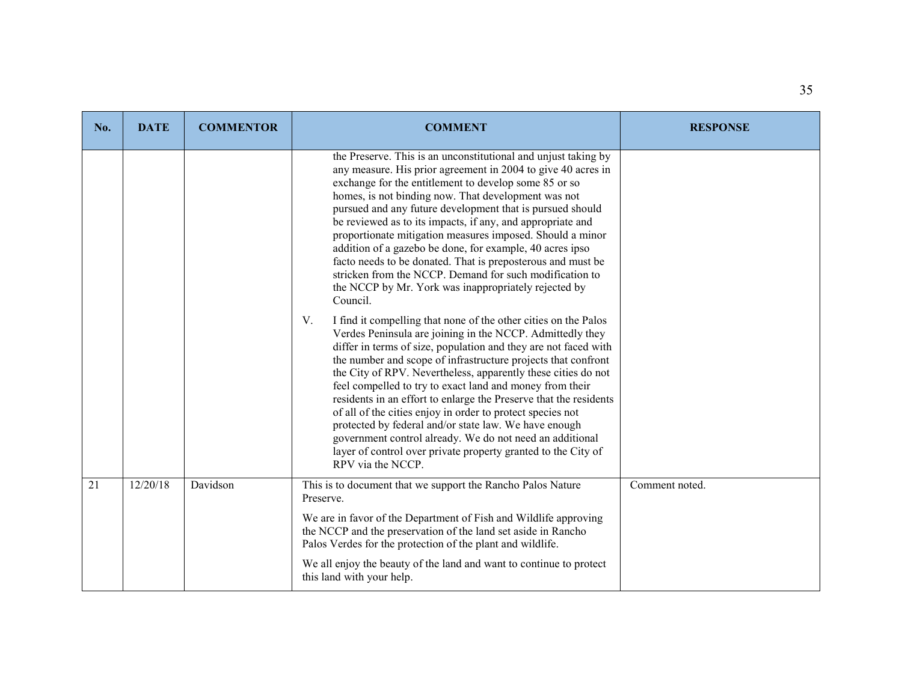| No. | <b>DATE</b> | <b>COMMENTOR</b> | <b>COMMENT</b>                                                                                                                                                                                                                                                                                                                                                                                                                                                                                                                                                                                                                                                                                                                                    | <b>RESPONSE</b> |
|-----|-------------|------------------|---------------------------------------------------------------------------------------------------------------------------------------------------------------------------------------------------------------------------------------------------------------------------------------------------------------------------------------------------------------------------------------------------------------------------------------------------------------------------------------------------------------------------------------------------------------------------------------------------------------------------------------------------------------------------------------------------------------------------------------------------|-----------------|
|     |             |                  | the Preserve. This is an unconstitutional and unjust taking by<br>any measure. His prior agreement in 2004 to give 40 acres in<br>exchange for the entitlement to develop some 85 or so<br>homes, is not binding now. That development was not<br>pursued and any future development that is pursued should<br>be reviewed as to its impacts, if any, and appropriate and<br>proportionate mitigation measures imposed. Should a minor<br>addition of a gazebo be done, for example, 40 acres ipso<br>facto needs to be donated. That is preposterous and must be<br>stricken from the NCCP. Demand for such modification to<br>the NCCP by Mr. York was inappropriately rejected by<br>Council.                                                  |                 |
|     |             |                  | V.<br>I find it compelling that none of the other cities on the Palos<br>Verdes Peninsula are joining in the NCCP. Admittedly they<br>differ in terms of size, population and they are not faced with<br>the number and scope of infrastructure projects that confront<br>the City of RPV. Nevertheless, apparently these cities do not<br>feel compelled to try to exact land and money from their<br>residents in an effort to enlarge the Preserve that the residents<br>of all of the cities enjoy in order to protect species not<br>protected by federal and/or state law. We have enough<br>government control already. We do not need an additional<br>layer of control over private property granted to the City of<br>RPV via the NCCP. |                 |
| 21  | 12/20/18    | Davidson         | This is to document that we support the Rancho Palos Nature<br>Preserve.<br>We are in favor of the Department of Fish and Wildlife approving<br>the NCCP and the preservation of the land set aside in Rancho                                                                                                                                                                                                                                                                                                                                                                                                                                                                                                                                     | Comment noted.  |
|     |             |                  | Palos Verdes for the protection of the plant and wildlife.                                                                                                                                                                                                                                                                                                                                                                                                                                                                                                                                                                                                                                                                                        |                 |
|     |             |                  | We all enjoy the beauty of the land and want to continue to protect<br>this land with your help.                                                                                                                                                                                                                                                                                                                                                                                                                                                                                                                                                                                                                                                  |                 |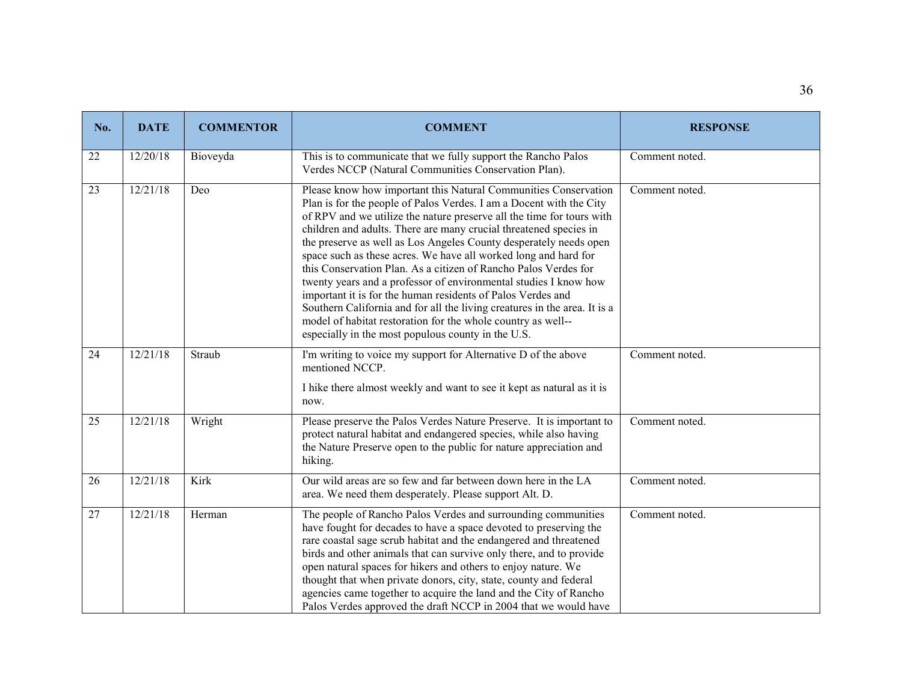| No. | <b>DATE</b> | <b>COMMENTOR</b> | <b>COMMENT</b>                                                                                                                                                                                                                                                                                                                                                                                                                                                                                                                                                                                                                                                                                                                                                                                                                        | <b>RESPONSE</b> |
|-----|-------------|------------------|---------------------------------------------------------------------------------------------------------------------------------------------------------------------------------------------------------------------------------------------------------------------------------------------------------------------------------------------------------------------------------------------------------------------------------------------------------------------------------------------------------------------------------------------------------------------------------------------------------------------------------------------------------------------------------------------------------------------------------------------------------------------------------------------------------------------------------------|-----------------|
| 22  | 12/20/18    | Bioveyda         | This is to communicate that we fully support the Rancho Palos<br>Verdes NCCP (Natural Communities Conservation Plan).                                                                                                                                                                                                                                                                                                                                                                                                                                                                                                                                                                                                                                                                                                                 | Comment noted.  |
| 23  | 12/21/18    | Deo              | Please know how important this Natural Communities Conservation<br>Plan is for the people of Palos Verdes. I am a Docent with the City<br>of RPV and we utilize the nature preserve all the time for tours with<br>children and adults. There are many crucial threatened species in<br>the preserve as well as Los Angeles County desperately needs open<br>space such as these acres. We have all worked long and hard for<br>this Conservation Plan. As a citizen of Rancho Palos Verdes for<br>twenty years and a professor of environmental studies I know how<br>important it is for the human residents of Palos Verdes and<br>Southern California and for all the living creatures in the area. It is a<br>model of habitat restoration for the whole country as well--<br>especially in the most populous county in the U.S. | Comment noted.  |
| 24  | 12/21/18    | Straub           | I'm writing to voice my support for Alternative D of the above<br>mentioned NCCP.<br>I hike there almost weekly and want to see it kept as natural as it is<br>now.                                                                                                                                                                                                                                                                                                                                                                                                                                                                                                                                                                                                                                                                   | Comment noted.  |
| 25  | 12/21/18    | Wright           | Please preserve the Palos Verdes Nature Preserve. It is important to<br>protect natural habitat and endangered species, while also having<br>the Nature Preserve open to the public for nature appreciation and<br>hiking.                                                                                                                                                                                                                                                                                                                                                                                                                                                                                                                                                                                                            | Comment noted.  |
| 26  | 12/21/18    | Kirk             | Our wild areas are so few and far between down here in the LA<br>area. We need them desperately. Please support Alt. D.                                                                                                                                                                                                                                                                                                                                                                                                                                                                                                                                                                                                                                                                                                               | Comment noted.  |
| 27  | 12/21/18    | Herman           | The people of Rancho Palos Verdes and surrounding communities<br>have fought for decades to have a space devoted to preserving the<br>rare coastal sage scrub habitat and the endangered and threatened<br>birds and other animals that can survive only there, and to provide<br>open natural spaces for hikers and others to enjoy nature. We<br>thought that when private donors, city, state, county and federal<br>agencies came together to acquire the land and the City of Rancho<br>Palos Verdes approved the draft NCCP in 2004 that we would have                                                                                                                                                                                                                                                                          | Comment noted.  |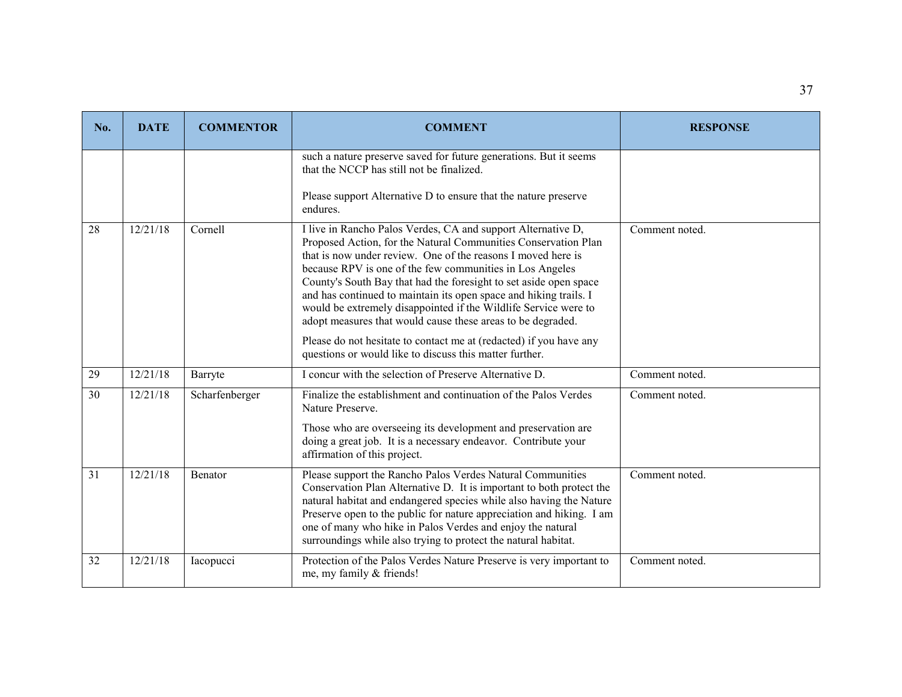| No. | <b>DATE</b> | <b>COMMENTOR</b> | <b>COMMENT</b>                                                                                                                                                                                                                                                                                                                                                                                                                                                                                                                                                                                                                                                          | <b>RESPONSE</b> |
|-----|-------------|------------------|-------------------------------------------------------------------------------------------------------------------------------------------------------------------------------------------------------------------------------------------------------------------------------------------------------------------------------------------------------------------------------------------------------------------------------------------------------------------------------------------------------------------------------------------------------------------------------------------------------------------------------------------------------------------------|-----------------|
|     |             |                  | such a nature preserve saved for future generations. But it seems<br>that the NCCP has still not be finalized.                                                                                                                                                                                                                                                                                                                                                                                                                                                                                                                                                          |                 |
|     |             |                  | Please support Alternative D to ensure that the nature preserve<br>endures.                                                                                                                                                                                                                                                                                                                                                                                                                                                                                                                                                                                             |                 |
| 28  | 12/21/18    | Cornell          | I live in Rancho Palos Verdes, CA and support Alternative D,<br>Proposed Action, for the Natural Communities Conservation Plan<br>that is now under review. One of the reasons I moved here is<br>because RPV is one of the few communities in Los Angeles<br>County's South Bay that had the foresight to set aside open space<br>and has continued to maintain its open space and hiking trails. I<br>would be extremely disappointed if the Wildlife Service were to<br>adopt measures that would cause these areas to be degraded.<br>Please do not hesitate to contact me at (redacted) if you have any<br>questions or would like to discuss this matter further. | Comment noted.  |
| 29  | 12/21/18    | Barryte          | I concur with the selection of Preserve Alternative D.                                                                                                                                                                                                                                                                                                                                                                                                                                                                                                                                                                                                                  | Comment noted.  |
| 30  | 12/21/18    | Scharfenberger   | Finalize the establishment and continuation of the Palos Verdes<br>Nature Preserve.<br>Those who are overseeing its development and preservation are<br>doing a great job. It is a necessary endeavor. Contribute your<br>affirmation of this project.                                                                                                                                                                                                                                                                                                                                                                                                                  | Comment noted.  |
| 31  | 12/21/18    | <b>Benator</b>   | Please support the Rancho Palos Verdes Natural Communities<br>Conservation Plan Alternative D. It is important to both protect the<br>natural habitat and endangered species while also having the Nature<br>Preserve open to the public for nature appreciation and hiking. I am<br>one of many who hike in Palos Verdes and enjoy the natural<br>surroundings while also trying to protect the natural habitat.                                                                                                                                                                                                                                                       | Comment noted.  |
| 32  | 12/21/18    | Iacopucci        | Protection of the Palos Verdes Nature Preserve is very important to<br>me, my family & friends!                                                                                                                                                                                                                                                                                                                                                                                                                                                                                                                                                                         | Comment noted.  |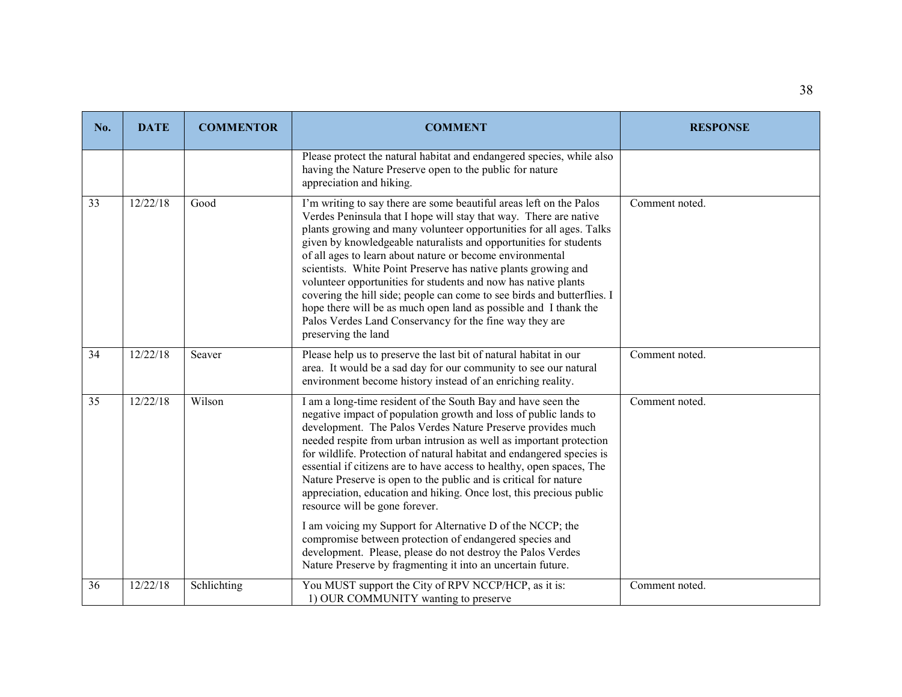| No. | <b>DATE</b> | <b>COMMENTOR</b> | <b>COMMENT</b>                                                                                                                                                                                                                                                                                                                                                                                                                                                                                                                                                                                                                                                                                                         | <b>RESPONSE</b> |
|-----|-------------|------------------|------------------------------------------------------------------------------------------------------------------------------------------------------------------------------------------------------------------------------------------------------------------------------------------------------------------------------------------------------------------------------------------------------------------------------------------------------------------------------------------------------------------------------------------------------------------------------------------------------------------------------------------------------------------------------------------------------------------------|-----------------|
|     |             |                  | Please protect the natural habitat and endangered species, while also<br>having the Nature Preserve open to the public for nature<br>appreciation and hiking.                                                                                                                                                                                                                                                                                                                                                                                                                                                                                                                                                          |                 |
| 33  | 12/22/18    | Good             | I'm writing to say there are some beautiful areas left on the Palos<br>Verdes Peninsula that I hope will stay that way. There are native<br>plants growing and many volunteer opportunities for all ages. Talks<br>given by knowledgeable naturalists and opportunities for students<br>of all ages to learn about nature or become environmental<br>scientists. White Point Preserve has native plants growing and<br>volunteer opportunities for students and now has native plants<br>covering the hill side; people can come to see birds and butterflies. I<br>hope there will be as much open land as possible and I thank the<br>Palos Verdes Land Conservancy for the fine way they are<br>preserving the land | Comment noted.  |
| 34  | 12/22/18    | Seaver           | Please help us to preserve the last bit of natural habitat in our<br>area. It would be a sad day for our community to see our natural<br>environment become history instead of an enriching reality.                                                                                                                                                                                                                                                                                                                                                                                                                                                                                                                   | Comment noted.  |
| 35  | 12/22/18    | Wilson           | I am a long-time resident of the South Bay and have seen the<br>negative impact of population growth and loss of public lands to<br>development. The Palos Verdes Nature Preserve provides much<br>needed respite from urban intrusion as well as important protection<br>for wildlife. Protection of natural habitat and endangered species is<br>essential if citizens are to have access to healthy, open spaces, The<br>Nature Preserve is open to the public and is critical for nature<br>appreciation, education and hiking. Once lost, this precious public<br>resource will be gone forever.                                                                                                                  | Comment noted.  |
|     |             |                  | I am voicing my Support for Alternative D of the NCCP; the<br>compromise between protection of endangered species and<br>development. Please, please do not destroy the Palos Verdes<br>Nature Preserve by fragmenting it into an uncertain future.                                                                                                                                                                                                                                                                                                                                                                                                                                                                    |                 |
| 36  | 12/22/18    | Schlichting      | You MUST support the City of RPV NCCP/HCP, as it is:<br>1) OUR COMMUNITY wanting to preserve                                                                                                                                                                                                                                                                                                                                                                                                                                                                                                                                                                                                                           | Comment noted.  |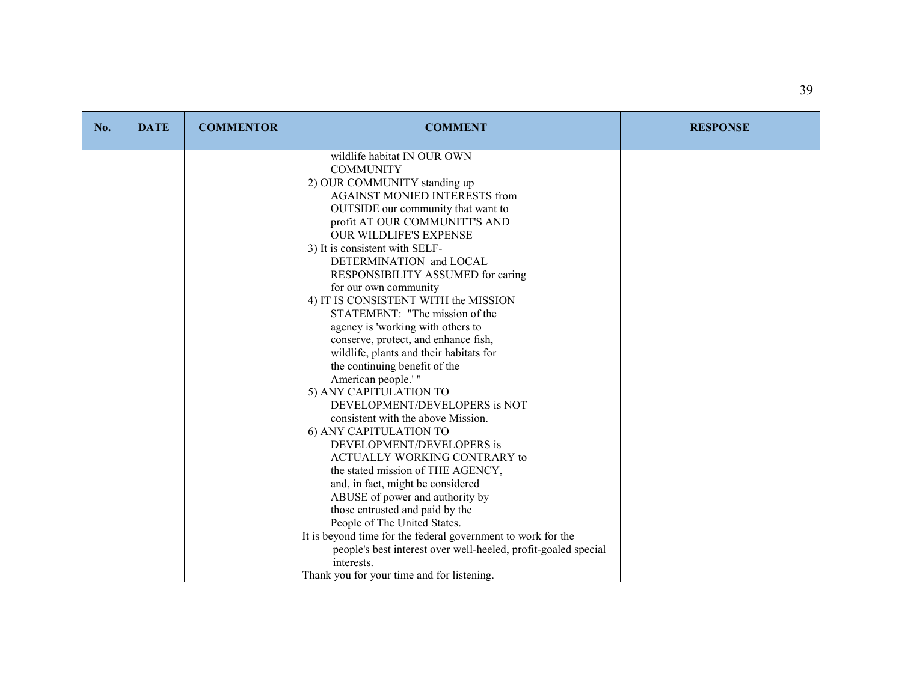| No. | <b>DATE</b> | <b>COMMENTOR</b> | <b>COMMENT</b>                                                         | <b>RESPONSE</b> |
|-----|-------------|------------------|------------------------------------------------------------------------|-----------------|
|     |             |                  | wildlife habitat IN OUR OWN<br><b>COMMUNITY</b>                        |                 |
|     |             |                  | 2) OUR COMMUNITY standing up                                           |                 |
|     |             |                  | <b>AGAINST MONIED INTERESTS from</b>                                   |                 |
|     |             |                  | OUTSIDE our community that want to                                     |                 |
|     |             |                  | profit AT OUR COMMUNITT'S AND                                          |                 |
|     |             |                  | <b>OUR WILDLIFE'S EXPENSE</b>                                          |                 |
|     |             |                  | 3) It is consistent with SELF-                                         |                 |
|     |             |                  | DETERMINATION and LOCAL                                                |                 |
|     |             |                  | RESPONSIBILITY ASSUMED for caring                                      |                 |
|     |             |                  | for our own community                                                  |                 |
|     |             |                  | 4) IT IS CONSISTENT WITH the MISSION<br>STATEMENT: "The mission of the |                 |
|     |             |                  | agency is 'working with others to                                      |                 |
|     |             |                  | conserve, protect, and enhance fish,                                   |                 |
|     |             |                  | wildlife, plants and their habitats for                                |                 |
|     |             |                  | the continuing benefit of the                                          |                 |
|     |             |                  | American people.'"                                                     |                 |
|     |             |                  | 5) ANY CAPITULATION TO                                                 |                 |
|     |             |                  | DEVELOPMENT/DEVELOPERS is NOT                                          |                 |
|     |             |                  | consistent with the above Mission.                                     |                 |
|     |             |                  | 6) ANY CAPITULATION TO                                                 |                 |
|     |             |                  | DEVELOPMENT/DEVELOPERS is                                              |                 |
|     |             |                  | ACTUALLY WORKING CONTRARY to                                           |                 |
|     |             |                  | the stated mission of THE AGENCY,                                      |                 |
|     |             |                  | and, in fact, might be considered                                      |                 |
|     |             |                  | ABUSE of power and authority by                                        |                 |
|     |             |                  | those entrusted and paid by the<br>People of The United States.        |                 |
|     |             |                  | It is beyond time for the federal government to work for the           |                 |
|     |             |                  | people's best interest over well-heeled, profit-goaled special         |                 |
|     |             |                  | interests.                                                             |                 |
|     |             |                  | Thank you for your time and for listening.                             |                 |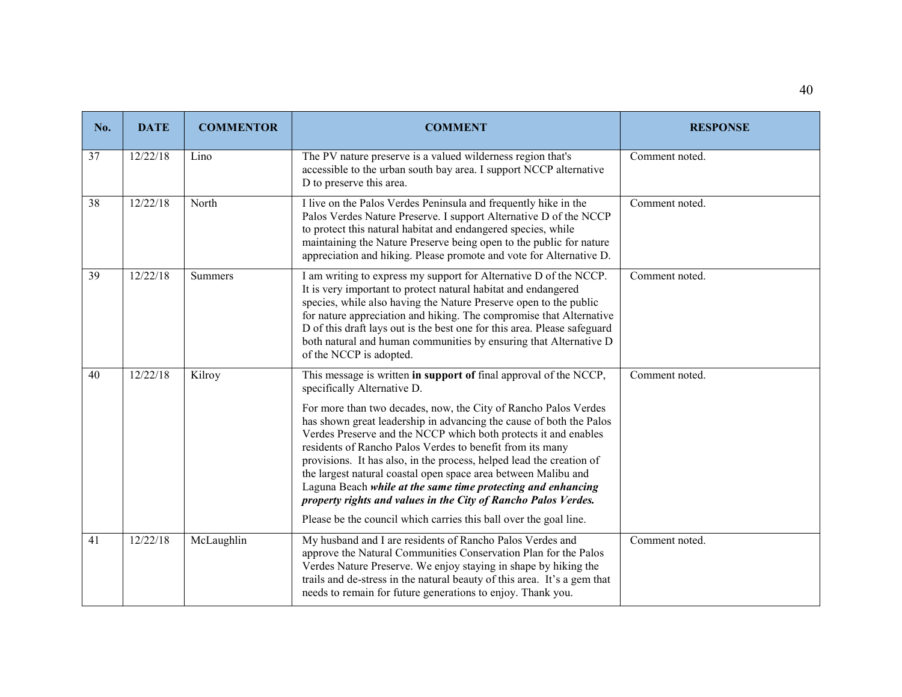| No. | <b>DATE</b> | <b>COMMENTOR</b> | <b>COMMENT</b>                                                                                                                                                                                                                                                                                                                                                                                                                                                                                                                                                                                                                                                                                                              | <b>RESPONSE</b> |
|-----|-------------|------------------|-----------------------------------------------------------------------------------------------------------------------------------------------------------------------------------------------------------------------------------------------------------------------------------------------------------------------------------------------------------------------------------------------------------------------------------------------------------------------------------------------------------------------------------------------------------------------------------------------------------------------------------------------------------------------------------------------------------------------------|-----------------|
| 37  | 12/22/18    | Lino             | The PV nature preserve is a valued wilderness region that's<br>accessible to the urban south bay area. I support NCCP alternative<br>D to preserve this area.                                                                                                                                                                                                                                                                                                                                                                                                                                                                                                                                                               | Comment noted.  |
| 38  | 12/22/18    | North            | I live on the Palos Verdes Peninsula and frequently hike in the<br>Palos Verdes Nature Preserve. I support Alternative D of the NCCP<br>to protect this natural habitat and endangered species, while<br>maintaining the Nature Preserve being open to the public for nature<br>appreciation and hiking. Please promote and vote for Alternative D.                                                                                                                                                                                                                                                                                                                                                                         | Comment noted.  |
| 39  | 12/22/18    | Summers          | I am writing to express my support for Alternative D of the NCCP.<br>It is very important to protect natural habitat and endangered<br>species, while also having the Nature Preserve open to the public<br>for nature appreciation and hiking. The compromise that Alternative<br>D of this draft lays out is the best one for this area. Please safeguard<br>both natural and human communities by ensuring that Alternative D<br>of the NCCP is adopted.                                                                                                                                                                                                                                                                 | Comment noted.  |
| 40  | 12/22/18    | Kilroy           | This message is written in support of final approval of the NCCP,<br>specifically Alternative D.<br>For more than two decades, now, the City of Rancho Palos Verdes<br>has shown great leadership in advancing the cause of both the Palos<br>Verdes Preserve and the NCCP which both protects it and enables<br>residents of Rancho Palos Verdes to benefit from its many<br>provisions. It has also, in the process, helped lead the creation of<br>the largest natural coastal open space area between Malibu and<br>Laguna Beach while at the same time protecting and enhancing<br>property rights and values in the City of Rancho Palos Verdes.<br>Please be the council which carries this ball over the goal line. | Comment noted.  |
| 41  | 12/22/18    | McLaughlin       | My husband and I are residents of Rancho Palos Verdes and<br>approve the Natural Communities Conservation Plan for the Palos<br>Verdes Nature Preserve. We enjoy staying in shape by hiking the<br>trails and de-stress in the natural beauty of this area. It's a gem that<br>needs to remain for future generations to enjoy. Thank you.                                                                                                                                                                                                                                                                                                                                                                                  | Comment noted.  |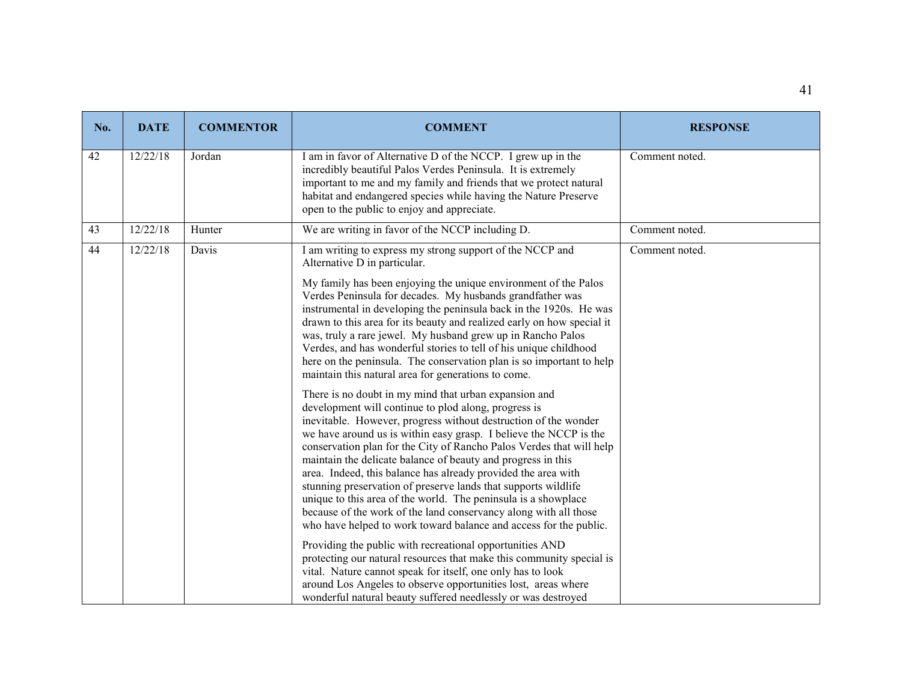| No. | <b>DATE</b> | <b>COMMENTOR</b> | <b>COMMENT</b>                                                                                                                                                                                                                                                                                                                                                                                                                                                                                                                                                                                                                                                                                                                                                                                                                                                                                                                                                                                                                                                                                                                                                                                                                                                                                                                                                                                                                                                                                                                                                                                                                                                                                                                   | <b>RESPONSE</b> |
|-----|-------------|------------------|----------------------------------------------------------------------------------------------------------------------------------------------------------------------------------------------------------------------------------------------------------------------------------------------------------------------------------------------------------------------------------------------------------------------------------------------------------------------------------------------------------------------------------------------------------------------------------------------------------------------------------------------------------------------------------------------------------------------------------------------------------------------------------------------------------------------------------------------------------------------------------------------------------------------------------------------------------------------------------------------------------------------------------------------------------------------------------------------------------------------------------------------------------------------------------------------------------------------------------------------------------------------------------------------------------------------------------------------------------------------------------------------------------------------------------------------------------------------------------------------------------------------------------------------------------------------------------------------------------------------------------------------------------------------------------------------------------------------------------|-----------------|
| 42  | 12/22/18    | Jordan           | I am in favor of Alternative D of the NCCP. I grew up in the<br>incredibly beautiful Palos Verdes Peninsula. It is extremely<br>important to me and my family and friends that we protect natural<br>habitat and endangered species while having the Nature Preserve<br>open to the public to enjoy and appreciate.                                                                                                                                                                                                                                                                                                                                                                                                                                                                                                                                                                                                                                                                                                                                                                                                                                                                                                                                                                                                                                                                                                                                                                                                                                                                                                                                                                                                              | Comment noted.  |
| 43  | 12/22/18    | Hunter           | We are writing in favor of the NCCP including D.                                                                                                                                                                                                                                                                                                                                                                                                                                                                                                                                                                                                                                                                                                                                                                                                                                                                                                                                                                                                                                                                                                                                                                                                                                                                                                                                                                                                                                                                                                                                                                                                                                                                                 | Comment noted.  |
| 44  | 12/22/18    | Davis            | I am writing to express my strong support of the NCCP and<br>Alternative D in particular.<br>My family has been enjoying the unique environment of the Palos<br>Verdes Peninsula for decades. My husbands grandfather was<br>instrumental in developing the peninsula back in the 1920s. He was<br>drawn to this area for its beauty and realized early on how special it<br>was, truly a rare jewel. My husband grew up in Rancho Palos<br>Verdes, and has wonderful stories to tell of his unique childhood<br>here on the peninsula. The conservation plan is so important to help<br>maintain this natural area for generations to come.<br>There is no doubt in my mind that urban expansion and<br>development will continue to plod along, progress is<br>inevitable. However, progress without destruction of the wonder<br>we have around us is within easy grasp. I believe the NCCP is the<br>conservation plan for the City of Rancho Palos Verdes that will help<br>maintain the delicate balance of beauty and progress in this<br>area. Indeed, this balance has already provided the area with<br>stunning preservation of preserve lands that supports wildlife<br>unique to this area of the world. The peninsula is a showplace<br>because of the work of the land conservancy along with all those<br>who have helped to work toward balance and access for the public.<br>Providing the public with recreational opportunities AND<br>protecting our natural resources that make this community special is<br>vital. Nature cannot speak for itself, one only has to look<br>around Los Angeles to observe opportunities lost, areas where<br>wonderful natural beauty suffered needlessly or was destroyed | Comment noted.  |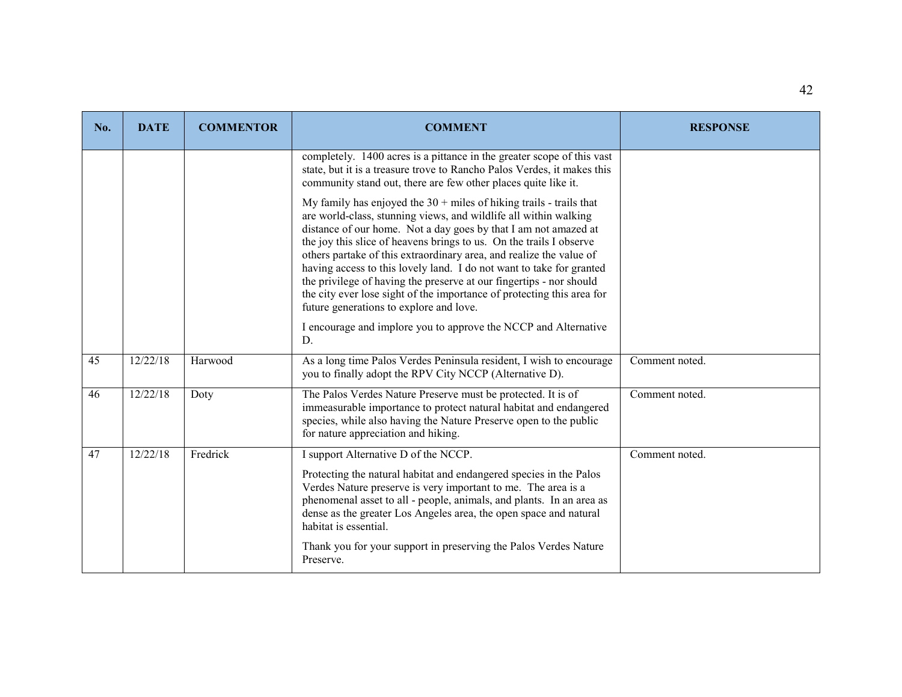| No. | <b>DATE</b> | <b>COMMENTOR</b> | <b>COMMENT</b>                                                                                                                                                                                                                                                                                                                                                                                                                                                                                                                                                                                                                 | <b>RESPONSE</b> |
|-----|-------------|------------------|--------------------------------------------------------------------------------------------------------------------------------------------------------------------------------------------------------------------------------------------------------------------------------------------------------------------------------------------------------------------------------------------------------------------------------------------------------------------------------------------------------------------------------------------------------------------------------------------------------------------------------|-----------------|
|     |             |                  | completely. 1400 acres is a pittance in the greater scope of this vast<br>state, but it is a treasure trove to Rancho Palos Verdes, it makes this<br>community stand out, there are few other places quite like it.                                                                                                                                                                                                                                                                                                                                                                                                            |                 |
|     |             |                  | My family has enjoyed the $30 +$ miles of hiking trails - trails that<br>are world-class, stunning views, and wildlife all within walking<br>distance of our home. Not a day goes by that I am not amazed at<br>the joy this slice of heavens brings to us. On the trails I observe<br>others partake of this extraordinary area, and realize the value of<br>having access to this lovely land. I do not want to take for granted<br>the privilege of having the preserve at our fingertips - nor should<br>the city ever lose sight of the importance of protecting this area for<br>future generations to explore and love. |                 |
|     |             |                  | I encourage and implore you to approve the NCCP and Alternative<br>D.                                                                                                                                                                                                                                                                                                                                                                                                                                                                                                                                                          |                 |
| 45  | 12/22/18    | Harwood          | As a long time Palos Verdes Peninsula resident, I wish to encourage<br>you to finally adopt the RPV City NCCP (Alternative D).                                                                                                                                                                                                                                                                                                                                                                                                                                                                                                 | Comment noted.  |
| 46  | 12/22/18    | Doty             | The Palos Verdes Nature Preserve must be protected. It is of<br>immeasurable importance to protect natural habitat and endangered<br>species, while also having the Nature Preserve open to the public<br>for nature appreciation and hiking.                                                                                                                                                                                                                                                                                                                                                                                  | Comment noted.  |
| 47  | 12/22/18    | Fredrick         | I support Alternative D of the NCCP.<br>Protecting the natural habitat and endangered species in the Palos<br>Verdes Nature preserve is very important to me. The area is a<br>phenomenal asset to all - people, animals, and plants. In an area as<br>dense as the greater Los Angeles area, the open space and natural<br>habitat is essential.<br>Thank you for your support in preserving the Palos Verdes Nature<br>Preserve.                                                                                                                                                                                             | Comment noted.  |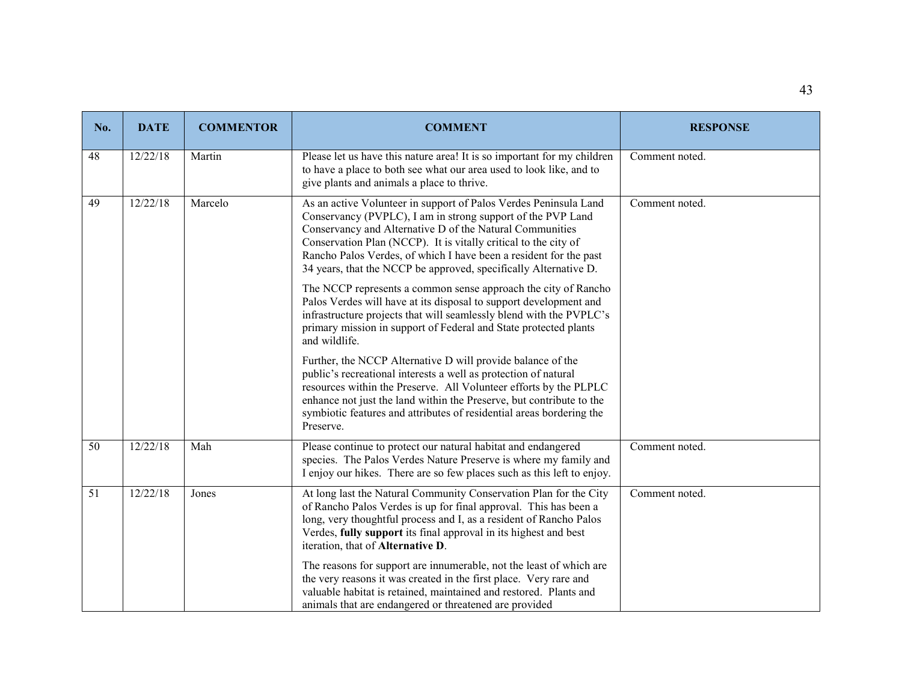| No. | <b>DATE</b> | <b>COMMENTOR</b> | <b>COMMENT</b>                                                                                                                                                                                                                                                                                                                                                                                          | <b>RESPONSE</b> |
|-----|-------------|------------------|---------------------------------------------------------------------------------------------------------------------------------------------------------------------------------------------------------------------------------------------------------------------------------------------------------------------------------------------------------------------------------------------------------|-----------------|
| 48  | 12/22/18    | Martin           | Please let us have this nature area! It is so important for my children<br>to have a place to both see what our area used to look like, and to<br>give plants and animals a place to thrive.                                                                                                                                                                                                            | Comment noted.  |
| 49  | 12/22/18    | Marcelo          | As an active Volunteer in support of Palos Verdes Peninsula Land<br>Conservancy (PVPLC), I am in strong support of the PVP Land<br>Conservancy and Alternative D of the Natural Communities<br>Conservation Plan (NCCP). It is vitally critical to the city of<br>Rancho Palos Verdes, of which I have been a resident for the past<br>34 years, that the NCCP be approved, specifically Alternative D. | Comment noted.  |
|     |             |                  | The NCCP represents a common sense approach the city of Rancho<br>Palos Verdes will have at its disposal to support development and<br>infrastructure projects that will seamlessly blend with the PVPLC's<br>primary mission in support of Federal and State protected plants<br>and wildlife.                                                                                                         |                 |
|     |             |                  | Further, the NCCP Alternative D will provide balance of the<br>public's recreational interests a well as protection of natural<br>resources within the Preserve. All Volunteer efforts by the PLPLC<br>enhance not just the land within the Preserve, but contribute to the<br>symbiotic features and attributes of residential areas bordering the<br>Preserve.                                        |                 |
| 50  | 12/22/18    | Mah              | Please continue to protect our natural habitat and endangered<br>species. The Palos Verdes Nature Preserve is where my family and<br>I enjoy our hikes. There are so few places such as this left to enjoy.                                                                                                                                                                                             | Comment noted.  |
| 51  | 12/22/18    | Jones            | At long last the Natural Community Conservation Plan for the City<br>of Rancho Palos Verdes is up for final approval. This has been a<br>long, very thoughtful process and I, as a resident of Rancho Palos<br>Verdes, fully support its final approval in its highest and best<br>iteration, that of Alternative D.                                                                                    | Comment noted.  |
|     |             |                  | The reasons for support are innumerable, not the least of which are<br>the very reasons it was created in the first place. Very rare and<br>valuable habitat is retained, maintained and restored. Plants and<br>animals that are endangered or threatened are provided                                                                                                                                 |                 |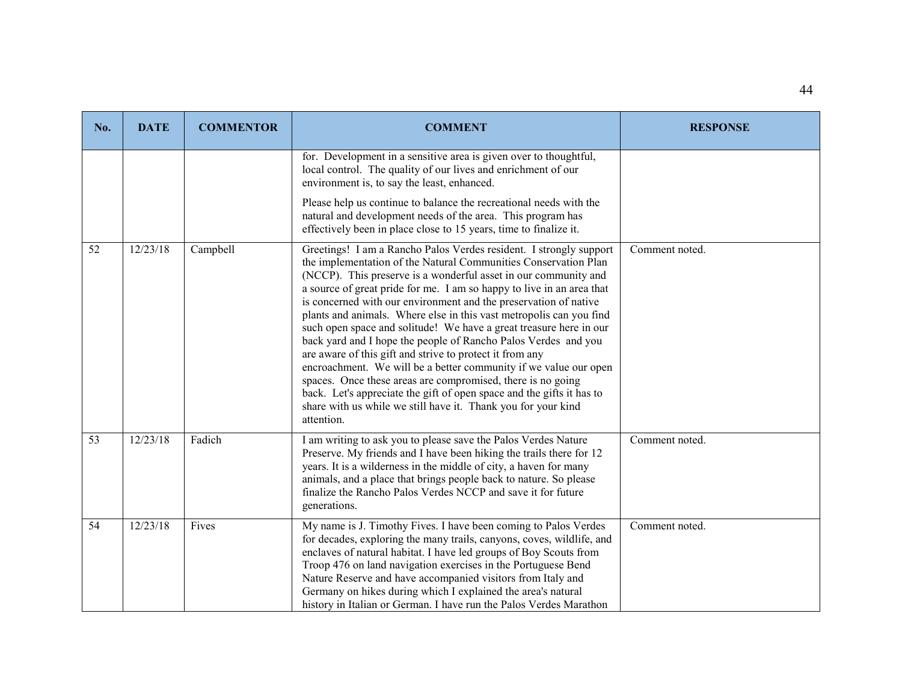| No. | <b>DATE</b> | <b>COMMENTOR</b> | <b>COMMENT</b>                                                                                                                                                                                                                                                                                                                                                                                                                                                                                                                                                                                                                                                                                                                                                                                                                                                                                                              | <b>RESPONSE</b> |
|-----|-------------|------------------|-----------------------------------------------------------------------------------------------------------------------------------------------------------------------------------------------------------------------------------------------------------------------------------------------------------------------------------------------------------------------------------------------------------------------------------------------------------------------------------------------------------------------------------------------------------------------------------------------------------------------------------------------------------------------------------------------------------------------------------------------------------------------------------------------------------------------------------------------------------------------------------------------------------------------------|-----------------|
|     |             |                  | for. Development in a sensitive area is given over to thoughtful,<br>local control. The quality of our lives and enrichment of our<br>environment is, to say the least, enhanced.                                                                                                                                                                                                                                                                                                                                                                                                                                                                                                                                                                                                                                                                                                                                           |                 |
|     |             |                  | Please help us continue to balance the recreational needs with the<br>natural and development needs of the area. This program has<br>effectively been in place close to 15 years, time to finalize it.                                                                                                                                                                                                                                                                                                                                                                                                                                                                                                                                                                                                                                                                                                                      |                 |
| 52  | 12/23/18    | Campbell         | Greetings! I am a Rancho Palos Verdes resident. I strongly support<br>the implementation of the Natural Communities Conservation Plan<br>(NCCP). This preserve is a wonderful asset in our community and<br>a source of great pride for me. I am so happy to live in an area that<br>is concerned with our environment and the preservation of native<br>plants and animals. Where else in this vast metropolis can you find<br>such open space and solitude! We have a great treasure here in our<br>back yard and I hope the people of Rancho Palos Verdes and you<br>are aware of this gift and strive to protect it from any<br>encroachment. We will be a better community if we value our open<br>spaces. Once these areas are compromised, there is no going<br>back. Let's appreciate the gift of open space and the gifts it has to<br>share with us while we still have it. Thank you for your kind<br>attention. | Comment noted.  |
| 53  | 12/23/18    | Fadich           | I am writing to ask you to please save the Palos Verdes Nature<br>Preserve. My friends and I have been hiking the trails there for 12<br>years. It is a wilderness in the middle of city, a haven for many<br>animals, and a place that brings people back to nature. So please<br>finalize the Rancho Palos Verdes NCCP and save it for future<br>generations.                                                                                                                                                                                                                                                                                                                                                                                                                                                                                                                                                             | Comment noted.  |
| 54  | 12/23/18    | Fives            | My name is J. Timothy Fives. I have been coming to Palos Verdes<br>for decades, exploring the many trails, canyons, coves, wildlife, and<br>enclaves of natural habitat. I have led groups of Boy Scouts from<br>Troop 476 on land navigation exercises in the Portuguese Bend<br>Nature Reserve and have accompanied visitors from Italy and<br>Germany on hikes during which I explained the area's natural<br>history in Italian or German. I have run the Palos Verdes Marathon                                                                                                                                                                                                                                                                                                                                                                                                                                         | Comment noted.  |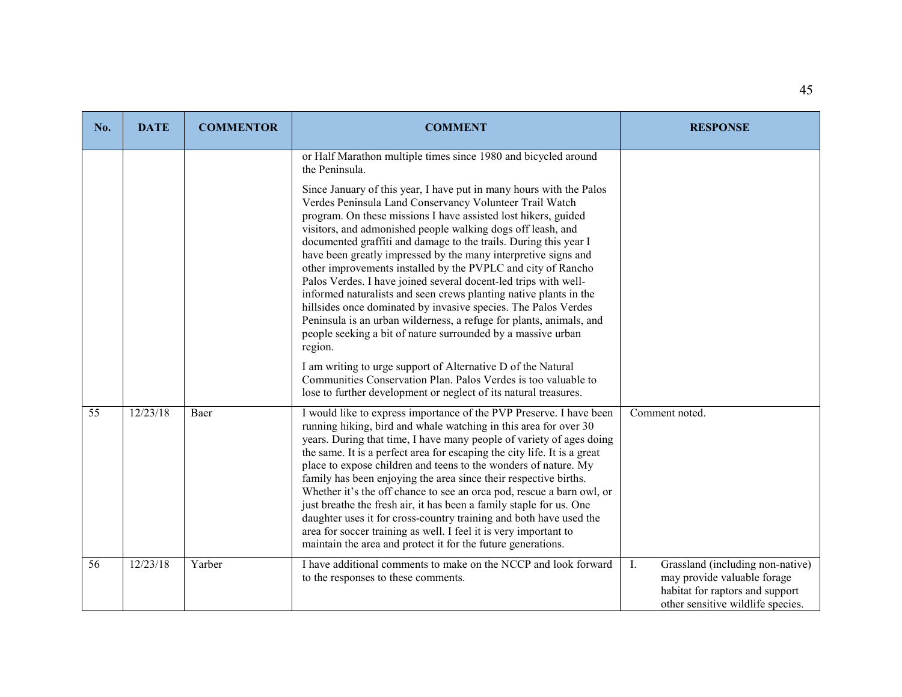| No. | <b>DATE</b> | <b>COMMENTOR</b> | <b>COMMENT</b>                                                                                                                                                                                                                                                                                                                                                                                                                                                                                                                                                                                                                                                                                                                                                                                                                                                                                                        | <b>RESPONSE</b>                                                                                                                               |
|-----|-------------|------------------|-----------------------------------------------------------------------------------------------------------------------------------------------------------------------------------------------------------------------------------------------------------------------------------------------------------------------------------------------------------------------------------------------------------------------------------------------------------------------------------------------------------------------------------------------------------------------------------------------------------------------------------------------------------------------------------------------------------------------------------------------------------------------------------------------------------------------------------------------------------------------------------------------------------------------|-----------------------------------------------------------------------------------------------------------------------------------------------|
|     |             |                  | or Half Marathon multiple times since 1980 and bicycled around<br>the Peninsula.<br>Since January of this year, I have put in many hours with the Palos<br>Verdes Peninsula Land Conservancy Volunteer Trail Watch<br>program. On these missions I have assisted lost hikers, guided<br>visitors, and admonished people walking dogs off leash, and<br>documented graffiti and damage to the trails. During this year I<br>have been greatly impressed by the many interpretive signs and<br>other improvements installed by the PVPLC and city of Rancho<br>Palos Verdes. I have joined several docent-led trips with well-<br>informed naturalists and seen crews planting native plants in the<br>hillsides once dominated by invasive species. The Palos Verdes<br>Peninsula is an urban wilderness, a refuge for plants, animals, and<br>people seeking a bit of nature surrounded by a massive urban<br>region. |                                                                                                                                               |
|     |             |                  | I am writing to urge support of Alternative D of the Natural<br>Communities Conservation Plan. Palos Verdes is too valuable to<br>lose to further development or neglect of its natural treasures.                                                                                                                                                                                                                                                                                                                                                                                                                                                                                                                                                                                                                                                                                                                    |                                                                                                                                               |
| 55  | 12/23/18    | Baer             | I would like to express importance of the PVP Preserve. I have been<br>running hiking, bird and whale watching in this area for over 30<br>years. During that time, I have many people of variety of ages doing<br>the same. It is a perfect area for escaping the city life. It is a great<br>place to expose children and teens to the wonders of nature. My<br>family has been enjoying the area since their respective births.<br>Whether it's the off chance to see an orca pod, rescue a barn owl, or<br>just breathe the fresh air, it has been a family staple for us. One<br>daughter uses it for cross-country training and both have used the<br>area for soccer training as well. I feel it is very important to<br>maintain the area and protect it for the future generations.                                                                                                                          | Comment noted.                                                                                                                                |
| 56  | 12/23/18    | Yarber           | I have additional comments to make on the NCCP and look forward<br>to the responses to these comments.                                                                                                                                                                                                                                                                                                                                                                                                                                                                                                                                                                                                                                                                                                                                                                                                                | I.<br>Grassland (including non-native)<br>may provide valuable forage<br>habitat for raptors and support<br>other sensitive wildlife species. |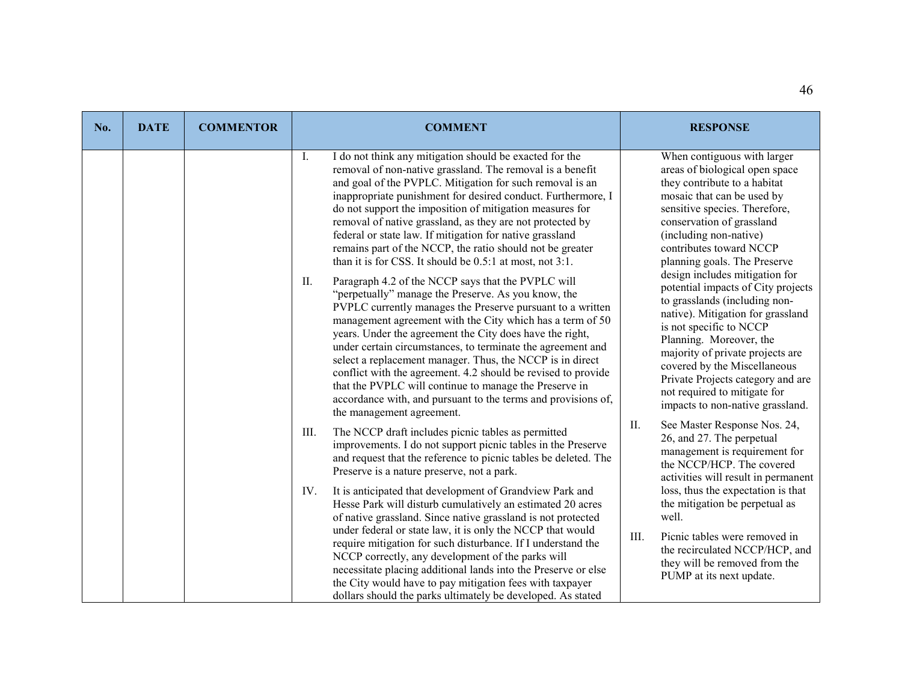| No. | <b>DATE</b> | <b>COMMENTOR</b> | <b>COMMENT</b>                                                                                                                                                                                                                                                                                                                                                                                                                                                                                                                                                                                                                                               | <b>RESPONSE</b>                                                                                                                                                                                                                                                                                                                                                               |
|-----|-------------|------------------|--------------------------------------------------------------------------------------------------------------------------------------------------------------------------------------------------------------------------------------------------------------------------------------------------------------------------------------------------------------------------------------------------------------------------------------------------------------------------------------------------------------------------------------------------------------------------------------------------------------------------------------------------------------|-------------------------------------------------------------------------------------------------------------------------------------------------------------------------------------------------------------------------------------------------------------------------------------------------------------------------------------------------------------------------------|
|     |             |                  | I do not think any mitigation should be exacted for the<br>Ι.<br>removal of non-native grassland. The removal is a benefit<br>and goal of the PVPLC. Mitigation for such removal is an<br>inappropriate punishment for desired conduct. Furthermore, I<br>do not support the imposition of mitigation measures for<br>removal of native grassland, as they are not protected by<br>federal or state law. If mitigation for native grassland<br>remains part of the NCCP, the ratio should not be greater<br>than it is for CSS. It should be 0.5:1 at most, not 3:1.                                                                                         | When contiguous with larger<br>areas of biological open space<br>they contribute to a habitat<br>mosaic that can be used by<br>sensitive species. Therefore,<br>conservation of grassland<br>(including non-native)<br>contributes toward NCCP<br>planning goals. The Preserve                                                                                                |
|     |             |                  | Paragraph 4.2 of the NCCP says that the PVPLC will<br>II.<br>"perpetually" manage the Preserve. As you know, the<br>PVPLC currently manages the Preserve pursuant to a written<br>management agreement with the City which has a term of 50<br>years. Under the agreement the City does have the right,<br>under certain circumstances, to terminate the agreement and<br>select a replacement manager. Thus, the NCCP is in direct<br>conflict with the agreement. 4.2 should be revised to provide<br>that the PVPLC will continue to manage the Preserve in<br>accordance with, and pursuant to the terms and provisions of,<br>the management agreement. | design includes mitigation for<br>potential impacts of City projects<br>to grasslands (including non-<br>native). Mitigation for grassland<br>is not specific to NCCP<br>Planning. Moreover, the<br>majority of private projects are<br>covered by the Miscellaneous<br>Private Projects category and are<br>not required to mitigate for<br>impacts to non-native grassland. |
|     |             |                  | III.<br>The NCCP draft includes picnic tables as permitted<br>improvements. I do not support picnic tables in the Preserve<br>and request that the reference to picnic tables be deleted. The<br>Preserve is a nature preserve, not a park.                                                                                                                                                                                                                                                                                                                                                                                                                  | II.<br>See Master Response Nos. 24,<br>26, and 27. The perpetual<br>management is requirement for<br>the NCCP/HCP. The covered<br>activities will result in permanent                                                                                                                                                                                                         |
|     |             |                  | It is anticipated that development of Grandview Park and<br>IV.<br>Hesse Park will disturb cumulatively an estimated 20 acres<br>of native grassland. Since native grassland is not protected<br>under federal or state law, it is only the NCCP that would<br>require mitigation for such disturbance. If I understand the<br>NCCP correctly, any development of the parks will<br>necessitate placing additional lands into the Preserve or else<br>the City would have to pay mitigation fees with taxpayer<br>dollars should the parks ultimately be developed. As stated                                                                                | loss, thus the expectation is that<br>the mitigation be perpetual as<br>well.<br>III.<br>Picnic tables were removed in<br>the recirculated NCCP/HCP, and<br>they will be removed from the<br>PUMP at its next update.                                                                                                                                                         |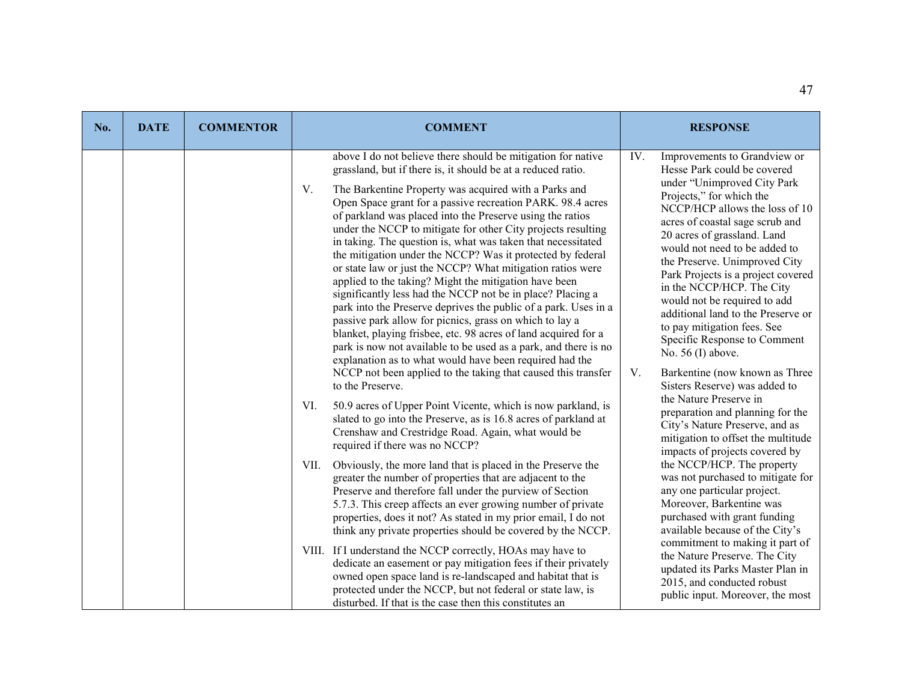| No. | <b>DATE</b> | <b>COMMENTOR</b> | <b>COMMENT</b>                                                                                                                                                                                                                                                                                                                                                                                                                                                                                                                                                                                                                                                                                                                                                                                                                                                                                          | <b>RESPONSE</b>                                                                                                                                                                                                                                                                                                                                                                                                                                              |
|-----|-------------|------------------|---------------------------------------------------------------------------------------------------------------------------------------------------------------------------------------------------------------------------------------------------------------------------------------------------------------------------------------------------------------------------------------------------------------------------------------------------------------------------------------------------------------------------------------------------------------------------------------------------------------------------------------------------------------------------------------------------------------------------------------------------------------------------------------------------------------------------------------------------------------------------------------------------------|--------------------------------------------------------------------------------------------------------------------------------------------------------------------------------------------------------------------------------------------------------------------------------------------------------------------------------------------------------------------------------------------------------------------------------------------------------------|
|     |             |                  |                                                                                                                                                                                                                                                                                                                                                                                                                                                                                                                                                                                                                                                                                                                                                                                                                                                                                                         |                                                                                                                                                                                                                                                                                                                                                                                                                                                              |
|     |             |                  | above I do not believe there should be mitigation for native<br>grassland, but if there is, it should be at a reduced ratio.                                                                                                                                                                                                                                                                                                                                                                                                                                                                                                                                                                                                                                                                                                                                                                            | IV.<br>Improvements to Grandview or<br>Hesse Park could be covered                                                                                                                                                                                                                                                                                                                                                                                           |
|     |             |                  | V.<br>The Barkentine Property was acquired with a Parks and<br>Open Space grant for a passive recreation PARK. 98.4 acres<br>of parkland was placed into the Preserve using the ratios<br>under the NCCP to mitigate for other City projects resulting<br>in taking. The question is, what was taken that necessitated<br>the mitigation under the NCCP? Was it protected by federal<br>or state law or just the NCCP? What mitigation ratios were<br>applied to the taking? Might the mitigation have been<br>significantly less had the NCCP not be in place? Placing a<br>park into the Preserve deprives the public of a park. Uses in a<br>passive park allow for picnics, grass on which to lay a<br>blanket, playing frisbee, etc. 98 acres of land acquired for a<br>park is now not available to be used as a park, and there is no<br>explanation as to what would have been required had the | under "Unimproved City Park<br>Projects," for which the<br>NCCP/HCP allows the loss of 10<br>acres of coastal sage scrub and<br>20 acres of grassland. Land<br>would not need to be added to<br>the Preserve. Unimproved City<br>Park Projects is a project covered<br>in the NCCP/HCP. The City<br>would not be required to add<br>additional land to the Preserve or<br>to pay mitigation fees. See<br>Specific Response to Comment<br>No. $56$ (I) above. |
|     |             |                  | NCCP not been applied to the taking that caused this transfer<br>to the Preserve.                                                                                                                                                                                                                                                                                                                                                                                                                                                                                                                                                                                                                                                                                                                                                                                                                       | V.<br>Barkentine (now known as Three<br>Sisters Reserve) was added to                                                                                                                                                                                                                                                                                                                                                                                        |
|     |             |                  | 50.9 acres of Upper Point Vicente, which is now parkland, is<br>VI.<br>slated to go into the Preserve, as is 16.8 acres of parkland at<br>Crenshaw and Crestridge Road. Again, what would be<br>required if there was no NCCP?                                                                                                                                                                                                                                                                                                                                                                                                                                                                                                                                                                                                                                                                          | the Nature Preserve in<br>preparation and planning for the<br>City's Nature Preserve, and as<br>mitigation to offset the multitude<br>impacts of projects covered by                                                                                                                                                                                                                                                                                         |
|     |             |                  | Obviously, the more land that is placed in the Preserve the<br>VII.<br>greater the number of properties that are adjacent to the<br>Preserve and therefore fall under the purview of Section<br>5.7.3. This creep affects an ever growing number of private<br>properties, does it not? As stated in my prior email, I do not<br>think any private properties should be covered by the NCCP.                                                                                                                                                                                                                                                                                                                                                                                                                                                                                                            | the NCCP/HCP. The property<br>was not purchased to mitigate for<br>any one particular project.<br>Moreover, Barkentine was<br>purchased with grant funding<br>available because of the City's                                                                                                                                                                                                                                                                |
|     |             |                  | VIII. If I understand the NCCP correctly, HOAs may have to<br>dedicate an easement or pay mitigation fees if their privately<br>owned open space land is re-landscaped and habitat that is<br>protected under the NCCP, but not federal or state law, is<br>disturbed. If that is the case then this constitutes an                                                                                                                                                                                                                                                                                                                                                                                                                                                                                                                                                                                     | commitment to making it part of<br>the Nature Preserve. The City<br>updated its Parks Master Plan in<br>2015, and conducted robust<br>public input. Moreover, the most                                                                                                                                                                                                                                                                                       |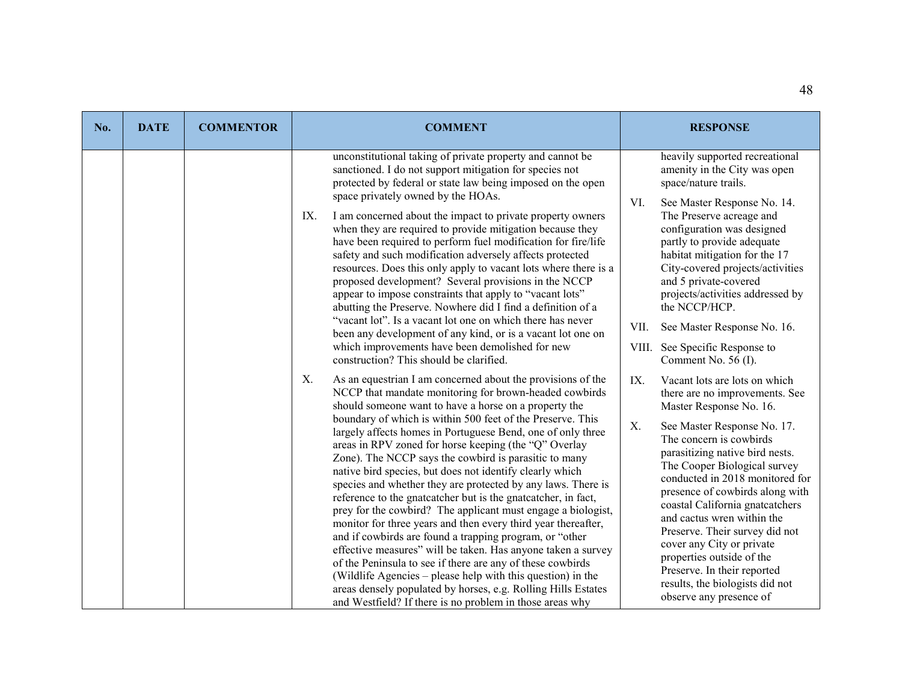| No. | <b>DATE</b> | <b>COMMENTOR</b> | <b>COMMENT</b>                                                                                                                                                                                                                                                                                                                                                                                                                                                                                                                                                                                                                                                                                                                                                                                                                                                                                                                                                                                                                                                                                                                                         | <b>RESPONSE</b>                                                                                                                                                                                                                                                                                                                                                                                                                                                                                                                                                      |
|-----|-------------|------------------|--------------------------------------------------------------------------------------------------------------------------------------------------------------------------------------------------------------------------------------------------------------------------------------------------------------------------------------------------------------------------------------------------------------------------------------------------------------------------------------------------------------------------------------------------------------------------------------------------------------------------------------------------------------------------------------------------------------------------------------------------------------------------------------------------------------------------------------------------------------------------------------------------------------------------------------------------------------------------------------------------------------------------------------------------------------------------------------------------------------------------------------------------------|----------------------------------------------------------------------------------------------------------------------------------------------------------------------------------------------------------------------------------------------------------------------------------------------------------------------------------------------------------------------------------------------------------------------------------------------------------------------------------------------------------------------------------------------------------------------|
|     |             |                  | unconstitutional taking of private property and cannot be<br>sanctioned. I do not support mitigation for species not<br>protected by federal or state law being imposed on the open<br>space privately owned by the HOAs.<br>I am concerned about the impact to private property owners<br>IX.<br>when they are required to provide mitigation because they<br>have been required to perform fuel modification for fire/life<br>safety and such modification adversely affects protected<br>resources. Does this only apply to vacant lots where there is a<br>proposed development? Several provisions in the NCCP<br>appear to impose constraints that apply to "vacant lots"<br>abutting the Preserve. Nowhere did I find a definition of a<br>"vacant lot". Is a vacant lot one on which there has never<br>been any development of any kind, or is a vacant lot one on<br>which improvements have been demolished for new<br>construction? This should be clarified.                                                                                                                                                                              | heavily supported recreational<br>amenity in the City was open<br>space/nature trails.<br>VI.<br>See Master Response No. 14.<br>The Preserve acreage and<br>configuration was designed<br>partly to provide adequate<br>habitat mitigation for the 17<br>City-covered projects/activities<br>and 5 private-covered<br>projects/activities addressed by<br>the NCCP/HCP.<br>See Master Response No. 16.<br>VII.<br>VIII. See Specific Response to<br>Comment No. 56 (I).                                                                                              |
|     |             |                  | Χ.<br>As an equestrian I am concerned about the provisions of the<br>NCCP that mandate monitoring for brown-headed cowbirds<br>should someone want to have a horse on a property the<br>boundary of which is within 500 feet of the Preserve. This<br>largely affects homes in Portuguese Bend, one of only three<br>areas in RPV zoned for horse keeping (the "Q" Overlay<br>Zone). The NCCP says the cowbird is parasitic to many<br>native bird species, but does not identify clearly which<br>species and whether they are protected by any laws. There is<br>reference to the gnatcatcher but is the gnatcatcher, in fact,<br>prey for the cowbird? The applicant must engage a biologist,<br>monitor for three years and then every third year thereafter,<br>and if cowbirds are found a trapping program, or "other<br>effective measures" will be taken. Has anyone taken a survey<br>of the Peninsula to see if there are any of these cowbirds<br>(Wildlife Agencies – please help with this question) in the<br>areas densely populated by horses, e.g. Rolling Hills Estates<br>and Westfield? If there is no problem in those areas why | IX.<br>Vacant lots are lots on which<br>there are no improvements. See<br>Master Response No. 16.<br>X.<br>See Master Response No. 17.<br>The concern is cowbirds<br>parasitizing native bird nests.<br>The Cooper Biological survey<br>conducted in 2018 monitored for<br>presence of cowbirds along with<br>coastal California gnatcatchers<br>and cactus wren within the<br>Preserve. Their survey did not<br>cover any City or private<br>properties outside of the<br>Preserve. In their reported<br>results, the biologists did not<br>observe any presence of |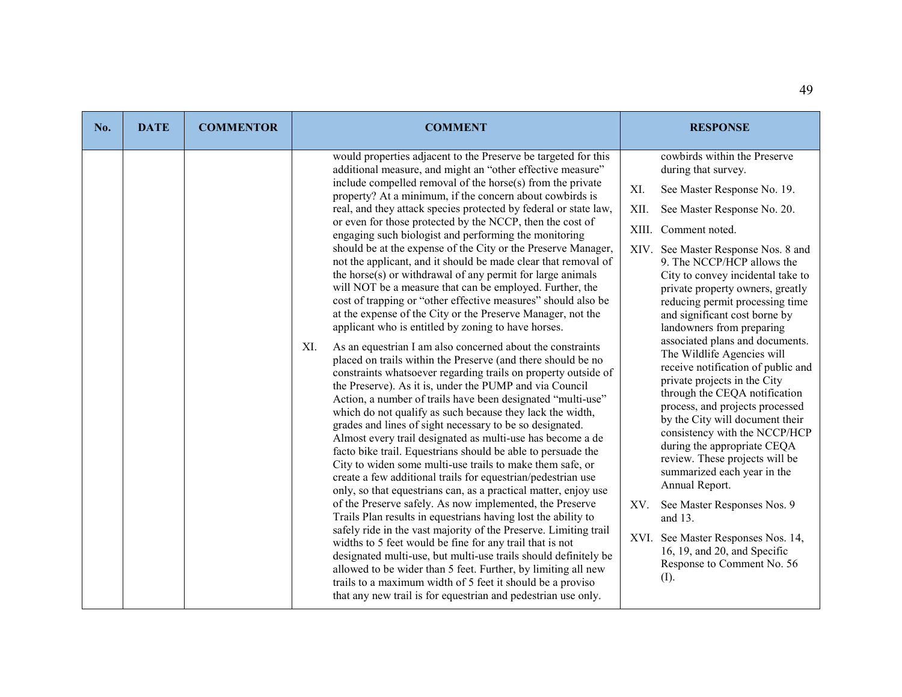| No. | <b>DATE</b> | <b>COMMENTOR</b> | <b>COMMENT</b>                                                                                                                                                                                                                                                                                                                                                                                                                                                                                                                                                                                                                                                                                                                                                                                                                                                                                                                                                                                                                                                                                                                                                                                                                                                                                                                                                                                                                                                                                                                                                                                                                                                                                                                                                                                                                                                                                                                                                                                                                                                                                                                                                                                                               | <b>RESPONSE</b>                                                                                                                                                                                                                                                                                                                                                                                                                                                                                                                                                                                                                                                                                                                                                                                                                                                                                                                                                          |
|-----|-------------|------------------|------------------------------------------------------------------------------------------------------------------------------------------------------------------------------------------------------------------------------------------------------------------------------------------------------------------------------------------------------------------------------------------------------------------------------------------------------------------------------------------------------------------------------------------------------------------------------------------------------------------------------------------------------------------------------------------------------------------------------------------------------------------------------------------------------------------------------------------------------------------------------------------------------------------------------------------------------------------------------------------------------------------------------------------------------------------------------------------------------------------------------------------------------------------------------------------------------------------------------------------------------------------------------------------------------------------------------------------------------------------------------------------------------------------------------------------------------------------------------------------------------------------------------------------------------------------------------------------------------------------------------------------------------------------------------------------------------------------------------------------------------------------------------------------------------------------------------------------------------------------------------------------------------------------------------------------------------------------------------------------------------------------------------------------------------------------------------------------------------------------------------------------------------------------------------------------------------------------------------|--------------------------------------------------------------------------------------------------------------------------------------------------------------------------------------------------------------------------------------------------------------------------------------------------------------------------------------------------------------------------------------------------------------------------------------------------------------------------------------------------------------------------------------------------------------------------------------------------------------------------------------------------------------------------------------------------------------------------------------------------------------------------------------------------------------------------------------------------------------------------------------------------------------------------------------------------------------------------|
|     |             |                  | would properties adjacent to the Preserve be targeted for this<br>additional measure, and might an "other effective measure"<br>include compelled removal of the horse(s) from the private<br>property? At a minimum, if the concern about cowbirds is<br>real, and they attack species protected by federal or state law,<br>or even for those protected by the NCCP, then the cost of<br>engaging such biologist and performing the monitoring<br>should be at the expense of the City or the Preserve Manager,<br>not the applicant, and it should be made clear that removal of<br>the horse(s) or withdrawal of any permit for large animals<br>will NOT be a measure that can be employed. Further, the<br>cost of trapping or "other effective measures" should also be<br>at the expense of the City or the Preserve Manager, not the<br>applicant who is entitled by zoning to have horses.<br>As an equestrian I am also concerned about the constraints<br>XI.<br>placed on trails within the Preserve (and there should be no<br>constraints whatsoever regarding trails on property outside of<br>the Preserve). As it is, under the PUMP and via Council<br>Action, a number of trails have been designated "multi-use"<br>which do not qualify as such because they lack the width,<br>grades and lines of sight necessary to be so designated.<br>Almost every trail designated as multi-use has become a de<br>facto bike trail. Equestrians should be able to persuade the<br>City to widen some multi-use trails to make them safe, or<br>create a few additional trails for equestrian/pedestrian use<br>only, so that equestrians can, as a practical matter, enjoy use<br>of the Preserve safely. As now implemented, the Preserve<br>Trails Plan results in equestrians having lost the ability to<br>safely ride in the vast majority of the Preserve. Limiting trail<br>widths to 5 feet would be fine for any trail that is not<br>designated multi-use, but multi-use trails should definitely be<br>allowed to be wider than 5 feet. Further, by limiting all new<br>trails to a maximum width of 5 feet it should be a proviso<br>that any new trail is for equestrian and pedestrian use only. | cowbirds within the Preserve<br>during that survey.<br>XI.<br>See Master Response No. 19.<br>XII.<br>See Master Response No. 20.<br>Comment noted.<br>XIII.<br>XIV. See Master Response Nos. 8 and<br>9. The NCCP/HCP allows the<br>City to convey incidental take to<br>private property owners, greatly<br>reducing permit processing time<br>and significant cost borne by<br>landowners from preparing<br>associated plans and documents.<br>The Wildlife Agencies will<br>receive notification of public and<br>private projects in the City<br>through the CEQA notification<br>process, and projects processed<br>by the City will document their<br>consistency with the NCCP/HCP<br>during the appropriate CEQA<br>review. These projects will be<br>summarized each year in the<br>Annual Report.<br>See Master Responses Nos. 9<br>XV.<br>and 13.<br>XVI. See Master Responses Nos. 14,<br>16, 19, and 20, and Specific<br>Response to Comment No. 56<br>(I). |
|     |             |                  |                                                                                                                                                                                                                                                                                                                                                                                                                                                                                                                                                                                                                                                                                                                                                                                                                                                                                                                                                                                                                                                                                                                                                                                                                                                                                                                                                                                                                                                                                                                                                                                                                                                                                                                                                                                                                                                                                                                                                                                                                                                                                                                                                                                                                              |                                                                                                                                                                                                                                                                                                                                                                                                                                                                                                                                                                                                                                                                                                                                                                                                                                                                                                                                                                          |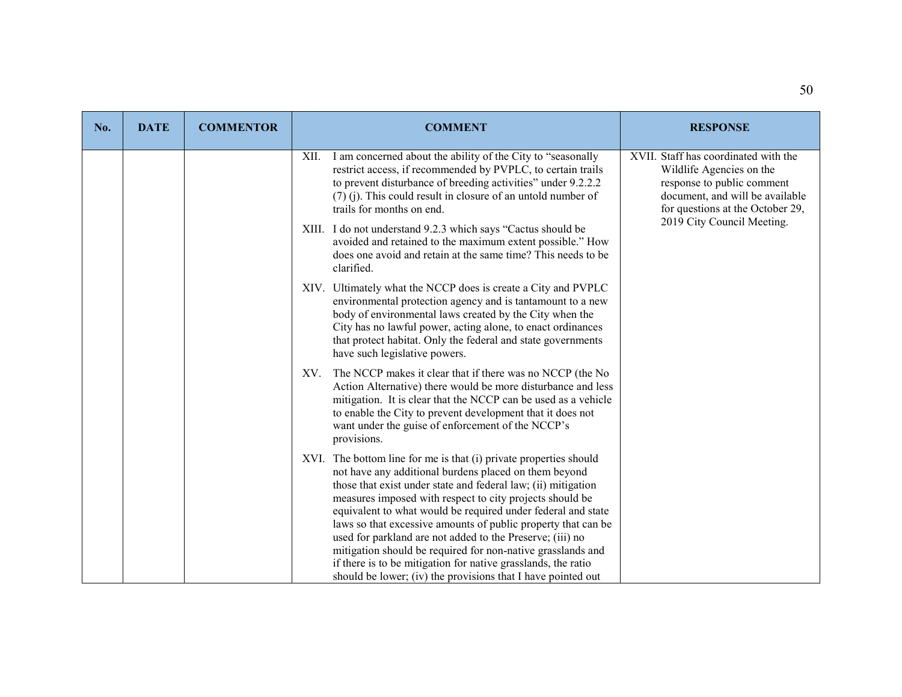| No. | <b>DATE</b> | <b>COMMENTOR</b> | <b>COMMENT</b>                                                                                                                                                                                                                                                                                                                                                                                                                                                                                                                                                                                                                                        | <b>RESPONSE</b>                                                                                                                                                                                     |
|-----|-------------|------------------|-------------------------------------------------------------------------------------------------------------------------------------------------------------------------------------------------------------------------------------------------------------------------------------------------------------------------------------------------------------------------------------------------------------------------------------------------------------------------------------------------------------------------------------------------------------------------------------------------------------------------------------------------------|-----------------------------------------------------------------------------------------------------------------------------------------------------------------------------------------------------|
|     |             |                  | I am concerned about the ability of the City to "seasonally<br>XII.<br>restrict access, if recommended by PVPLC, to certain trails<br>to prevent disturbance of breeding activities" under 9.2.2.2<br>$(7)$ (j). This could result in closure of an untold number of<br>trails for months on end.<br>XIII. I do not understand 9.2.3 which says "Cactus should be<br>avoided and retained to the maximum extent possible." How<br>does one avoid and retain at the same time? This needs to be<br>clarified.                                                                                                                                          | XVII. Staff has coordinated with the<br>Wildlife Agencies on the<br>response to public comment<br>document, and will be available<br>for questions at the October 29,<br>2019 City Council Meeting. |
|     |             |                  | XIV. Ultimately what the NCCP does is create a City and PVPLC<br>environmental protection agency and is tantamount to a new<br>body of environmental laws created by the City when the<br>City has no lawful power, acting alone, to enact ordinances<br>that protect habitat. Only the federal and state governments<br>have such legislative powers.                                                                                                                                                                                                                                                                                                |                                                                                                                                                                                                     |
|     |             |                  | XV. The NCCP makes it clear that if there was no NCCP (the No<br>Action Alternative) there would be more disturbance and less<br>mitigation. It is clear that the NCCP can be used as a vehicle<br>to enable the City to prevent development that it does not<br>want under the guise of enforcement of the NCCP's<br>provisions.                                                                                                                                                                                                                                                                                                                     |                                                                                                                                                                                                     |
|     |             |                  | XVI. The bottom line for me is that (i) private properties should<br>not have any additional burdens placed on them beyond<br>those that exist under state and federal law; (ii) mitigation<br>measures imposed with respect to city projects should be<br>equivalent to what would be required under federal and state<br>laws so that excessive amounts of public property that can be<br>used for parkland are not added to the Preserve; (iii) no<br>mitigation should be required for non-native grasslands and<br>if there is to be mitigation for native grasslands, the ratio<br>should be lower; (iv) the provisions that I have pointed out |                                                                                                                                                                                                     |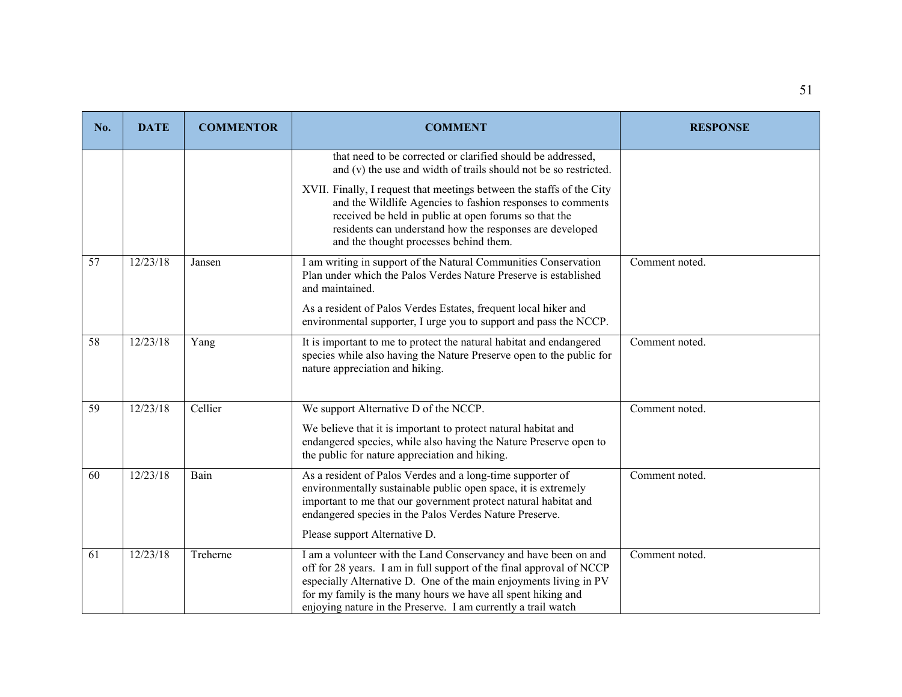| No. | <b>DATE</b> | <b>COMMENTOR</b> | <b>COMMENT</b>                                                                                                                                                                                                                                                                                                                                | <b>RESPONSE</b> |
|-----|-------------|------------------|-----------------------------------------------------------------------------------------------------------------------------------------------------------------------------------------------------------------------------------------------------------------------------------------------------------------------------------------------|-----------------|
|     |             |                  | that need to be corrected or clarified should be addressed,<br>and (v) the use and width of trails should not be so restricted.                                                                                                                                                                                                               |                 |
|     |             |                  | XVII. Finally, I request that meetings between the staffs of the City<br>and the Wildlife Agencies to fashion responses to comments<br>received be held in public at open forums so that the<br>residents can understand how the responses are developed<br>and the thought processes behind them.                                            |                 |
| 57  | 12/23/18    | Jansen           | I am writing in support of the Natural Communities Conservation<br>Plan under which the Palos Verdes Nature Preserve is established<br>and maintained.                                                                                                                                                                                        | Comment noted.  |
|     |             |                  | As a resident of Palos Verdes Estates, frequent local hiker and<br>environmental supporter, I urge you to support and pass the NCCP.                                                                                                                                                                                                          |                 |
| 58  | 12/23/18    | Yang             | It is important to me to protect the natural habitat and endangered<br>species while also having the Nature Preserve open to the public for<br>nature appreciation and hiking.                                                                                                                                                                | Comment noted.  |
| 59  | 12/23/18    | Cellier          | We support Alternative D of the NCCP.                                                                                                                                                                                                                                                                                                         | Comment noted.  |
|     |             |                  | We believe that it is important to protect natural habitat and<br>endangered species, while also having the Nature Preserve open to<br>the public for nature appreciation and hiking.                                                                                                                                                         |                 |
| 60  | 12/23/18    | Bain             | As a resident of Palos Verdes and a long-time supporter of<br>environmentally sustainable public open space, it is extremely<br>important to me that our government protect natural habitat and<br>endangered species in the Palos Verdes Nature Preserve.                                                                                    | Comment noted.  |
|     |             |                  | Please support Alternative D.                                                                                                                                                                                                                                                                                                                 |                 |
| 61  | 12/23/18    | Treherne         | I am a volunteer with the Land Conservancy and have been on and<br>off for 28 years. I am in full support of the final approval of NCCP<br>especially Alternative D. One of the main enjoyments living in PV<br>for my family is the many hours we have all spent hiking and<br>enjoying nature in the Preserve. I am currently a trail watch | Comment noted.  |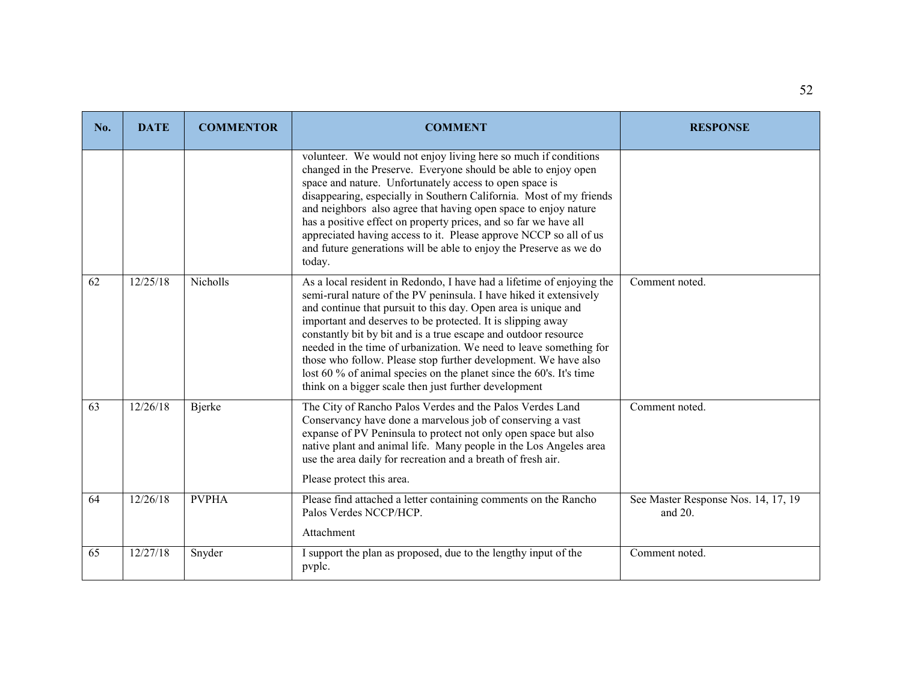| No. | <b>DATE</b> | <b>COMMENTOR</b> | <b>COMMENT</b>                                                                                                                                                                                                                                                                                                                                                                                                                                                                                                                                                                                                           | <b>RESPONSE</b>                                |
|-----|-------------|------------------|--------------------------------------------------------------------------------------------------------------------------------------------------------------------------------------------------------------------------------------------------------------------------------------------------------------------------------------------------------------------------------------------------------------------------------------------------------------------------------------------------------------------------------------------------------------------------------------------------------------------------|------------------------------------------------|
|     |             |                  | volunteer. We would not enjoy living here so much if conditions<br>changed in the Preserve. Everyone should be able to enjoy open<br>space and nature. Unfortunately access to open space is<br>disappearing, especially in Southern California. Most of my friends<br>and neighbors also agree that having open space to enjoy nature<br>has a positive effect on property prices, and so far we have all<br>appreciated having access to it. Please approve NCCP so all of us<br>and future generations will be able to enjoy the Preserve as we do<br>today.                                                          |                                                |
| 62  | 12/25/18    | Nicholls         | As a local resident in Redondo, I have had a lifetime of enjoying the<br>semi-rural nature of the PV peninsula. I have hiked it extensively<br>and continue that pursuit to this day. Open area is unique and<br>important and deserves to be protected. It is slipping away<br>constantly bit by bit and is a true escape and outdoor resource<br>needed in the time of urbanization. We need to leave something for<br>those who follow. Please stop further development. We have also<br>lost 60 % of animal species on the planet since the 60's. It's time<br>think on a bigger scale then just further development | Comment noted.                                 |
| 63  | 12/26/18    | <b>Bjerke</b>    | The City of Rancho Palos Verdes and the Palos Verdes Land<br>Conservancy have done a marvelous job of conserving a vast<br>expanse of PV Peninsula to protect not only open space but also<br>native plant and animal life. Many people in the Los Angeles area<br>use the area daily for recreation and a breath of fresh air.<br>Please protect this area.                                                                                                                                                                                                                                                             | Comment noted.                                 |
| 64  | 12/26/18    | <b>PVPHA</b>     | Please find attached a letter containing comments on the Rancho<br>Palos Verdes NCCP/HCP.<br>Attachment                                                                                                                                                                                                                                                                                                                                                                                                                                                                                                                  | See Master Response Nos. 14, 17, 19<br>and 20. |
| 65  | 12/27/18    | Snyder           | I support the plan as proposed, due to the lengthy input of the<br>pvplc.                                                                                                                                                                                                                                                                                                                                                                                                                                                                                                                                                | Comment noted.                                 |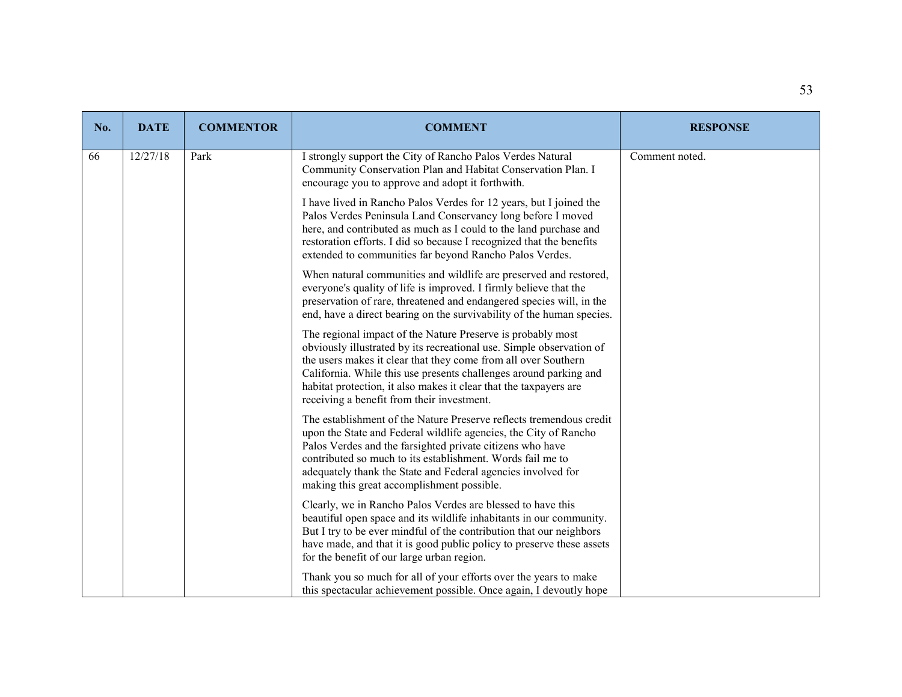| No. | <b>DATE</b> | <b>COMMENTOR</b> | <b>COMMENT</b>                                                                                                                                                                                                                                                                                                                                                                                | <b>RESPONSE</b> |
|-----|-------------|------------------|-----------------------------------------------------------------------------------------------------------------------------------------------------------------------------------------------------------------------------------------------------------------------------------------------------------------------------------------------------------------------------------------------|-----------------|
| 66  | 12/27/18    | Park             | I strongly support the City of Rancho Palos Verdes Natural<br>Community Conservation Plan and Habitat Conservation Plan. I<br>encourage you to approve and adopt it forthwith.                                                                                                                                                                                                                | Comment noted.  |
|     |             |                  | I have lived in Rancho Palos Verdes for 12 years, but I joined the<br>Palos Verdes Peninsula Land Conservancy long before I moved<br>here, and contributed as much as I could to the land purchase and<br>restoration efforts. I did so because I recognized that the benefits<br>extended to communities far beyond Rancho Palos Verdes.                                                     |                 |
|     |             |                  | When natural communities and wildlife are preserved and restored,<br>everyone's quality of life is improved. I firmly believe that the<br>preservation of rare, threatened and endangered species will, in the<br>end, have a direct bearing on the survivability of the human species.                                                                                                       |                 |
|     |             |                  | The regional impact of the Nature Preserve is probably most<br>obviously illustrated by its recreational use. Simple observation of<br>the users makes it clear that they come from all over Southern<br>California. While this use presents challenges around parking and<br>habitat protection, it also makes it clear that the taxpayers are<br>receiving a benefit from their investment. |                 |
|     |             |                  | The establishment of the Nature Preserve reflects tremendous credit<br>upon the State and Federal wildlife agencies, the City of Rancho<br>Palos Verdes and the farsighted private citizens who have<br>contributed so much to its establishment. Words fail me to<br>adequately thank the State and Federal agencies involved for<br>making this great accomplishment possible.              |                 |
|     |             |                  | Clearly, we in Rancho Palos Verdes are blessed to have this<br>beautiful open space and its wildlife inhabitants in our community.<br>But I try to be ever mindful of the contribution that our neighbors<br>have made, and that it is good public policy to preserve these assets<br>for the benefit of our large urban region.                                                              |                 |
|     |             |                  | Thank you so much for all of your efforts over the years to make<br>this spectacular achievement possible. Once again, I devoutly hope                                                                                                                                                                                                                                                        |                 |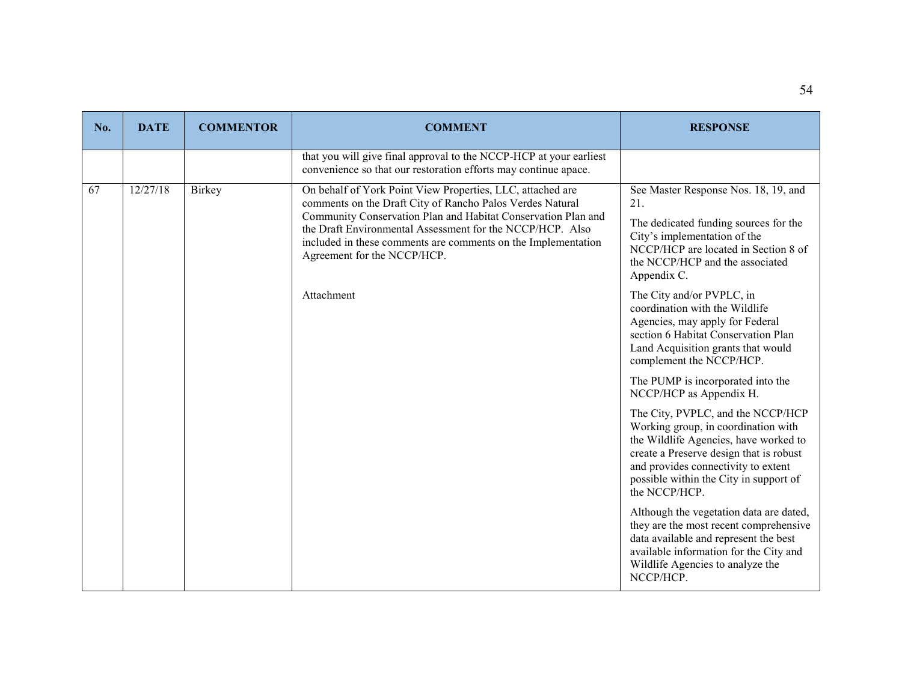| No. | <b>DATE</b> | <b>COMMENTOR</b> | <b>COMMENT</b>                                                                                                                                                                                                                                                                                                                                        | <b>RESPONSE</b>                                                                                                                                                                                                                                                |
|-----|-------------|------------------|-------------------------------------------------------------------------------------------------------------------------------------------------------------------------------------------------------------------------------------------------------------------------------------------------------------------------------------------------------|----------------------------------------------------------------------------------------------------------------------------------------------------------------------------------------------------------------------------------------------------------------|
|     |             |                  | that you will give final approval to the NCCP-HCP at your earliest<br>convenience so that our restoration efforts may continue apace.                                                                                                                                                                                                                 |                                                                                                                                                                                                                                                                |
| 67  | 12/27/18    | Birkey           | On behalf of York Point View Properties, LLC, attached are<br>comments on the Draft City of Rancho Palos Verdes Natural<br>Community Conservation Plan and Habitat Conservation Plan and<br>the Draft Environmental Assessment for the NCCP/HCP. Also<br>included in these comments are comments on the Implementation<br>Agreement for the NCCP/HCP. | See Master Response Nos. 18, 19, and<br>21.<br>The dedicated funding sources for the<br>City's implementation of the<br>NCCP/HCP are located in Section 8 of<br>the NCCP/HCP and the associated<br>Appendix C.                                                 |
|     |             |                  | Attachment                                                                                                                                                                                                                                                                                                                                            | The City and/or PVPLC, in<br>coordination with the Wildlife<br>Agencies, may apply for Federal<br>section 6 Habitat Conservation Plan<br>Land Acquisition grants that would<br>complement the NCCP/HCP.                                                        |
|     |             |                  |                                                                                                                                                                                                                                                                                                                                                       | The PUMP is incorporated into the<br>NCCP/HCP as Appendix H.                                                                                                                                                                                                   |
|     |             |                  |                                                                                                                                                                                                                                                                                                                                                       | The City, PVPLC, and the NCCP/HCP<br>Working group, in coordination with<br>the Wildlife Agencies, have worked to<br>create a Preserve design that is robust<br>and provides connectivity to extent<br>possible within the City in support of<br>the NCCP/HCP. |
|     |             |                  |                                                                                                                                                                                                                                                                                                                                                       | Although the vegetation data are dated,<br>they are the most recent comprehensive<br>data available and represent the best<br>available information for the City and<br>Wildlife Agencies to analyze the<br>NCCP/HCP.                                          |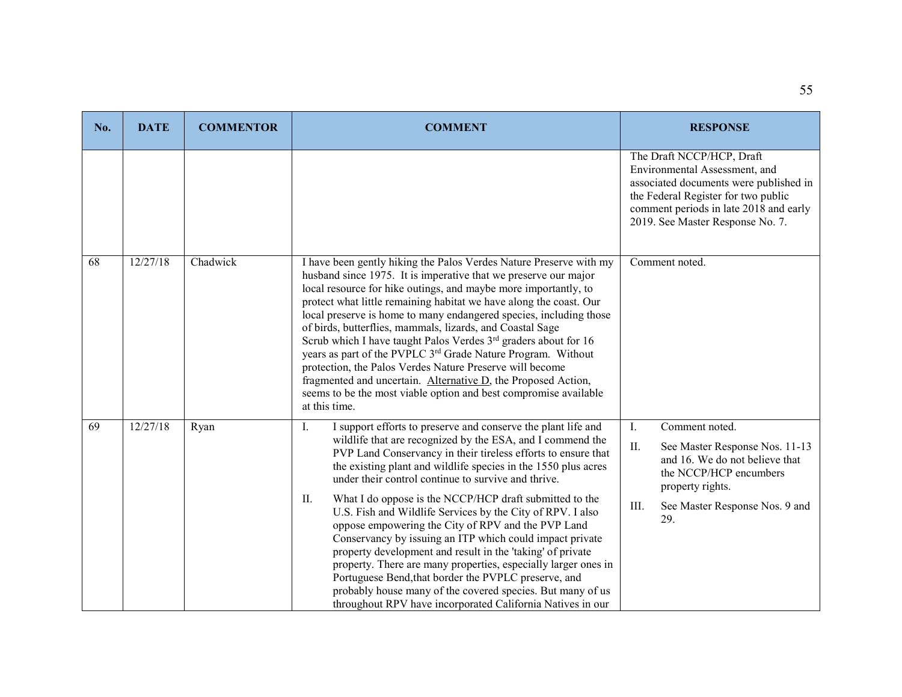| No. | <b>DATE</b> | <b>COMMENTOR</b> | <b>COMMENT</b>                                                                                                                                                                                                                                                                                                                                                                                                                                                                                                                                                                                                                                                                                                                                                                                                                                                                                    | <b>RESPONSE</b>                                                                                                                                                                                                           |
|-----|-------------|------------------|---------------------------------------------------------------------------------------------------------------------------------------------------------------------------------------------------------------------------------------------------------------------------------------------------------------------------------------------------------------------------------------------------------------------------------------------------------------------------------------------------------------------------------------------------------------------------------------------------------------------------------------------------------------------------------------------------------------------------------------------------------------------------------------------------------------------------------------------------------------------------------------------------|---------------------------------------------------------------------------------------------------------------------------------------------------------------------------------------------------------------------------|
|     |             |                  |                                                                                                                                                                                                                                                                                                                                                                                                                                                                                                                                                                                                                                                                                                                                                                                                                                                                                                   | The Draft NCCP/HCP, Draft<br>Environmental Assessment, and<br>associated documents were published in<br>the Federal Register for two public<br>comment periods in late 2018 and early<br>2019. See Master Response No. 7. |
| 68  | 12/27/18    | Chadwick         | I have been gently hiking the Palos Verdes Nature Preserve with my<br>husband since 1975. It is imperative that we preserve our major<br>local resource for hike outings, and maybe more importantly, to<br>protect what little remaining habitat we have along the coast. Our<br>local preserve is home to many endangered species, including those<br>of birds, butterflies, mammals, lizards, and Coastal Sage<br>Scrub which I have taught Palos Verdes 3 <sup>rd</sup> graders about for 16<br>years as part of the PVPLC 3rd Grade Nature Program. Without<br>protection, the Palos Verdes Nature Preserve will become<br>fragmented and uncertain. Alternative D, the Proposed Action,<br>seems to be the most viable option and best compromise available<br>at this time.                                                                                                                | Comment noted.                                                                                                                                                                                                            |
| 69  | 12/27/18    | Ryan             | I support efforts to preserve and conserve the plant life and<br>Ι.<br>wildlife that are recognized by the ESA, and I commend the<br>PVP Land Conservancy in their tireless efforts to ensure that<br>the existing plant and wildlife species in the 1550 plus acres<br>under their control continue to survive and thrive.<br>II.<br>What I do oppose is the NCCP/HCP draft submitted to the<br>U.S. Fish and Wildlife Services by the City of RPV. I also<br>oppose empowering the City of RPV and the PVP Land<br>Conservancy by issuing an ITP which could impact private<br>property development and result in the 'taking' of private<br>property. There are many properties, especially larger ones in<br>Portuguese Bend, that border the PVPLC preserve, and<br>probably house many of the covered species. But many of us<br>throughout RPV have incorporated California Natives in our | Comment noted.<br>Ι.<br>II.<br>See Master Response Nos. 11-13<br>and 16. We do not believe that<br>the NCCP/HCP encumbers<br>property rights.<br>III.<br>See Master Response Nos. 9 and<br>29.                            |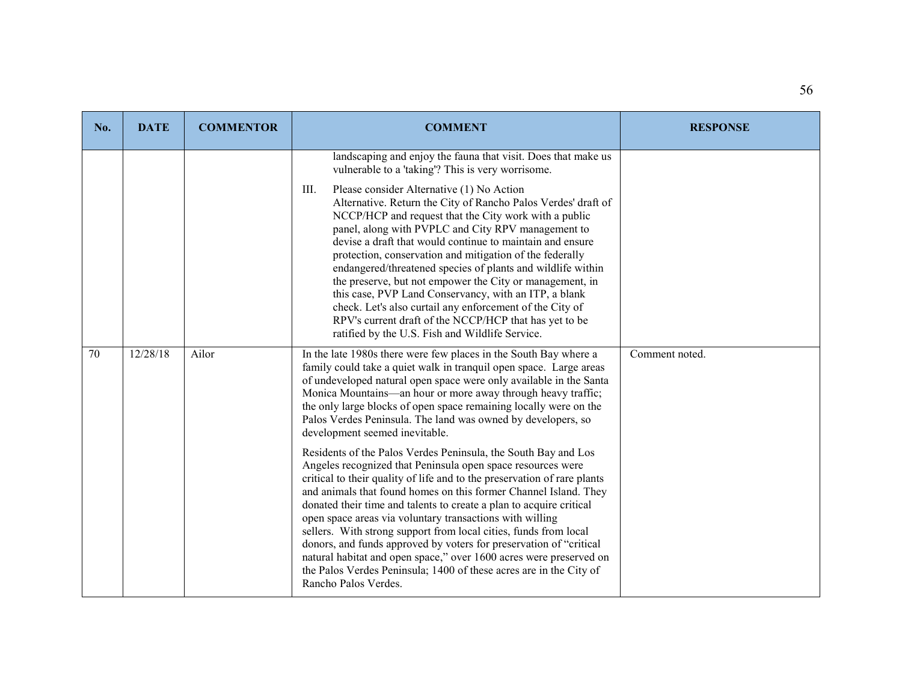| No. | <b>DATE</b> | <b>COMMENTOR</b> | <b>COMMENT</b>                                                                                                                                                                                                                                                                                                                                                                                                                                                                                                                                                                                                                                                                                                                                                                                                                                                                                                                                                                                                                                                                                                                                                                        | <b>RESPONSE</b> |
|-----|-------------|------------------|---------------------------------------------------------------------------------------------------------------------------------------------------------------------------------------------------------------------------------------------------------------------------------------------------------------------------------------------------------------------------------------------------------------------------------------------------------------------------------------------------------------------------------------------------------------------------------------------------------------------------------------------------------------------------------------------------------------------------------------------------------------------------------------------------------------------------------------------------------------------------------------------------------------------------------------------------------------------------------------------------------------------------------------------------------------------------------------------------------------------------------------------------------------------------------------|-----------------|
|     |             |                  | landscaping and enjoy the fauna that visit. Does that make us<br>vulnerable to a 'taking'? This is very worrisome.<br>Please consider Alternative (1) No Action<br>III.<br>Alternative. Return the City of Rancho Palos Verdes' draft of<br>NCCP/HCP and request that the City work with a public<br>panel, along with PVPLC and City RPV management to<br>devise a draft that would continue to maintain and ensure<br>protection, conservation and mitigation of the federally<br>endangered/threatened species of plants and wildlife within<br>the preserve, but not empower the City or management, in<br>this case, PVP Land Conservancy, with an ITP, a blank<br>check. Let's also curtail any enforcement of the City of<br>RPV's current draft of the NCCP/HCP that has yet to be<br>ratified by the U.S. Fish and Wildlife Service.                                                                                                                                                                                                                                                                                                                                         |                 |
| 70  | 12/28/18    | Ailor            | In the late 1980s there were few places in the South Bay where a<br>family could take a quiet walk in tranquil open space. Large areas<br>of undeveloped natural open space were only available in the Santa<br>Monica Mountains—an hour or more away through heavy traffic;<br>the only large blocks of open space remaining locally were on the<br>Palos Verdes Peninsula. The land was owned by developers, so<br>development seemed inevitable.<br>Residents of the Palos Verdes Peninsula, the South Bay and Los<br>Angeles recognized that Peninsula open space resources were<br>critical to their quality of life and to the preservation of rare plants<br>and animals that found homes on this former Channel Island. They<br>donated their time and talents to create a plan to acquire critical<br>open space areas via voluntary transactions with willing<br>sellers. With strong support from local cities, funds from local<br>donors, and funds approved by voters for preservation of "critical<br>natural habitat and open space," over 1600 acres were preserved on<br>the Palos Verdes Peninsula; 1400 of these acres are in the City of<br>Rancho Palos Verdes. | Comment noted.  |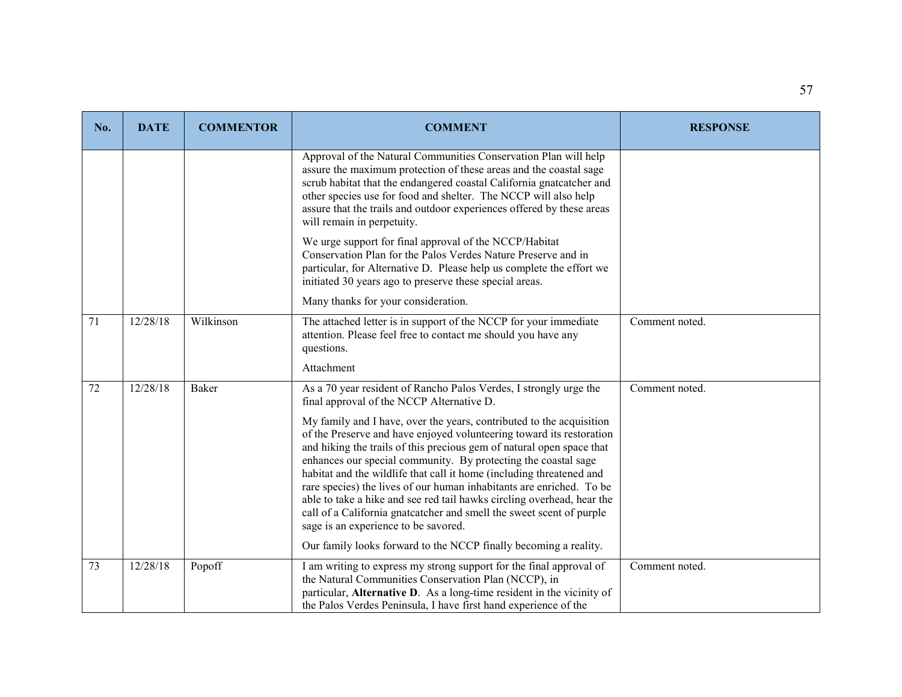| No. | <b>DATE</b> | <b>COMMENTOR</b> | <b>COMMENT</b>                                                                                                                                                                                                                                                                                                                                                                                                                                                                                                                                                                                                                                                                                        | <b>RESPONSE</b> |
|-----|-------------|------------------|-------------------------------------------------------------------------------------------------------------------------------------------------------------------------------------------------------------------------------------------------------------------------------------------------------------------------------------------------------------------------------------------------------------------------------------------------------------------------------------------------------------------------------------------------------------------------------------------------------------------------------------------------------------------------------------------------------|-----------------|
|     |             |                  | Approval of the Natural Communities Conservation Plan will help<br>assure the maximum protection of these areas and the coastal sage<br>scrub habitat that the endangered coastal California gnatcatcher and<br>other species use for food and shelter. The NCCP will also help<br>assure that the trails and outdoor experiences offered by these areas<br>will remain in perpetuity.                                                                                                                                                                                                                                                                                                                |                 |
|     |             |                  | We urge support for final approval of the NCCP/Habitat<br>Conservation Plan for the Palos Verdes Nature Preserve and in<br>particular, for Alternative D. Please help us complete the effort we<br>initiated 30 years ago to preserve these special areas.                                                                                                                                                                                                                                                                                                                                                                                                                                            |                 |
|     |             |                  | Many thanks for your consideration.                                                                                                                                                                                                                                                                                                                                                                                                                                                                                                                                                                                                                                                                   |                 |
| 71  | 12/28/18    | Wilkinson        | The attached letter is in support of the NCCP for your immediate<br>attention. Please feel free to contact me should you have any<br>questions.                                                                                                                                                                                                                                                                                                                                                                                                                                                                                                                                                       | Comment noted.  |
|     |             |                  | Attachment                                                                                                                                                                                                                                                                                                                                                                                                                                                                                                                                                                                                                                                                                            |                 |
| 72  | 12/28/18    | Baker            | As a 70 year resident of Rancho Palos Verdes, I strongly urge the<br>final approval of the NCCP Alternative D.                                                                                                                                                                                                                                                                                                                                                                                                                                                                                                                                                                                        | Comment noted.  |
|     |             |                  | My family and I have, over the years, contributed to the acquisition<br>of the Preserve and have enjoyed volunteering toward its restoration<br>and hiking the trails of this precious gem of natural open space that<br>enhances our special community. By protecting the coastal sage<br>habitat and the wildlife that call it home (including threatened and<br>rare species) the lives of our human inhabitants are enriched. To be<br>able to take a hike and see red tail hawks circling overhead, hear the<br>call of a California gnatcatcher and smell the sweet scent of purple<br>sage is an experience to be savored.<br>Our family looks forward to the NCCP finally becoming a reality. |                 |
| 73  | 12/28/18    | Popoff           | I am writing to express my strong support for the final approval of<br>the Natural Communities Conservation Plan (NCCP), in<br>particular, Alternative D. As a long-time resident in the vicinity of<br>the Palos Verdes Peninsula, I have first hand experience of the                                                                                                                                                                                                                                                                                                                                                                                                                               | Comment noted.  |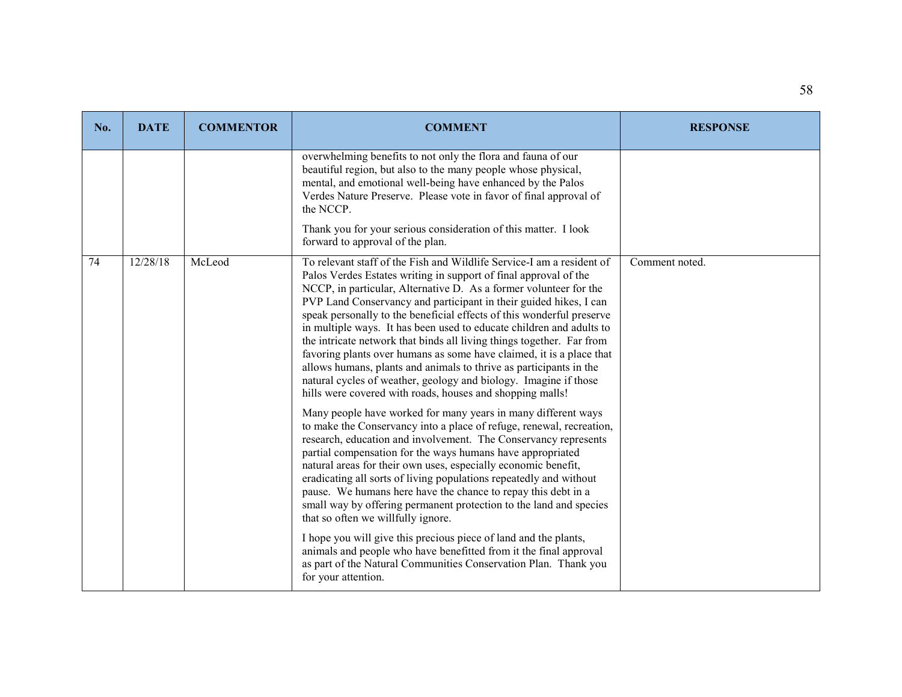| No. | <b>DATE</b> | <b>COMMENTOR</b> | <b>COMMENT</b>                                                                                                                                                                                                                                                                                                                                                                                                                                                                                                                                                                                                                                                                                                                                                                               | <b>RESPONSE</b> |
|-----|-------------|------------------|----------------------------------------------------------------------------------------------------------------------------------------------------------------------------------------------------------------------------------------------------------------------------------------------------------------------------------------------------------------------------------------------------------------------------------------------------------------------------------------------------------------------------------------------------------------------------------------------------------------------------------------------------------------------------------------------------------------------------------------------------------------------------------------------|-----------------|
|     |             |                  | overwhelming benefits to not only the flora and fauna of our<br>beautiful region, but also to the many people whose physical,<br>mental, and emotional well-being have enhanced by the Palos<br>Verdes Nature Preserve. Please vote in favor of final approval of<br>the NCCP.<br>Thank you for your serious consideration of this matter. I look                                                                                                                                                                                                                                                                                                                                                                                                                                            |                 |
|     |             |                  | forward to approval of the plan.                                                                                                                                                                                                                                                                                                                                                                                                                                                                                                                                                                                                                                                                                                                                                             |                 |
| 74  | 12/28/18    | McLeod           | To relevant staff of the Fish and Wildlife Service-I am a resident of<br>Palos Verdes Estates writing in support of final approval of the<br>NCCP, in particular, Alternative D. As a former volunteer for the<br>PVP Land Conservancy and participant in their guided hikes, I can<br>speak personally to the beneficial effects of this wonderful preserve<br>in multiple ways. It has been used to educate children and adults to<br>the intricate network that binds all living things together. Far from<br>favoring plants over humans as some have claimed, it is a place that<br>allows humans, plants and animals to thrive as participants in the<br>natural cycles of weather, geology and biology. Imagine if those<br>hills were covered with roads, houses and shopping malls! | Comment noted.  |
|     |             |                  | Many people have worked for many years in many different ways<br>to make the Conservancy into a place of refuge, renewal, recreation,<br>research, education and involvement. The Conservancy represents<br>partial compensation for the ways humans have appropriated<br>natural areas for their own uses, especially economic benefit,<br>eradicating all sorts of living populations repeatedly and without<br>pause. We humans here have the chance to repay this debt in a<br>small way by offering permanent protection to the land and species<br>that so often we willfully ignore.                                                                                                                                                                                                  |                 |
|     |             |                  | I hope you will give this precious piece of land and the plants,<br>animals and people who have benefitted from it the final approval<br>as part of the Natural Communities Conservation Plan. Thank you<br>for your attention.                                                                                                                                                                                                                                                                                                                                                                                                                                                                                                                                                              |                 |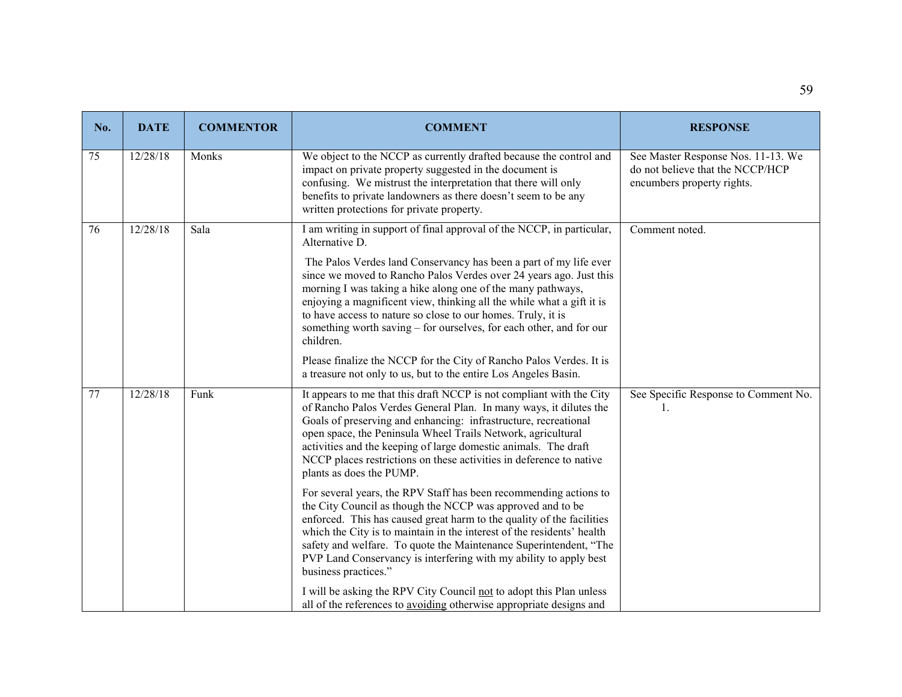| No. | <b>DATE</b> | <b>COMMENTOR</b> | <b>COMMENT</b>                                                                                                                                                                                                                                                                                                                                                                                                                                       | <b>RESPONSE</b>                                                                                      |
|-----|-------------|------------------|------------------------------------------------------------------------------------------------------------------------------------------------------------------------------------------------------------------------------------------------------------------------------------------------------------------------------------------------------------------------------------------------------------------------------------------------------|------------------------------------------------------------------------------------------------------|
| 75  | 12/28/18    | Monks            | We object to the NCCP as currently drafted because the control and<br>impact on private property suggested in the document is<br>confusing. We mistrust the interpretation that there will only<br>benefits to private landowners as there doesn't seem to be any<br>written protections for private property.                                                                                                                                       | See Master Response Nos. 11-13. We<br>do not believe that the NCCP/HCP<br>encumbers property rights. |
| 76  | 12/28/18    | Sala             | I am writing in support of final approval of the NCCP, in particular,<br>Alternative D.                                                                                                                                                                                                                                                                                                                                                              | Comment noted.                                                                                       |
|     |             |                  | The Palos Verdes land Conservancy has been a part of my life ever<br>since we moved to Rancho Palos Verdes over 24 years ago. Just this<br>morning I was taking a hike along one of the many pathways,<br>enjoying a magnificent view, thinking all the while what a gift it is<br>to have access to nature so close to our homes. Truly, it is<br>something worth saving – for ourselves, for each other, and for our<br>children.                  |                                                                                                      |
|     |             |                  | Please finalize the NCCP for the City of Rancho Palos Verdes. It is<br>a treasure not only to us, but to the entire Los Angeles Basin.                                                                                                                                                                                                                                                                                                               |                                                                                                      |
| 77  | 12/28/18    | Funk             | It appears to me that this draft NCCP is not compliant with the City<br>of Rancho Palos Verdes General Plan. In many ways, it dilutes the<br>Goals of preserving and enhancing: infrastructure, recreational<br>open space, the Peninsula Wheel Trails Network, agricultural<br>activities and the keeping of large domestic animals. The draft<br>NCCP places restrictions on these activities in deference to native<br>plants as does the PUMP.   | See Specific Response to Comment No.<br>-1.                                                          |
|     |             |                  | For several years, the RPV Staff has been recommending actions to<br>the City Council as though the NCCP was approved and to be<br>enforced. This has caused great harm to the quality of the facilities<br>which the City is to maintain in the interest of the residents' health<br>safety and welfare. To quote the Maintenance Superintendent, "The<br>PVP Land Conservancy is interfering with my ability to apply best<br>business practices." |                                                                                                      |
|     |             |                  | I will be asking the RPV City Council not to adopt this Plan unless<br>all of the references to avoiding otherwise appropriate designs and                                                                                                                                                                                                                                                                                                           |                                                                                                      |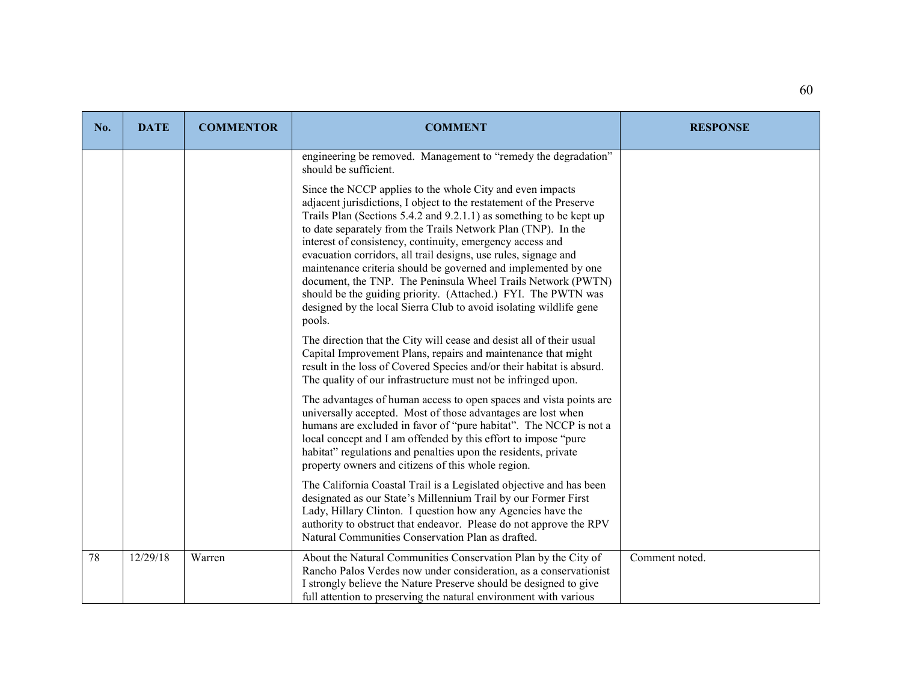| No. | <b>DATE</b> | <b>COMMENTOR</b> | <b>COMMENT</b>                                                                                                                                                                                                                                                                                                                                                                                                                                                                                                                                                                                                                                                                                                                                                                         | <b>RESPONSE</b> |
|-----|-------------|------------------|----------------------------------------------------------------------------------------------------------------------------------------------------------------------------------------------------------------------------------------------------------------------------------------------------------------------------------------------------------------------------------------------------------------------------------------------------------------------------------------------------------------------------------------------------------------------------------------------------------------------------------------------------------------------------------------------------------------------------------------------------------------------------------------|-----------------|
|     |             |                  | engineering be removed. Management to "remedy the degradation"<br>should be sufficient.<br>Since the NCCP applies to the whole City and even impacts<br>adjacent jurisdictions, I object to the restatement of the Preserve<br>Trails Plan (Sections 5.4.2 and 9.2.1.1) as something to be kept up<br>to date separately from the Trails Network Plan (TNP). In the<br>interest of consistency, continuity, emergency access and<br>evacuation corridors, all trail designs, use rules, signage and<br>maintenance criteria should be governed and implemented by one<br>document, the TNP. The Peninsula Wheel Trails Network (PWTN)<br>should be the guiding priority. (Attached.) FYI. The PWTN was<br>designed by the local Sierra Club to avoid isolating wildlife gene<br>pools. |                 |
|     |             |                  | The direction that the City will cease and desist all of their usual<br>Capital Improvement Plans, repairs and maintenance that might<br>result in the loss of Covered Species and/or their habitat is absurd.<br>The quality of our infrastructure must not be infringed upon.                                                                                                                                                                                                                                                                                                                                                                                                                                                                                                        |                 |
|     |             |                  | The advantages of human access to open spaces and vista points are<br>universally accepted. Most of those advantages are lost when<br>humans are excluded in favor of "pure habitat". The NCCP is not a<br>local concept and I am offended by this effort to impose "pure<br>habitat" regulations and penalties upon the residents, private<br>property owners and citizens of this whole region.                                                                                                                                                                                                                                                                                                                                                                                      |                 |
|     |             |                  | The California Coastal Trail is a Legislated objective and has been<br>designated as our State's Millennium Trail by our Former First<br>Lady, Hillary Clinton. I question how any Agencies have the<br>authority to obstruct that endeavor. Please do not approve the RPV<br>Natural Communities Conservation Plan as drafted.                                                                                                                                                                                                                                                                                                                                                                                                                                                        |                 |
| 78  | 12/29/18    | Warren           | About the Natural Communities Conservation Plan by the City of<br>Rancho Palos Verdes now under consideration, as a conservationist<br>I strongly believe the Nature Preserve should be designed to give<br>full attention to preserving the natural environment with various                                                                                                                                                                                                                                                                                                                                                                                                                                                                                                          | Comment noted.  |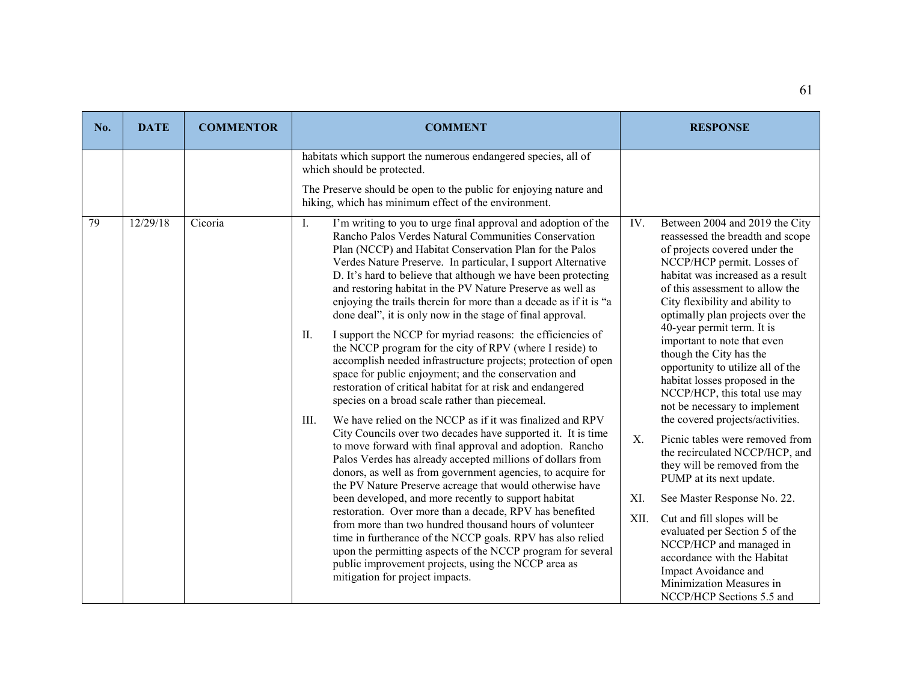| No. | <b>DATE</b> | <b>COMMENTOR</b> | <b>COMMENT</b>                                                                                                                                                                                                                                                                                                                                                                                                                                                                                                                                                                                                                                                                                                                                                                                                                                                                                                                                                                                                                                                                                                                                                                                                                                                                                                                                                                                                                                                                                                                                                                                                                                                                                   | <b>RESPONSE</b>                                                                                                                                                                                                                                                                                                                                                                                                                                                                                                                                                                                                                                                                                                                                                                                                                                                                                                                                               |
|-----|-------------|------------------|--------------------------------------------------------------------------------------------------------------------------------------------------------------------------------------------------------------------------------------------------------------------------------------------------------------------------------------------------------------------------------------------------------------------------------------------------------------------------------------------------------------------------------------------------------------------------------------------------------------------------------------------------------------------------------------------------------------------------------------------------------------------------------------------------------------------------------------------------------------------------------------------------------------------------------------------------------------------------------------------------------------------------------------------------------------------------------------------------------------------------------------------------------------------------------------------------------------------------------------------------------------------------------------------------------------------------------------------------------------------------------------------------------------------------------------------------------------------------------------------------------------------------------------------------------------------------------------------------------------------------------------------------------------------------------------------------|---------------------------------------------------------------------------------------------------------------------------------------------------------------------------------------------------------------------------------------------------------------------------------------------------------------------------------------------------------------------------------------------------------------------------------------------------------------------------------------------------------------------------------------------------------------------------------------------------------------------------------------------------------------------------------------------------------------------------------------------------------------------------------------------------------------------------------------------------------------------------------------------------------------------------------------------------------------|
|     |             |                  | habitats which support the numerous endangered species, all of<br>which should be protected.<br>The Preserve should be open to the public for enjoying nature and<br>hiking, which has minimum effect of the environment.                                                                                                                                                                                                                                                                                                                                                                                                                                                                                                                                                                                                                                                                                                                                                                                                                                                                                                                                                                                                                                                                                                                                                                                                                                                                                                                                                                                                                                                                        |                                                                                                                                                                                                                                                                                                                                                                                                                                                                                                                                                                                                                                                                                                                                                                                                                                                                                                                                                               |
| 79  | 12/29/18    | Cicoria          | I'm writing to you to urge final approval and adoption of the<br>Ι.<br>Rancho Palos Verdes Natural Communities Conservation<br>Plan (NCCP) and Habitat Conservation Plan for the Palos<br>Verdes Nature Preserve. In particular, I support Alternative<br>D. It's hard to believe that although we have been protecting<br>and restoring habitat in the PV Nature Preserve as well as<br>enjoying the trails therein for more than a decade as if it is "a<br>done deal", it is only now in the stage of final approval.<br>I support the NCCP for myriad reasons: the efficiencies of<br>П.<br>the NCCP program for the city of RPV (where I reside) to<br>accomplish needed infrastructure projects; protection of open<br>space for public enjoyment; and the conservation and<br>restoration of critical habitat for at risk and endangered<br>species on a broad scale rather than piecemeal.<br>We have relied on the NCCP as if it was finalized and RPV<br>III.<br>City Councils over two decades have supported it. It is time<br>to move forward with final approval and adoption. Rancho<br>Palos Verdes has already accepted millions of dollars from<br>donors, as well as from government agencies, to acquire for<br>the PV Nature Preserve acreage that would otherwise have<br>been developed, and more recently to support habitat<br>restoration. Over more than a decade, RPV has benefited<br>from more than two hundred thousand hours of volunteer<br>time in furtherance of the NCCP goals. RPV has also relied<br>upon the permitting aspects of the NCCP program for several<br>public improvement projects, using the NCCP area as<br>mitigation for project impacts. | IV.<br>Between 2004 and 2019 the City<br>reassessed the breadth and scope<br>of projects covered under the<br>NCCP/HCP permit. Losses of<br>habitat was increased as a result<br>of this assessment to allow the<br>City flexibility and ability to<br>optimally plan projects over the<br>40-year permit term. It is<br>important to note that even<br>though the City has the<br>opportunity to utilize all of the<br>habitat losses proposed in the<br>NCCP/HCP, this total use may<br>not be necessary to implement<br>the covered projects/activities.<br>X.<br>Picnic tables were removed from<br>the recirculated NCCP/HCP, and<br>they will be removed from the<br>PUMP at its next update.<br>XI.<br>See Master Response No. 22.<br>XII.<br>Cut and fill slopes will be<br>evaluated per Section 5 of the<br>NCCP/HCP and managed in<br>accordance with the Habitat<br>Impact Avoidance and<br>Minimization Measures in<br>NCCP/HCP Sections 5.5 and |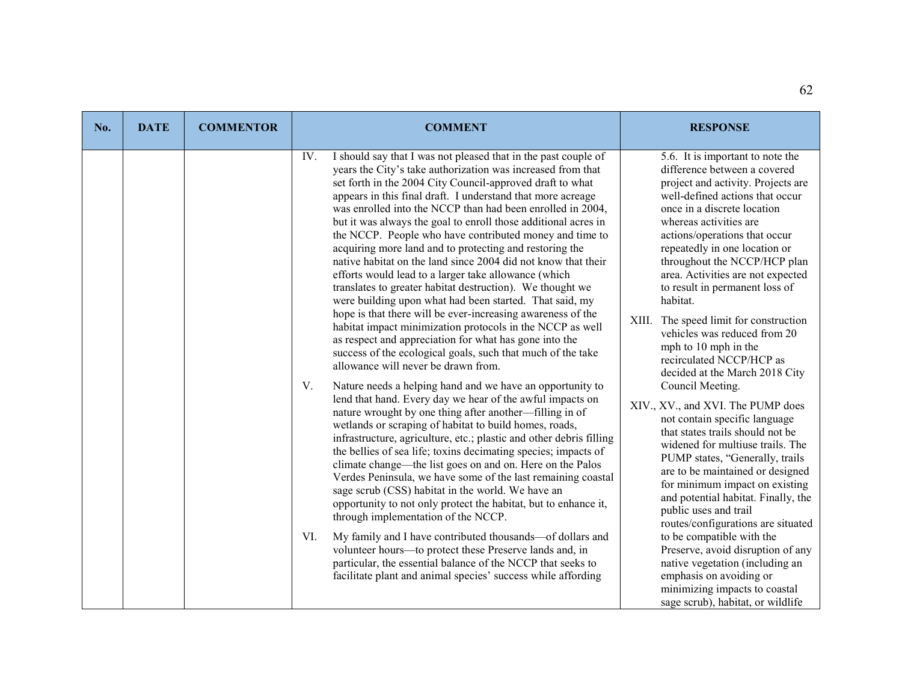| No. | <b>DATE</b> | <b>COMMENTOR</b> | <b>COMMENT</b>                                                                                                                                                                                                                                                                                                                                                                                                                                                                                                                                                                                                                                                                                                                                                                                                                                                                                                                                                                                                                                                                                                                                                                                                                                                                                                                                                                                                                                                                                                                                                                                                                                                                                                                                                                                                                                                                                                                                                                                                              | <b>RESPONSE</b>                                                                                                                                                                                                                                                                                                                                                                                                                                                                                                                                                                                                                                                                                                                                                                                                                                                                                                                                                                                                                                                                                                                                |
|-----|-------------|------------------|-----------------------------------------------------------------------------------------------------------------------------------------------------------------------------------------------------------------------------------------------------------------------------------------------------------------------------------------------------------------------------------------------------------------------------------------------------------------------------------------------------------------------------------------------------------------------------------------------------------------------------------------------------------------------------------------------------------------------------------------------------------------------------------------------------------------------------------------------------------------------------------------------------------------------------------------------------------------------------------------------------------------------------------------------------------------------------------------------------------------------------------------------------------------------------------------------------------------------------------------------------------------------------------------------------------------------------------------------------------------------------------------------------------------------------------------------------------------------------------------------------------------------------------------------------------------------------------------------------------------------------------------------------------------------------------------------------------------------------------------------------------------------------------------------------------------------------------------------------------------------------------------------------------------------------------------------------------------------------------------------------------------------------|------------------------------------------------------------------------------------------------------------------------------------------------------------------------------------------------------------------------------------------------------------------------------------------------------------------------------------------------------------------------------------------------------------------------------------------------------------------------------------------------------------------------------------------------------------------------------------------------------------------------------------------------------------------------------------------------------------------------------------------------------------------------------------------------------------------------------------------------------------------------------------------------------------------------------------------------------------------------------------------------------------------------------------------------------------------------------------------------------------------------------------------------|
|     |             |                  | I should say that I was not pleased that in the past couple of<br>IV.<br>years the City's take authorization was increased from that<br>set forth in the 2004 City Council-approved draft to what<br>appears in this final draft. I understand that more acreage<br>was enrolled into the NCCP than had been enrolled in 2004,<br>but it was always the goal to enroll those additional acres in<br>the NCCP. People who have contributed money and time to<br>acquiring more land and to protecting and restoring the<br>native habitat on the land since 2004 did not know that their<br>efforts would lead to a larger take allowance (which<br>translates to greater habitat destruction). We thought we<br>were building upon what had been started. That said, my<br>hope is that there will be ever-increasing awareness of the<br>habitat impact minimization protocols in the NCCP as well<br>as respect and appreciation for what has gone into the<br>success of the ecological goals, such that much of the take<br>allowance will never be drawn from.<br>Nature needs a helping hand and we have an opportunity to<br>V.<br>lend that hand. Every day we hear of the awful impacts on<br>nature wrought by one thing after another—filling in of<br>wetlands or scraping of habitat to build homes, roads,<br>infrastructure, agriculture, etc.; plastic and other debris filling<br>the bellies of sea life; toxins decimating species; impacts of<br>climate change—the list goes on and on. Here on the Palos<br>Verdes Peninsula, we have some of the last remaining coastal<br>sage scrub (CSS) habitat in the world. We have an<br>opportunity to not only protect the habitat, but to enhance it,<br>through implementation of the NCCP.<br>VI.<br>My family and I have contributed thousands-of dollars and<br>volunteer hours-to protect these Preserve lands and, in<br>particular, the essential balance of the NCCP that seeks to<br>facilitate plant and animal species' success while affording | 5.6. It is important to note the<br>difference between a covered<br>project and activity. Projects are<br>well-defined actions that occur<br>once in a discrete location<br>whereas activities are<br>actions/operations that occur<br>repeatedly in one location or<br>throughout the NCCP/HCP plan<br>area. Activities are not expected<br>to result in permanent loss of<br>habitat.<br>XIII. The speed limit for construction<br>vehicles was reduced from 20<br>mph to 10 mph in the<br>recirculated NCCP/HCP as<br>decided at the March 2018 City<br>Council Meeting.<br>XIV., XV., and XVI. The PUMP does<br>not contain specific language<br>that states trails should not be<br>widened for multiuse trails. The<br>PUMP states, "Generally, trails<br>are to be maintained or designed<br>for minimum impact on existing<br>and potential habitat. Finally, the<br>public uses and trail<br>routes/configurations are situated<br>to be compatible with the<br>Preserve, avoid disruption of any<br>native vegetation (including an<br>emphasis on avoiding or<br>minimizing impacts to coastal<br>sage scrub), habitat, or wildlife |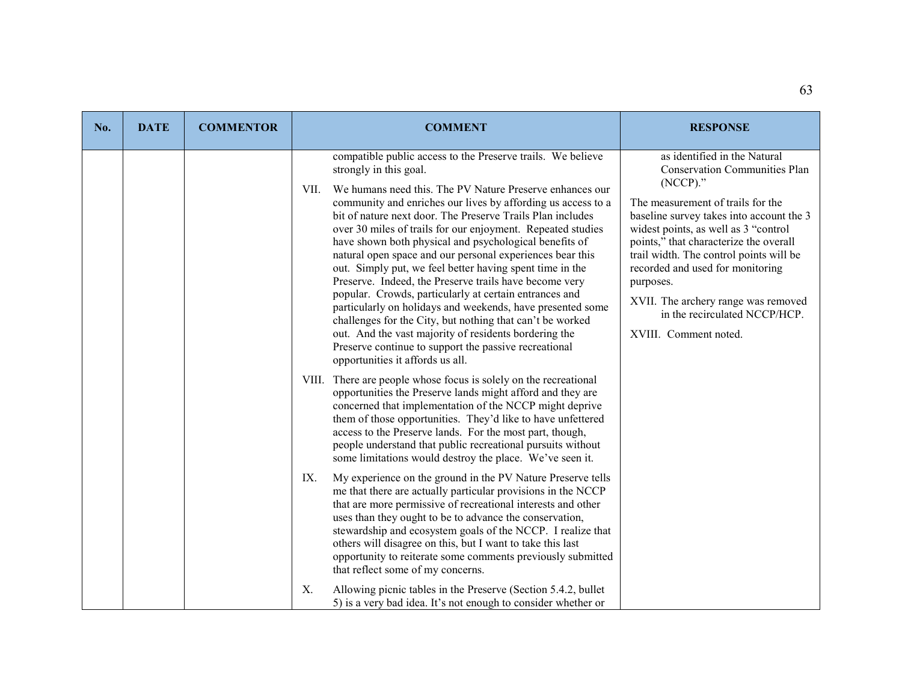| No. | <b>DATE</b> | <b>COMMENTOR</b> | <b>COMMENT</b>                                                                                                                                                                                                                                                                                                                                                                                                                                                                                                                                                                                                                                                                                                                                                                                                                                                                                                                                 | <b>RESPONSE</b>                                                                                                                                                                                                                                                                                                                                                                                                                                     |
|-----|-------------|------------------|------------------------------------------------------------------------------------------------------------------------------------------------------------------------------------------------------------------------------------------------------------------------------------------------------------------------------------------------------------------------------------------------------------------------------------------------------------------------------------------------------------------------------------------------------------------------------------------------------------------------------------------------------------------------------------------------------------------------------------------------------------------------------------------------------------------------------------------------------------------------------------------------------------------------------------------------|-----------------------------------------------------------------------------------------------------------------------------------------------------------------------------------------------------------------------------------------------------------------------------------------------------------------------------------------------------------------------------------------------------------------------------------------------------|
|     |             |                  | compatible public access to the Preserve trails. We believe<br>strongly in this goal.<br>We humans need this. The PV Nature Preserve enhances our<br>VII.<br>community and enriches our lives by affording us access to a<br>bit of nature next door. The Preserve Trails Plan includes<br>over 30 miles of trails for our enjoyment. Repeated studies<br>have shown both physical and psychological benefits of<br>natural open space and our personal experiences bear this<br>out. Simply put, we feel better having spent time in the<br>Preserve. Indeed, the Preserve trails have become very<br>popular. Crowds, particularly at certain entrances and<br>particularly on holidays and weekends, have presented some<br>challenges for the City, but nothing that can't be worked<br>out. And the vast majority of residents bordering the<br>Preserve continue to support the passive recreational<br>opportunities it affords us all. | as identified in the Natural<br><b>Conservation Communities Plan</b><br>$(NCCP)$ ."<br>The measurement of trails for the<br>baseline survey takes into account the 3<br>widest points, as well as 3 "control<br>points," that characterize the overall<br>trail width. The control points will be<br>recorded and used for monitoring<br>purposes.<br>XVII. The archery range was removed<br>in the recirculated NCCP/HCP.<br>XVIII. Comment noted. |
|     |             |                  | VIII. There are people whose focus is solely on the recreational<br>opportunities the Preserve lands might afford and they are<br>concerned that implementation of the NCCP might deprive<br>them of those opportunities. They'd like to have unfettered<br>access to the Preserve lands. For the most part, though,<br>people understand that public recreational pursuits without<br>some limitations would destroy the place. We've seen it.                                                                                                                                                                                                                                                                                                                                                                                                                                                                                                |                                                                                                                                                                                                                                                                                                                                                                                                                                                     |
|     |             |                  | IX.<br>My experience on the ground in the PV Nature Preserve tells<br>me that there are actually particular provisions in the NCCP<br>that are more permissive of recreational interests and other<br>uses than they ought to be to advance the conservation,<br>stewardship and ecosystem goals of the NCCP. I realize that<br>others will disagree on this, but I want to take this last<br>opportunity to reiterate some comments previously submitted<br>that reflect some of my concerns.                                                                                                                                                                                                                                                                                                                                                                                                                                                 |                                                                                                                                                                                                                                                                                                                                                                                                                                                     |
|     |             |                  | Allowing picnic tables in the Preserve (Section 5.4.2, bullet<br>Χ.<br>5) is a very bad idea. It's not enough to consider whether or                                                                                                                                                                                                                                                                                                                                                                                                                                                                                                                                                                                                                                                                                                                                                                                                           |                                                                                                                                                                                                                                                                                                                                                                                                                                                     |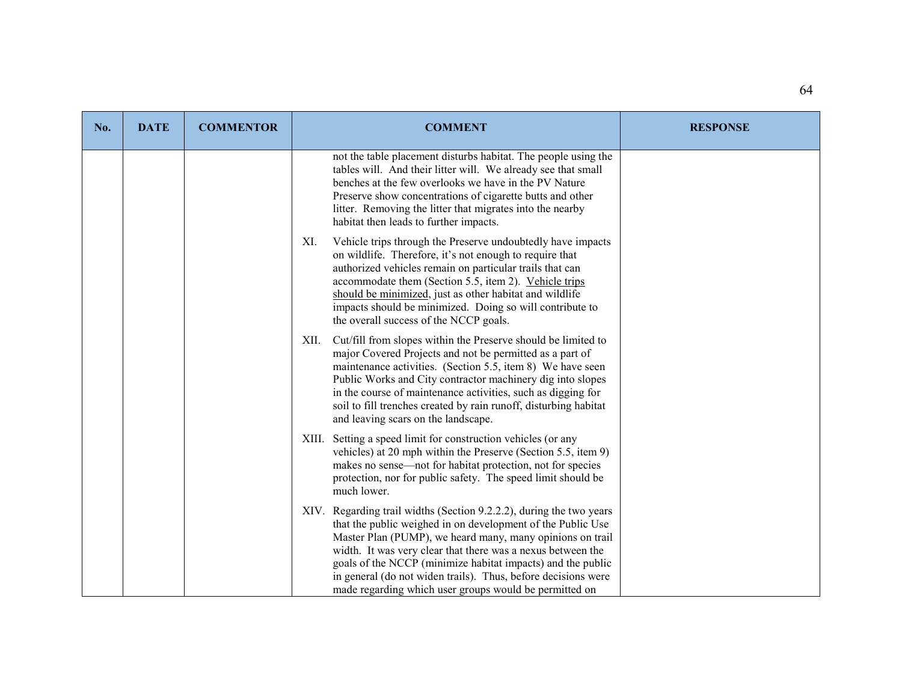| No. | <b>DATE</b> | <b>COMMENTOR</b> | <b>COMMENT</b>                                                                                                                                                                                                                                                                                                                                                                                                                                           | <b>RESPONSE</b> |
|-----|-------------|------------------|----------------------------------------------------------------------------------------------------------------------------------------------------------------------------------------------------------------------------------------------------------------------------------------------------------------------------------------------------------------------------------------------------------------------------------------------------------|-----------------|
|     |             |                  | not the table placement disturbs habitat. The people using the<br>tables will. And their litter will. We already see that small<br>benches at the few overlooks we have in the PV Nature<br>Preserve show concentrations of cigarette butts and other<br>litter. Removing the litter that migrates into the nearby<br>habitat then leads to further impacts.                                                                                             |                 |
|     |             |                  | Vehicle trips through the Preserve undoubtedly have impacts<br>XI.<br>on wildlife. Therefore, it's not enough to require that<br>authorized vehicles remain on particular trails that can<br>accommodate them (Section 5.5, item 2). Vehicle trips<br>should be minimized, just as other habitat and wildlife<br>impacts should be minimized. Doing so will contribute to<br>the overall success of the NCCP goals.                                      |                 |
|     |             |                  | Cut/fill from slopes within the Preserve should be limited to<br>XII.<br>major Covered Projects and not be permitted as a part of<br>maintenance activities. (Section 5.5, item 8) We have seen<br>Public Works and City contractor machinery dig into slopes<br>in the course of maintenance activities, such as digging for<br>soil to fill trenches created by rain runoff, disturbing habitat<br>and leaving scars on the landscape.                 |                 |
|     |             |                  | XIII. Setting a speed limit for construction vehicles (or any<br>vehicles) at 20 mph within the Preserve (Section 5.5, item 9)<br>makes no sense—not for habitat protection, not for species<br>protection, nor for public safety. The speed limit should be<br>much lower.                                                                                                                                                                              |                 |
|     |             |                  | XIV. Regarding trail widths (Section 9.2.2.2), during the two years<br>that the public weighed in on development of the Public Use<br>Master Plan (PUMP), we heard many, many opinions on trail<br>width. It was very clear that there was a nexus between the<br>goals of the NCCP (minimize habitat impacts) and the public<br>in general (do not widen trails). Thus, before decisions were<br>made regarding which user groups would be permitted on |                 |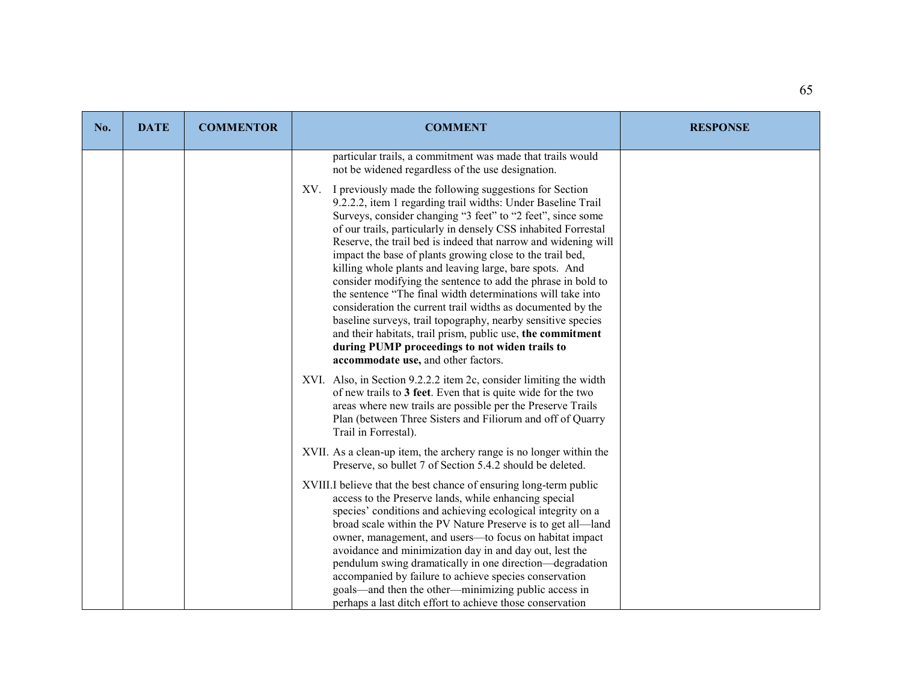| No. | <b>DATE</b> | <b>COMMENTOR</b> | <b>COMMENT</b>                                                                                                                                                                                                                                                                                                                                                                                                                                                                                                                                                                                                                                                                                                                                                                                                                                                               | <b>RESPONSE</b> |
|-----|-------------|------------------|------------------------------------------------------------------------------------------------------------------------------------------------------------------------------------------------------------------------------------------------------------------------------------------------------------------------------------------------------------------------------------------------------------------------------------------------------------------------------------------------------------------------------------------------------------------------------------------------------------------------------------------------------------------------------------------------------------------------------------------------------------------------------------------------------------------------------------------------------------------------------|-----------------|
|     |             |                  | particular trails, a commitment was made that trails would<br>not be widened regardless of the use designation.                                                                                                                                                                                                                                                                                                                                                                                                                                                                                                                                                                                                                                                                                                                                                              |                 |
|     |             |                  | XV. I previously made the following suggestions for Section<br>9.2.2.2, item 1 regarding trail widths: Under Baseline Trail<br>Surveys, consider changing "3 feet" to "2 feet", since some<br>of our trails, particularly in densely CSS inhabited Forrestal<br>Reserve, the trail bed is indeed that narrow and widening will<br>impact the base of plants growing close to the trail bed,<br>killing whole plants and leaving large, bare spots. And<br>consider modifying the sentence to add the phrase in bold to<br>the sentence "The final width determinations will take into<br>consideration the current trail widths as documented by the<br>baseline surveys, trail topography, nearby sensitive species<br>and their habitats, trail prism, public use, the commitment<br>during PUMP proceedings to not widen trails to<br>accommodate use, and other factors. |                 |
|     |             |                  | XVI. Also, in Section 9.2.2.2 item 2c, consider limiting the width<br>of new trails to 3 feet. Even that is quite wide for the two<br>areas where new trails are possible per the Preserve Trails<br>Plan (between Three Sisters and Filiorum and off of Quarry<br>Trail in Forrestal).                                                                                                                                                                                                                                                                                                                                                                                                                                                                                                                                                                                      |                 |
|     |             |                  | XVII. As a clean-up item, the archery range is no longer within the<br>Preserve, so bullet 7 of Section 5.4.2 should be deleted.                                                                                                                                                                                                                                                                                                                                                                                                                                                                                                                                                                                                                                                                                                                                             |                 |
|     |             |                  | XVIII.I believe that the best chance of ensuring long-term public<br>access to the Preserve lands, while enhancing special<br>species' conditions and achieving ecological integrity on a<br>broad scale within the PV Nature Preserve is to get all-land<br>owner, management, and users-to focus on habitat impact<br>avoidance and minimization day in and day out, lest the<br>pendulum swing dramatically in one direction—degradation<br>accompanied by failure to achieve species conservation                                                                                                                                                                                                                                                                                                                                                                        |                 |
|     |             |                  | goals—and then the other—minimizing public access in<br>perhaps a last ditch effort to achieve those conservation                                                                                                                                                                                                                                                                                                                                                                                                                                                                                                                                                                                                                                                                                                                                                            |                 |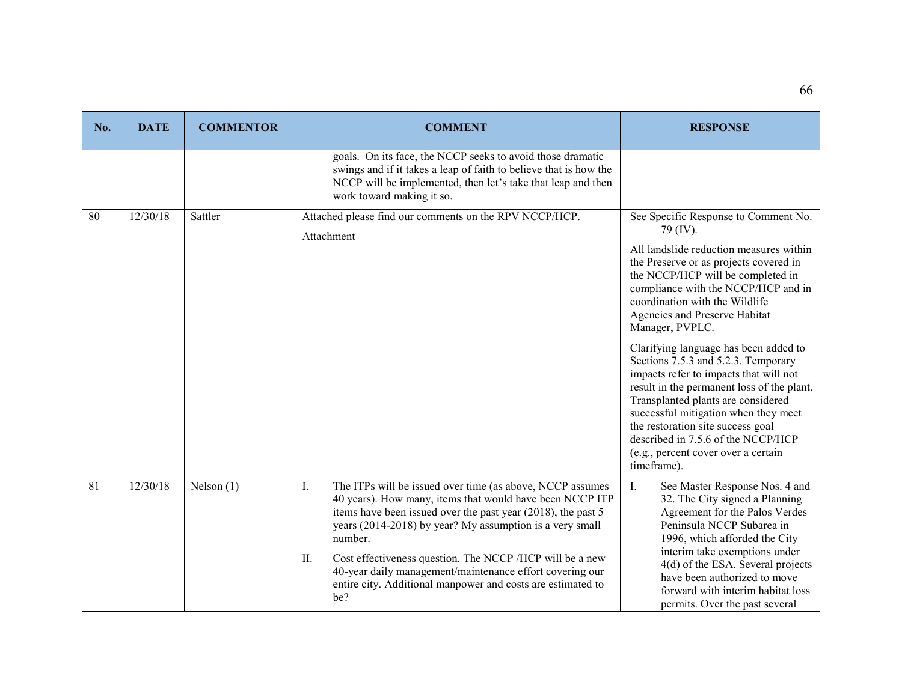| No. | <b>DATE</b> | <b>COMMENTOR</b> | <b>COMMENT</b>                                                                                                                                                                                                                                                                                                                                                                                                                                                         | <b>RESPONSE</b>                                                                                                                                                                                                                                                                                                                                                                                                                                                                                                                                                                                                                                                                 |
|-----|-------------|------------------|------------------------------------------------------------------------------------------------------------------------------------------------------------------------------------------------------------------------------------------------------------------------------------------------------------------------------------------------------------------------------------------------------------------------------------------------------------------------|---------------------------------------------------------------------------------------------------------------------------------------------------------------------------------------------------------------------------------------------------------------------------------------------------------------------------------------------------------------------------------------------------------------------------------------------------------------------------------------------------------------------------------------------------------------------------------------------------------------------------------------------------------------------------------|
|     |             |                  | goals. On its face, the NCCP seeks to avoid those dramatic<br>swings and if it takes a leap of faith to believe that is how the<br>NCCP will be implemented, then let's take that leap and then<br>work toward making it so.                                                                                                                                                                                                                                           |                                                                                                                                                                                                                                                                                                                                                                                                                                                                                                                                                                                                                                                                                 |
| 80  | 12/30/18    | Sattler          | Attached please find our comments on the RPV NCCP/HCP.<br>Attachment                                                                                                                                                                                                                                                                                                                                                                                                   | See Specific Response to Comment No.<br>79 (IV).<br>All landslide reduction measures within<br>the Preserve or as projects covered in<br>the NCCP/HCP will be completed in<br>compliance with the NCCP/HCP and in<br>coordination with the Wildlife<br>Agencies and Preserve Habitat<br>Manager, PVPLC.<br>Clarifying language has been added to<br>Sections 7.5.3 and 5.2.3. Temporary<br>impacts refer to impacts that will not<br>result in the permanent loss of the plant.<br>Transplanted plants are considered<br>successful mitigation when they meet<br>the restoration site success goal<br>described in 7.5.6 of the NCCP/HCP<br>(e.g., percent cover over a certain |
| 81  | 12/30/18    | Nelson $(1)$     | The ITPs will be issued over time (as above, NCCP assumes<br>Ι.<br>40 years). How many, items that would have been NCCP ITP<br>items have been issued over the past year (2018), the past 5<br>years (2014-2018) by year? My assumption is a very small<br>number.<br>Cost effectiveness question. The NCCP /HCP will be a new<br>П.<br>40-year daily management/maintenance effort covering our<br>entire city. Additional manpower and costs are estimated to<br>be? | timeframe).<br>$\mathbf{I}$ .<br>See Master Response Nos. 4 and<br>32. The City signed a Planning<br>Agreement for the Palos Verdes<br>Peninsula NCCP Subarea in<br>1996, which afforded the City<br>interim take exemptions under<br>4(d) of the ESA. Several projects<br>have been authorized to move<br>forward with interim habitat loss<br>permits. Over the past several                                                                                                                                                                                                                                                                                                  |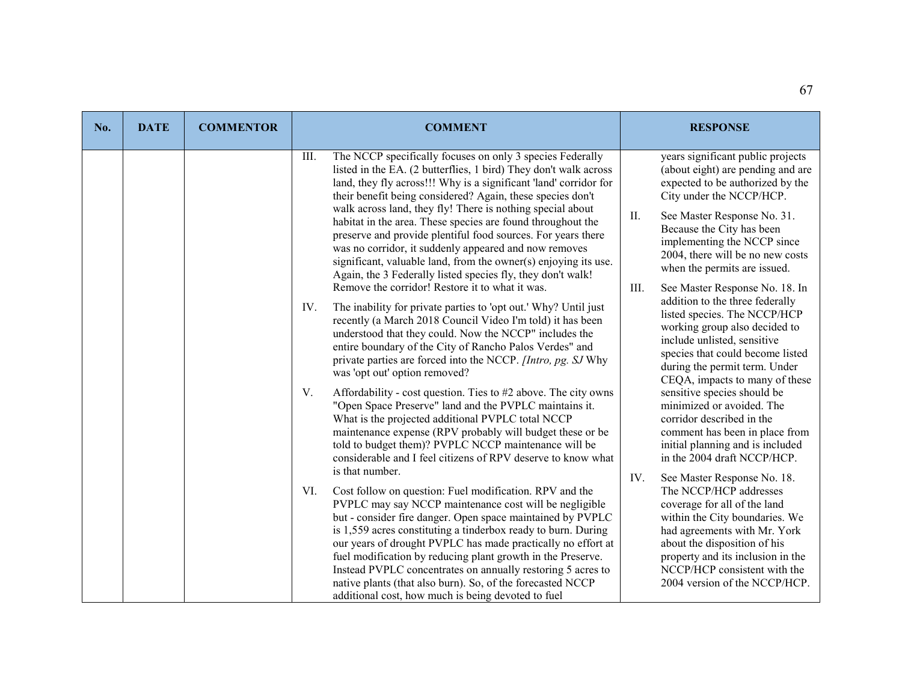| No. | <b>DATE</b> | <b>COMMENTOR</b> | <b>COMMENT</b>                                                                                                                                                                                                                                                                                                                                                                                                                                                                                                                                                            | <b>RESPONSE</b>                                                                                                                                                                                                                                                                |
|-----|-------------|------------------|---------------------------------------------------------------------------------------------------------------------------------------------------------------------------------------------------------------------------------------------------------------------------------------------------------------------------------------------------------------------------------------------------------------------------------------------------------------------------------------------------------------------------------------------------------------------------|--------------------------------------------------------------------------------------------------------------------------------------------------------------------------------------------------------------------------------------------------------------------------------|
|     |             |                  | The NCCP specifically focuses on only 3 species Federally<br>III.<br>listed in the EA. (2 butterflies, 1 bird) They don't walk across<br>land, they fly across!!! Why is a significant 'land' corridor for<br>their benefit being considered? Again, these species don't                                                                                                                                                                                                                                                                                                  | years significant public projects<br>(about eight) are pending and are<br>expected to be authorized by the<br>City under the NCCP/HCP.                                                                                                                                         |
|     |             |                  | walk across land, they fly! There is nothing special about<br>habitat in the area. These species are found throughout the<br>preserve and provide plentiful food sources. For years there<br>was no corridor, it suddenly appeared and now removes<br>significant, valuable land, from the owner(s) enjoying its use.<br>Again, the 3 Federally listed species fly, they don't walk!                                                                                                                                                                                      | II.<br>See Master Response No. 31.<br>Because the City has been<br>implementing the NCCP since<br>2004, there will be no new costs<br>when the permits are issued.                                                                                                             |
|     |             |                  | Remove the corridor! Restore it to what it was.<br>The inability for private parties to 'opt out.' Why? Until just<br>IV.<br>recently (a March 2018 Council Video I'm told) it has been<br>understood that they could. Now the NCCP" includes the<br>entire boundary of the City of Rancho Palos Verdes" and<br>private parties are forced into the NCCP. [Intro, pg. SJ Why<br>was 'opt out' option removed?                                                                                                                                                             | Ш.<br>See Master Response No. 18. In<br>addition to the three federally<br>listed species. The NCCP/HCP<br>working group also decided to<br>include unlisted, sensitive<br>species that could become listed<br>during the permit term. Under<br>CEQA, impacts to many of these |
|     |             |                  | V.<br>Affordability - cost question. Ties to #2 above. The city owns<br>"Open Space Preserve" land and the PVPLC maintains it.<br>What is the projected additional PVPLC total NCCP<br>maintenance expense (RPV probably will budget these or be<br>told to budget them)? PVPLC NCCP maintenance will be<br>considerable and I feel citizens of RPV deserve to know what<br>is that number.                                                                                                                                                                               | sensitive species should be<br>minimized or avoided. The<br>corridor described in the<br>comment has been in place from<br>initial planning and is included<br>in the 2004 draft NCCP/HCP.<br>IV.<br>See Master Response No. 18.                                               |
|     |             |                  | Cost follow on question: Fuel modification. RPV and the<br>VI.<br>PVPLC may say NCCP maintenance cost will be negligible<br>but - consider fire danger. Open space maintained by PVPLC<br>is 1,559 acres constituting a tinderbox ready to burn. During<br>our years of drought PVPLC has made practically no effort at<br>fuel modification by reducing plant growth in the Preserve.<br>Instead PVPLC concentrates on annually restoring 5 acres to<br>native plants (that also burn). So, of the forecasted NCCP<br>additional cost, how much is being devoted to fuel | The NCCP/HCP addresses<br>coverage for all of the land<br>within the City boundaries. We<br>had agreements with Mr. York<br>about the disposition of his<br>property and its inclusion in the<br>NCCP/HCP consistent with the<br>2004 version of the NCCP/HCP.                 |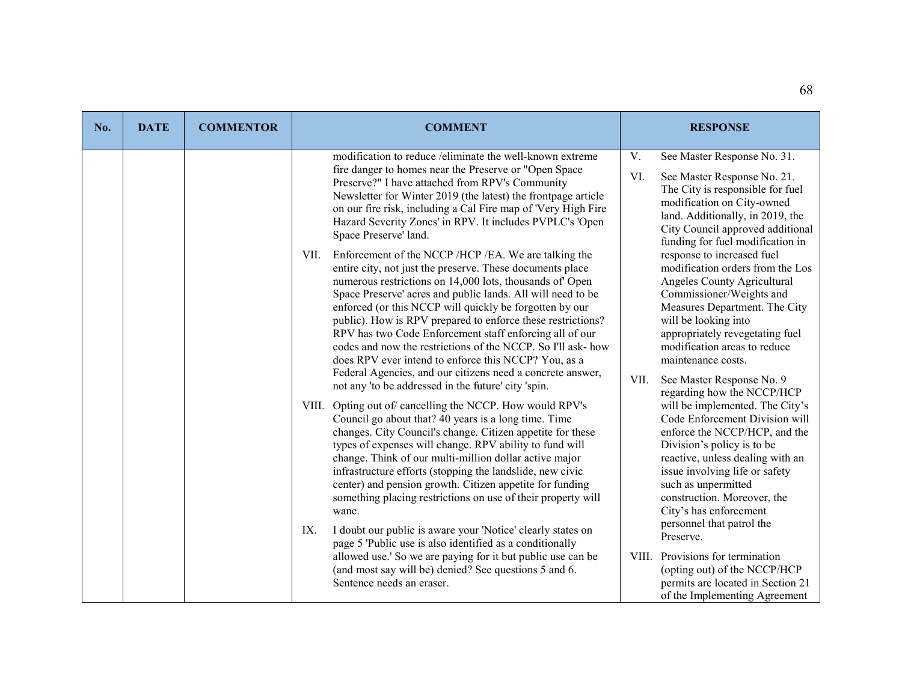| No. | <b>DATE</b> | <b>COMMENTOR</b> | <b>COMMENT</b>                                                                                                                                                                                                                                                                                                                                                                                                                                                                                                                                                                                                                                                                                                                                                                                                                                                                                                                                                                                                                                                                                                                                                                                           | <b>RESPONSE</b>                                                                                                                                                                                                                                                                                                                                                                                                                                                                                                                                                                                                                                                              |
|-----|-------------|------------------|----------------------------------------------------------------------------------------------------------------------------------------------------------------------------------------------------------------------------------------------------------------------------------------------------------------------------------------------------------------------------------------------------------------------------------------------------------------------------------------------------------------------------------------------------------------------------------------------------------------------------------------------------------------------------------------------------------------------------------------------------------------------------------------------------------------------------------------------------------------------------------------------------------------------------------------------------------------------------------------------------------------------------------------------------------------------------------------------------------------------------------------------------------------------------------------------------------|------------------------------------------------------------------------------------------------------------------------------------------------------------------------------------------------------------------------------------------------------------------------------------------------------------------------------------------------------------------------------------------------------------------------------------------------------------------------------------------------------------------------------------------------------------------------------------------------------------------------------------------------------------------------------|
|     |             |                  | modification to reduce /eliminate the well-known extreme<br>fire danger to homes near the Preserve or "Open Space<br>Preserve?" I have attached from RPV's Community<br>Newsletter for Winter 2019 (the latest) the frontpage article<br>on our fire risk, including a Cal Fire map of 'Very High Fire<br>Hazard Severity Zones' in RPV. It includes PVPLC's 'Open<br>Space Preserve' land.<br>Enforcement of the NCCP /HCP /EA. We are talking the<br>VII.<br>entire city, not just the preserve. These documents place<br>numerous restrictions on 14,000 lots, thousands of Open<br>Space Preserve' acres and public lands. All will need to be<br>enforced (or this NCCP will quickly be forgotten by our<br>public). How is RPV prepared to enforce these restrictions?<br>RPV has two Code Enforcement staff enforcing all of our<br>codes and now the restrictions of the NCCP. So I'll ask- how<br>does RPV ever intend to enforce this NCCP? You, as a<br>Federal Agencies, and our citizens need a concrete answer,<br>not any 'to be addressed in the future' city 'spin.<br>VIII. Opting out of cancelling the NCCP. How would RPV's<br>Council go about that? 40 years is a long time. Time | V.<br>See Master Response No. 31.<br>VI.<br>See Master Response No. 21.<br>The City is responsible for fuel<br>modification on City-owned<br>land. Additionally, in 2019, the<br>City Council approved additional<br>funding for fuel modification in<br>response to increased fuel<br>modification orders from the Los<br>Angeles County Agricultural<br>Commissioner/Weights and<br>Measures Department. The City<br>will be looking into<br>appropriately revegetating fuel<br>modification areas to reduce<br>maintenance costs.<br>VII.<br>See Master Response No. 9<br>regarding how the NCCP/HCP<br>will be implemented. The City's<br>Code Enforcement Division will |
|     |             |                  | changes. City Council's change. Citizen appetite for these<br>types of expenses will change. RPV ability to fund will<br>change. Think of our multi-million dollar active major<br>infrastructure efforts (stopping the landslide, new civic<br>center) and pension growth. Citizen appetite for funding<br>something placing restrictions on use of their property will<br>wane.<br>IX.<br>I doubt our public is aware your 'Notice' clearly states on<br>page 5 'Public use is also identified as a conditionally<br>allowed use.' So we are paying for it but public use can be<br>(and most say will be) denied? See questions 5 and 6.<br>Sentence needs an eraser.                                                                                                                                                                                                                                                                                                                                                                                                                                                                                                                                 | enforce the NCCP/HCP, and the<br>Division's policy is to be<br>reactive, unless dealing with an<br>issue involving life or safety<br>such as unpermitted<br>construction. Moreover, the<br>City's has enforcement<br>personnel that patrol the<br>Preserve.<br>VIII. Provisions for termination<br>(opting out) of the NCCP/HCP<br>permits are located in Section 21<br>of the Implementing Agreement                                                                                                                                                                                                                                                                        |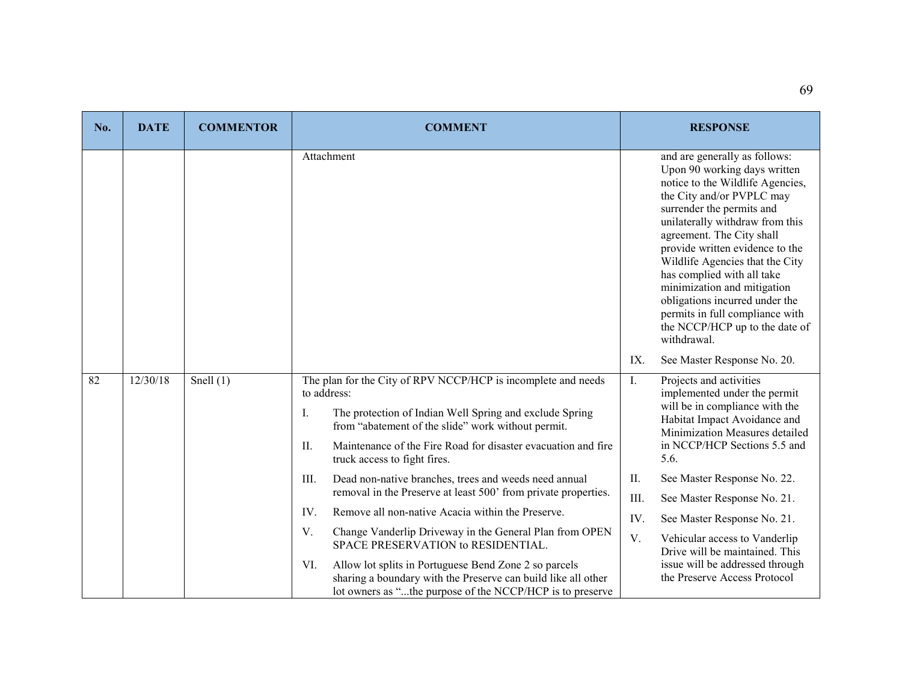| No. | <b>DATE</b> | <b>COMMENTOR</b> | <b>COMMENT</b>                                                                                                                                                                                                                                                                                              |      | <b>RESPONSE</b>                                                                                                                                                                                                                                                                                                                                                                                                                                                                      |
|-----|-------------|------------------|-------------------------------------------------------------------------------------------------------------------------------------------------------------------------------------------------------------------------------------------------------------------------------------------------------------|------|--------------------------------------------------------------------------------------------------------------------------------------------------------------------------------------------------------------------------------------------------------------------------------------------------------------------------------------------------------------------------------------------------------------------------------------------------------------------------------------|
|     |             |                  | Attachment                                                                                                                                                                                                                                                                                                  |      | and are generally as follows:<br>Upon 90 working days written<br>notice to the Wildlife Agencies,<br>the City and/or PVPLC may<br>surrender the permits and<br>unilaterally withdraw from this<br>agreement. The City shall<br>provide written evidence to the<br>Wildlife Agencies that the City<br>has complied with all take<br>minimization and mitigation<br>obligations incurred under the<br>permits in full compliance with<br>the NCCP/HCP up to the date of<br>withdrawal. |
|     |             |                  |                                                                                                                                                                                                                                                                                                             | IX.  | See Master Response No. 20.                                                                                                                                                                                                                                                                                                                                                                                                                                                          |
| 82  | 12/30/18    | Snell $(1)$      | The plan for the City of RPV NCCP/HCP is incomplete and needs<br>to address:<br>Ι.<br>The protection of Indian Well Spring and exclude Spring<br>from "abatement of the slide" work without permit.<br>II.<br>Maintenance of the Fire Road for disaster evacuation and fire<br>truck access to fight fires. | I.   | Projects and activities<br>implemented under the permit<br>will be in compliance with the<br>Habitat Impact Avoidance and<br>Minimization Measures detailed<br>in NCCP/HCP Sections 5.5 and<br>5.6.                                                                                                                                                                                                                                                                                  |
|     |             |                  | Dead non-native branches, trees and weeds need annual<br>III.                                                                                                                                                                                                                                               | II.  | See Master Response No. 22.                                                                                                                                                                                                                                                                                                                                                                                                                                                          |
|     |             |                  | removal in the Preserve at least 500' from private properties.                                                                                                                                                                                                                                              | III. | See Master Response No. 21.                                                                                                                                                                                                                                                                                                                                                                                                                                                          |
|     |             |                  | IV.<br>Remove all non-native Acacia within the Preserve.                                                                                                                                                                                                                                                    | IV.  | See Master Response No. 21.                                                                                                                                                                                                                                                                                                                                                                                                                                                          |
|     |             |                  | Change Vanderlip Driveway in the General Plan from OPEN<br>V.<br>SPACE PRESERVATION to RESIDENTIAL.<br>Allow lot splits in Portuguese Bend Zone 2 so parcels<br>VI.<br>sharing a boundary with the Preserve can build like all other<br>lot owners as "the purpose of the NCCP/HCP is to preserve           | V.   | Vehicular access to Vanderlip<br>Drive will be maintained. This<br>issue will be addressed through<br>the Preserve Access Protocol                                                                                                                                                                                                                                                                                                                                                   |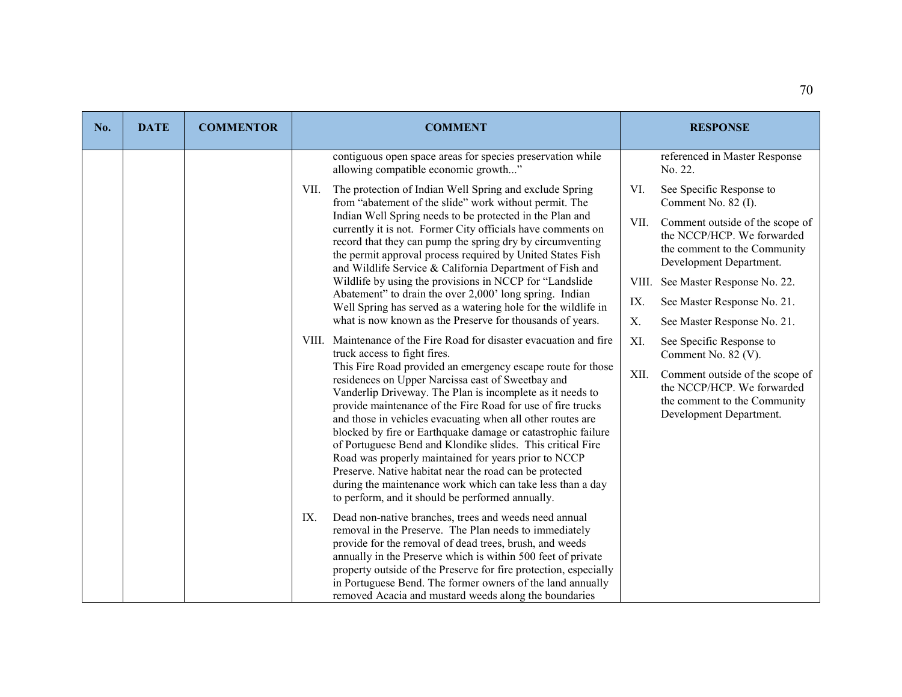| No. | <b>DATE</b> | <b>COMMENTOR</b> | <b>COMMENT</b>                                                                                                                                                                                                                                                                                                                                                                                                                                                                                                                                                                                                                                                                | <b>RESPONSE</b>                                                                                                                  |
|-----|-------------|------------------|-------------------------------------------------------------------------------------------------------------------------------------------------------------------------------------------------------------------------------------------------------------------------------------------------------------------------------------------------------------------------------------------------------------------------------------------------------------------------------------------------------------------------------------------------------------------------------------------------------------------------------------------------------------------------------|----------------------------------------------------------------------------------------------------------------------------------|
|     |             |                  | contiguous open space areas for species preservation while<br>allowing compatible economic growth"                                                                                                                                                                                                                                                                                                                                                                                                                                                                                                                                                                            | referenced in Master Response<br>No. 22.                                                                                         |
|     |             |                  | The protection of Indian Well Spring and exclude Spring<br>VII.<br>from "abatement of the slide" work without permit. The                                                                                                                                                                                                                                                                                                                                                                                                                                                                                                                                                     | VI.<br>See Specific Response to<br>Comment No. 82 (I).                                                                           |
|     |             |                  | Indian Well Spring needs to be protected in the Plan and<br>currently it is not. Former City officials have comments on<br>record that they can pump the spring dry by circumventing<br>the permit approval process required by United States Fish<br>and Wildlife Service & California Department of Fish and                                                                                                                                                                                                                                                                                                                                                                | VII.<br>Comment outside of the scope of<br>the NCCP/HCP. We forwarded<br>the comment to the Community<br>Development Department. |
|     |             |                  | Wildlife by using the provisions in NCCP for "Landslide                                                                                                                                                                                                                                                                                                                                                                                                                                                                                                                                                                                                                       | See Master Response No. 22.<br>VIII.                                                                                             |
|     |             |                  | Abatement" to drain the over 2,000' long spring. Indian<br>Well Spring has served as a watering hole for the wildlife in                                                                                                                                                                                                                                                                                                                                                                                                                                                                                                                                                      | IX.<br>See Master Response No. 21.                                                                                               |
|     |             |                  | what is now known as the Preserve for thousands of years.                                                                                                                                                                                                                                                                                                                                                                                                                                                                                                                                                                                                                     | X.<br>See Master Response No. 21.                                                                                                |
|     |             |                  | VIII. Maintenance of the Fire Road for disaster evacuation and fire<br>truck access to fight fires.                                                                                                                                                                                                                                                                                                                                                                                                                                                                                                                                                                           | XI.<br>See Specific Response to<br>Comment No. 82 (V).                                                                           |
|     |             |                  | This Fire Road provided an emergency escape route for those<br>residences on Upper Narcissa east of Sweetbay and<br>Vanderlip Driveway. The Plan is incomplete as it needs to<br>provide maintenance of the Fire Road for use of fire trucks<br>and those in vehicles evacuating when all other routes are<br>blocked by fire or Earthquake damage or catastrophic failure<br>of Portuguese Bend and Klondike slides. This critical Fire<br>Road was properly maintained for years prior to NCCP<br>Preserve. Native habitat near the road can be protected<br>during the maintenance work which can take less than a day<br>to perform, and it should be performed annually. | XII.<br>Comment outside of the scope of<br>the NCCP/HCP. We forwarded<br>the comment to the Community<br>Development Department. |
|     |             |                  | IX.<br>Dead non-native branches, trees and weeds need annual<br>removal in the Preserve. The Plan needs to immediately<br>provide for the removal of dead trees, brush, and weeds<br>annually in the Preserve which is within 500 feet of private<br>property outside of the Preserve for fire protection, especially<br>in Portuguese Bend. The former owners of the land annually<br>removed Acacia and mustard weeds along the boundaries                                                                                                                                                                                                                                  |                                                                                                                                  |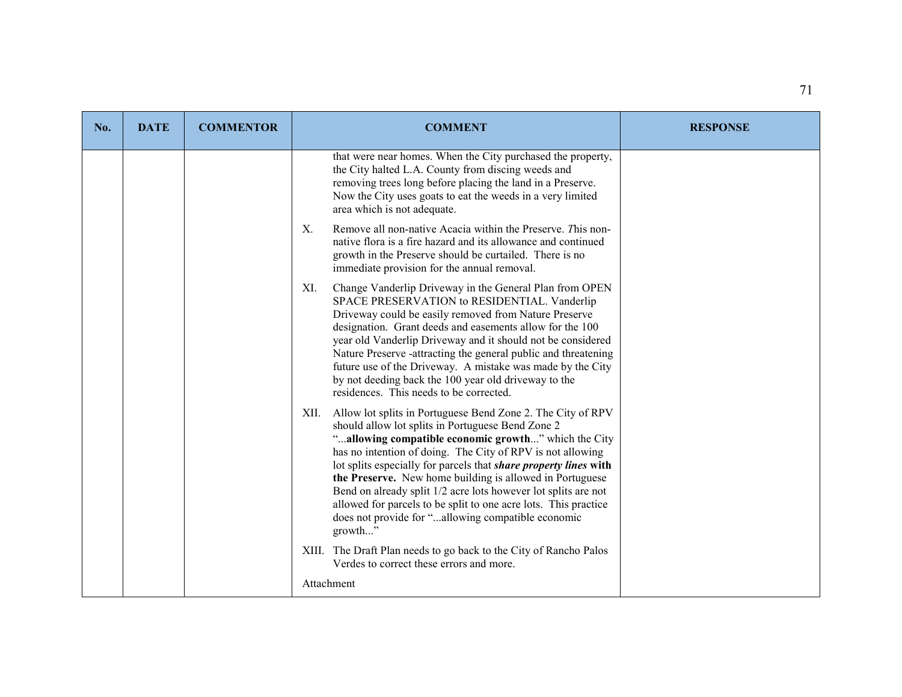| No. | <b>DATE</b> | <b>COMMENTOR</b> | <b>COMMENT</b>                                                                                                                                                                                                                                                                                                                                                                                                                                                                                                                                                                    | <b>RESPONSE</b> |
|-----|-------------|------------------|-----------------------------------------------------------------------------------------------------------------------------------------------------------------------------------------------------------------------------------------------------------------------------------------------------------------------------------------------------------------------------------------------------------------------------------------------------------------------------------------------------------------------------------------------------------------------------------|-----------------|
|     |             |                  | that were near homes. When the City purchased the property,<br>the City halted L.A. County from discing weeds and<br>removing trees long before placing the land in a Preserve.<br>Now the City uses goats to eat the weeds in a very limited<br>area which is not adequate.                                                                                                                                                                                                                                                                                                      |                 |
|     |             |                  | Remove all non-native Acacia within the Preserve. This non-<br>X.<br>native flora is a fire hazard and its allowance and continued<br>growth in the Preserve should be curtailed. There is no<br>immediate provision for the annual removal.                                                                                                                                                                                                                                                                                                                                      |                 |
|     |             |                  | Change Vanderlip Driveway in the General Plan from OPEN<br>XI.<br>SPACE PRESERVATION to RESIDENTIAL. Vanderlip<br>Driveway could be easily removed from Nature Preserve<br>designation. Grant deeds and easements allow for the 100<br>year old Vanderlip Driveway and it should not be considered<br>Nature Preserve -attracting the general public and threatening<br>future use of the Driveway. A mistake was made by the City<br>by not deeding back the 100 year old driveway to the<br>residences. This needs to be corrected.                                             |                 |
|     |             |                  | XII. Allow lot splits in Portuguese Bend Zone 2. The City of RPV<br>should allow lot splits in Portuguese Bend Zone 2<br>"allowing compatible economic growth" which the City<br>has no intention of doing. The City of RPV is not allowing<br>lot splits especially for parcels that share property lines with<br>the Preserve. New home building is allowed in Portuguese<br>Bend on already split 1/2 acre lots however lot splits are not<br>allowed for parcels to be split to one acre lots. This practice<br>does not provide for "allowing compatible economic<br>growth" |                 |
|     |             |                  | XIII. The Draft Plan needs to go back to the City of Rancho Palos<br>Verdes to correct these errors and more.                                                                                                                                                                                                                                                                                                                                                                                                                                                                     |                 |
|     |             |                  | Attachment                                                                                                                                                                                                                                                                                                                                                                                                                                                                                                                                                                        |                 |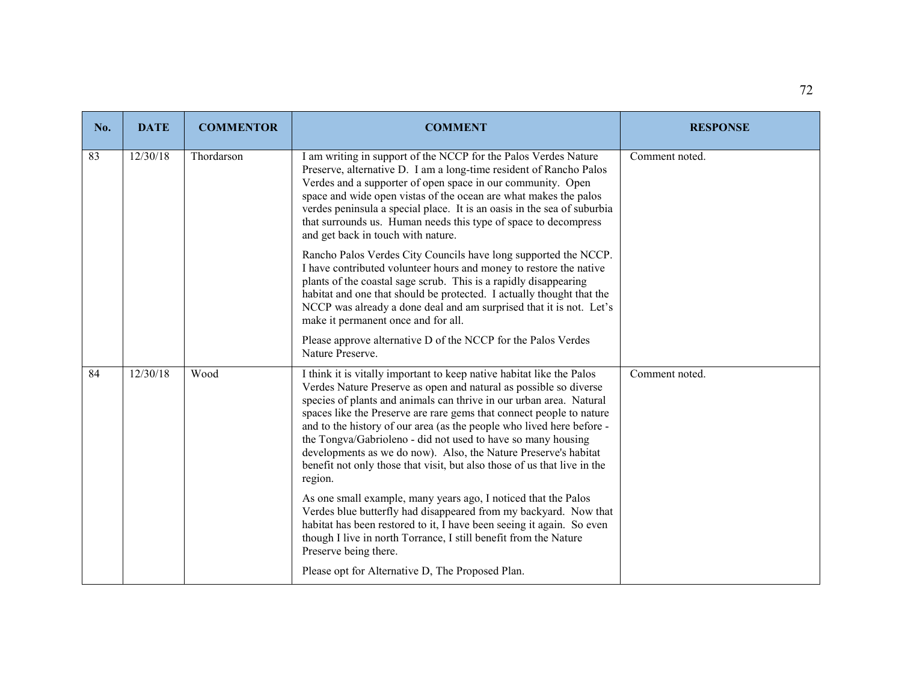| No. | <b>DATE</b> | <b>COMMENTOR</b> | <b>COMMENT</b>                                                                                                                                                                                                                                                                                                                                                                                                                                                                                                                                                                               | <b>RESPONSE</b> |
|-----|-------------|------------------|----------------------------------------------------------------------------------------------------------------------------------------------------------------------------------------------------------------------------------------------------------------------------------------------------------------------------------------------------------------------------------------------------------------------------------------------------------------------------------------------------------------------------------------------------------------------------------------------|-----------------|
| 83  | 12/30/18    | Thordarson       | I am writing in support of the NCCP for the Palos Verdes Nature<br>Preserve, alternative D. I am a long-time resident of Rancho Palos<br>Verdes and a supporter of open space in our community. Open<br>space and wide open vistas of the ocean are what makes the palos<br>verdes peninsula a special place. It is an oasis in the sea of suburbia<br>that surrounds us. Human needs this type of space to decompress<br>and get back in touch with nature.                                                                                                                                 | Comment noted.  |
|     |             |                  | Rancho Palos Verdes City Councils have long supported the NCCP.<br>I have contributed volunteer hours and money to restore the native<br>plants of the coastal sage scrub. This is a rapidly disappearing<br>habitat and one that should be protected. I actually thought that the<br>NCCP was already a done deal and am surprised that it is not. Let's<br>make it permanent once and for all.                                                                                                                                                                                             |                 |
|     |             |                  | Please approve alternative D of the NCCP for the Palos Verdes<br>Nature Preserve.                                                                                                                                                                                                                                                                                                                                                                                                                                                                                                            |                 |
| 84  | 12/30/18    | Wood             | I think it is vitally important to keep native habitat like the Palos<br>Verdes Nature Preserve as open and natural as possible so diverse<br>species of plants and animals can thrive in our urban area. Natural<br>spaces like the Preserve are rare gems that connect people to nature<br>and to the history of our area (as the people who lived here before -<br>the Tongva/Gabrioleno - did not used to have so many housing<br>developments as we do now). Also, the Nature Preserve's habitat<br>benefit not only those that visit, but also those of us that live in the<br>region. | Comment noted.  |
|     |             |                  | As one small example, many years ago, I noticed that the Palos<br>Verdes blue butterfly had disappeared from my backyard. Now that<br>habitat has been restored to it, I have been seeing it again. So even<br>though I live in north Torrance, I still benefit from the Nature<br>Preserve being there.                                                                                                                                                                                                                                                                                     |                 |
|     |             |                  | Please opt for Alternative D, The Proposed Plan.                                                                                                                                                                                                                                                                                                                                                                                                                                                                                                                                             |                 |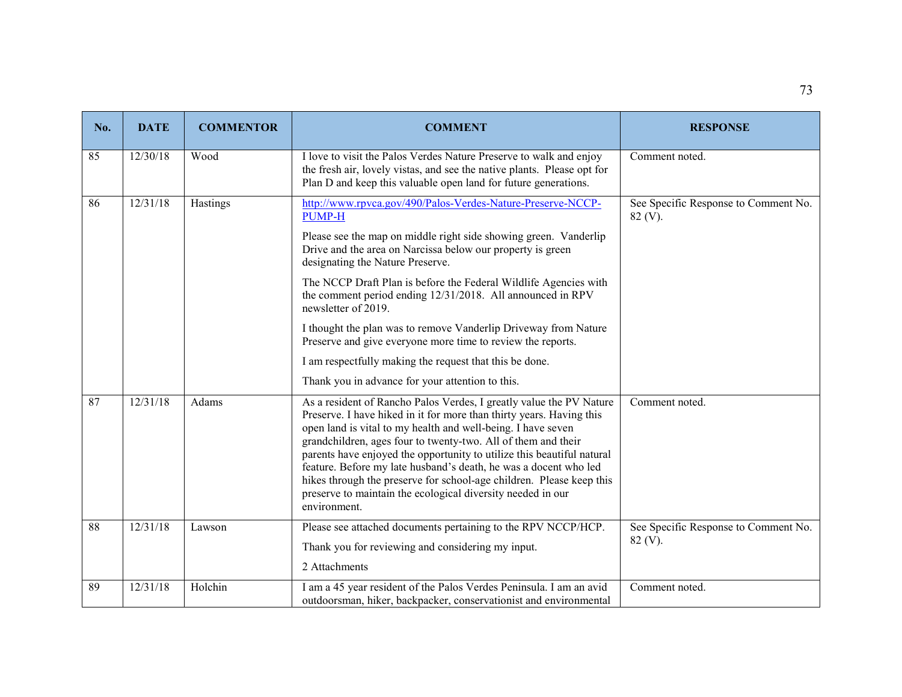| No. | <b>DATE</b> | <b>COMMENTOR</b> | <b>COMMENT</b>                                                                                                                                                                                                                                                                                                                                                                                                                                                                                                                                                                    | <b>RESPONSE</b>                                    |
|-----|-------------|------------------|-----------------------------------------------------------------------------------------------------------------------------------------------------------------------------------------------------------------------------------------------------------------------------------------------------------------------------------------------------------------------------------------------------------------------------------------------------------------------------------------------------------------------------------------------------------------------------------|----------------------------------------------------|
| 85  | 12/30/18    | Wood             | I love to visit the Palos Verdes Nature Preserve to walk and enjoy<br>the fresh air, lovely vistas, and see the native plants. Please opt for<br>Plan D and keep this valuable open land for future generations.                                                                                                                                                                                                                                                                                                                                                                  | Comment noted.                                     |
| 86  | 12/31/18    | Hastings         | http://www.rpvca.gov/490/Palos-Verdes-Nature-Preserve-NCCP-<br><b>PUMP-H</b>                                                                                                                                                                                                                                                                                                                                                                                                                                                                                                      | See Specific Response to Comment No.<br>$82 (V)$ . |
|     |             |                  | Please see the map on middle right side showing green. Vanderlip<br>Drive and the area on Narcissa below our property is green<br>designating the Nature Preserve.                                                                                                                                                                                                                                                                                                                                                                                                                |                                                    |
|     |             |                  | The NCCP Draft Plan is before the Federal Wildlife Agencies with<br>the comment period ending 12/31/2018. All announced in RPV<br>newsletter of 2019.                                                                                                                                                                                                                                                                                                                                                                                                                             |                                                    |
|     |             |                  | I thought the plan was to remove Vanderlip Driveway from Nature<br>Preserve and give everyone more time to review the reports.                                                                                                                                                                                                                                                                                                                                                                                                                                                    |                                                    |
|     |             |                  | I am respectfully making the request that this be done.                                                                                                                                                                                                                                                                                                                                                                                                                                                                                                                           |                                                    |
|     |             |                  | Thank you in advance for your attention to this.                                                                                                                                                                                                                                                                                                                                                                                                                                                                                                                                  |                                                    |
| 87  | 12/31/18    | Adams            | As a resident of Rancho Palos Verdes, I greatly value the PV Nature<br>Preserve. I have hiked in it for more than thirty years. Having this<br>open land is vital to my health and well-being. I have seven<br>grandchildren, ages four to twenty-two. All of them and their<br>parents have enjoyed the opportunity to utilize this beautiful natural<br>feature. Before my late husband's death, he was a docent who led<br>hikes through the preserve for school-age children. Please keep this<br>preserve to maintain the ecological diversity needed in our<br>environment. | Comment noted.                                     |
| 88  | 12/31/18    | Lawson           | Please see attached documents pertaining to the RPV NCCP/HCP.                                                                                                                                                                                                                                                                                                                                                                                                                                                                                                                     | See Specific Response to Comment No.               |
|     |             |                  | Thank you for reviewing and considering my input.                                                                                                                                                                                                                                                                                                                                                                                                                                                                                                                                 | $82 (V)$ .                                         |
|     |             |                  | 2 Attachments                                                                                                                                                                                                                                                                                                                                                                                                                                                                                                                                                                     |                                                    |
| 89  | 12/31/18    | Holchin          | I am a 45 year resident of the Palos Verdes Peninsula. I am an avid<br>outdoorsman, hiker, backpacker, conservationist and environmental                                                                                                                                                                                                                                                                                                                                                                                                                                          | Comment noted.                                     |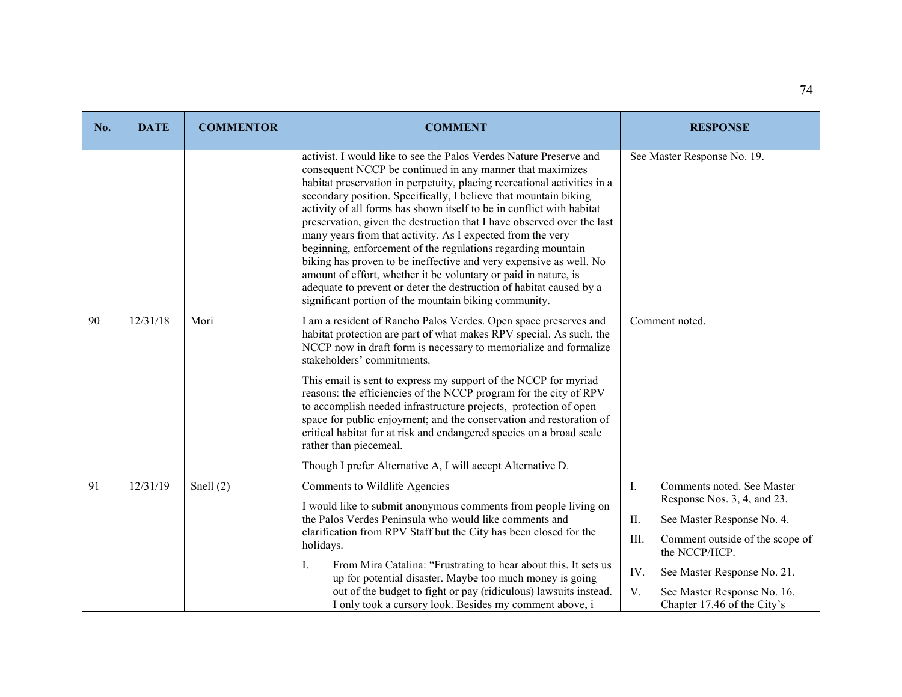| No. | <b>DATE</b> | <b>COMMENTOR</b> | <b>COMMENT</b>                                                                                                                                                                                                                                                                                                                                                                                                                                                                                                                                                                                                                                                                                                                                                                                                                            | <b>RESPONSE</b>                                                  |
|-----|-------------|------------------|-------------------------------------------------------------------------------------------------------------------------------------------------------------------------------------------------------------------------------------------------------------------------------------------------------------------------------------------------------------------------------------------------------------------------------------------------------------------------------------------------------------------------------------------------------------------------------------------------------------------------------------------------------------------------------------------------------------------------------------------------------------------------------------------------------------------------------------------|------------------------------------------------------------------|
|     |             |                  | activist. I would like to see the Palos Verdes Nature Preserve and<br>consequent NCCP be continued in any manner that maximizes<br>habitat preservation in perpetuity, placing recreational activities in a<br>secondary position. Specifically, I believe that mountain biking<br>activity of all forms has shown itself to be in conflict with habitat<br>preservation, given the destruction that I have observed over the last<br>many years from that activity. As I expected from the very<br>beginning, enforcement of the regulations regarding mountain<br>biking has proven to be ineffective and very expensive as well. No<br>amount of effort, whether it be voluntary or paid in nature, is<br>adequate to prevent or deter the destruction of habitat caused by a<br>significant portion of the mountain biking community. | See Master Response No. 19.                                      |
| 90  | 12/31/18    | Mori             | I am a resident of Rancho Palos Verdes. Open space preserves and<br>habitat protection are part of what makes RPV special. As such, the<br>NCCP now in draft form is necessary to memorialize and formalize<br>stakeholders' commitments.<br>This email is sent to express my support of the NCCP for myriad<br>reasons: the efficiencies of the NCCP program for the city of RPV<br>to accomplish needed infrastructure projects, protection of open<br>space for public enjoyment; and the conservation and restoration of<br>critical habitat for at risk and endangered species on a broad scale<br>rather than piecemeal.<br>Though I prefer Alternative A, I will accept Alternative D.                                                                                                                                             | Comment noted.                                                   |
| 91  | 12/31/19    | Snell $(2)$      | Comments to Wildlife Agencies                                                                                                                                                                                                                                                                                                                                                                                                                                                                                                                                                                                                                                                                                                                                                                                                             | Comments noted. See Master<br>Ι.                                 |
|     |             |                  | I would like to submit anonymous comments from people living on<br>the Palos Verdes Peninsula who would like comments and                                                                                                                                                                                                                                                                                                                                                                                                                                                                                                                                                                                                                                                                                                                 | Response Nos. 3, 4, and 23.<br>II.<br>See Master Response No. 4. |
|     |             |                  | clarification from RPV Staff but the City has been closed for the<br>holidays.                                                                                                                                                                                                                                                                                                                                                                                                                                                                                                                                                                                                                                                                                                                                                            | III.<br>Comment outside of the scope of<br>the NCCP/HCP.         |
|     |             |                  | From Mira Catalina: "Frustrating to hear about this. It sets us<br>Ι.<br>up for potential disaster. Maybe too much money is going                                                                                                                                                                                                                                                                                                                                                                                                                                                                                                                                                                                                                                                                                                         | IV.<br>See Master Response No. 21.                               |
|     |             |                  | out of the budget to fight or pay (ridiculous) lawsuits instead.<br>I only took a cursory look. Besides my comment above, i                                                                                                                                                                                                                                                                                                                                                                                                                                                                                                                                                                                                                                                                                                               | V.<br>See Master Response No. 16.<br>Chapter 17.46 of the City's |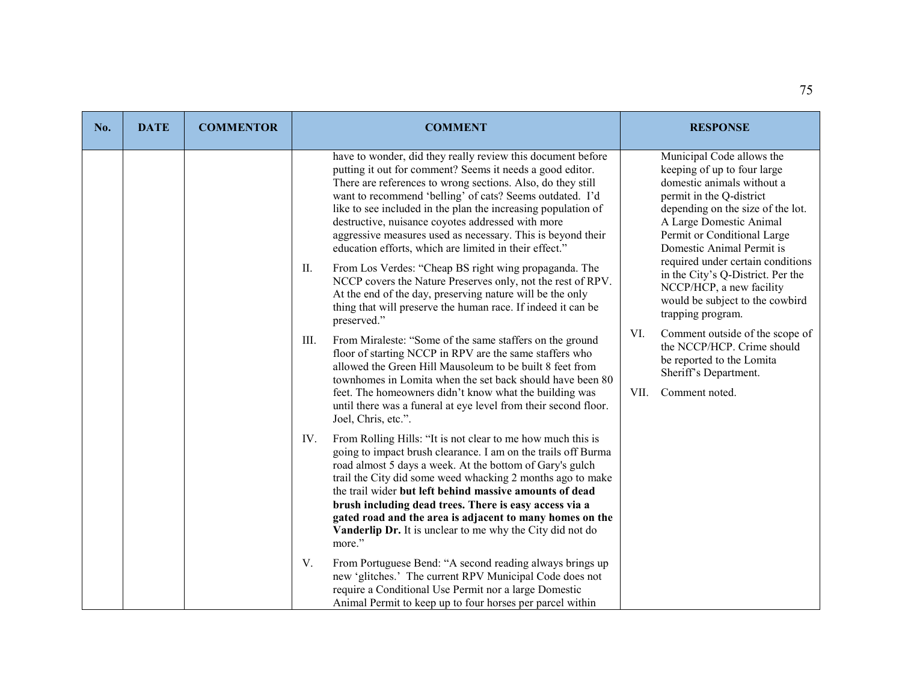| No. | <b>DATE</b> | <b>COMMENTOR</b> | <b>COMMENT</b>                                                                                                                                                                                                                                                                                                                                                                                                                                                                                                                                                                                                                                                                                                                                                                                                                                                                                                                                                                                                                                                                                                                                                                            | <b>RESPONSE</b>                                                                                                                                                                                                                                                                                                                                                                                                                                                                                                                                                      |
|-----|-------------|------------------|-------------------------------------------------------------------------------------------------------------------------------------------------------------------------------------------------------------------------------------------------------------------------------------------------------------------------------------------------------------------------------------------------------------------------------------------------------------------------------------------------------------------------------------------------------------------------------------------------------------------------------------------------------------------------------------------------------------------------------------------------------------------------------------------------------------------------------------------------------------------------------------------------------------------------------------------------------------------------------------------------------------------------------------------------------------------------------------------------------------------------------------------------------------------------------------------|----------------------------------------------------------------------------------------------------------------------------------------------------------------------------------------------------------------------------------------------------------------------------------------------------------------------------------------------------------------------------------------------------------------------------------------------------------------------------------------------------------------------------------------------------------------------|
|     |             |                  | have to wonder, did they really review this document before<br>putting it out for comment? Seems it needs a good editor.<br>There are references to wrong sections. Also, do they still<br>want to recommend 'belling' of cats? Seems outdated. I'd<br>like to see included in the plan the increasing population of<br>destructive, nuisance coyotes addressed with more<br>aggressive measures used as necessary. This is beyond their<br>education efforts, which are limited in their effect."<br>II.<br>From Los Verdes: "Cheap BS right wing propaganda. The<br>NCCP covers the Nature Preserves only, not the rest of RPV.<br>At the end of the day, preserving nature will be the only<br>thing that will preserve the human race. If indeed it can be<br>preserved."<br>From Miraleste: "Some of the same staffers on the ground<br>III.<br>floor of starting NCCP in RPV are the same staffers who<br>allowed the Green Hill Mausoleum to be built 8 feet from<br>townhomes in Lomita when the set back should have been 80<br>feet. The homeowners didn't know what the building was<br>until there was a funeral at eye level from their second floor.<br>Joel, Chris, etc.". | Municipal Code allows the<br>keeping of up to four large<br>domestic animals without a<br>permit in the Q-district<br>depending on the size of the lot.<br>A Large Domestic Animal<br>Permit or Conditional Large<br>Domestic Animal Permit is<br>required under certain conditions<br>in the City's Q-District. Per the<br>NCCP/HCP, a new facility<br>would be subject to the cowbird<br>trapping program.<br>Comment outside of the scope of<br>VI.<br>the NCCP/HCP. Crime should<br>be reported to the Lomita<br>Sheriff's Department.<br>VII.<br>Comment noted. |
|     |             |                  | From Rolling Hills: "It is not clear to me how much this is<br>IV.<br>going to impact brush clearance. I am on the trails off Burma<br>road almost 5 days a week. At the bottom of Gary's gulch<br>trail the City did some weed whacking 2 months ago to make<br>the trail wider but left behind massive amounts of dead<br>brush including dead trees. There is easy access via a<br>gated road and the area is adjacent to many homes on the<br>Vanderlip Dr. It is unclear to me why the City did not do<br>more."<br>From Portuguese Bend: "A second reading always brings up<br>V.<br>new 'glitches.' The current RPV Municipal Code does not<br>require a Conditional Use Permit nor a large Domestic<br>Animal Permit to keep up to four horses per parcel within                                                                                                                                                                                                                                                                                                                                                                                                                  |                                                                                                                                                                                                                                                                                                                                                                                                                                                                                                                                                                      |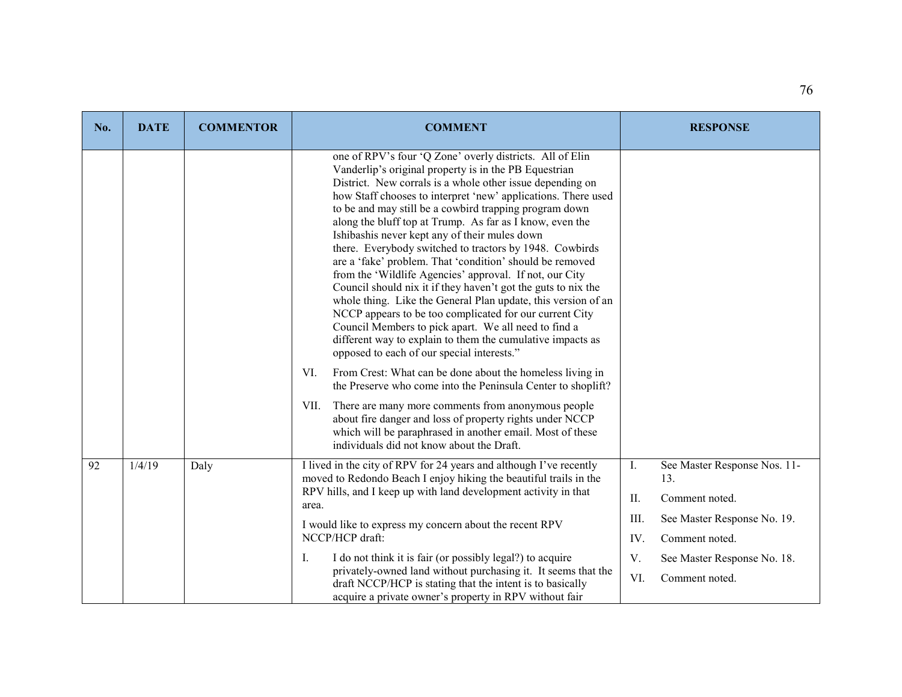| No. | <b>DATE</b>                                                      | <b>COMMENTOR</b> | <b>COMMENT</b>                                                                                                                                                                                                                                                                                                                                                                                                                                                                                                                                                                                                                                                                                                                                                                                                                                                                                                                                                                                                                                                                                                                                                                                                                                                                                                                                    |                             | <b>RESPONSE</b>                                       |
|-----|------------------------------------------------------------------|------------------|---------------------------------------------------------------------------------------------------------------------------------------------------------------------------------------------------------------------------------------------------------------------------------------------------------------------------------------------------------------------------------------------------------------------------------------------------------------------------------------------------------------------------------------------------------------------------------------------------------------------------------------------------------------------------------------------------------------------------------------------------------------------------------------------------------------------------------------------------------------------------------------------------------------------------------------------------------------------------------------------------------------------------------------------------------------------------------------------------------------------------------------------------------------------------------------------------------------------------------------------------------------------------------------------------------------------------------------------------|-----------------------------|-------------------------------------------------------|
|     |                                                                  |                  | one of RPV's four 'Q Zone' overly districts. All of Elin<br>Vanderlip's original property is in the PB Equestrian<br>District. New corrals is a whole other issue depending on<br>how Staff chooses to interpret 'new' applications. There used<br>to be and may still be a cowbird trapping program down<br>along the bluff top at Trump. As far as I know, even the<br>Ishibashis never kept any of their mules down<br>there. Everybody switched to tractors by 1948. Cowbirds<br>are a 'fake' problem. That 'condition' should be removed<br>from the 'Wildlife Agencies' approval. If not, our City<br>Council should nix it if they haven't got the guts to nix the<br>whole thing. Like the General Plan update, this version of an<br>NCCP appears to be too complicated for our current City<br>Council Members to pick apart. We all need to find a<br>different way to explain to them the cumulative impacts as<br>opposed to each of our special interests."<br>From Crest: What can be done about the homeless living in<br>VI.<br>the Preserve who come into the Peninsula Center to shoplift?<br>There are many more comments from anonymous people<br>VII.<br>about fire danger and loss of property rights under NCCP<br>which will be paraphrased in another email. Most of these<br>individuals did not know about the Draft. |                             |                                                       |
| 92  | 1/4/19                                                           | Daly             | I lived in the city of RPV for 24 years and although I've recently<br>moved to Redondo Beach I enjoy hiking the beautiful trails in the<br>RPV hills, and I keep up with land development activity in that                                                                                                                                                                                                                                                                                                                                                                                                                                                                                                                                                                                                                                                                                                                                                                                                                                                                                                                                                                                                                                                                                                                                        |                             | See Master Response Nos. 11-<br>13.<br>Comment noted. |
|     | area.<br>I would like to express my concern about the recent RPV |                  | III.                                                                                                                                                                                                                                                                                                                                                                                                                                                                                                                                                                                                                                                                                                                                                                                                                                                                                                                                                                                                                                                                                                                                                                                                                                                                                                                                              | See Master Response No. 19. |                                                       |
|     |                                                                  |                  | NCCP/HCP draft:<br>I do not think it is fair (or possibly legal?) to acquire<br>Ι.<br>privately-owned land without purchasing it. It seems that the<br>draft NCCP/HCP is stating that the intent is to basically<br>acquire a private owner's property in RPV without fair                                                                                                                                                                                                                                                                                                                                                                                                                                                                                                                                                                                                                                                                                                                                                                                                                                                                                                                                                                                                                                                                        |                             | Comment noted.                                        |
|     |                                                                  |                  |                                                                                                                                                                                                                                                                                                                                                                                                                                                                                                                                                                                                                                                                                                                                                                                                                                                                                                                                                                                                                                                                                                                                                                                                                                                                                                                                                   |                             | See Master Response No. 18.                           |
|     |                                                                  |                  |                                                                                                                                                                                                                                                                                                                                                                                                                                                                                                                                                                                                                                                                                                                                                                                                                                                                                                                                                                                                                                                                                                                                                                                                                                                                                                                                                   |                             | Comment noted.                                        |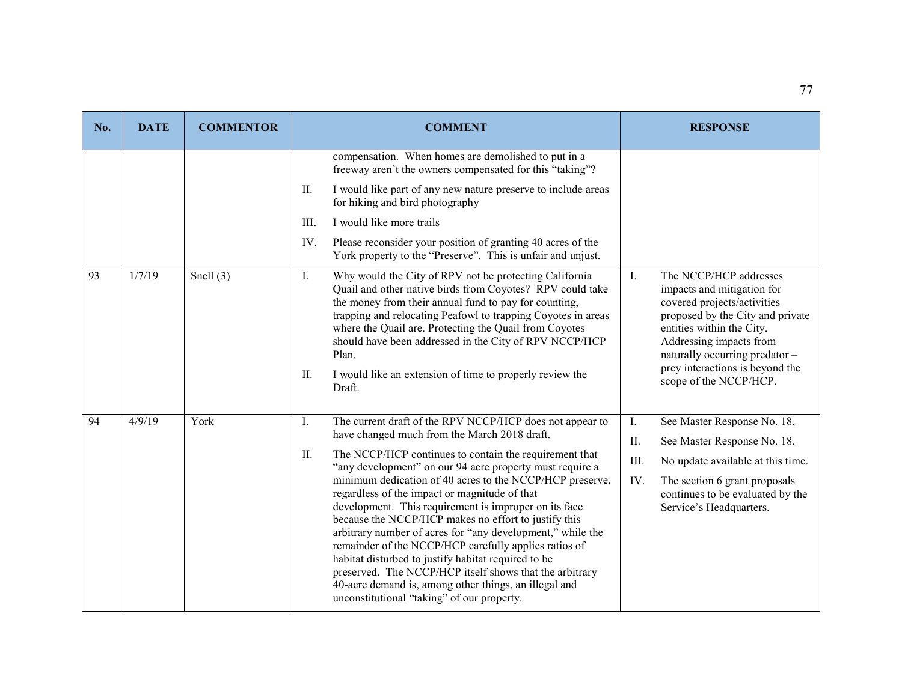| No. | <b>DATE</b> | <b>COMMENTOR</b> | <b>COMMENT</b>                                                                                                                                                                                                                                                                                                                                                                                                                                                                                                                                                                                                                                                                                                                                                                                                            | <b>RESPONSE</b>                                                                                                                                                                                                                                                                                  |
|-----|-------------|------------------|---------------------------------------------------------------------------------------------------------------------------------------------------------------------------------------------------------------------------------------------------------------------------------------------------------------------------------------------------------------------------------------------------------------------------------------------------------------------------------------------------------------------------------------------------------------------------------------------------------------------------------------------------------------------------------------------------------------------------------------------------------------------------------------------------------------------------|--------------------------------------------------------------------------------------------------------------------------------------------------------------------------------------------------------------------------------------------------------------------------------------------------|
|     |             |                  | compensation. When homes are demolished to put in a<br>freeway aren't the owners compensated for this "taking"?<br>I would like part of any new nature preserve to include areas<br>II.<br>for hiking and bird photography<br>I would like more trails<br>III.<br>Please reconsider your position of granting 40 acres of the<br>IV.<br>York property to the "Preserve". This is unfair and unjust.                                                                                                                                                                                                                                                                                                                                                                                                                       |                                                                                                                                                                                                                                                                                                  |
| 93  | 1/7/19      | Snell $(3)$      | $\mathbf{I}$ .<br>Why would the City of RPV not be protecting California<br>Quail and other native birds from Coyotes? RPV could take<br>the money from their annual fund to pay for counting,<br>trapping and relocating Peafowl to trapping Coyotes in areas<br>where the Quail are. Protecting the Quail from Coyotes<br>should have been addressed in the City of RPV NCCP/HCP<br>Plan.<br>П.<br>I would like an extension of time to properly review the<br>Draft.                                                                                                                                                                                                                                                                                                                                                   | $\mathbf{I}$ .<br>The NCCP/HCP addresses<br>impacts and mitigation for<br>covered projects/activities<br>proposed by the City and private<br>entities within the City.<br>Addressing impacts from<br>naturally occurring predator -<br>prey interactions is beyond the<br>scope of the NCCP/HCP. |
| 94  | 4/9/19      | York             | The current draft of the RPV NCCP/HCP does not appear to<br>Ι.<br>have changed much from the March 2018 draft.<br>The NCCP/HCP continues to contain the requirement that<br>II.<br>"any development" on our 94 acre property must require a<br>minimum dedication of 40 acres to the NCCP/HCP preserve,<br>regardless of the impact or magnitude of that<br>development. This requirement is improper on its face<br>because the NCCP/HCP makes no effort to justify this<br>arbitrary number of acres for "any development," while the<br>remainder of the NCCP/HCP carefully applies ratios of<br>habitat disturbed to justify habitat required to be<br>preserved. The NCCP/HCP itself shows that the arbitrary<br>40-acre demand is, among other things, an illegal and<br>unconstitutional "taking" of our property. | I.<br>See Master Response No. 18.<br>II.<br>See Master Response No. 18.<br>III.<br>No update available at this time.<br>IV.<br>The section 6 grant proposals<br>continues to be evaluated by the<br>Service's Headquarters.                                                                      |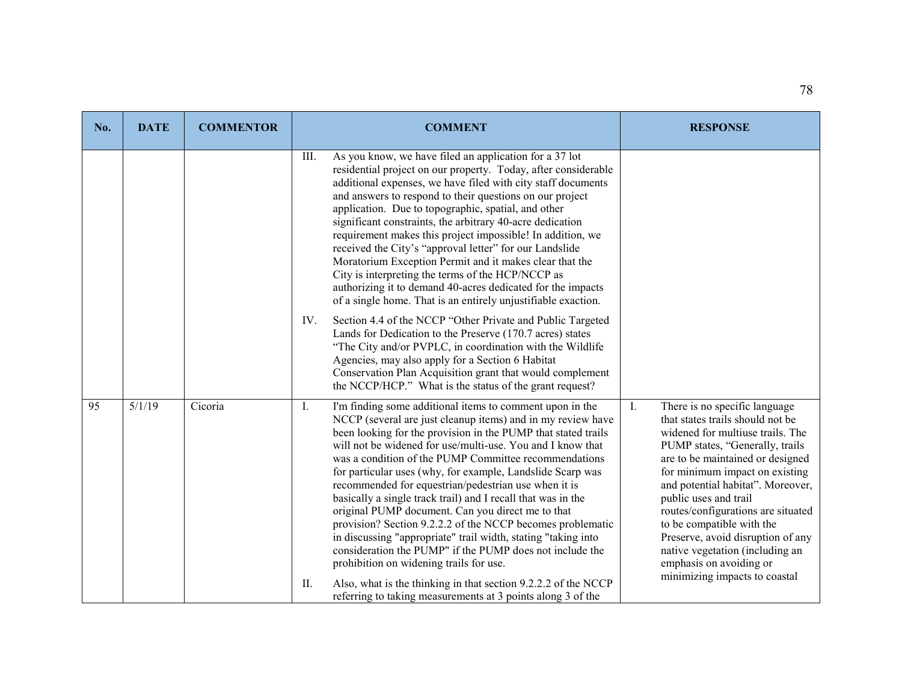| No. | <b>DATE</b> | <b>COMMENTOR</b> | <b>COMMENT</b>                                                                                                                                                                                                                                                                                                                                                                                                                                                                                                                                                                                                                                                                                                                                                                                                     | <b>RESPONSE</b>                                                                                                                                                                                                                                                                                                                                                                                                                                                                                       |
|-----|-------------|------------------|--------------------------------------------------------------------------------------------------------------------------------------------------------------------------------------------------------------------------------------------------------------------------------------------------------------------------------------------------------------------------------------------------------------------------------------------------------------------------------------------------------------------------------------------------------------------------------------------------------------------------------------------------------------------------------------------------------------------------------------------------------------------------------------------------------------------|-------------------------------------------------------------------------------------------------------------------------------------------------------------------------------------------------------------------------------------------------------------------------------------------------------------------------------------------------------------------------------------------------------------------------------------------------------------------------------------------------------|
|     |             |                  | As you know, we have filed an application for a 37 lot<br>III.<br>residential project on our property. Today, after considerable<br>additional expenses, we have filed with city staff documents<br>and answers to respond to their questions on our project<br>application. Due to topographic, spatial, and other<br>significant constraints, the arbitrary 40-acre dedication<br>requirement makes this project impossible! In addition, we<br>received the City's "approval letter" for our Landslide<br>Moratorium Exception Permit and it makes clear that the<br>City is interpreting the terms of the HCP/NCCP as<br>authorizing it to demand 40-acres dedicated for the impacts<br>of a single home. That is an entirely unjustifiable exaction.                                                          |                                                                                                                                                                                                                                                                                                                                                                                                                                                                                                       |
|     |             |                  | IV.<br>Section 4.4 of the NCCP "Other Private and Public Targeted<br>Lands for Dedication to the Preserve (170.7 acres) states<br>"The City and/or PVPLC, in coordination with the Wildlife<br>Agencies, may also apply for a Section 6 Habitat<br>Conservation Plan Acquisition grant that would complement<br>the NCCP/HCP." What is the status of the grant request?                                                                                                                                                                                                                                                                                                                                                                                                                                            |                                                                                                                                                                                                                                                                                                                                                                                                                                                                                                       |
| 95  | 5/1/19      | Cicoria          | $\mathbf{I}$ .<br>I'm finding some additional items to comment upon in the<br>NCCP (several are just cleanup items) and in my review have<br>been looking for the provision in the PUMP that stated trails<br>will not be widened for use/multi-use. You and I know that<br>was a condition of the PUMP Committee recommendations<br>for particular uses (why, for example, Landslide Scarp was<br>recommended for equestrian/pedestrian use when it is<br>basically a single track trail) and I recall that was in the<br>original PUMP document. Can you direct me to that<br>provision? Section 9.2.2.2 of the NCCP becomes problematic<br>in discussing "appropriate" trail width, stating "taking into<br>consideration the PUMP" if the PUMP does not include the<br>prohibition on widening trails for use. | $\mathbf{I}$ .<br>There is no specific language<br>that states trails should not be<br>widened for multiuse trails. The<br>PUMP states, "Generally, trails<br>are to be maintained or designed<br>for minimum impact on existing<br>and potential habitat". Moreover,<br>public uses and trail<br>routes/configurations are situated<br>to be compatible with the<br>Preserve, avoid disruption of any<br>native vegetation (including an<br>emphasis on avoiding or<br>minimizing impacts to coastal |
|     |             |                  | Also, what is the thinking in that section 9.2.2.2 of the NCCP<br>II.<br>referring to taking measurements at 3 points along 3 of the                                                                                                                                                                                                                                                                                                                                                                                                                                                                                                                                                                                                                                                                               |                                                                                                                                                                                                                                                                                                                                                                                                                                                                                                       |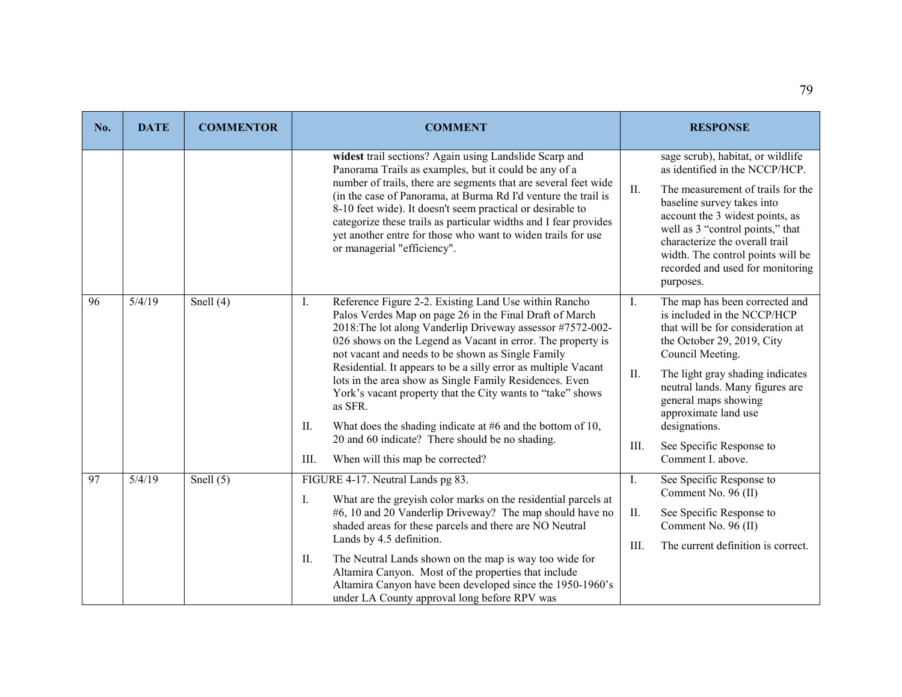| No. | <b>DATE</b> | <b>COMMENTOR</b> | <b>COMMENT</b>                                                                                                                                                                                                                                                                                                                                                                                                                                                                                                                                                                                                                                                                     | <b>RESPONSE</b>                                                                                                                                                                                                                                                                                                                                                  |
|-----|-------------|------------------|------------------------------------------------------------------------------------------------------------------------------------------------------------------------------------------------------------------------------------------------------------------------------------------------------------------------------------------------------------------------------------------------------------------------------------------------------------------------------------------------------------------------------------------------------------------------------------------------------------------------------------------------------------------------------------|------------------------------------------------------------------------------------------------------------------------------------------------------------------------------------------------------------------------------------------------------------------------------------------------------------------------------------------------------------------|
|     |             |                  | widest trail sections? Again using Landslide Scarp and<br>Panorama Trails as examples, but it could be any of a<br>number of trails, there are segments that are several feet wide<br>(in the case of Panorama, at Burma Rd I'd venture the trail is<br>8-10 feet wide). It doesn't seem practical or desirable to<br>categorize these trails as particular widths and I fear provides<br>yet another entre for those who want to widen trails for use<br>or managerial "efficiency".                                                                                                                                                                                              | sage scrub), habitat, or wildlife<br>as identified in the NCCP/HCP.<br>The measurement of trails for the<br>II.<br>baseline survey takes into<br>account the 3 widest points, as<br>well as 3 "control points," that<br>characterize the overall trail<br>width. The control points will be<br>recorded and used for monitoring<br>purposes.                     |
| 96  | 5/4/19      | Snell $(4)$      | Reference Figure 2-2. Existing Land Use within Rancho<br>Ι.<br>Palos Verdes Map on page 26 in the Final Draft of March<br>2018: The lot along Vanderlip Driveway assessor #7572-002-<br>026 shows on the Legend as Vacant in error. The property is<br>not vacant and needs to be shown as Single Family<br>Residential. It appears to be a silly error as multiple Vacant<br>lots in the area show as Single Family Residences. Even<br>York's vacant property that the City wants to "take" shows<br>as SFR.<br>What does the shading indicate at #6 and the bottom of 10,<br>II.<br>20 and 60 indicate? There should be no shading.<br>When will this map be corrected?<br>III. | The map has been corrected and<br>I.<br>is included in the NCCP/HCP<br>that will be for consideration at<br>the October 29, 2019, City<br>Council Meeting.<br>II.<br>The light gray shading indicates<br>neutral lands. Many figures are<br>general maps showing<br>approximate land use<br>designations.<br>Ш.<br>See Specific Response to<br>Comment I. above. |
| 97  | 5/4/19      | Snell $(5)$      | FIGURE 4-17. Neutral Lands pg 83.<br>What are the greyish color marks on the residential parcels at<br>Ι.<br>#6, 10 and 20 Vanderlip Driveway? The map should have no<br>shaded areas for these parcels and there are NO Neutral<br>Lands by 4.5 definition.<br>The Neutral Lands shown on the map is way too wide for<br>П.<br>Altamira Canyon. Most of the properties that include<br>Altamira Canyon have been developed since the 1950-1960's<br>under LA County approval long before RPV was                                                                                                                                                                                  | See Specific Response to<br>Ι.<br>Comment No. 96 (II)<br>Π.<br>See Specific Response to<br>Comment No. 96 (II)<br>III.<br>The current definition is correct.                                                                                                                                                                                                     |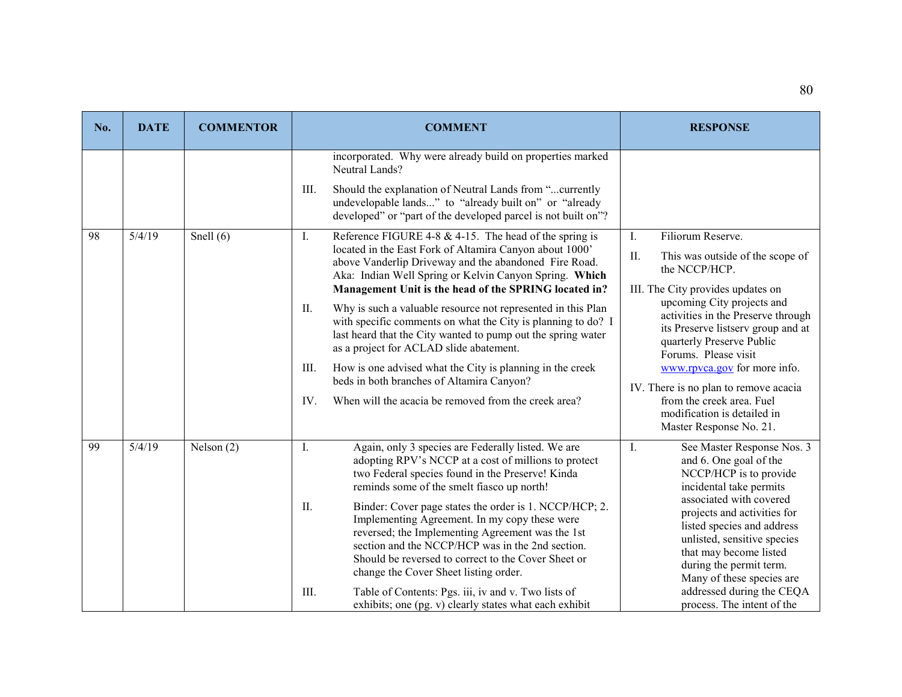| No. | <b>DATE</b> | <b>COMMENTOR</b> | <b>COMMENT</b>                                                                                                                                                                                                                                                                                                                                                                                                                                                                                                                                                                                                                                                                                                                         | <b>RESPONSE</b>                                                                                                                                                                                                                                                                                                                                                                                                                                                     |
|-----|-------------|------------------|----------------------------------------------------------------------------------------------------------------------------------------------------------------------------------------------------------------------------------------------------------------------------------------------------------------------------------------------------------------------------------------------------------------------------------------------------------------------------------------------------------------------------------------------------------------------------------------------------------------------------------------------------------------------------------------------------------------------------------------|---------------------------------------------------------------------------------------------------------------------------------------------------------------------------------------------------------------------------------------------------------------------------------------------------------------------------------------------------------------------------------------------------------------------------------------------------------------------|
|     |             |                  | incorporated. Why were already build on properties marked<br>Neutral Lands?<br>Should the explanation of Neutral Lands from "currently<br>III.<br>undevelopable lands" to "already built on" or "already<br>developed" or "part of the developed parcel is not built on"?                                                                                                                                                                                                                                                                                                                                                                                                                                                              |                                                                                                                                                                                                                                                                                                                                                                                                                                                                     |
| 98  | 5/4/19      | Snell $(6)$      | I.<br>Reference FIGURE 4-8 & 4-15. The head of the spring is<br>located in the East Fork of Altamira Canyon about 1000'<br>above Vanderlip Driveway and the abandoned Fire Road.<br>Aka: Indian Well Spring or Kelvin Canyon Spring. Which<br>Management Unit is the head of the SPRING located in?<br>II.<br>Why is such a valuable resource not represented in this Plan<br>with specific comments on what the City is planning to do? I<br>last heard that the City wanted to pump out the spring water<br>as a project for ACLAD slide abatement.<br>How is one advised what the City is planning in the creek<br>III.<br>beds in both branches of Altamira Canyon?<br>When will the acacia be removed from the creek area?<br>IV. | $\mathbf{I}$ .<br>Filiorum Reserve.<br>This was outside of the scope of<br>II.<br>the NCCP/HCP.<br>III. The City provides updates on<br>upcoming City projects and<br>activities in the Preserve through<br>its Preserve listserv group and at<br>quarterly Preserve Public<br>Forums. Please visit<br>www.rpvca.gov for more info.<br>IV. There is no plan to remove acacia<br>from the creek area. Fuel<br>modification is detailed in<br>Master Response No. 21. |
| 99  | 5/4/19      | Nelson (2)       | Again, only 3 species are Federally listed. We are<br>Ι.<br>adopting RPV's NCCP at a cost of millions to protect<br>two Federal species found in the Preserve! Kinda<br>reminds some of the smelt fiasco up north!<br>II.<br>Binder: Cover page states the order is 1. NCCP/HCP; 2.<br>Implementing Agreement. In my copy these were<br>reversed; the Implementing Agreement was the 1st<br>section and the NCCP/HCP was in the 2nd section.<br>Should be reversed to correct to the Cover Sheet or<br>change the Cover Sheet listing order.<br>III.<br>Table of Contents: Pgs. iii, iv and v. Two lists of<br>exhibits; one (pg. v) clearly states what each exhibit                                                                  | I.<br>See Master Response Nos. 3<br>and 6. One goal of the<br>NCCP/HCP is to provide<br>incidental take permits<br>associated with covered<br>projects and activities for<br>listed species and address<br>unlisted, sensitive species<br>that may become listed<br>during the permit term.<br>Many of these species are<br>addressed during the CEQA<br>process. The intent of the                                                                                 |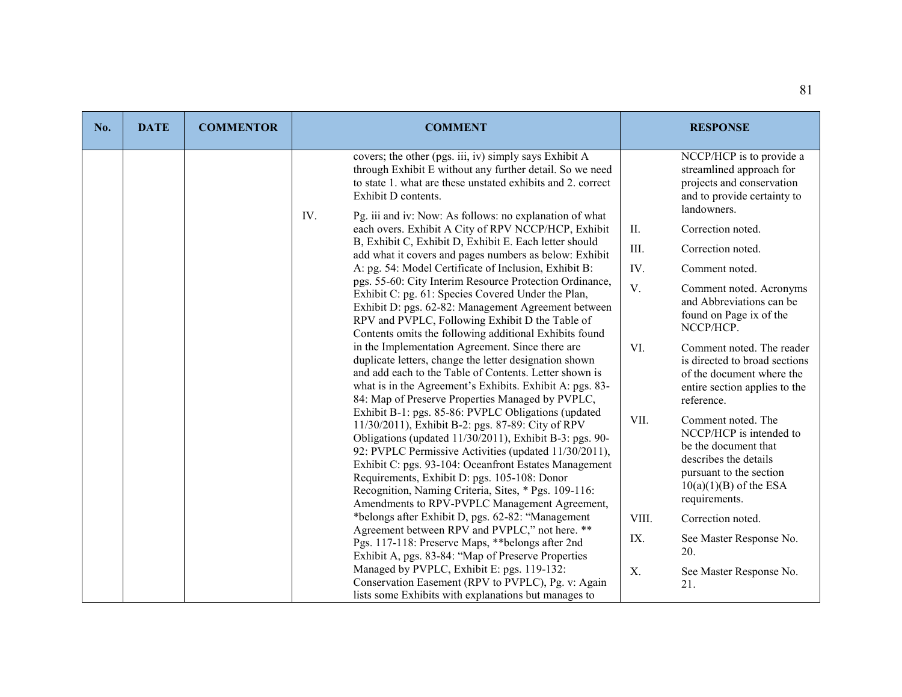| No. | <b>DATE</b> | <b>COMMENTOR</b> | <b>COMMENT</b>                                                                                                                                                                                                                                                                                                                                                                                                                                 | <b>RESPONSE</b>                                                                                                                                                                |
|-----|-------------|------------------|------------------------------------------------------------------------------------------------------------------------------------------------------------------------------------------------------------------------------------------------------------------------------------------------------------------------------------------------------------------------------------------------------------------------------------------------|--------------------------------------------------------------------------------------------------------------------------------------------------------------------------------|
|     |             |                  | covers; the other (pgs. iii, iv) simply says Exhibit A<br>through Exhibit E without any further detail. So we need<br>to state 1. what are these unstated exhibits and 2. correct<br>Exhibit D contents.                                                                                                                                                                                                                                       | NCCP/HCP is to provide a<br>streamlined approach for<br>projects and conservation<br>and to provide certainty to<br>landowners.                                                |
|     |             |                  | IV.<br>Pg. iii and iv: Now: As follows: no explanation of what<br>each overs. Exhibit A City of RPV NCCP/HCP, Exhibit                                                                                                                                                                                                                                                                                                                          | Correction noted.<br>II.                                                                                                                                                       |
|     |             |                  | B, Exhibit C, Exhibit D, Exhibit E. Each letter should<br>add what it covers and pages numbers as below: Exhibit                                                                                                                                                                                                                                                                                                                               | III.<br>Correction noted.                                                                                                                                                      |
|     |             |                  | A: pg. 54: Model Certificate of Inclusion, Exhibit B:                                                                                                                                                                                                                                                                                                                                                                                          | IV.<br>Comment noted.                                                                                                                                                          |
|     |             |                  | pgs. 55-60: City Interim Resource Protection Ordinance,<br>Exhibit C: pg. 61: Species Covered Under the Plan,<br>Exhibit D: pgs. 62-82: Management Agreement between<br>RPV and PVPLC, Following Exhibit D the Table of<br>Contents omits the following additional Exhibits found                                                                                                                                                              | V.<br>Comment noted. Acronyms<br>and Abbreviations can be<br>found on Page ix of the<br>NCCP/HCP.                                                                              |
|     |             |                  | in the Implementation Agreement. Since there are<br>duplicate letters, change the letter designation shown<br>and add each to the Table of Contents. Letter shown is<br>what is in the Agreement's Exhibits. Exhibit A: pgs. 83-<br>84: Map of Preserve Properties Managed by PVPLC,                                                                                                                                                           | VI.<br>Comment noted. The reader<br>is directed to broad sections<br>of the document where the<br>entire section applies to the<br>reference.                                  |
|     |             |                  | Exhibit B-1: pgs. 85-86: PVPLC Obligations (updated<br>11/30/2011), Exhibit B-2: pgs. 87-89: City of RPV<br>Obligations (updated 11/30/2011), Exhibit B-3: pgs. 90-<br>92: PVPLC Permissive Activities (updated 11/30/2011),<br>Exhibit C: pgs. 93-104: Oceanfront Estates Management<br>Requirements, Exhibit D: pgs. 105-108: Donor<br>Recognition, Naming Criteria, Sites, * Pgs. 109-116:<br>Amendments to RPV-PVPLC Management Agreement, | VII.<br>Comment noted. The<br>NCCP/HCP is intended to<br>be the document that<br>describes the details<br>pursuant to the section<br>$10(a)(1)(B)$ of the ESA<br>requirements. |
|     |             |                  | *belongs after Exhibit D, pgs. 62-82: "Management                                                                                                                                                                                                                                                                                                                                                                                              | VIII.<br>Correction noted.                                                                                                                                                     |
|     |             |                  | Agreement between RPV and PVPLC," not here. **<br>Pgs. 117-118: Preserve Maps, ** belongs after 2nd<br>Exhibit A, pgs. 83-84: "Map of Preserve Properties                                                                                                                                                                                                                                                                                      | IX.<br>See Master Response No.<br>20.                                                                                                                                          |
|     |             |                  | Managed by PVPLC, Exhibit E: pgs. 119-132:<br>Conservation Easement (RPV to PVPLC), Pg. v: Again<br>lists some Exhibits with explanations but manages to                                                                                                                                                                                                                                                                                       | X.<br>See Master Response No.<br>21.                                                                                                                                           |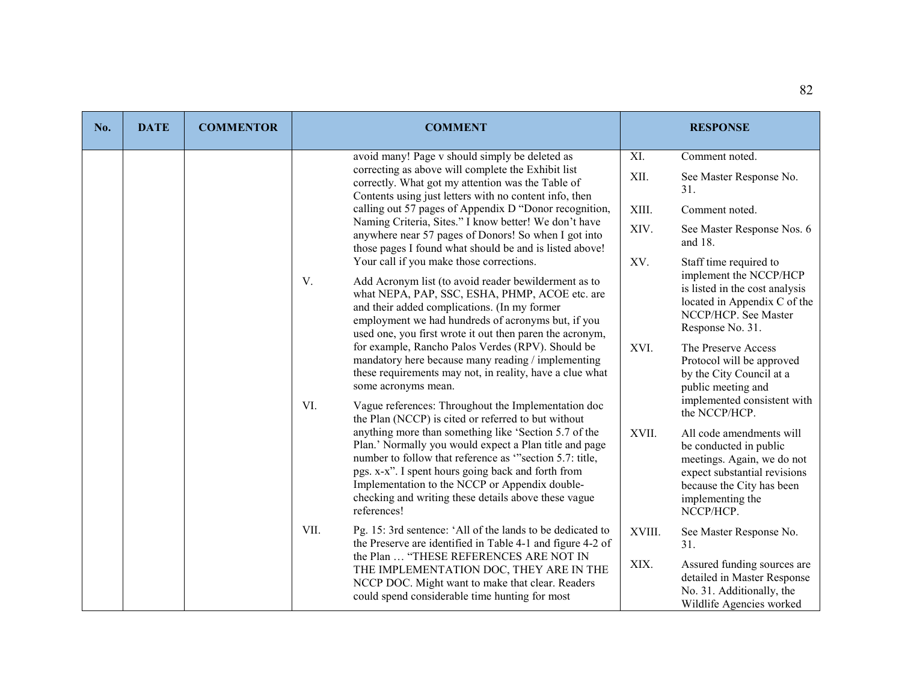| No. | <b>DATE</b> | <b>COMMENTOR</b> | <b>COMMENT</b>                                                                                                                                                                                                                                                                                                                                                                                                   |                | <b>RESPONSE</b>                                                                                                                                                                |
|-----|-------------|------------------|------------------------------------------------------------------------------------------------------------------------------------------------------------------------------------------------------------------------------------------------------------------------------------------------------------------------------------------------------------------------------------------------------------------|----------------|--------------------------------------------------------------------------------------------------------------------------------------------------------------------------------|
|     |             |                  | avoid many! Page v should simply be deleted as<br>correcting as above will complete the Exhibit list<br>correctly. What got my attention was the Table of                                                                                                                                                                                                                                                        | XI.<br>XII.    | Comment noted.<br>See Master Response No.<br>31.                                                                                                                               |
|     |             |                  | Contents using just letters with no content info, then<br>calling out 57 pages of Appendix D "Donor recognition,<br>Naming Criteria, Sites." I know better! We don't have<br>anywhere near 57 pages of Donors! So when I got into                                                                                                                                                                                | XIII.<br>XIV.  | Comment noted.<br>See Master Response Nos. 6<br>and $18$ .                                                                                                                     |
|     |             |                  | those pages I found what should be and is listed above!<br>Your call if you make those corrections.<br>V.<br>Add Acronym list (to avoid reader bewilderment as to<br>what NEPA, PAP, SSC, ESHA, PHMP, ACOE etc. are<br>and their added complications. (In my former<br>employment we had hundreds of acronyms but, if you<br>used one, you first wrote it out then paren the acronym,                            | XV.            | Staff time required to<br>implement the NCCP/HCP<br>is listed in the cost analysis<br>located in Appendix C of the<br>NCCP/HCP. See Master<br>Response No. 31.                 |
|     |             |                  | for example, Rancho Palos Verdes (RPV). Should be<br>mandatory here because many reading / implementing<br>these requirements may not, in reality, have a clue what<br>some acronyms mean.<br>VI.<br>Vague references: Throughout the Implementation doc                                                                                                                                                         | XVI.           | The Preserve Access<br>Protocol will be approved<br>by the City Council at a<br>public meeting and<br>implemented consistent with<br>the NCCP/HCP.                             |
|     |             |                  | the Plan (NCCP) is cited or referred to but without<br>anything more than something like 'Section 5.7 of the<br>Plan.' Normally you would expect a Plan title and page<br>number to follow that reference as "section 5.7: title,<br>pgs. x-x". I spent hours going back and forth from<br>Implementation to the NCCP or Appendix double-<br>checking and writing these details above these vague<br>references! | XVII.          | All code amendments will<br>be conducted in public<br>meetings. Again, we do not<br>expect substantial revisions<br>because the City has been<br>implementing the<br>NCCP/HCP. |
|     |             |                  | VII.<br>Pg. 15: 3rd sentence: 'All of the lands to be dedicated to<br>the Preserve are identified in Table 4-1 and figure 4-2 of<br>the Plan  "THESE REFERENCES ARE NOT IN<br>THE IMPLEMENTATION DOC, THEY ARE IN THE<br>NCCP DOC. Might want to make that clear. Readers<br>could spend considerable time hunting for most                                                                                      | XVIII.<br>XIX. | See Master Response No.<br>31.<br>Assured funding sources are<br>detailed in Master Response<br>No. 31. Additionally, the<br>Wildlife Agencies worked                          |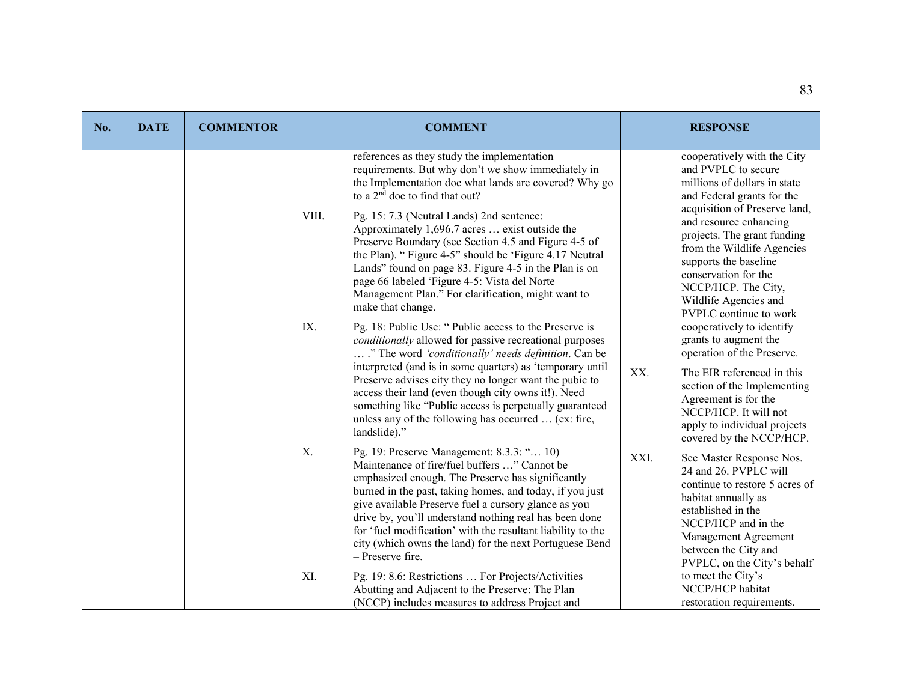| No. | <b>DATE</b> | <b>COMMENTOR</b> |                            | <b>COMMENT</b>                                                                                                                                                                                                                                                                                                                                                                                                                                         |      | <b>RESPONSE</b>                                                                                                                                                                                                                                 |
|-----|-------------|------------------|----------------------------|--------------------------------------------------------------------------------------------------------------------------------------------------------------------------------------------------------------------------------------------------------------------------------------------------------------------------------------------------------------------------------------------------------------------------------------------------------|------|-------------------------------------------------------------------------------------------------------------------------------------------------------------------------------------------------------------------------------------------------|
|     |             |                  |                            | references as they study the implementation<br>requirements. But why don't we show immediately in<br>the Implementation doc what lands are covered? Why go<br>to a 2 <sup>nd</sup> doc to find that out?                                                                                                                                                                                                                                               |      | cooperatively with the City<br>and PVPLC to secure<br>millions of dollars in state<br>and Federal grants for the                                                                                                                                |
|     |             |                  | VIII.<br>make that change. | Pg. 15: 7.3 (Neutral Lands) 2nd sentence:<br>Approximately 1,696.7 acres  exist outside the<br>Preserve Boundary (see Section 4.5 and Figure 4-5 of<br>the Plan). "Figure 4-5" should be 'Figure 4.17 Neutral<br>Lands" found on page 83. Figure 4-5 in the Plan is on<br>page 66 labeled 'Figure 4-5: Vista del Norte<br>Management Plan." For clarification, might want to                                                                           |      | acquisition of Preserve land,<br>and resource enhancing<br>projects. The grant funding<br>from the Wildlife Agencies<br>supports the baseline<br>conservation for the<br>NCCP/HCP. The City,<br>Wildlife Agencies and<br>PVPLC continue to work |
|     |             |                  | IX.                        | Pg. 18: Public Use: " Public access to the Preserve is<br>conditionally allowed for passive recreational purposes<br>." The word 'conditionally' needs definition. Can be                                                                                                                                                                                                                                                                              |      | cooperatively to identify<br>grants to augment the<br>operation of the Preserve.                                                                                                                                                                |
|     |             |                  | landslide)."               | interpreted (and is in some quarters) as 'temporary until<br>Preserve advises city they no longer want the pubic to<br>access their land (even though city owns it!). Need<br>something like "Public access is perpetually guaranteed<br>unless any of the following has occurred  (ex: fire,                                                                                                                                                          | XX.  | The EIR referenced in this<br>section of the Implementing<br>Agreement is for the<br>NCCP/HCP. It will not<br>apply to individual projects<br>covered by the NCCP/HCP.                                                                          |
|     |             |                  | X.<br>- Preserve fire.     | Pg. 19: Preserve Management: 8.3.3: " 10)<br>Maintenance of fire/fuel buffers " Cannot be<br>emphasized enough. The Preserve has significantly<br>burned in the past, taking homes, and today, if you just<br>give available Preserve fuel a cursory glance as you<br>drive by, you'll understand nothing real has been done<br>for 'fuel modification' with the resultant liability to the<br>city (which owns the land) for the next Portuguese Bend | XXI. | See Master Response Nos.<br>24 and 26. PVPLC will<br>continue to restore 5 acres of<br>habitat annually as<br>established in the<br>NCCP/HCP and in the<br>Management Agreement<br>between the City and<br>PVPLC, on the City's behalf          |
|     |             |                  | XI.                        | Pg. 19: 8.6: Restrictions  For Projects/Activities<br>Abutting and Adjacent to the Preserve: The Plan<br>(NCCP) includes measures to address Project and                                                                                                                                                                                                                                                                                               |      | to meet the City's<br>NCCP/HCP habitat<br>restoration requirements.                                                                                                                                                                             |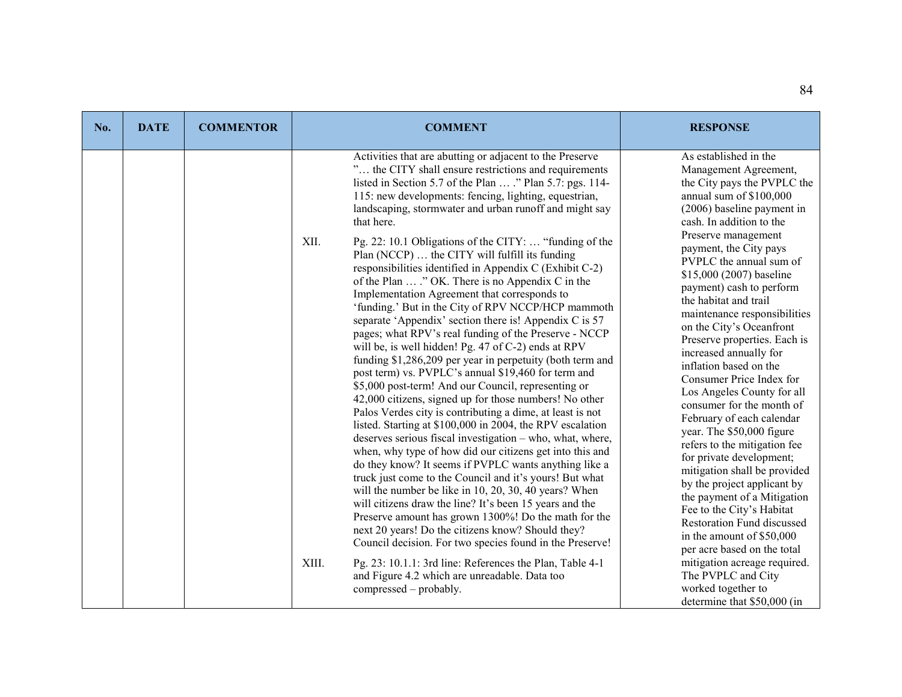| No. | <b>DATE</b> | <b>COMMENTOR</b> | <b>COMMENT</b>                                                                                                                                                                                                                                                                                                                                                                                                                                                                                                                                                                                                                                                                                                                                                                                                                                                                                                                                                                                                                                                                                                                                                                                                                                                                                                                                                                                                                                                                                                                                                                                                                                                                                                                                                                                                                                                                               | <b>RESPONSE</b>                                                                                                                                                                                                                                                                                                                                                                                                                                                                                                                                                                                                                                                                                                                                                                                                                                                                                                                                                                                                                |
|-----|-------------|------------------|----------------------------------------------------------------------------------------------------------------------------------------------------------------------------------------------------------------------------------------------------------------------------------------------------------------------------------------------------------------------------------------------------------------------------------------------------------------------------------------------------------------------------------------------------------------------------------------------------------------------------------------------------------------------------------------------------------------------------------------------------------------------------------------------------------------------------------------------------------------------------------------------------------------------------------------------------------------------------------------------------------------------------------------------------------------------------------------------------------------------------------------------------------------------------------------------------------------------------------------------------------------------------------------------------------------------------------------------------------------------------------------------------------------------------------------------------------------------------------------------------------------------------------------------------------------------------------------------------------------------------------------------------------------------------------------------------------------------------------------------------------------------------------------------------------------------------------------------------------------------------------------------|--------------------------------------------------------------------------------------------------------------------------------------------------------------------------------------------------------------------------------------------------------------------------------------------------------------------------------------------------------------------------------------------------------------------------------------------------------------------------------------------------------------------------------------------------------------------------------------------------------------------------------------------------------------------------------------------------------------------------------------------------------------------------------------------------------------------------------------------------------------------------------------------------------------------------------------------------------------------------------------------------------------------------------|
|     |             |                  | Activities that are abutting or adjacent to the Preserve<br>" the CITY shall ensure restrictions and requirements<br>listed in Section 5.7 of the Plan  ." Plan 5.7: pgs. 114-<br>115: new developments: fencing, lighting, equestrian,<br>landscaping, stormwater and urban runoff and might say<br>that here.<br>XII.<br>Pg. 22: 10.1 Obligations of the CITY:  "funding of the<br>Plan (NCCP)  the CITY will fulfill its funding<br>responsibilities identified in Appendix C (Exhibit C-2)<br>of the Plan  ." OK. There is no Appendix C in the<br>Implementation Agreement that corresponds to<br>'funding.' But in the City of RPV NCCP/HCP mammoth<br>separate 'Appendix' section there is! Appendix C is 57<br>pages; what RPV's real funding of the Preserve - NCCP<br>will be, is well hidden! Pg. 47 of C-2) ends at RPV<br>funding \$1,286,209 per year in perpetuity (both term and<br>post term) vs. PVPLC's annual \$19,460 for term and<br>\$5,000 post-term! And our Council, representing or<br>42,000 citizens, signed up for those numbers! No other<br>Palos Verdes city is contributing a dime, at least is not<br>listed. Starting at \$100,000 in 2004, the RPV escalation<br>deserves serious fiscal investigation - who, what, where,<br>when, why type of how did our citizens get into this and<br>do they know? It seems if PVPLC wants anything like a<br>truck just come to the Council and it's yours! But what<br>will the number be like in 10, 20, 30, 40 years? When<br>will citizens draw the line? It's been 15 years and the<br>Preserve amount has grown 1300%! Do the math for the<br>next 20 years! Do the citizens know? Should they?<br>Council decision. For two species found in the Preserve!<br>XIII.<br>Pg. 23: 10.1.1: 3rd line: References the Plan, Table 4-1<br>and Figure 4.2 which are unreadable. Data too<br>compressed – probably. | As established in the<br>Management Agreement,<br>the City pays the PVPLC the<br>annual sum of \$100,000<br>$(2006)$ baseline payment in<br>cash. In addition to the<br>Preserve management<br>payment, the City pays<br>PVPLC the annual sum of<br>\$15,000 (2007) baseline<br>payment) cash to perform<br>the habitat and trail<br>maintenance responsibilities<br>on the City's Oceanfront<br>Preserve properties. Each is<br>increased annually for<br>inflation based on the<br>Consumer Price Index for<br>Los Angeles County for all<br>consumer for the month of<br>February of each calendar<br>year. The \$50,000 figure<br>refers to the mitigation fee<br>for private development;<br>mitigation shall be provided<br>by the project applicant by<br>the payment of a Mitigation<br>Fee to the City's Habitat<br>Restoration Fund discussed<br>in the amount of \$50,000<br>per acre based on the total<br>mitigation acreage required.<br>The PVPLC and City<br>worked together to<br>determine that \$50,000 (in |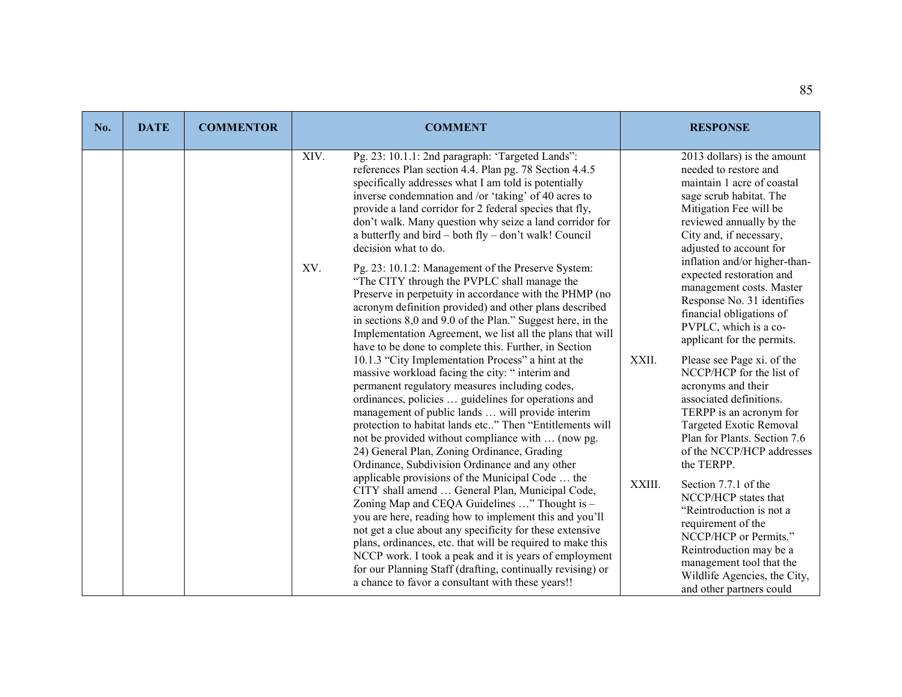| No. | <b>DATE</b> | <b>COMMENTOR</b> | <b>COMMENT</b>                                                                                                                                                                                                                                                                                                                                                                                                                                                                                                        | <b>RESPONSE</b>                                                                                                                                                                                                                                      |
|-----|-------------|------------------|-----------------------------------------------------------------------------------------------------------------------------------------------------------------------------------------------------------------------------------------------------------------------------------------------------------------------------------------------------------------------------------------------------------------------------------------------------------------------------------------------------------------------|------------------------------------------------------------------------------------------------------------------------------------------------------------------------------------------------------------------------------------------------------|
|     |             |                  | XIV.<br>Pg. 23: 10.1.1: 2nd paragraph: 'Targeted Lands":<br>references Plan section 4.4. Plan pg. 78 Section 4.4.5<br>specifically addresses what I am told is potentially<br>inverse condemnation and /or 'taking' of 40 acres to<br>provide a land corridor for 2 federal species that fly,<br>don't walk. Many question why seize a land corridor for<br>a butterfly and bird $-$ both fly $-$ don't walk! Council<br>decision what to do.                                                                         | 2013 dollars) is the amount<br>needed to restore and<br>maintain 1 acre of coastal<br>sage scrub habitat. The<br>Mitigation Fee will be<br>reviewed annually by the<br>City and, if necessary,<br>adjusted to account for                            |
|     |             |                  | XV.<br>Pg. 23: 10.1.2: Management of the Preserve System:<br>"The CITY through the PVPLC shall manage the<br>Preserve in perpetuity in accordance with the PHMP (no<br>acronym definition provided) and other plans described<br>in sections 8,0 and 9.0 of the Plan." Suggest here, in the<br>Implementation Agreement, we list all the plans that will<br>have to be done to complete this. Further, in Section                                                                                                     | inflation and/or higher-than-<br>expected restoration and<br>management costs. Master<br>Response No. 31 identifies<br>financial obligations of<br>PVPLC, which is a co-<br>applicant for the permits.                                               |
|     |             |                  | 10.1.3 "City Implementation Process" a hint at the<br>massive workload facing the city: "interim and<br>permanent regulatory measures including codes,<br>ordinances, policies  guidelines for operations and<br>management of public lands  will provide interim<br>protection to habitat lands etc" Then "Entitlements will<br>not be provided without compliance with  (now pg.<br>24) General Plan, Zoning Ordinance, Grading<br>Ordinance, Subdivision Ordinance and any other                                   | XXII.<br>Please see Page xi. of the<br>NCCP/HCP for the list of<br>acronyms and their<br>associated definitions.<br>TERPP is an acronym for<br>Targeted Exotic Removal<br>Plan for Plants. Section 7.6<br>of the NCCP/HCP addresses<br>the TERPP.    |
|     |             |                  | applicable provisions of the Municipal Code  the<br>CITY shall amend  General Plan, Municipal Code,<br>Zoning Map and CEQA Guidelines " Thought is -<br>you are here, reading how to implement this and you'll<br>not get a clue about any specificity for these extensive<br>plans, ordinances, etc. that will be required to make this<br>NCCP work. I took a peak and it is years of employment<br>for our Planning Staff (drafting, continually revising) or<br>a chance to favor a consultant with these years!! | XXIII.<br>Section 7.7.1 of the<br>NCCP/HCP states that<br>"Reintroduction is not a<br>requirement of the<br>NCCP/HCP or Permits."<br>Reintroduction may be a<br>management tool that the<br>Wildlife Agencies, the City,<br>and other partners could |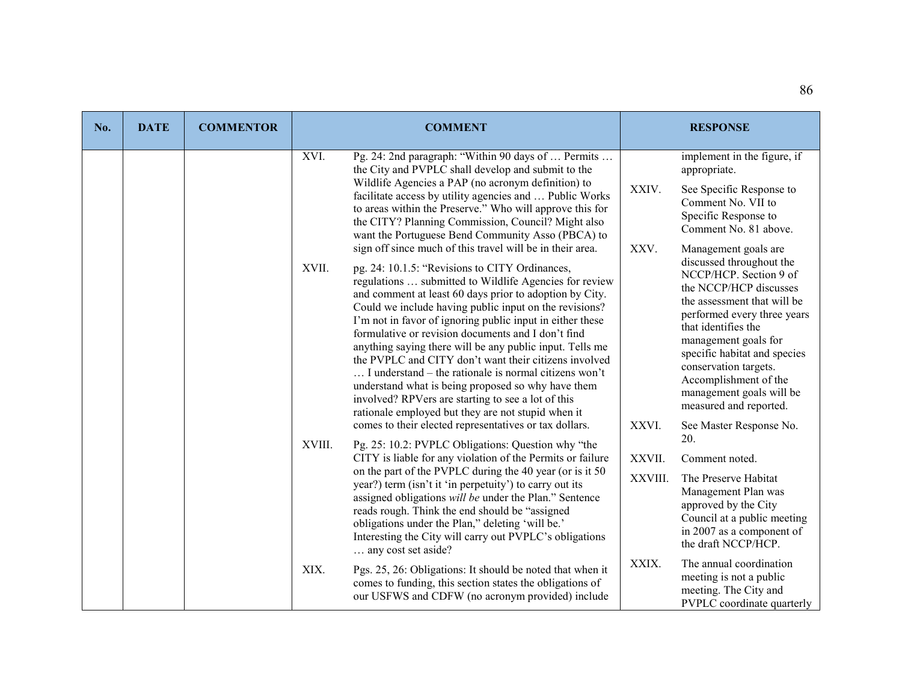| No. | <b>DATE</b> | <b>COMMENTOR</b>                                                                                                                                                                                                                                                                                                                                                                                                                                                                                                                                                                                                                                                                                                                                                                                                                                                                                                                                                                                                                                                                                                                                                                                                                                                                                                                        |                   | <b>COMMENT</b>                                                                                                                                                                                                                                                                                                                                                                       |       | <b>RESPONSE</b>                                                                                           |
|-----|-------------|-----------------------------------------------------------------------------------------------------------------------------------------------------------------------------------------------------------------------------------------------------------------------------------------------------------------------------------------------------------------------------------------------------------------------------------------------------------------------------------------------------------------------------------------------------------------------------------------------------------------------------------------------------------------------------------------------------------------------------------------------------------------------------------------------------------------------------------------------------------------------------------------------------------------------------------------------------------------------------------------------------------------------------------------------------------------------------------------------------------------------------------------------------------------------------------------------------------------------------------------------------------------------------------------------------------------------------------------|-------------------|--------------------------------------------------------------------------------------------------------------------------------------------------------------------------------------------------------------------------------------------------------------------------------------------------------------------------------------------------------------------------------------|-------|-----------------------------------------------------------------------------------------------------------|
|     |             |                                                                                                                                                                                                                                                                                                                                                                                                                                                                                                                                                                                                                                                                                                                                                                                                                                                                                                                                                                                                                                                                                                                                                                                                                                                                                                                                         | XVI.              | Pg. 24: 2nd paragraph: "Within 90 days of  Permits<br>the City and PVPLC shall develop and submit to the                                                                                                                                                                                                                                                                             |       | implement in the figure, if<br>appropriate.                                                               |
|     |             |                                                                                                                                                                                                                                                                                                                                                                                                                                                                                                                                                                                                                                                                                                                                                                                                                                                                                                                                                                                                                                                                                                                                                                                                                                                                                                                                         |                   | Wildlife Agencies a PAP (no acronym definition) to<br>facilitate access by utility agencies and  Public Works<br>to areas within the Preserve." Who will approve this for<br>the CITY? Planning Commission, Council? Might also<br>want the Portuguese Bend Community Asso (PBCA) to                                                                                                 | XXIV. | See Specific Response to<br>Comment No. VII to<br>Specific Response to<br>Comment No. 81 above.           |
|     |             | sign off since much of this travel will be in their area.<br>XVII.<br>pg. 24: 10.1.5: "Revisions to CITY Ordinances,<br>regulations  submitted to Wildlife Agencies for review<br>and comment at least 60 days prior to adoption by City.<br>Could we include having public input on the revisions?<br>I'm not in favor of ignoring public input in either these<br>formulative or revision documents and I don't find<br>anything saying there will be any public input. Tells me<br>the PVPLC and CITY don't want their citizens involved<br>I understand – the rationale is normal citizens won't<br>understand what is being proposed so why have them<br>involved? RPVers are starting to see a lot of this<br>rationale employed but they are not stupid when it<br>comes to their elected representatives or tax dollars.<br>XVIII.<br>Pg. 25: 10.2: PVPLC Obligations: Question why "the<br>CITY is liable for any violation of the Permits or failure<br>on the part of the PVPLC during the 40 year (or is it 50<br>year?) term (isn't it 'in perpetuity') to carry out its<br>assigned obligations will be under the Plan." Sentence<br>reads rough. Think the end should be "assigned<br>obligations under the Plan," deleting 'will be.'<br>Interesting the City will carry out PVPLC's obligations<br>any cost set aside? | XXV.<br>XXVI.     | Management goals are<br>discussed throughout the<br>NCCP/HCP. Section 9 of<br>the NCCP/HCP discusses<br>the assessment that will be<br>performed every three years<br>that identifies the<br>management goals for<br>specific habitat and species<br>conservation targets.<br>Accomplishment of the<br>management goals will be<br>measured and reported.<br>See Master Response No. |       |                                                                                                           |
|     |             |                                                                                                                                                                                                                                                                                                                                                                                                                                                                                                                                                                                                                                                                                                                                                                                                                                                                                                                                                                                                                                                                                                                                                                                                                                                                                                                                         | XXVII.<br>XXVIII. | 20.<br>Comment noted.<br>The Preserve Habitat<br>Management Plan was<br>approved by the City<br>Council at a public meeting<br>in 2007 as a component of<br>the draft NCCP/HCP.                                                                                                                                                                                                      |       |                                                                                                           |
|     |             |                                                                                                                                                                                                                                                                                                                                                                                                                                                                                                                                                                                                                                                                                                                                                                                                                                                                                                                                                                                                                                                                                                                                                                                                                                                                                                                                         | XIX.              | Pgs. 25, 26: Obligations: It should be noted that when it<br>comes to funding, this section states the obligations of<br>our USFWS and CDFW (no acronym provided) include                                                                                                                                                                                                            | XXIX. | The annual coordination<br>meeting is not a public<br>meeting. The City and<br>PVPLC coordinate quarterly |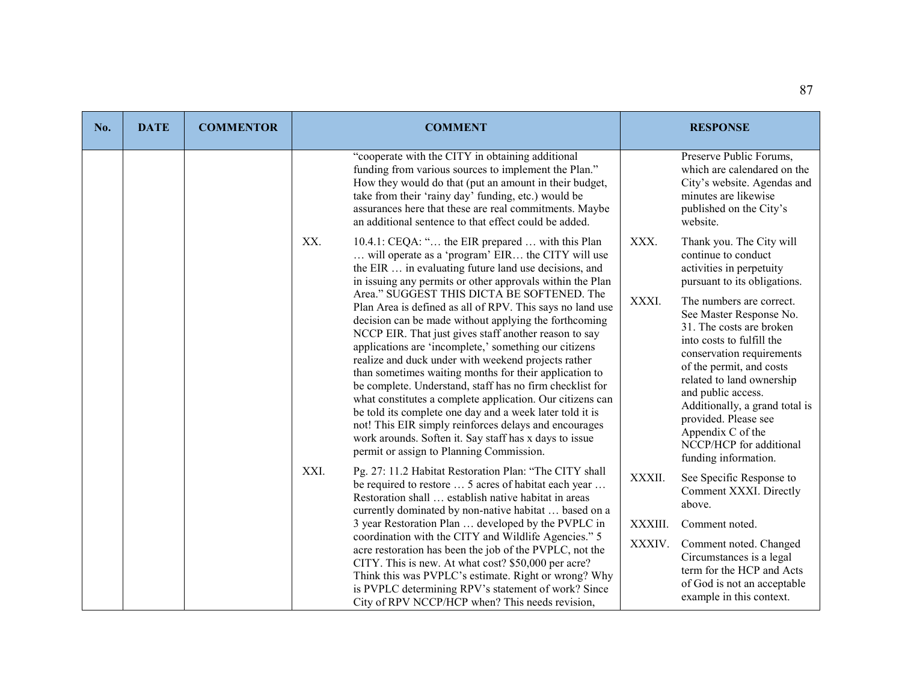| No. | <b>DATE</b> | <b>COMMENTOR</b>                                                                                                                                                                                                                                                                                                                                                                                                                                                                                                                                                                                                                                                                                                                                        | <b>COMMENT</b>                                                                                                                                                                                                                                                                                                                                                      | <b>RESPONSE</b>                                                                                                                                      |
|-----|-------------|---------------------------------------------------------------------------------------------------------------------------------------------------------------------------------------------------------------------------------------------------------------------------------------------------------------------------------------------------------------------------------------------------------------------------------------------------------------------------------------------------------------------------------------------------------------------------------------------------------------------------------------------------------------------------------------------------------------------------------------------------------|---------------------------------------------------------------------------------------------------------------------------------------------------------------------------------------------------------------------------------------------------------------------------------------------------------------------------------------------------------------------|------------------------------------------------------------------------------------------------------------------------------------------------------|
|     |             |                                                                                                                                                                                                                                                                                                                                                                                                                                                                                                                                                                                                                                                                                                                                                         | "cooperate with the CITY in obtaining additional<br>funding from various sources to implement the Plan."<br>How they would do that (put an amount in their budget,<br>take from their 'rainy day' funding, etc.) would be<br>assurances here that these are real commitments. Maybe<br>an additional sentence to that effect could be added.                        | Preserve Public Forums,<br>which are calendared on the<br>City's website. Agendas and<br>minutes are likewise<br>published on the City's<br>website. |
|     |             |                                                                                                                                                                                                                                                                                                                                                                                                                                                                                                                                                                                                                                                                                                                                                         | XX.<br>10.4.1: CEQA: " the EIR prepared  with this Plan<br>will operate as a 'program' EIR the CITY will use<br>the EIR  in evaluating future land use decisions, and<br>in issuing any permits or other approvals within the Plan                                                                                                                                  | XXX.<br>Thank you. The City will<br>continue to conduct<br>activities in perpetuity<br>pursuant to its obligations.                                  |
|     |             | Area." SUGGEST THIS DICTA BE SOFTENED. The<br>Plan Area is defined as all of RPV. This says no land use<br>decision can be made without applying the forthcoming<br>NCCP EIR. That just gives staff another reason to say<br>applications are 'incomplete,' something our citizens<br>realize and duck under with weekend projects rather<br>than sometimes waiting months for their application to<br>be complete. Understand, staff has no firm checklist for<br>what constitutes a complete application. Our citizens can<br>be told its complete one day and a week later told it is<br>not! This EIR simply reinforces delays and encourages<br>work arounds. Soften it. Say staff has x days to issue<br>permit or assign to Planning Commission. | XXXI.<br>The numbers are correct.<br>See Master Response No.<br>31. The costs are broken<br>into costs to fulfill the<br>conservation requirements<br>of the permit, and costs<br>related to land ownership<br>and public access.<br>Additionally, a grand total is<br>provided. Please see<br>Appendix C of the<br>NCCP/HCP for additional<br>funding information. |                                                                                                                                                      |
|     |             |                                                                                                                                                                                                                                                                                                                                                                                                                                                                                                                                                                                                                                                                                                                                                         | XXI.<br>Pg. 27: 11.2 Habitat Restoration Plan: "The CITY shall<br>be required to restore  5 acres of habitat each year<br>Restoration shall  establish native habitat in areas<br>currently dominated by non-native habitat  based on a                                                                                                                             | XXXII.<br>See Specific Response to<br>Comment XXXI. Directly<br>above.                                                                               |
|     |             |                                                                                                                                                                                                                                                                                                                                                                                                                                                                                                                                                                                                                                                                                                                                                         | 3 year Restoration Plan  developed by the PVPLC in                                                                                                                                                                                                                                                                                                                  | XXXIII.<br>Comment noted.                                                                                                                            |
|     |             |                                                                                                                                                                                                                                                                                                                                                                                                                                                                                                                                                                                                                                                                                                                                                         | coordination with the CITY and Wildlife Agencies." 5<br>acre restoration has been the job of the PVPLC, not the<br>CITY. This is new. At what cost? \$50,000 per acre?<br>Think this was PVPLC's estimate. Right or wrong? Why<br>is PVPLC determining RPV's statement of work? Since<br>City of RPV NCCP/HCP when? This needs revision,                            | XXXIV.<br>Comment noted. Changed<br>Circumstances is a legal<br>term for the HCP and Acts<br>of God is not an acceptable<br>example in this context. |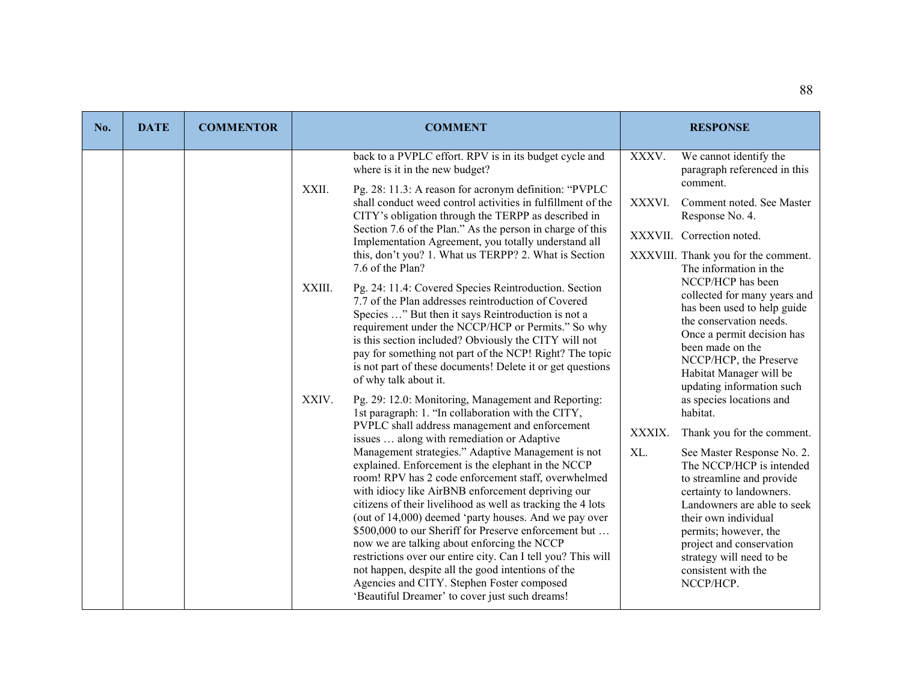| No. | <b>DATE</b> | <b>COMMENTOR</b>                                                                                                                                                                                                                                                                                                                                                                                                                                                                                                                                                                                                                                                                                                                                                                                                                                                                        |                 | <b>COMMENT</b>                                                                                                                                                                                                                                                                                                                                                                                                                                                                                                                                                                                                                                                                                                                                                                                                                                                                                                   |                 | <b>RESPONSE</b>                                                                                                                                                                                                                                                                                                                                                                                                                        |
|-----|-------------|-----------------------------------------------------------------------------------------------------------------------------------------------------------------------------------------------------------------------------------------------------------------------------------------------------------------------------------------------------------------------------------------------------------------------------------------------------------------------------------------------------------------------------------------------------------------------------------------------------------------------------------------------------------------------------------------------------------------------------------------------------------------------------------------------------------------------------------------------------------------------------------------|-----------------|------------------------------------------------------------------------------------------------------------------------------------------------------------------------------------------------------------------------------------------------------------------------------------------------------------------------------------------------------------------------------------------------------------------------------------------------------------------------------------------------------------------------------------------------------------------------------------------------------------------------------------------------------------------------------------------------------------------------------------------------------------------------------------------------------------------------------------------------------------------------------------------------------------------|-----------------|----------------------------------------------------------------------------------------------------------------------------------------------------------------------------------------------------------------------------------------------------------------------------------------------------------------------------------------------------------------------------------------------------------------------------------------|
|     |             |                                                                                                                                                                                                                                                                                                                                                                                                                                                                                                                                                                                                                                                                                                                                                                                                                                                                                         | XXII.<br>XXIII. | back to a PVPLC effort. RPV is in its budget cycle and<br>where is it in the new budget?<br>Pg. 28: 11.3: A reason for acronym definition: "PVPLC<br>shall conduct weed control activities in fulfillment of the<br>CITY's obligation through the TERPP as described in<br>Section 7.6 of the Plan." As the person in charge of this<br>Implementation Agreement, you totally understand all<br>this, don't you? 1. What us TERPP? 2. What is Section<br>7.6 of the Plan?<br>Pg. 24: 11.4: Covered Species Reintroduction. Section<br>7.7 of the Plan addresses reintroduction of Covered<br>Species " But then it says Reintroduction is not a<br>requirement under the NCCP/HCP or Permits." So why<br>is this section included? Obviously the CITY will not<br>pay for something not part of the NCP! Right? The topic<br>is not part of these documents! Delete it or get questions<br>of why talk about it. | XXXV.<br>XXXVI. | We cannot identify the<br>paragraph referenced in this<br>comment.<br>Comment noted. See Master<br>Response No. 4.<br>XXXVII. Correction noted.<br>XXXVIII. Thank you for the comment.<br>The information in the<br>NCCP/HCP has been<br>collected for many years and<br>has been used to help guide<br>the conservation needs.<br>Once a permit decision has<br>been made on the<br>NCCP/HCP, the Preserve<br>Habitat Manager will be |
|     | XXIV.       | Pg. 29: 12.0: Monitoring, Management and Reporting:<br>1st paragraph: 1. "In collaboration with the CITY,<br>PVPLC shall address management and enforcement<br>issues  along with remediation or Adaptive<br>Management strategies." Adaptive Management is not<br>explained. Enforcement is the elephant in the NCCP<br>room! RPV has 2 code enforcement staff, overwhelmed<br>with idiocy like AirBNB enforcement depriving our<br>citizens of their livelihood as well as tracking the 4 lots<br>(out of 14,000) deemed 'party houses. And we pay over<br>\$500,000 to our Sheriff for Preserve enforcement but<br>now we are talking about enforcing the NCCP<br>restrictions over our entire city. Can I tell you? This will<br>not happen, despite all the good intentions of the<br>Agencies and CITY. Stephen Foster composed<br>'Beautiful Dreamer' to cover just such dreams! | XXXIX.<br>XL.   | updating information such<br>as species locations and<br>habitat.<br>Thank you for the comment.<br>See Master Response No. 2.<br>The NCCP/HCP is intended<br>to streamline and provide<br>certainty to landowners.<br>Landowners are able to seek<br>their own individual<br>permits; however, the<br>project and conservation<br>strategy will need to be<br>consistent with the<br>NCCP/HCP.                                                                                                                                                                                                                                                                                                                                                                                                                                                                                                                   |                 |                                                                                                                                                                                                                                                                                                                                                                                                                                        |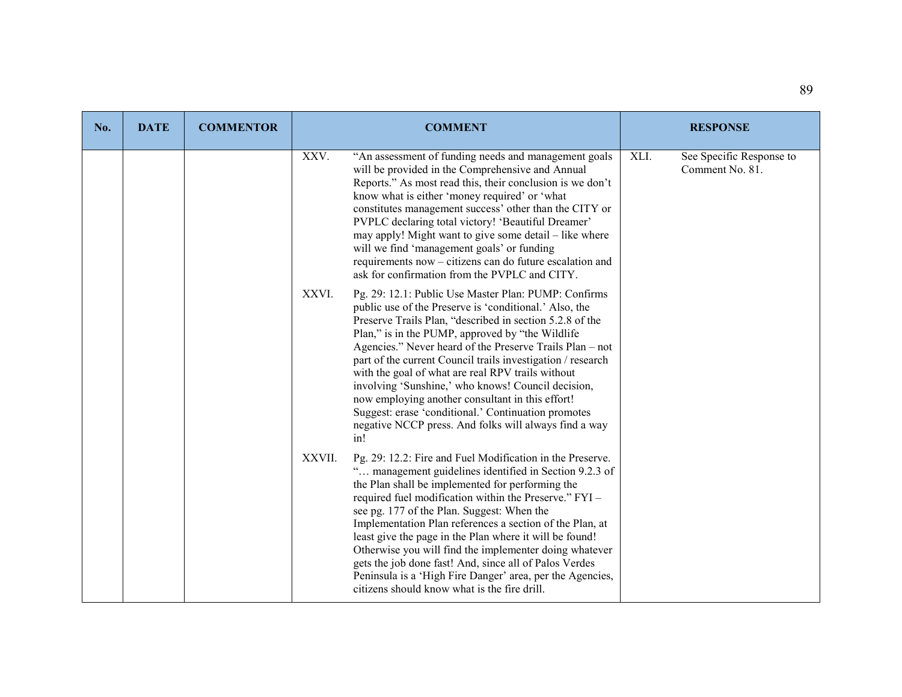| No. | <b>DATE</b> | <b>COMMENTOR</b> |        | <b>COMMENT</b>                                                                                                                                                                                                                                                                                                                                                                                                                                                                                                                                                                                                                                   | <b>RESPONSE</b>                                     |
|-----|-------------|------------------|--------|--------------------------------------------------------------------------------------------------------------------------------------------------------------------------------------------------------------------------------------------------------------------------------------------------------------------------------------------------------------------------------------------------------------------------------------------------------------------------------------------------------------------------------------------------------------------------------------------------------------------------------------------------|-----------------------------------------------------|
|     |             |                  | XXV.   | "An assessment of funding needs and management goals<br>will be provided in the Comprehensive and Annual<br>Reports." As most read this, their conclusion is we don't<br>know what is either 'money required' or 'what<br>constitutes management success' other than the CITY or<br>PVPLC declaring total victory! 'Beautiful Dreamer'<br>may apply! Might want to give some detail – like where<br>will we find 'management goals' or funding<br>requirements now – citizens can do future escalation and<br>ask for confirmation from the PVPLC and CITY.                                                                                      | XLI.<br>See Specific Response to<br>Comment No. 81. |
|     |             |                  | XXVI.  | Pg. 29: 12.1: Public Use Master Plan: PUMP: Confirms<br>public use of the Preserve is 'conditional.' Also, the<br>Preserve Trails Plan, "described in section 5.2.8 of the<br>Plan," is in the PUMP, approved by "the Wildlife"<br>Agencies." Never heard of the Preserve Trails Plan - not<br>part of the current Council trails investigation / research<br>with the goal of what are real RPV trails without<br>involving 'Sunshine,' who knows! Council decision,<br>now employing another consultant in this effort!<br>Suggest: erase 'conditional.' Continuation promotes<br>negative NCCP press. And folks will always find a way<br>in! |                                                     |
|     |             |                  | XXVII. | Pg. 29: 12.2: Fire and Fuel Modification in the Preserve.<br>" management guidelines identified in Section 9.2.3 of<br>the Plan shall be implemented for performing the<br>required fuel modification within the Preserve." FYI -<br>see pg. 177 of the Plan. Suggest: When the<br>Implementation Plan references a section of the Plan, at<br>least give the page in the Plan where it will be found!<br>Otherwise you will find the implementer doing whatever<br>gets the job done fast! And, since all of Palos Verdes<br>Peninsula is a 'High Fire Danger' area, per the Agencies,<br>citizens should know what is the fire drill.          |                                                     |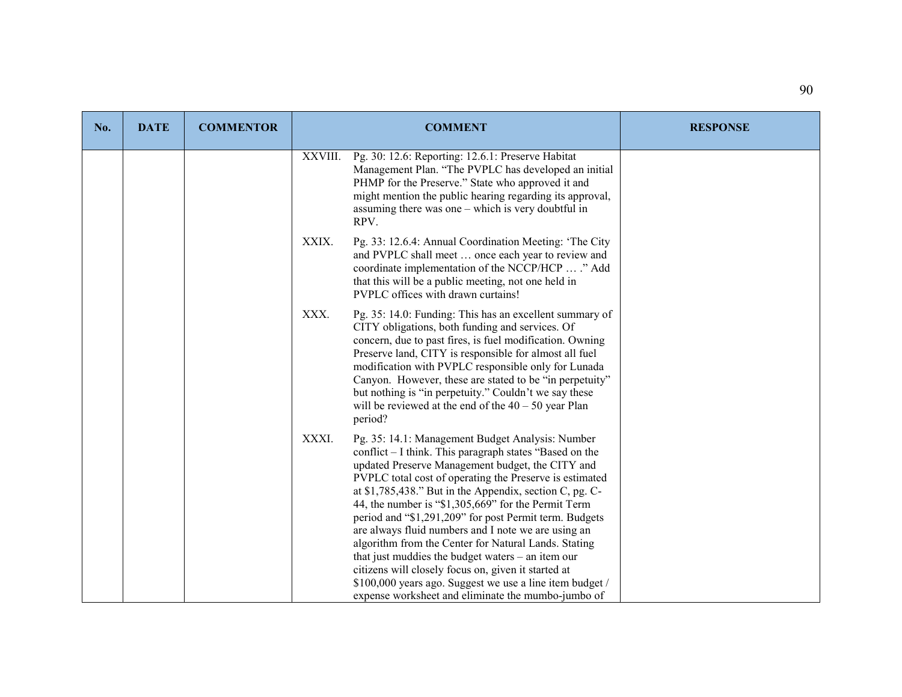| No. | <b>DATE</b> | <b>COMMENTOR</b> |         | <b>COMMENT</b>                                                                                                                                                                                                                                                                                                                                                                                                                                                                                                                                                                                                                                                                                                                                         | <b>RESPONSE</b> |
|-----|-------------|------------------|---------|--------------------------------------------------------------------------------------------------------------------------------------------------------------------------------------------------------------------------------------------------------------------------------------------------------------------------------------------------------------------------------------------------------------------------------------------------------------------------------------------------------------------------------------------------------------------------------------------------------------------------------------------------------------------------------------------------------------------------------------------------------|-----------------|
|     |             |                  | XXVIII. | Pg. 30: 12.6: Reporting: 12.6.1: Preserve Habitat<br>Management Plan. "The PVPLC has developed an initial<br>PHMP for the Preserve." State who approved it and<br>might mention the public hearing regarding its approval,<br>assuming there was one $-$ which is very doubtful in<br>RPV.                                                                                                                                                                                                                                                                                                                                                                                                                                                             |                 |
|     |             |                  | XXIX.   | Pg. 33: 12.6.4: Annual Coordination Meeting: 'The City<br>and PVPLC shall meet  once each year to review and<br>coordinate implementation of the NCCP/HCP  ." Add<br>that this will be a public meeting, not one held in<br>PVPLC offices with drawn curtains!                                                                                                                                                                                                                                                                                                                                                                                                                                                                                         |                 |
|     |             |                  | XXX.    | Pg. 35: 14.0: Funding: This has an excellent summary of<br>CITY obligations, both funding and services. Of<br>concern, due to past fires, is fuel modification. Owning<br>Preserve land, CITY is responsible for almost all fuel<br>modification with PVPLC responsible only for Lunada<br>Canyon. However, these are stated to be "in perpetuity"<br>but nothing is "in perpetuity." Couldn't we say these<br>will be reviewed at the end of the $40 - 50$ year Plan<br>period?                                                                                                                                                                                                                                                                       |                 |
|     |             |                  | XXXI.   | Pg. 35: 14.1: Management Budget Analysis: Number<br>conflict – I think. This paragraph states "Based on the<br>updated Preserve Management budget, the CITY and<br>PVPLC total cost of operating the Preserve is estimated<br>at $$1,785,438."$ But in the Appendix, section C, pg. C-<br>44, the number is "\$1,305,669" for the Permit Term<br>period and "\$1,291,209" for post Permit term. Budgets<br>are always fluid numbers and I note we are using an<br>algorithm from the Center for Natural Lands. Stating<br>that just muddies the budget waters $-$ an item our<br>citizens will closely focus on, given it started at<br>\$100,000 years ago. Suggest we use a line item budget /<br>expense worksheet and eliminate the mumbo-jumbo of |                 |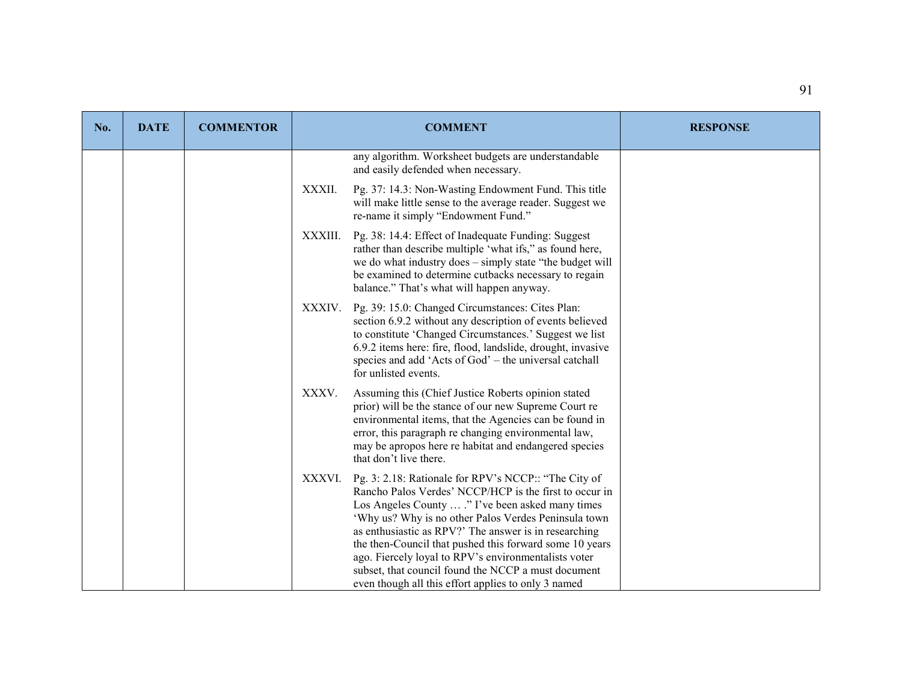| No. | <b>DATE</b> | <b>COMMENTOR</b> |         | <b>COMMENT</b>                                                                                                                                                                                                                                                                                                                                                                                                                                                                                                        | <b>RESPONSE</b> |
|-----|-------------|------------------|---------|-----------------------------------------------------------------------------------------------------------------------------------------------------------------------------------------------------------------------------------------------------------------------------------------------------------------------------------------------------------------------------------------------------------------------------------------------------------------------------------------------------------------------|-----------------|
|     |             |                  |         | any algorithm. Worksheet budgets are understandable<br>and easily defended when necessary.                                                                                                                                                                                                                                                                                                                                                                                                                            |                 |
|     |             |                  | XXXII.  | Pg. 37: 14.3: Non-Wasting Endowment Fund. This title<br>will make little sense to the average reader. Suggest we<br>re-name it simply "Endowment Fund."                                                                                                                                                                                                                                                                                                                                                               |                 |
|     |             |                  | XXXIII. | Pg. 38: 14.4: Effect of Inadequate Funding: Suggest<br>rather than describe multiple 'what ifs," as found here,<br>we do what industry does - simply state "the budget will<br>be examined to determine cutbacks necessary to regain<br>balance." That's what will happen anyway.                                                                                                                                                                                                                                     |                 |
|     |             |                  | XXXIV.  | Pg. 39: 15.0: Changed Circumstances: Cites Plan:<br>section 6.9.2 without any description of events believed<br>to constitute 'Changed Circumstances.' Suggest we list<br>6.9.2 items here: fire, flood, landslide, drought, invasive<br>species and add 'Acts of God' - the universal catchall<br>for unlisted events.                                                                                                                                                                                               |                 |
|     |             |                  | XXXV.   | Assuming this (Chief Justice Roberts opinion stated<br>prior) will be the stance of our new Supreme Court re<br>environmental items, that the Agencies can be found in<br>error, this paragraph re changing environmental law,<br>may be apropos here re habitat and endangered species<br>that don't live there.                                                                                                                                                                                                     |                 |
|     |             |                  | XXXVI.  | Pg. 3: 2.18: Rationale for RPV's NCCP:: "The City of<br>Rancho Palos Verdes' NCCP/HCP is the first to occur in<br>Los Angeles County  ." I've been asked many times<br>'Why us? Why is no other Palos Verdes Peninsula town<br>as enthusiastic as RPV?' The answer is in researching<br>the then-Council that pushed this forward some 10 years<br>ago. Fiercely loyal to RPV's environmentalists voter<br>subset, that council found the NCCP a must document<br>even though all this effort applies to only 3 named |                 |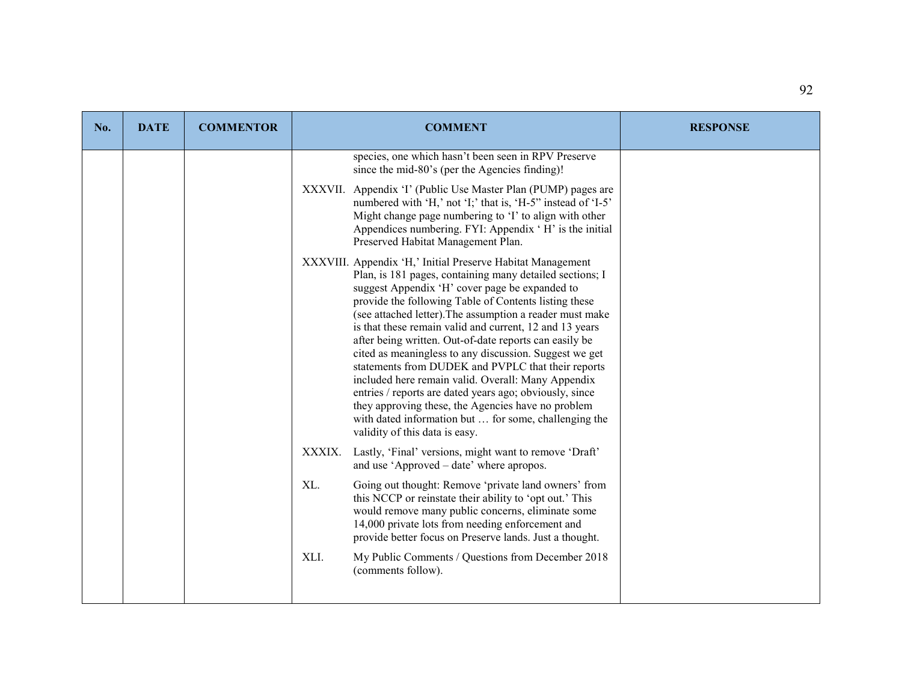| No. | <b>DATE</b> | <b>COMMENTOR</b> | <b>COMMENT</b>                                                                                                                                                                                                                                                                                                                                                                                                                                                                                                                                                                                                                                                                                                                                                                                       | <b>RESPONSE</b> |
|-----|-------------|------------------|------------------------------------------------------------------------------------------------------------------------------------------------------------------------------------------------------------------------------------------------------------------------------------------------------------------------------------------------------------------------------------------------------------------------------------------------------------------------------------------------------------------------------------------------------------------------------------------------------------------------------------------------------------------------------------------------------------------------------------------------------------------------------------------------------|-----------------|
|     |             |                  | species, one which hasn't been seen in RPV Preserve<br>since the mid-80's (per the Agencies finding)!                                                                                                                                                                                                                                                                                                                                                                                                                                                                                                                                                                                                                                                                                                |                 |
|     |             |                  | XXXVII. Appendix 'I' (Public Use Master Plan (PUMP) pages are<br>numbered with 'H,' not 'I;' that is, 'H-5" instead of 'I-5"<br>Might change page numbering to 'I' to align with other<br>Appendices numbering. FYI: Appendix 'H' is the initial<br>Preserved Habitat Management Plan.                                                                                                                                                                                                                                                                                                                                                                                                                                                                                                               |                 |
|     |             |                  | XXXVIII. Appendix 'H,' Initial Preserve Habitat Management<br>Plan, is 181 pages, containing many detailed sections; I<br>suggest Appendix 'H' cover page be expanded to<br>provide the following Table of Contents listing these<br>(see attached letter). The assumption a reader must make<br>is that these remain valid and current, 12 and 13 years<br>after being written. Out-of-date reports can easily be<br>cited as meaningless to any discussion. Suggest we get<br>statements from DUDEK and PVPLC that their reports<br>included here remain valid. Overall: Many Appendix<br>entries / reports are dated years ago; obviously, since<br>they approving these, the Agencies have no problem<br>with dated information but  for some, challenging the<br>validity of this data is easy. |                 |
|     |             |                  | XXXIX.<br>Lastly, 'Final' versions, might want to remove 'Draft'<br>and use 'Approved - date' where apropos.                                                                                                                                                                                                                                                                                                                                                                                                                                                                                                                                                                                                                                                                                         |                 |
|     |             |                  | XL.<br>Going out thought: Remove 'private land owners' from<br>this NCCP or reinstate their ability to 'opt out.' This<br>would remove many public concerns, eliminate some<br>14,000 private lots from needing enforcement and<br>provide better focus on Preserve lands. Just a thought.                                                                                                                                                                                                                                                                                                                                                                                                                                                                                                           |                 |
|     |             |                  | XLI.<br>My Public Comments / Questions from December 2018<br>(comments follow).                                                                                                                                                                                                                                                                                                                                                                                                                                                                                                                                                                                                                                                                                                                      |                 |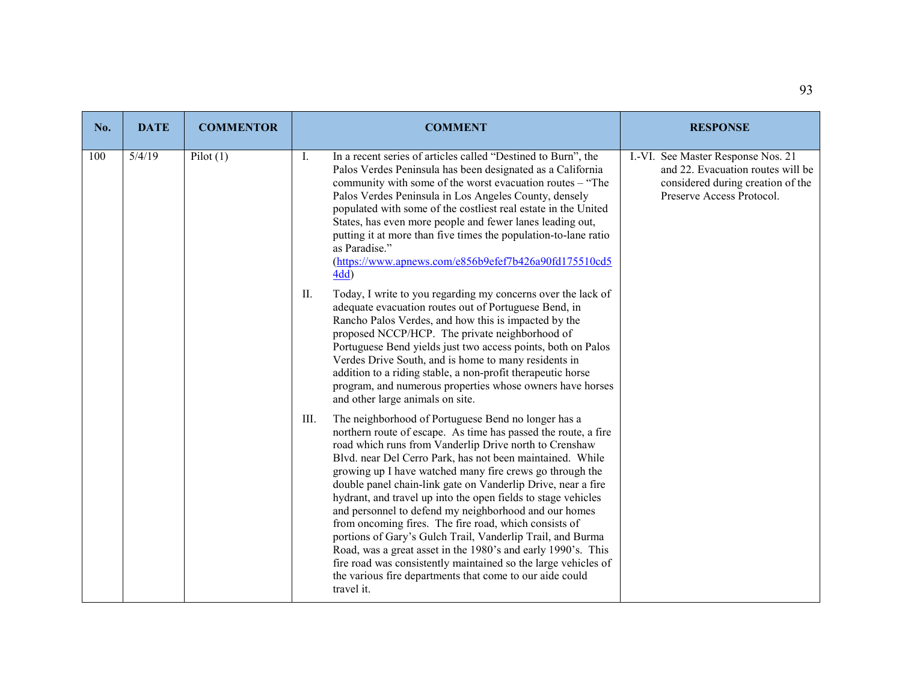| No. | <b>DATE</b> | <b>COMMENTOR</b> | <b>COMMENT</b>                                                                                                                                                                                                                                                                                                                                                                                                                                                                                                                                                                                                                                                                                                                                                                                                                                | <b>RESPONSE</b>                                                                                                                           |
|-----|-------------|------------------|-----------------------------------------------------------------------------------------------------------------------------------------------------------------------------------------------------------------------------------------------------------------------------------------------------------------------------------------------------------------------------------------------------------------------------------------------------------------------------------------------------------------------------------------------------------------------------------------------------------------------------------------------------------------------------------------------------------------------------------------------------------------------------------------------------------------------------------------------|-------------------------------------------------------------------------------------------------------------------------------------------|
| 100 | 5/4/19      | Pilot(1)         | Ι.<br>In a recent series of articles called "Destined to Burn", the<br>Palos Verdes Peninsula has been designated as a California<br>community with some of the worst evacuation routes – "The<br>Palos Verdes Peninsula in Los Angeles County, densely<br>populated with some of the costliest real estate in the United<br>States, has even more people and fewer lanes leading out,<br>putting it at more than five times the population-to-lane ratio<br>as Paradise."<br>(https://www.apnews.com/e856b9efef7b426a90fd175510cd5<br>4dd)                                                                                                                                                                                                                                                                                                   | I.-VI. See Master Response Nos. 21<br>and 22. Evacuation routes will be<br>considered during creation of the<br>Preserve Access Protocol. |
|     |             |                  | Today, I write to you regarding my concerns over the lack of<br>II.<br>adequate evacuation routes out of Portuguese Bend, in<br>Rancho Palos Verdes, and how this is impacted by the<br>proposed NCCP/HCP. The private neighborhood of<br>Portuguese Bend yields just two access points, both on Palos<br>Verdes Drive South, and is home to many residents in<br>addition to a riding stable, a non-profit therapeutic horse<br>program, and numerous properties whose owners have horses<br>and other large animals on site.                                                                                                                                                                                                                                                                                                                |                                                                                                                                           |
|     |             |                  | The neighborhood of Portuguese Bend no longer has a<br>III.<br>northern route of escape. As time has passed the route, a fire<br>road which runs from Vanderlip Drive north to Crenshaw<br>Blvd. near Del Cerro Park, has not been maintained. While<br>growing up I have watched many fire crews go through the<br>double panel chain-link gate on Vanderlip Drive, near a fire<br>hydrant, and travel up into the open fields to stage vehicles<br>and personnel to defend my neighborhood and our homes<br>from oncoming fires. The fire road, which consists of<br>portions of Gary's Gulch Trail, Vanderlip Trail, and Burma<br>Road, was a great asset in the 1980's and early 1990's. This<br>fire road was consistently maintained so the large vehicles of<br>the various fire departments that come to our aide could<br>travel it. |                                                                                                                                           |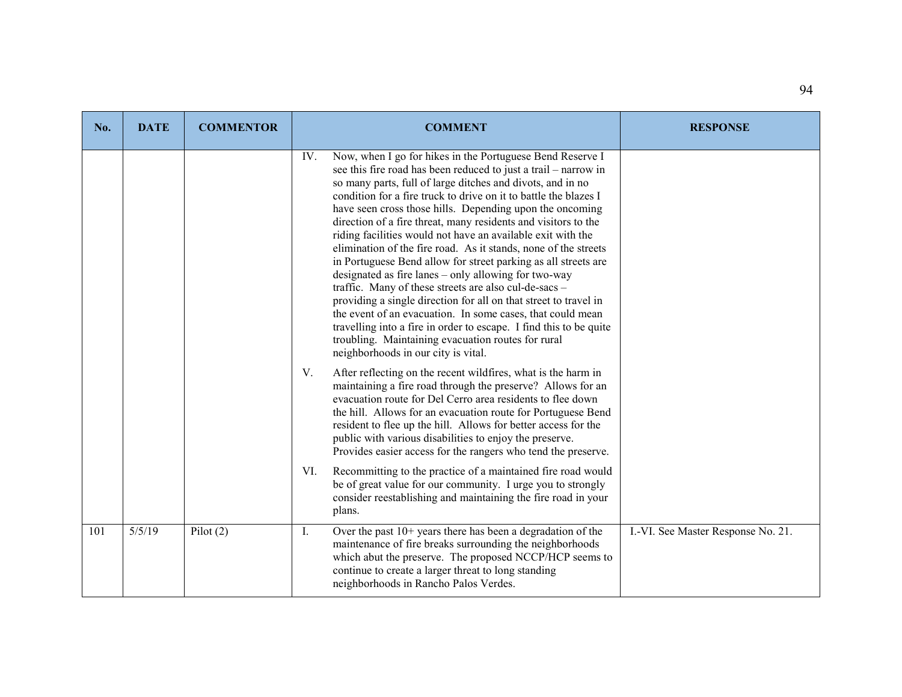| No. | <b>DATE</b> | <b>COMMENTOR</b> | <b>COMMENT</b>                                                                                                                                                                                                                                                                                                                                                                                                                                                                                                                                                                                                                                                                                                                                                                                                                                                                                                                                                                                                                | <b>RESPONSE</b>                    |
|-----|-------------|------------------|-------------------------------------------------------------------------------------------------------------------------------------------------------------------------------------------------------------------------------------------------------------------------------------------------------------------------------------------------------------------------------------------------------------------------------------------------------------------------------------------------------------------------------------------------------------------------------------------------------------------------------------------------------------------------------------------------------------------------------------------------------------------------------------------------------------------------------------------------------------------------------------------------------------------------------------------------------------------------------------------------------------------------------|------------------------------------|
|     |             |                  | Now, when I go for hikes in the Portuguese Bend Reserve I<br>IV.<br>see this fire road has been reduced to just a trail – narrow in<br>so many parts, full of large ditches and divots, and in no<br>condition for a fire truck to drive on it to battle the blazes I<br>have seen cross those hills. Depending upon the oncoming<br>direction of a fire threat, many residents and visitors to the<br>riding facilities would not have an available exit with the<br>elimination of the fire road. As it stands, none of the streets<br>in Portuguese Bend allow for street parking as all streets are<br>designated as fire lanes - only allowing for two-way<br>traffic. Many of these streets are also cul-de-sacs -<br>providing a single direction for all on that street to travel in<br>the event of an evacuation. In some cases, that could mean<br>travelling into a fire in order to escape. I find this to be quite<br>troubling. Maintaining evacuation routes for rural<br>neighborhoods in our city is vital. |                                    |
|     |             |                  | V.<br>After reflecting on the recent wildfires, what is the harm in<br>maintaining a fire road through the preserve? Allows for an<br>evacuation route for Del Cerro area residents to flee down<br>the hill. Allows for an evacuation route for Portuguese Bend<br>resident to flee up the hill. Allows for better access for the<br>public with various disabilities to enjoy the preserve.<br>Provides easier access for the rangers who tend the preserve.                                                                                                                                                                                                                                                                                                                                                                                                                                                                                                                                                                |                                    |
|     |             |                  | Recommitting to the practice of a maintained fire road would<br>VI.<br>be of great value for our community. I urge you to strongly<br>consider reestablishing and maintaining the fire road in your<br>plans.                                                                                                                                                                                                                                                                                                                                                                                                                                                                                                                                                                                                                                                                                                                                                                                                                 |                                    |
| 101 | 5/5/19      | Pilot $(2)$      | Over the past 10+ years there has been a degradation of the<br>Ι.<br>maintenance of fire breaks surrounding the neighborhoods<br>which abut the preserve. The proposed NCCP/HCP seems to<br>continue to create a larger threat to long standing<br>neighborhoods in Rancho Palos Verdes.                                                                                                                                                                                                                                                                                                                                                                                                                                                                                                                                                                                                                                                                                                                                      | I.-VI. See Master Response No. 21. |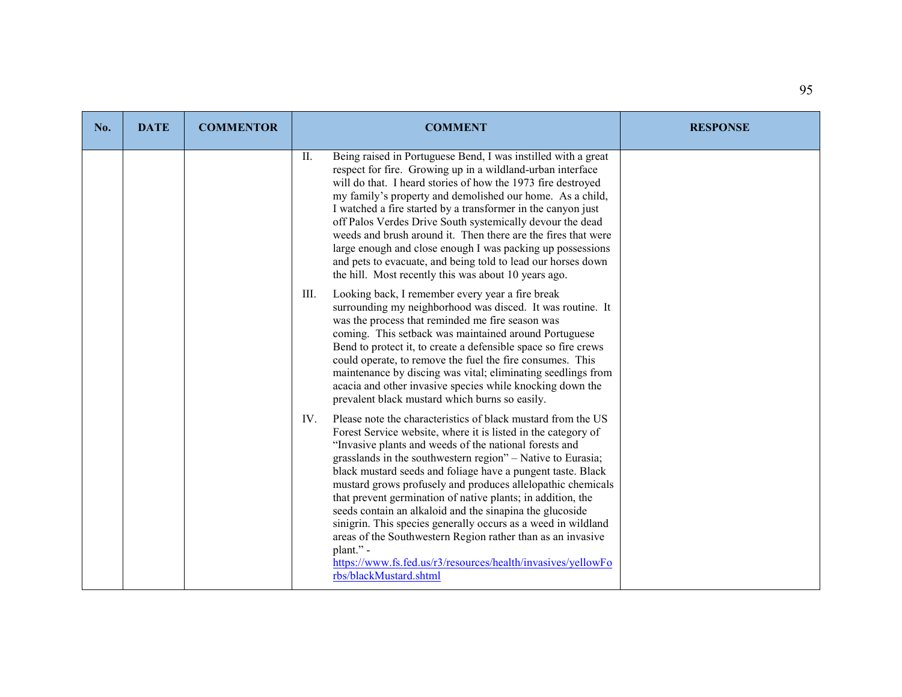| No. | <b>DATE</b> | <b>COMMENTOR</b> | <b>COMMENT</b>                                                                                                                                                                                                                                                                                                                                                                                                                                                                                                                                                                                                                                                                                                                                                | <b>RESPONSE</b> |
|-----|-------------|------------------|---------------------------------------------------------------------------------------------------------------------------------------------------------------------------------------------------------------------------------------------------------------------------------------------------------------------------------------------------------------------------------------------------------------------------------------------------------------------------------------------------------------------------------------------------------------------------------------------------------------------------------------------------------------------------------------------------------------------------------------------------------------|-----------------|
|     |             |                  | Being raised in Portuguese Bend, I was instilled with a great<br>П.<br>respect for fire. Growing up in a wildland-urban interface<br>will do that. I heard stories of how the 1973 fire destroyed<br>my family's property and demolished our home. As a child,<br>I watched a fire started by a transformer in the canyon just<br>off Palos Verdes Drive South systemically devour the dead<br>weeds and brush around it. Then there are the fires that were<br>large enough and close enough I was packing up possessions<br>and pets to evacuate, and being told to lead our horses down<br>the hill. Most recently this was about 10 years ago.                                                                                                            |                 |
|     |             |                  | III.<br>Looking back, I remember every year a fire break<br>surrounding my neighborhood was disced. It was routine. It<br>was the process that reminded me fire season was<br>coming. This setback was maintained around Portuguese<br>Bend to protect it, to create a defensible space so fire crews<br>could operate, to remove the fuel the fire consumes. This<br>maintenance by discing was vital; eliminating seedlings from<br>acacia and other invasive species while knocking down the<br>prevalent black mustard which burns so easily.                                                                                                                                                                                                             |                 |
|     |             |                  | Please note the characteristics of black mustard from the US<br>IV.<br>Forest Service website, where it is listed in the category of<br>"Invasive plants and weeds of the national forests and<br>grasslands in the southwestern region" - Native to Eurasia;<br>black mustard seeds and foliage have a pungent taste. Black<br>mustard grows profusely and produces allelopathic chemicals<br>that prevent germination of native plants; in addition, the<br>seeds contain an alkaloid and the sinapina the glucoside<br>sinigrin. This species generally occurs as a weed in wildland<br>areas of the Southwestern Region rather than as an invasive<br>plant." -<br>https://www.fs.fed.us/r3/resources/health/invasives/yellowFo<br>rbs/blackMustard.shtml |                 |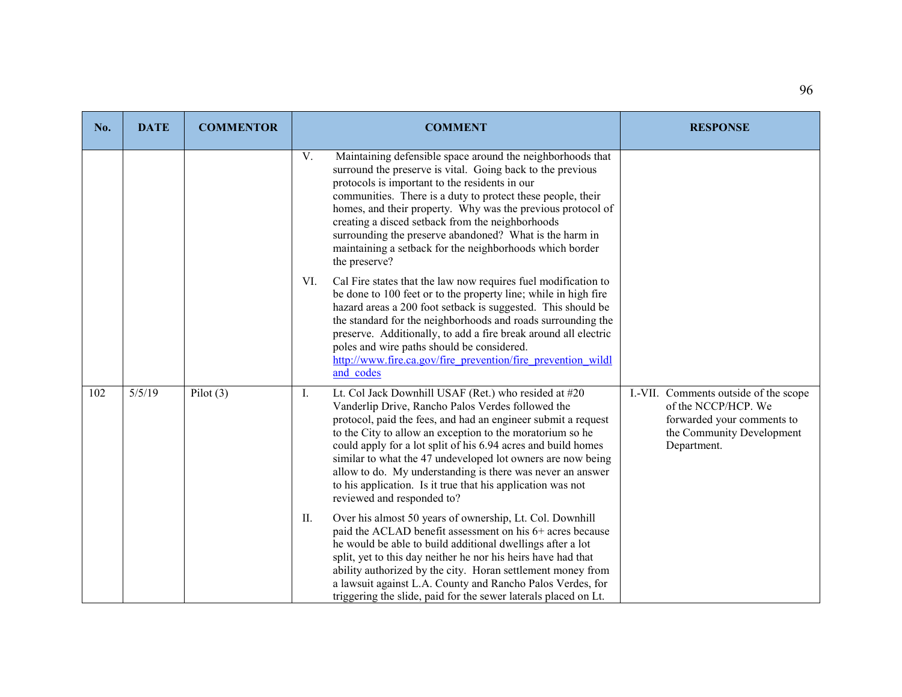| No. | <b>DATE</b> | <b>COMMENTOR</b> | <b>COMMENT</b>                                                                                                                                                                                                                                                                                                                                                                                                                                                                                                                           | <b>RESPONSE</b>                                                                                                                        |
|-----|-------------|------------------|------------------------------------------------------------------------------------------------------------------------------------------------------------------------------------------------------------------------------------------------------------------------------------------------------------------------------------------------------------------------------------------------------------------------------------------------------------------------------------------------------------------------------------------|----------------------------------------------------------------------------------------------------------------------------------------|
|     |             |                  | V.<br>Maintaining defensible space around the neighborhoods that<br>surround the preserve is vital. Going back to the previous<br>protocols is important to the residents in our<br>communities. There is a duty to protect these people, their<br>homes, and their property. Why was the previous protocol of<br>creating a disced setback from the neighborhoods<br>surrounding the preserve abandoned? What is the harm in<br>maintaining a setback for the neighborhoods which border<br>the preserve?                               |                                                                                                                                        |
|     |             |                  | Cal Fire states that the law now requires fuel modification to<br>VI.<br>be done to 100 feet or to the property line; while in high fire<br>hazard areas a 200 foot setback is suggested. This should be<br>the standard for the neighborhoods and roads surrounding the<br>preserve. Additionally, to add a fire break around all electric<br>poles and wire paths should be considered.<br>http://www.fire.ca.gov/fire prevention/fire prevention wildl<br>and codes                                                                   |                                                                                                                                        |
| 102 | 5/5/19      | Pilot $(3)$      | Lt. Col Jack Downhill USAF (Ret.) who resided at #20<br>Ι.<br>Vanderlip Drive, Rancho Palos Verdes followed the<br>protocol, paid the fees, and had an engineer submit a request<br>to the City to allow an exception to the moratorium so he<br>could apply for a lot split of his 6.94 acres and build homes<br>similar to what the 47 undeveloped lot owners are now being<br>allow to do. My understanding is there was never an answer<br>to his application. Is it true that his application was not<br>reviewed and responded to? | I.-VII. Comments outside of the scope<br>of the NCCP/HCP. We<br>forwarded your comments to<br>the Community Development<br>Department. |
|     |             |                  | II.<br>Over his almost 50 years of ownership, Lt. Col. Downhill<br>paid the ACLAD benefit assessment on his 6+ acres because<br>he would be able to build additional dwellings after a lot<br>split, yet to this day neither he nor his heirs have had that<br>ability authorized by the city. Horan settlement money from<br>a lawsuit against L.A. County and Rancho Palos Verdes, for<br>triggering the slide, paid for the sewer laterals placed on Lt.                                                                              |                                                                                                                                        |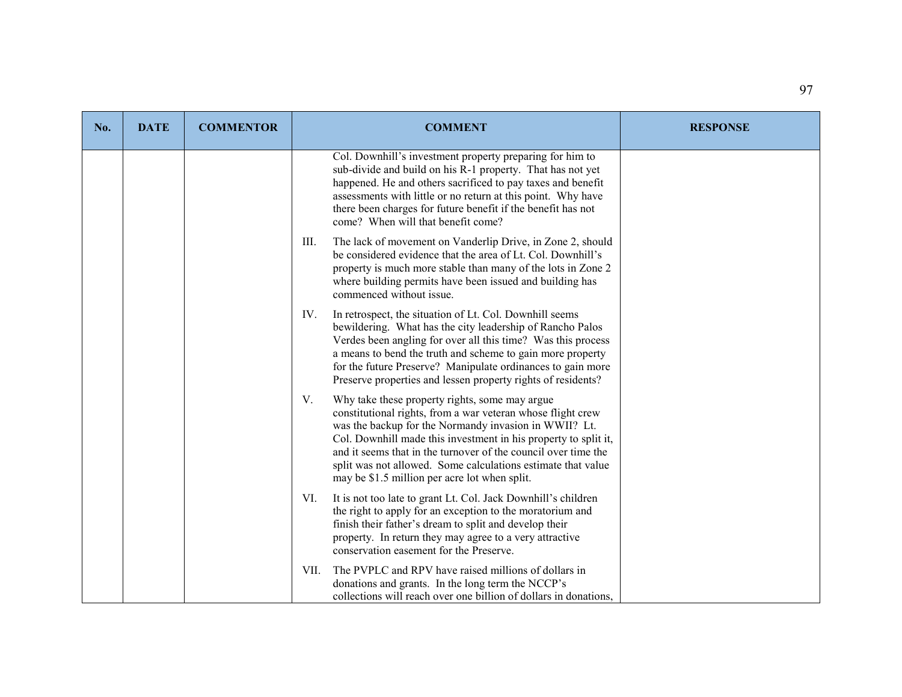| No. | <b>DATE</b> | <b>COMMENTOR</b> | <b>COMMENT</b>                                                                                                                                                                                                                                                                                                                                                                                                                     | <b>RESPONSE</b> |
|-----|-------------|------------------|------------------------------------------------------------------------------------------------------------------------------------------------------------------------------------------------------------------------------------------------------------------------------------------------------------------------------------------------------------------------------------------------------------------------------------|-----------------|
|     |             |                  | Col. Downhill's investment property preparing for him to<br>sub-divide and build on his R-1 property. That has not yet<br>happened. He and others sacrificed to pay taxes and benefit<br>assessments with little or no return at this point. Why have<br>there been charges for future benefit if the benefit has not<br>come? When will that benefit come?                                                                        |                 |
|     |             |                  | The lack of movement on Vanderlip Drive, in Zone 2, should<br>III.<br>be considered evidence that the area of Lt. Col. Downhill's<br>property is much more stable than many of the lots in Zone 2<br>where building permits have been issued and building has<br>commenced without issue.                                                                                                                                          |                 |
|     |             |                  | In retrospect, the situation of Lt. Col. Downhill seems<br>IV.<br>bewildering. What has the city leadership of Rancho Palos<br>Verdes been angling for over all this time? Was this process<br>a means to bend the truth and scheme to gain more property<br>for the future Preserve? Manipulate ordinances to gain more<br>Preserve properties and lessen property rights of residents?                                           |                 |
|     |             |                  | V.<br>Why take these property rights, some may argue<br>constitutional rights, from a war veteran whose flight crew<br>was the backup for the Normandy invasion in WWII? Lt.<br>Col. Downhill made this investment in his property to split it,<br>and it seems that in the turnover of the council over time the<br>split was not allowed. Some calculations estimate that value<br>may be \$1.5 million per acre lot when split. |                 |
|     |             |                  | VI.<br>It is not too late to grant Lt. Col. Jack Downhill's children<br>the right to apply for an exception to the moratorium and<br>finish their father's dream to split and develop their<br>property. In return they may agree to a very attractive<br>conservation easement for the Preserve.                                                                                                                                  |                 |
|     |             |                  | The PVPLC and RPV have raised millions of dollars in<br>VII.<br>donations and grants. In the long term the NCCP's<br>collections will reach over one billion of dollars in donations,                                                                                                                                                                                                                                              |                 |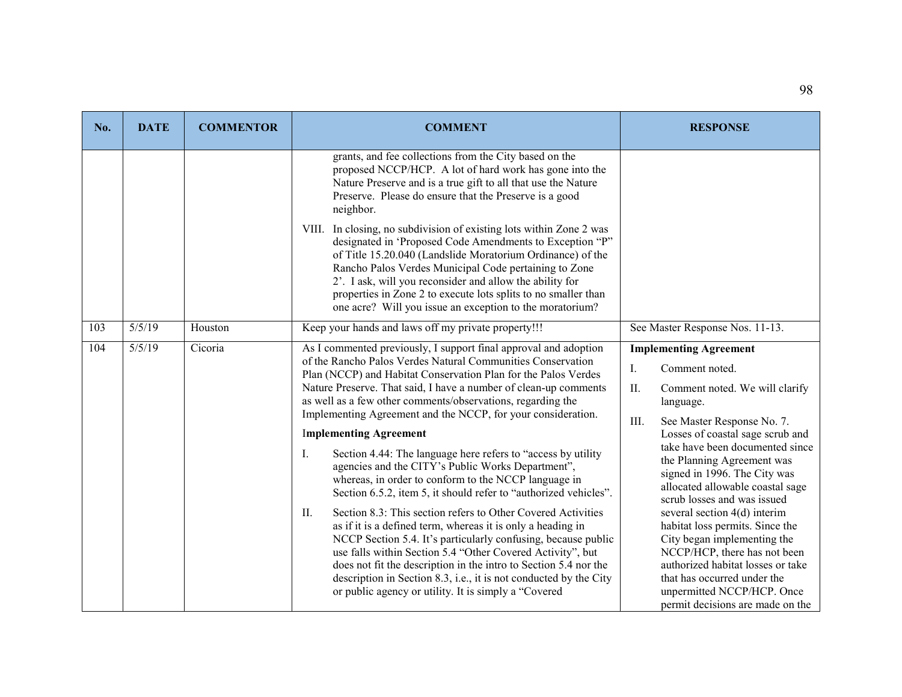| No. | <b>DATE</b> | <b>COMMENTOR</b> | <b>COMMENT</b>                                                                                                                                                                                                                                                                                                                                                                                                                                                                                                                                                                                                                                                                                                                                                                                                                                                                                                                                                                                                                                                                                                                                                     | <b>RESPONSE</b>                                                                                                                                                                                                                                                                                                                                                                                                                                                                                                                                                                                                                   |
|-----|-------------|------------------|--------------------------------------------------------------------------------------------------------------------------------------------------------------------------------------------------------------------------------------------------------------------------------------------------------------------------------------------------------------------------------------------------------------------------------------------------------------------------------------------------------------------------------------------------------------------------------------------------------------------------------------------------------------------------------------------------------------------------------------------------------------------------------------------------------------------------------------------------------------------------------------------------------------------------------------------------------------------------------------------------------------------------------------------------------------------------------------------------------------------------------------------------------------------|-----------------------------------------------------------------------------------------------------------------------------------------------------------------------------------------------------------------------------------------------------------------------------------------------------------------------------------------------------------------------------------------------------------------------------------------------------------------------------------------------------------------------------------------------------------------------------------------------------------------------------------|
|     |             |                  | grants, and fee collections from the City based on the<br>proposed NCCP/HCP. A lot of hard work has gone into the<br>Nature Preserve and is a true gift to all that use the Nature<br>Preserve. Please do ensure that the Preserve is a good<br>neighbor.<br>VIII. In closing, no subdivision of existing lots within Zone 2 was<br>designated in 'Proposed Code Amendments to Exception "P"<br>of Title 15.20.040 (Landslide Moratorium Ordinance) of the<br>Rancho Palos Verdes Municipal Code pertaining to Zone<br>2'. I ask, will you reconsider and allow the ability for<br>properties in Zone 2 to execute lots splits to no smaller than<br>one acre? Will you issue an exception to the moratorium?                                                                                                                                                                                                                                                                                                                                                                                                                                                      |                                                                                                                                                                                                                                                                                                                                                                                                                                                                                                                                                                                                                                   |
| 103 | 5/5/19      | Houston          | Keep your hands and laws off my private property!!!                                                                                                                                                                                                                                                                                                                                                                                                                                                                                                                                                                                                                                                                                                                                                                                                                                                                                                                                                                                                                                                                                                                | See Master Response Nos. 11-13.                                                                                                                                                                                                                                                                                                                                                                                                                                                                                                                                                                                                   |
| 104 | 5/5/19      | Cicoria          | As I commented previously, I support final approval and adoption<br>of the Rancho Palos Verdes Natural Communities Conservation<br>Plan (NCCP) and Habitat Conservation Plan for the Palos Verdes<br>Nature Preserve. That said, I have a number of clean-up comments<br>as well as a few other comments/observations, regarding the<br>Implementing Agreement and the NCCP, for your consideration.<br><b>Implementing Agreement</b><br>Section 4.44: The language here refers to "access by utility<br>Ι.<br>agencies and the CITY's Public Works Department",<br>whereas, in order to conform to the NCCP language in<br>Section 6.5.2, item 5, it should refer to "authorized vehicles".<br>Section 8.3: This section refers to Other Covered Activities<br>II.<br>as if it is a defined term, whereas it is only a heading in<br>NCCP Section 5.4. It's particularly confusing, because public<br>use falls within Section 5.4 "Other Covered Activity", but<br>does not fit the description in the intro to Section 5.4 nor the<br>description in Section 8.3, i.e., it is not conducted by the City<br>or public agency or utility. It is simply a "Covered | <b>Implementing Agreement</b><br>Comment noted.<br>Ι.<br>II.<br>Comment noted. We will clarify<br>language.<br>III.<br>See Master Response No. 7.<br>Losses of coastal sage scrub and<br>take have been documented since<br>the Planning Agreement was<br>signed in 1996. The City was<br>allocated allowable coastal sage<br>scrub losses and was issued<br>several section 4(d) interim<br>habitat loss permits. Since the<br>City began implementing the<br>NCCP/HCP, there has not been<br>authorized habitat losses or take<br>that has occurred under the<br>unpermitted NCCP/HCP. Once<br>permit decisions are made on the |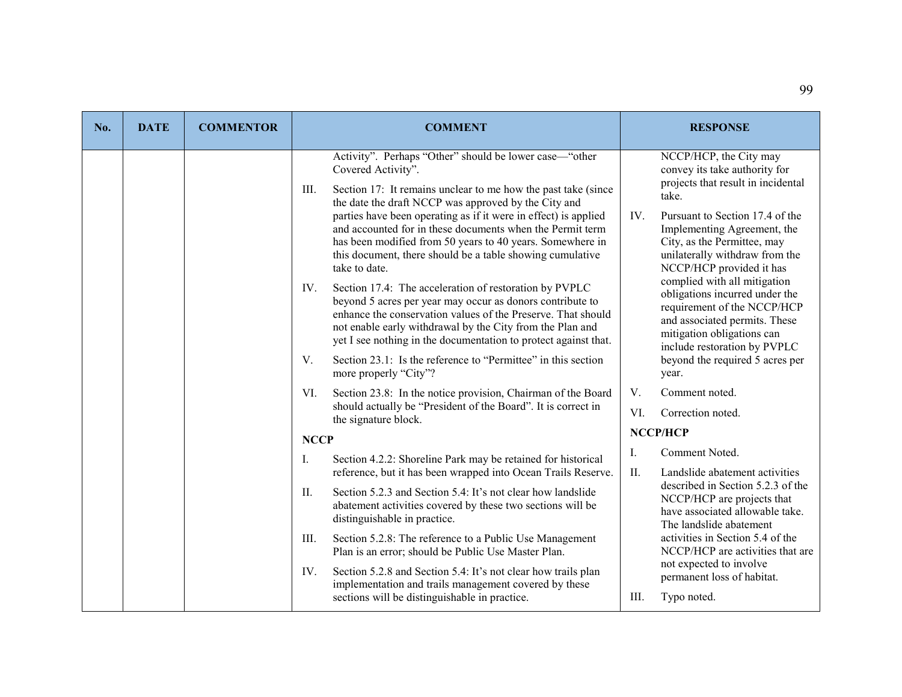| No. | <b>DATE</b> | <b>COMMENTOR</b> | <b>COMMENT</b>                                                                                                                                                                                                                                                                                                                                                                                                                                                                                                                                                                                                                                                                                                                                                                                                                                                                                                         | <b>RESPONSE</b>                                                                                                                                                                                                                                                                                                                                                                                                                                                                                                          |
|-----|-------------|------------------|------------------------------------------------------------------------------------------------------------------------------------------------------------------------------------------------------------------------------------------------------------------------------------------------------------------------------------------------------------------------------------------------------------------------------------------------------------------------------------------------------------------------------------------------------------------------------------------------------------------------------------------------------------------------------------------------------------------------------------------------------------------------------------------------------------------------------------------------------------------------------------------------------------------------|--------------------------------------------------------------------------------------------------------------------------------------------------------------------------------------------------------------------------------------------------------------------------------------------------------------------------------------------------------------------------------------------------------------------------------------------------------------------------------------------------------------------------|
|     |             |                  | Activity". Perhaps "Other" should be lower case—"other<br>Covered Activity".<br>Section 17: It remains unclear to me how the past take (since<br>III.<br>the date the draft NCCP was approved by the City and<br>parties have been operating as if it were in effect) is applied<br>and accounted for in these documents when the Permit term<br>has been modified from 50 years to 40 years. Somewhere in<br>this document, there should be a table showing cumulative<br>take to date.<br>Section 17.4: The acceleration of restoration by PVPLC<br>IV.<br>beyond 5 acres per year may occur as donors contribute to<br>enhance the conservation values of the Preserve. That should<br>not enable early withdrawal by the City from the Plan and<br>yet I see nothing in the documentation to protect against that.<br>V.<br>Section 23.1: Is the reference to "Permittee" in this section<br>more properly "City"? | NCCP/HCP, the City may<br>convey its take authority for<br>projects that result in incidental<br>take.<br>IV.<br>Pursuant to Section 17.4 of the<br>Implementing Agreement, the<br>City, as the Permittee, may<br>unilaterally withdraw from the<br>NCCP/HCP provided it has<br>complied with all mitigation<br>obligations incurred under the<br>requirement of the NCCP/HCP<br>and associated permits. These<br>mitigation obligations can<br>include restoration by PVPLC<br>beyond the required 5 acres per<br>year. |
|     |             |                  | Section 23.8: In the notice provision, Chairman of the Board<br>VI.<br>should actually be "President of the Board". It is correct in<br>the signature block.                                                                                                                                                                                                                                                                                                                                                                                                                                                                                                                                                                                                                                                                                                                                                           | V.<br>Comment noted.<br>VI.<br>Correction noted.                                                                                                                                                                                                                                                                                                                                                                                                                                                                         |
|     |             |                  | <b>NCCP</b>                                                                                                                                                                                                                                                                                                                                                                                                                                                                                                                                                                                                                                                                                                                                                                                                                                                                                                            | NCCP/HCP                                                                                                                                                                                                                                                                                                                                                                                                                                                                                                                 |
|     |             |                  | Ι.<br>Section 4.2.2: Shoreline Park may be retained for historical<br>reference, but it has been wrapped into Ocean Trails Reserve.<br>II.<br>Section 5.2.3 and Section 5.4: It's not clear how landslide<br>abatement activities covered by these two sections will be<br>distinguishable in practice.<br>III.<br>Section 5.2.8: The reference to a Public Use Management<br>Plan is an error; should be Public Use Master Plan.<br>IV.<br>Section 5.2.8 and Section 5.4: It's not clear how trails plan<br>implementation and trails management covered by these<br>sections will be distinguishable in practice.                                                                                                                                                                                                                                                                                                    | Comment Noted.<br>Ι.<br>II.<br>Landslide abatement activities<br>described in Section 5.2.3 of the<br>NCCP/HCP are projects that<br>have associated allowable take.<br>The landslide abatement<br>activities in Section 5.4 of the<br>NCCP/HCP are activities that are<br>not expected to involve<br>permanent loss of habitat.<br>Typo noted.<br>III.                                                                                                                                                                   |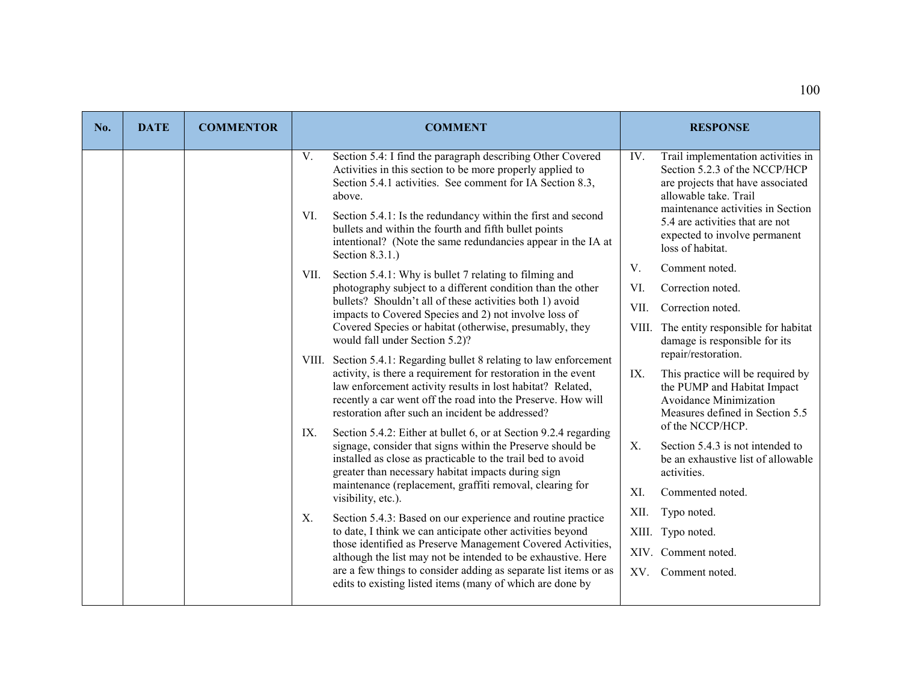| No. | <b>DATE</b> | <b>COMMENTOR</b> | <b>COMMENT</b>                                                                                                                                                                                                                                                                                                                                                                                                          |             | <b>RESPONSE</b>                                                                                                                                                                                                                                                |
|-----|-------------|------------------|-------------------------------------------------------------------------------------------------------------------------------------------------------------------------------------------------------------------------------------------------------------------------------------------------------------------------------------------------------------------------------------------------------------------------|-------------|----------------------------------------------------------------------------------------------------------------------------------------------------------------------------------------------------------------------------------------------------------------|
|     |             |                  | V.<br>Section 5.4: I find the paragraph describing Other Covered<br>Activities in this section to be more properly applied to<br>Section 5.4.1 activities. See comment for IA Section 8.3,<br>above.<br>VI.<br>Section 5.4.1: Is the redundancy within the first and second<br>bullets and within the fourth and fifth bullet points<br>intentional? (Note the same redundancies appear in the IA at<br>Section 8.3.1.) | IV.         | Trail implementation activities in<br>Section 5.2.3 of the NCCP/HCP<br>are projects that have associated<br>allowable take. Trail<br>maintenance activities in Section<br>5.4 are activities that are not<br>expected to involve permanent<br>loss of habitat. |
|     |             |                  | Section 5.4.1: Why is bullet 7 relating to filming and<br>VII.                                                                                                                                                                                                                                                                                                                                                          | $V_{\cdot}$ | Comment noted.                                                                                                                                                                                                                                                 |
|     |             |                  | photography subject to a different condition than the other<br>bullets? Shouldn't all of these activities both 1) avoid<br>impacts to Covered Species and 2) not involve loss of<br>Covered Species or habitat (otherwise, presumably, they<br>would fall under Section 5.2)?                                                                                                                                           | VI.<br>VII. | Correction noted.<br>Correction noted.<br>VIII. The entity responsible for habitat<br>damage is responsible for its                                                                                                                                            |
|     |             |                  | VIII. Section 5.4.1: Regarding bullet 8 relating to law enforcement<br>activity, is there a requirement for restoration in the event<br>law enforcement activity results in lost habitat? Related,<br>recently a car went off the road into the Preserve. How will<br>restoration after such an incident be addressed?                                                                                                  | IX.         | repair/restoration.<br>This practice will be required by<br>the PUMP and Habitat Impact<br>Avoidance Minimization<br>Measures defined in Section 5.5<br>of the NCCP/HCP.                                                                                       |
|     |             |                  | IX.<br>Section 5.4.2: Either at bullet 6, or at Section 9.2.4 regarding<br>signage, consider that signs within the Preserve should be<br>installed as close as practicable to the trail bed to avoid<br>greater than necessary habitat impacts during sign<br>maintenance (replacement, graffiti removal, clearing for                                                                                                  | X.          | Section 5.4.3 is not intended to<br>be an exhaustive list of allowable<br>activities.                                                                                                                                                                          |
|     |             |                  | visibility, etc.).                                                                                                                                                                                                                                                                                                                                                                                                      | XI.         | Commented noted.                                                                                                                                                                                                                                               |
|     |             |                  | Section 5.4.3: Based on our experience and routine practice<br>$X_{\cdot}$                                                                                                                                                                                                                                                                                                                                              | XII.        | Typo noted.                                                                                                                                                                                                                                                    |
|     |             |                  | to date, I think we can anticipate other activities beyond<br>those identified as Preserve Management Covered Activities,                                                                                                                                                                                                                                                                                               |             | XIII. Typo noted.<br>XIV. Comment noted.                                                                                                                                                                                                                       |
|     |             |                  | although the list may not be intended to be exhaustive. Here<br>are a few things to consider adding as separate list items or as<br>edits to existing listed items (many of which are done by                                                                                                                                                                                                                           |             | XV. Comment noted.                                                                                                                                                                                                                                             |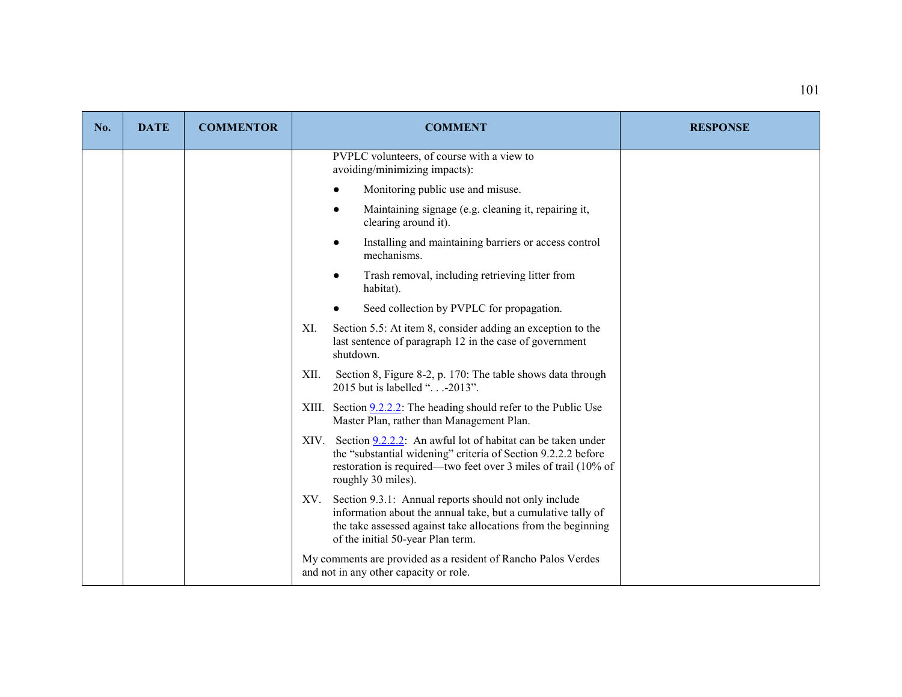| No. | <b>DATE</b> | <b>COMMENTOR</b> | <b>COMMENT</b>                                                                                                                                                                                                                     | <b>RESPONSE</b> |
|-----|-------------|------------------|------------------------------------------------------------------------------------------------------------------------------------------------------------------------------------------------------------------------------------|-----------------|
|     |             |                  | PVPLC volunteers, of course with a view to<br>avoiding/minimizing impacts):                                                                                                                                                        |                 |
|     |             |                  | Monitoring public use and misuse.                                                                                                                                                                                                  |                 |
|     |             |                  | Maintaining signage (e.g. cleaning it, repairing it,<br>clearing around it).                                                                                                                                                       |                 |
|     |             |                  | Installing and maintaining barriers or access control<br>mechanisms.                                                                                                                                                               |                 |
|     |             |                  | Trash removal, including retrieving litter from<br>habitat).                                                                                                                                                                       |                 |
|     |             |                  | Seed collection by PVPLC for propagation.                                                                                                                                                                                          |                 |
|     |             |                  | Section 5.5: At item 8, consider adding an exception to the<br>XI.<br>last sentence of paragraph 12 in the case of government<br>shutdown.                                                                                         |                 |
|     |             |                  | Section 8, Figure 8-2, p. 170: The table shows data through<br>XII.<br>2015 but is labelled ". - 2013".                                                                                                                            |                 |
|     |             |                  | XIII. Section $9.2.2.2$ : The heading should refer to the Public Use<br>Master Plan, rather than Management Plan.                                                                                                                  |                 |
|     |             |                  | Section 9.2.2.2: An awful lot of habitat can be taken under<br>XIV.<br>the "substantial widening" criteria of Section 9.2.2.2 before<br>restoration is required—two feet over 3 miles of trail (10% of<br>roughly 30 miles).       |                 |
|     |             |                  | Section 9.3.1: Annual reports should not only include<br>XV.<br>information about the annual take, but a cumulative tally of<br>the take assessed against take allocations from the beginning<br>of the initial 50-year Plan term. |                 |
|     |             |                  | My comments are provided as a resident of Rancho Palos Verdes<br>and not in any other capacity or role.                                                                                                                            |                 |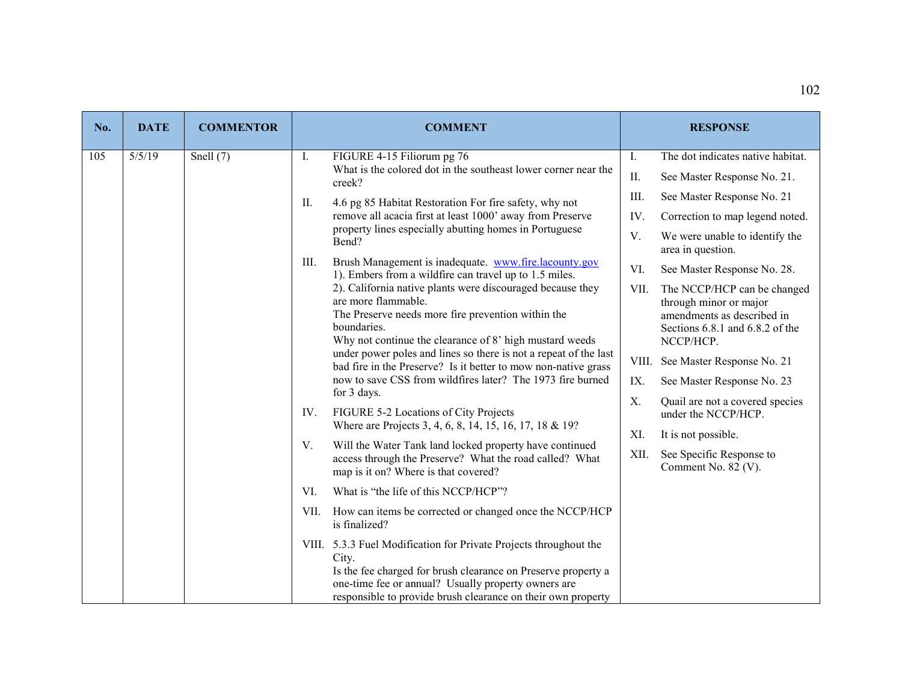| No. | <b>DATE</b> | <b>COMMENTOR</b> | <b>COMMENT</b>                                                                                                                                                                                                                                                                                                                                                                                                                                                                                                                                                                                                                     | <b>RESPONSE</b>                                           |  |  |  |  |  |  |
|-----|-------------|------------------|------------------------------------------------------------------------------------------------------------------------------------------------------------------------------------------------------------------------------------------------------------------------------------------------------------------------------------------------------------------------------------------------------------------------------------------------------------------------------------------------------------------------------------------------------------------------------------------------------------------------------------|-----------------------------------------------------------|--|--|--|--|--|--|
| 105 | 5/5/19      | Snell $(7)$      | I.<br>FIGURE 4-15 Filiorum pg 76                                                                                                                                                                                                                                                                                                                                                                                                                                                                                                                                                                                                   | The dot indicates native habitat.<br>I.                   |  |  |  |  |  |  |
|     |             |                  | What is the colored dot in the southeast lower corner near the<br>creek?                                                                                                                                                                                                                                                                                                                                                                                                                                                                                                                                                           | II.<br>See Master Response No. 21.                        |  |  |  |  |  |  |
|     |             |                  | 4.6 pg 85 Habitat Restoration For fire safety, why not<br>II.                                                                                                                                                                                                                                                                                                                                                                                                                                                                                                                                                                      | III.<br>See Master Response No. 21                        |  |  |  |  |  |  |
|     |             |                  | remove all acacia first at least 1000' away from Preserve                                                                                                                                                                                                                                                                                                                                                                                                                                                                                                                                                                          | IV.<br>Correction to map legend noted.                    |  |  |  |  |  |  |
|     |             |                  | property lines especially abutting homes in Portuguese<br>Bend?<br>Brush Management is inadequate. www.fire.lacounty.gov<br>III.<br>1). Embers from a wildfire can travel up to 1.5 miles.<br>2). California native plants were discouraged because they<br>are more flammable.<br>The Preserve needs more fire prevention within the<br>boundaries.<br>Why not continue the clearance of 8' high mustard weeds<br>under power poles and lines so there is not a repeat of the last<br>bad fire in the Preserve? Is it better to mow non-native grass<br>now to save CSS from wildfires later? The 1973 fire burned<br>for 3 days. | V.<br>We were unable to identify the<br>area in question. |  |  |  |  |  |  |
|     |             |                  |                                                                                                                                                                                                                                                                                                                                                                                                                                                                                                                                                                                                                                    | VI.<br>See Master Response No. 28.                        |  |  |  |  |  |  |
|     |             |                  |                                                                                                                                                                                                                                                                                                                                                                                                                                                                                                                                                                                                                                    |                                                           |  |  |  |  |  |  |
|     |             |                  | IV.<br>FIGURE 5-2 Locations of City Projects<br>Where are Projects 3, 4, 6, 8, 14, 15, 16, 17, 18 & 19?                                                                                                                                                                                                                                                                                                                                                                                                                                                                                                                            | under the NCCP/HCP.                                       |  |  |  |  |  |  |
|     |             |                  | V.<br>Will the Water Tank land locked property have continued                                                                                                                                                                                                                                                                                                                                                                                                                                                                                                                                                                      | XI.<br>It is not possible.                                |  |  |  |  |  |  |
|     |             |                  | access through the Preserve? What the road called? What<br>map is it on? Where is that covered?                                                                                                                                                                                                                                                                                                                                                                                                                                                                                                                                    | XII.<br>See Specific Response to<br>Comment No. 82 (V).   |  |  |  |  |  |  |
|     |             |                  | VI.<br>What is "the life of this NCCP/HCP"?                                                                                                                                                                                                                                                                                                                                                                                                                                                                                                                                                                                        |                                                           |  |  |  |  |  |  |
|     |             |                  | How can items be corrected or changed once the NCCP/HCP<br>VII.<br>is finalized?                                                                                                                                                                                                                                                                                                                                                                                                                                                                                                                                                   |                                                           |  |  |  |  |  |  |
|     |             |                  | VIII. 5.3.3 Fuel Modification for Private Projects throughout the<br>City.<br>Is the fee charged for brush clearance on Preserve property a<br>one-time fee or annual? Usually property owners are<br>responsible to provide brush clearance on their own property                                                                                                                                                                                                                                                                                                                                                                 |                                                           |  |  |  |  |  |  |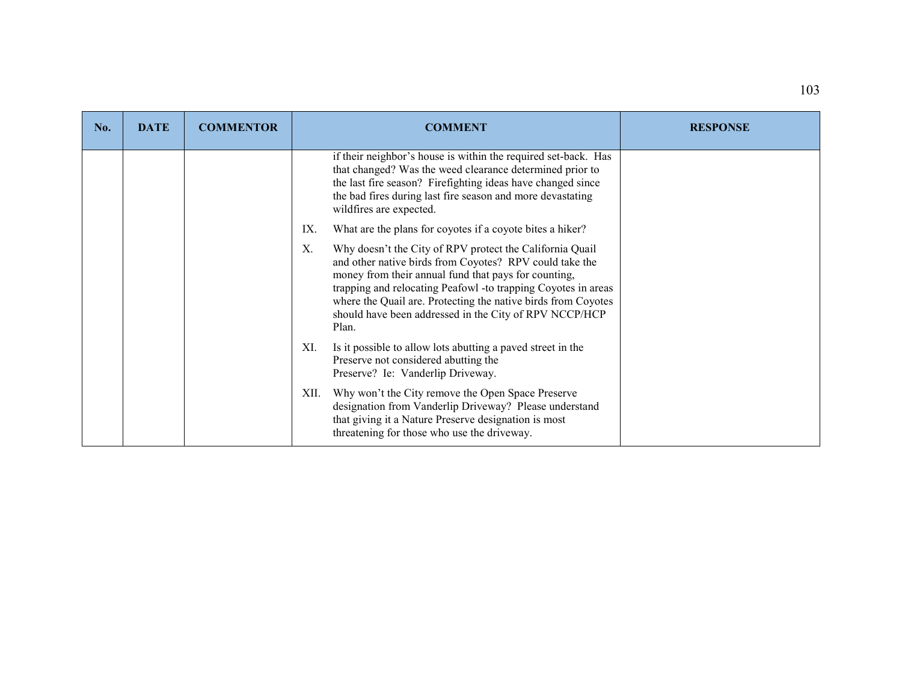| No. | <b>DATE</b> | <b>COMMENTOR</b> | <b>COMMENT</b>                                                                                                                                                                                                                                                                                                                                                                         | <b>RESPONSE</b> |
|-----|-------------|------------------|----------------------------------------------------------------------------------------------------------------------------------------------------------------------------------------------------------------------------------------------------------------------------------------------------------------------------------------------------------------------------------------|-----------------|
|     |             |                  | if their neighbor's house is within the required set-back. Has<br>that changed? Was the weed clearance determined prior to<br>the last fire season? Firefighting ideas have changed since<br>the bad fires during last fire season and more devastating<br>wildfires are expected.                                                                                                     |                 |
|     |             |                  | IX.<br>What are the plans for coyotes if a coyote bites a hiker?                                                                                                                                                                                                                                                                                                                       |                 |
|     |             |                  | Why doesn't the City of RPV protect the California Quail<br>X.<br>and other native birds from Coyotes? RPV could take the<br>money from their annual fund that pays for counting,<br>trapping and relocating Peafowl -to trapping Coyotes in areas<br>where the Quail are. Protecting the native birds from Coyotes<br>should have been addressed in the City of RPV NCCP/HCP<br>Plan. |                 |
|     |             |                  | Is it possible to allow lots abutting a paved street in the<br>XI.<br>Preserve not considered abutting the<br>Preserve? Ie: Vanderlip Driveway.                                                                                                                                                                                                                                        |                 |
|     |             |                  | Why won't the City remove the Open Space Preserve<br>XII.<br>designation from Vanderlip Driveway? Please understand<br>that giving it a Nature Preserve designation is most<br>threatening for those who use the driveway.                                                                                                                                                             |                 |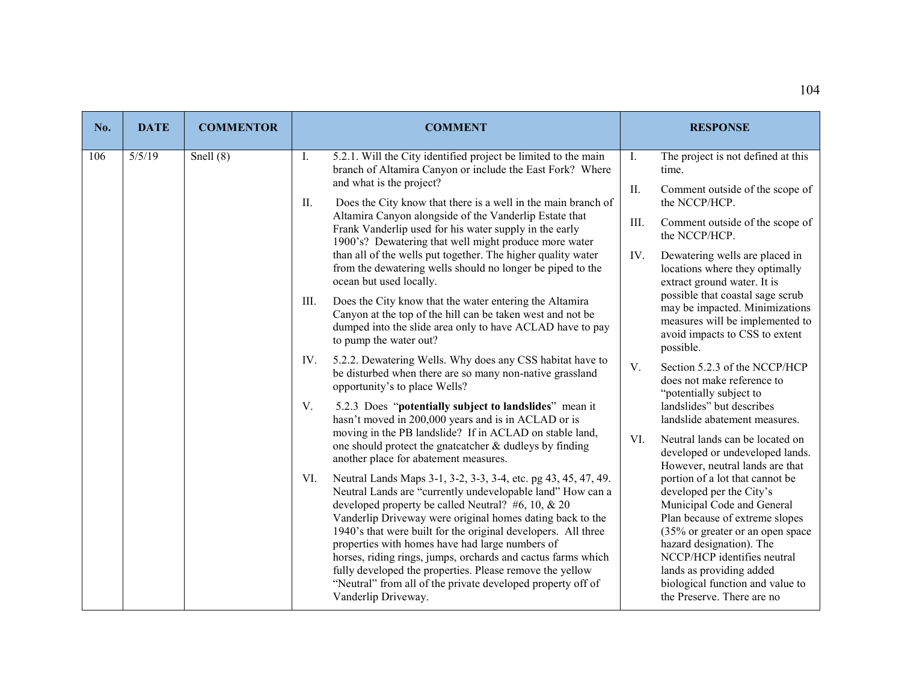| No. | <b>DATE</b> | <b>COMMENTOR</b> |                                                                                                                            | <b>COMMENT</b>                                                                                                                                                                                                                                                                                                                                                                                                                                                                                                                                                    |                | <b>RESPONSE</b>                                                                                                                                                                                                                                                                                                                                             |
|-----|-------------|------------------|----------------------------------------------------------------------------------------------------------------------------|-------------------------------------------------------------------------------------------------------------------------------------------------------------------------------------------------------------------------------------------------------------------------------------------------------------------------------------------------------------------------------------------------------------------------------------------------------------------------------------------------------------------------------------------------------------------|----------------|-------------------------------------------------------------------------------------------------------------------------------------------------------------------------------------------------------------------------------------------------------------------------------------------------------------------------------------------------------------|
| 106 | 5/5/19      | Snell $(8)$      | I.                                                                                                                         | 5.2.1. Will the City identified project be limited to the main<br>branch of Altamira Canyon or include the East Fork? Where                                                                                                                                                                                                                                                                                                                                                                                                                                       | $\mathbf{I}$ . | The project is not defined at this<br>time.                                                                                                                                                                                                                                                                                                                 |
|     |             |                  | and what is the project?<br>II.                                                                                            | Does the City know that there is a well in the main branch of                                                                                                                                                                                                                                                                                                                                                                                                                                                                                                     | II.            | Comment outside of the scope of<br>the NCCP/HCP.                                                                                                                                                                                                                                                                                                            |
|     |             |                  |                                                                                                                            | Altamira Canyon alongside of the Vanderlip Estate that<br>Frank Vanderlip used for his water supply in the early                                                                                                                                                                                                                                                                                                                                                                                                                                                  | III.           | Comment outside of the scope of<br>the NCCP/HCP.                                                                                                                                                                                                                                                                                                            |
|     |             |                  | than all of the wells put together. The higher quality water<br>from the dewatering wells should no longer be piped to the | 1900's? Dewatering that well might produce more water<br>ocean but used locally.<br>Does the City know that the water entering the Altamira<br>Canyon at the top of the hill can be taken west and not be<br>dumped into the slide area only to have ACLAD have to pay<br>to pump the water out?                                                                                                                                                                                                                                                                  | IV.            | Dewatering wells are placed in<br>locations where they optimally<br>extract ground water. It is                                                                                                                                                                                                                                                             |
|     |             |                  | III.                                                                                                                       |                                                                                                                                                                                                                                                                                                                                                                                                                                                                                                                                                                   |                | possible that coastal sage scrub<br>may be impacted. Minimizations<br>measures will be implemented to<br>avoid impacts to CSS to extent<br>possible.                                                                                                                                                                                                        |
|     |             |                  | IV.<br>opportunity's to place Wells?                                                                                       | 5.2.2. Dewatering Wells. Why does any CSS habitat have to<br>be disturbed when there are so many non-native grassland                                                                                                                                                                                                                                                                                                                                                                                                                                             | V.             | Section 5.2.3 of the NCCP/HCP<br>does not make reference to<br>"potentially subject to                                                                                                                                                                                                                                                                      |
|     |             |                  | V.                                                                                                                         | 5.2.3 Does "potentially subject to landslides" mean it<br>hasn't moved in 200,000 years and is in ACLAD or is                                                                                                                                                                                                                                                                                                                                                                                                                                                     |                | landslides" but describes<br>landslide abatement measures.                                                                                                                                                                                                                                                                                                  |
|     |             |                  | another place for abatement measures.                                                                                      | moving in the PB landslide? If in ACLAD on stable land,<br>one should protect the gnatcatcher & dudleys by finding                                                                                                                                                                                                                                                                                                                                                                                                                                                | VI.            | Neutral lands can be located on<br>developed or undeveloped lands.                                                                                                                                                                                                                                                                                          |
|     |             |                  | VI.<br>Vanderlip Driveway.                                                                                                 | Neutral Lands Maps 3-1, 3-2, 3-3, 3-4, etc. pg 43, 45, 47, 49.<br>Neutral Lands are "currently undevelopable land" How can a<br>developed property be called Neutral? $#6, 10, \& 20$<br>Vanderlip Driveway were original homes dating back to the<br>1940's that were built for the original developers. All three<br>properties with homes have had large numbers of<br>horses, riding rings, jumps, orchards and cactus farms which<br>fully developed the properties. Please remove the yellow<br>"Neutral" from all of the private developed property off of |                | However, neutral lands are that<br>portion of a lot that cannot be<br>developed per the City's<br>Municipal Code and General<br>Plan because of extreme slopes<br>(35% or greater or an open space<br>hazard designation). The<br>NCCP/HCP identifies neutral<br>lands as providing added<br>biological function and value to<br>the Preserve. There are no |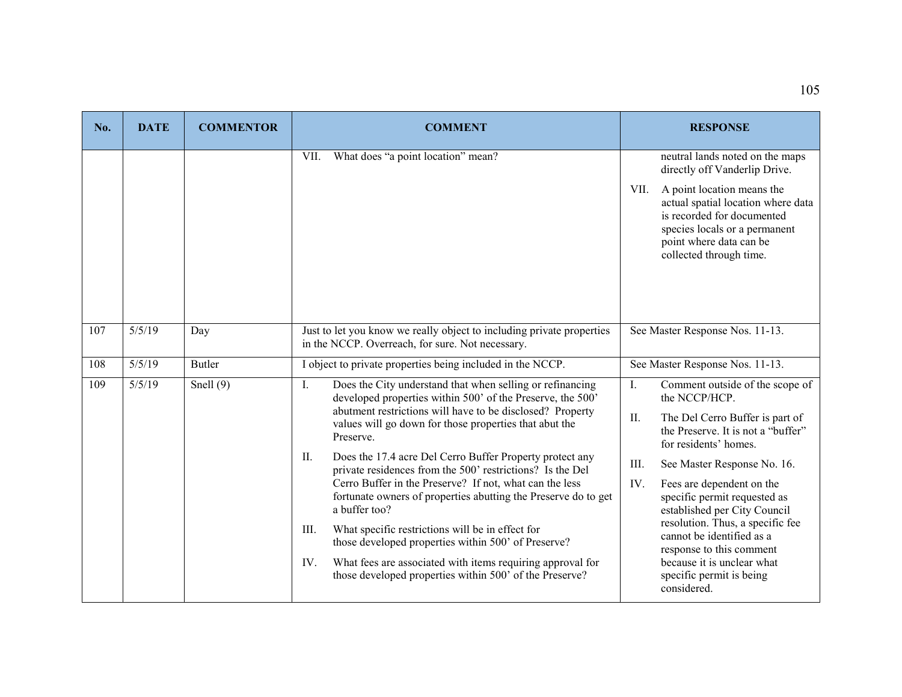| No. | <b>DATE</b> | <b>COMMENTOR</b> | <b>COMMENT</b>                                                                                                                                                                                                                                                                                                                                                                                                                                                                                                                                                                                                                                                                                                                                                                                                | <b>RESPONSE</b>                                                                                                                                                                                                                                                                                                                                                                                                                                                                  |  |
|-----|-------------|------------------|---------------------------------------------------------------------------------------------------------------------------------------------------------------------------------------------------------------------------------------------------------------------------------------------------------------------------------------------------------------------------------------------------------------------------------------------------------------------------------------------------------------------------------------------------------------------------------------------------------------------------------------------------------------------------------------------------------------------------------------------------------------------------------------------------------------|----------------------------------------------------------------------------------------------------------------------------------------------------------------------------------------------------------------------------------------------------------------------------------------------------------------------------------------------------------------------------------------------------------------------------------------------------------------------------------|--|
|     |             |                  | What does "a point location" mean?<br>VII.                                                                                                                                                                                                                                                                                                                                                                                                                                                                                                                                                                                                                                                                                                                                                                    | neutral lands noted on the maps<br>directly off Vanderlip Drive.<br>A point location means the<br>VII.<br>actual spatial location where data<br>is recorded for documented<br>species locals or a permanent<br>point where data can be<br>collected through time.                                                                                                                                                                                                                |  |
| 107 | 5/5/19      | Day              | Just to let you know we really object to including private properties<br>in the NCCP. Overreach, for sure. Not necessary.                                                                                                                                                                                                                                                                                                                                                                                                                                                                                                                                                                                                                                                                                     | See Master Response Nos. 11-13.                                                                                                                                                                                                                                                                                                                                                                                                                                                  |  |
| 108 | 5/5/19      | <b>Butler</b>    | I object to private properties being included in the NCCP.                                                                                                                                                                                                                                                                                                                                                                                                                                                                                                                                                                                                                                                                                                                                                    | See Master Response Nos. 11-13.                                                                                                                                                                                                                                                                                                                                                                                                                                                  |  |
| 109 | 5/5/19      | Snell $(9)$      | Does the City understand that when selling or refinancing<br>$\mathbf{I}$ .<br>developed properties within 500' of the Preserve, the 500'<br>abutment restrictions will have to be disclosed? Property<br>values will go down for those properties that abut the<br>Preserve.<br>П.<br>Does the 17.4 acre Del Cerro Buffer Property protect any<br>private residences from the 500' restrictions? Is the Del<br>Cerro Buffer in the Preserve? If not, what can the less<br>fortunate owners of properties abutting the Preserve do to get<br>a buffer too?<br>What specific restrictions will be in effect for<br>III.<br>those developed properties within 500' of Preserve?<br>IV.<br>What fees are associated with items requiring approval for<br>those developed properties within 500' of the Preserve? | Comment outside of the scope of<br>Ι.<br>the NCCP/HCP.<br>II.<br>The Del Cerro Buffer is part of<br>the Preserve. It is not a "buffer"<br>for residents' homes.<br>III.<br>See Master Response No. 16.<br>IV.<br>Fees are dependent on the<br>specific permit requested as<br>established per City Council<br>resolution. Thus, a specific fee<br>cannot be identified as a<br>response to this comment<br>because it is unclear what<br>specific permit is being<br>considered. |  |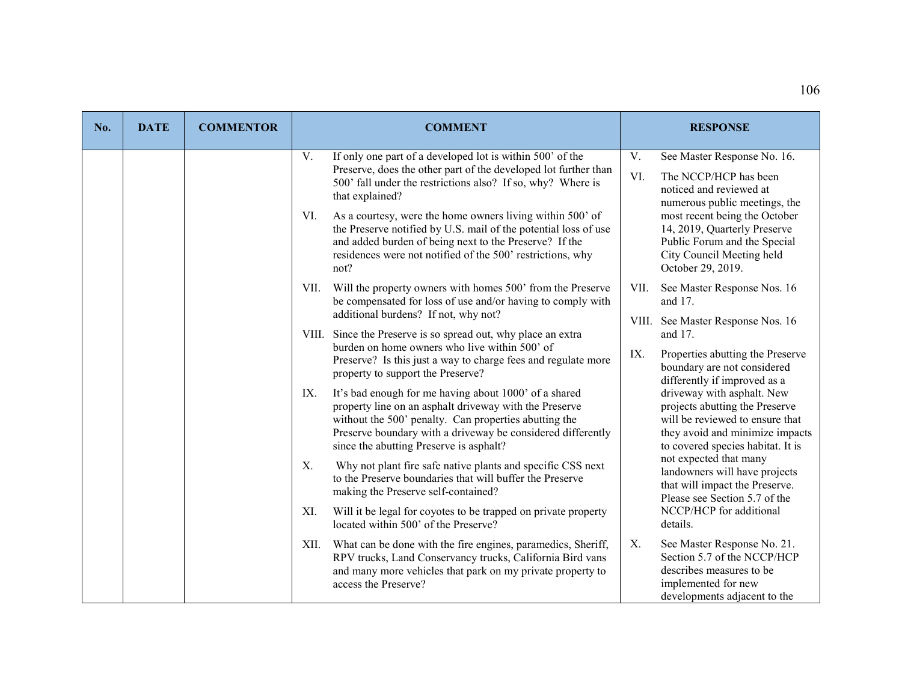| No. | <b>DATE</b> | <b>COMMENTOR</b> | <b>COMMENT</b>                                                                                                                                                                                                                                                                                                                                                                                                                                                                              | <b>RESPONSE</b>                                                                                                                                                                                                                                                                  |
|-----|-------------|------------------|---------------------------------------------------------------------------------------------------------------------------------------------------------------------------------------------------------------------------------------------------------------------------------------------------------------------------------------------------------------------------------------------------------------------------------------------------------------------------------------------|----------------------------------------------------------------------------------------------------------------------------------------------------------------------------------------------------------------------------------------------------------------------------------|
|     |             |                  | If only one part of a developed lot is within 500' of the<br>V.<br>Preserve, does the other part of the developed lot further than<br>500' fall under the restrictions also? If so, why? Where is<br>that explained?<br>As a courtesy, were the home owners living within 500' of<br>VI.<br>the Preserve notified by U.S. mail of the potential loss of use<br>and added burden of being next to the Preserve? If the<br>residences were not notified of the 500' restrictions, why<br>not? | V.<br>See Master Response No. 16.<br>VI.<br>The NCCP/HCP has been<br>noticed and reviewed at<br>numerous public meetings, the<br>most recent being the October<br>14, 2019, Quarterly Preserve<br>Public Forum and the Special<br>City Council Meeting held<br>October 29, 2019. |
|     |             |                  | Will the property owners with homes 500' from the Preserve<br>VII.<br>be compensated for loss of use and/or having to comply with<br>additional burdens? If not, why not?                                                                                                                                                                                                                                                                                                                   | VII.<br>See Master Response Nos. 16<br>and 17.                                                                                                                                                                                                                                   |
|     |             |                  | VIII. Since the Preserve is so spread out, why place an extra                                                                                                                                                                                                                                                                                                                                                                                                                               | VIII. See Master Response Nos. 16<br>and 17.                                                                                                                                                                                                                                     |
|     |             |                  | burden on home owners who live within 500' of<br>Preserve? Is this just a way to charge fees and regulate more<br>property to support the Preserve?                                                                                                                                                                                                                                                                                                                                         | IX.<br>Properties abutting the Preserve<br>boundary are not considered<br>differently if improved as a                                                                                                                                                                           |
|     |             |                  | It's bad enough for me having about 1000' of a shared<br>IX.<br>property line on an asphalt driveway with the Preserve<br>without the 500' penalty. Can properties abutting the<br>Preserve boundary with a driveway be considered differently<br>since the abutting Preserve is asphalt?                                                                                                                                                                                                   | driveway with asphalt. New<br>projects abutting the Preserve<br>will be reviewed to ensure that<br>they avoid and minimize impacts<br>to covered species habitat. It is                                                                                                          |
|     |             |                  | Why not plant fire safe native plants and specific CSS next<br>Χ.<br>to the Preserve boundaries that will buffer the Preserve<br>making the Preserve self-contained?                                                                                                                                                                                                                                                                                                                        | not expected that many<br>landowners will have projects<br>that will impact the Preserve.<br>Please see Section 5.7 of the                                                                                                                                                       |
|     |             |                  | Will it be legal for coyotes to be trapped on private property<br>XI.<br>located within 500' of the Preserve?                                                                                                                                                                                                                                                                                                                                                                               | NCCP/HCP for additional<br>details.                                                                                                                                                                                                                                              |
|     |             |                  | What can be done with the fire engines, paramedics, Sheriff,<br>XII.<br>RPV trucks, Land Conservancy trucks, California Bird vans<br>and many more vehicles that park on my private property to<br>access the Preserve?                                                                                                                                                                                                                                                                     | See Master Response No. 21.<br>Χ.<br>Section 5.7 of the NCCP/HCP<br>describes measures to be<br>implemented for new<br>developments adjacent to the                                                                                                                              |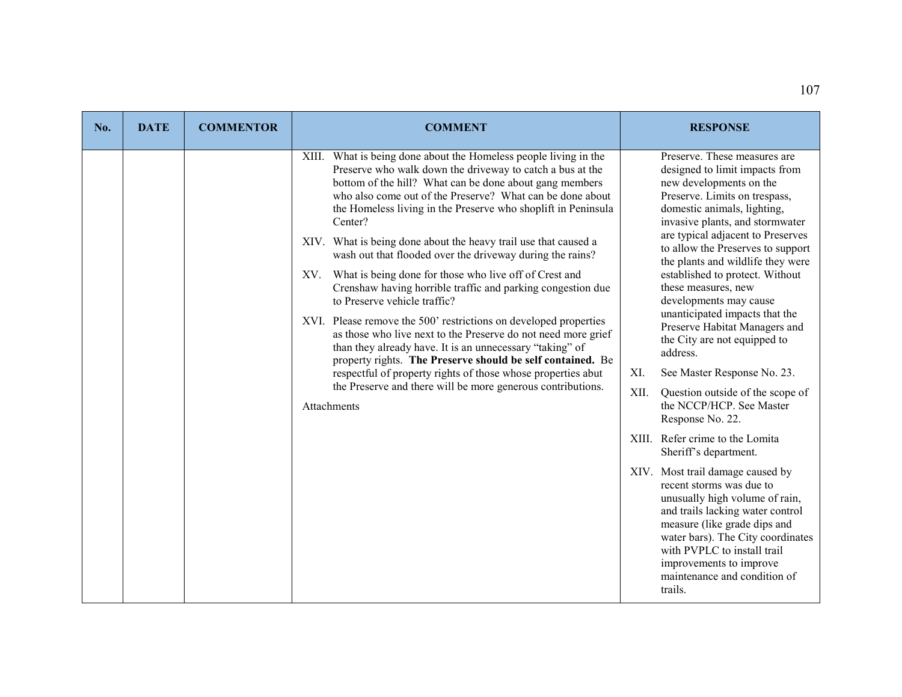| No. | <b>DATE</b> | <b>COMMENTOR</b> | <b>COMMENT</b>                                                                                                                                                                                                                                                                                                                                                                                                                                                                                                                                                                                                                                                                                                                                                                                                                                                                                                                                                                                                                                 | <b>RESPONSE</b>                                                                                                                                                                                                                                                                                                                                                                                                                                                                                                                                                                                                                                                                                                                                                                                                                                                                                                                                                                   |
|-----|-------------|------------------|------------------------------------------------------------------------------------------------------------------------------------------------------------------------------------------------------------------------------------------------------------------------------------------------------------------------------------------------------------------------------------------------------------------------------------------------------------------------------------------------------------------------------------------------------------------------------------------------------------------------------------------------------------------------------------------------------------------------------------------------------------------------------------------------------------------------------------------------------------------------------------------------------------------------------------------------------------------------------------------------------------------------------------------------|-----------------------------------------------------------------------------------------------------------------------------------------------------------------------------------------------------------------------------------------------------------------------------------------------------------------------------------------------------------------------------------------------------------------------------------------------------------------------------------------------------------------------------------------------------------------------------------------------------------------------------------------------------------------------------------------------------------------------------------------------------------------------------------------------------------------------------------------------------------------------------------------------------------------------------------------------------------------------------------|
|     |             |                  | XIII. What is being done about the Homeless people living in the<br>Preserve who walk down the driveway to catch a bus at the<br>bottom of the hill? What can be done about gang members<br>who also come out of the Preserve? What can be done about<br>the Homeless living in the Preserve who shoplift in Peninsula<br>Center?<br>XIV. What is being done about the heavy trail use that caused a<br>wash out that flooded over the driveway during the rains?<br>What is being done for those who live off of Crest and<br>XV.<br>Crenshaw having horrible traffic and parking congestion due<br>to Preserve vehicle traffic?<br>XVI. Please remove the 500' restrictions on developed properties<br>as those who live next to the Preserve do not need more grief<br>than they already have. It is an unnecessary "taking" of<br>property rights. The Preserve should be self contained. Be<br>respectful of property rights of those whose properties abut<br>the Preserve and there will be more generous contributions.<br>Attachments | Preserve. These measures are<br>designed to limit impacts from<br>new developments on the<br>Preserve. Limits on trespass,<br>domestic animals, lighting,<br>invasive plants, and stormwater<br>are typical adjacent to Preserves<br>to allow the Preserves to support<br>the plants and wildlife they were<br>established to protect. Without<br>these measures, new<br>developments may cause<br>unanticipated impacts that the<br>Preserve Habitat Managers and<br>the City are not equipped to<br>address.<br>XI.<br>See Master Response No. 23.<br>XII.<br>Question outside of the scope of<br>the NCCP/HCP. See Master<br>Response No. 22.<br>XIII. Refer crime to the Lomita<br>Sheriff's department.<br>XIV. Most trail damage caused by<br>recent storms was due to<br>unusually high volume of rain,<br>and trails lacking water control<br>measure (like grade dips and<br>water bars). The City coordinates<br>with PVPLC to install trail<br>improvements to improve |
|     |             |                  |                                                                                                                                                                                                                                                                                                                                                                                                                                                                                                                                                                                                                                                                                                                                                                                                                                                                                                                                                                                                                                                | maintenance and condition of<br>trails.                                                                                                                                                                                                                                                                                                                                                                                                                                                                                                                                                                                                                                                                                                                                                                                                                                                                                                                                           |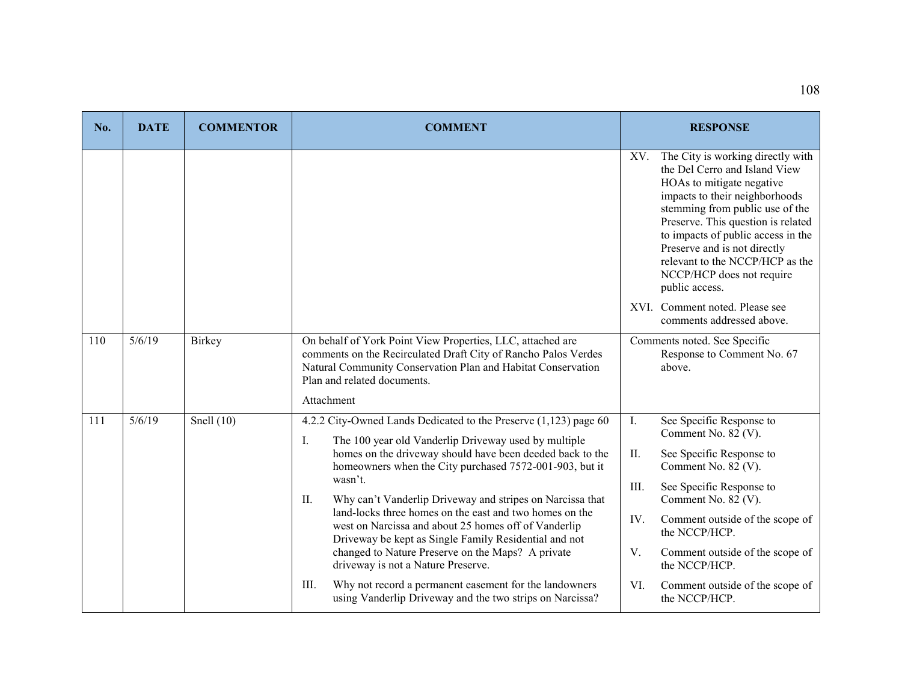| No. | <b>DATE</b> | <b>COMMENTOR</b> | <b>COMMENT</b>                                                                                                                                                                                                                               | <b>RESPONSE</b>                                                                                                                                                                                                                                                                                                                                                                                             |
|-----|-------------|------------------|----------------------------------------------------------------------------------------------------------------------------------------------------------------------------------------------------------------------------------------------|-------------------------------------------------------------------------------------------------------------------------------------------------------------------------------------------------------------------------------------------------------------------------------------------------------------------------------------------------------------------------------------------------------------|
|     |             |                  |                                                                                                                                                                                                                                              | The City is working directly with<br>XV.<br>the Del Cerro and Island View<br>HOAs to mitigate negative<br>impacts to their neighborhoods<br>stemming from public use of the<br>Preserve. This question is related<br>to impacts of public access in the<br>Preserve and is not directly<br>relevant to the NCCP/HCP as the<br>NCCP/HCP does not require<br>public access.<br>XVI. Comment noted. Please see |
|     |             |                  |                                                                                                                                                                                                                                              | comments addressed above.                                                                                                                                                                                                                                                                                                                                                                                   |
| 110 | 5/6/19      | Birkey           | On behalf of York Point View Properties, LLC, attached are<br>comments on the Recirculated Draft City of Rancho Palos Verdes<br>Natural Community Conservation Plan and Habitat Conservation<br>Plan and related documents.<br>Attachment    | Comments noted. See Specific<br>Response to Comment No. 67<br>above.                                                                                                                                                                                                                                                                                                                                        |
| 111 | 5/6/19      | Snell $(10)$     | 4.2.2 City-Owned Lands Dedicated to the Preserve (1,123) page 60                                                                                                                                                                             | See Specific Response to<br>I.<br>Comment No. 82 (V).                                                                                                                                                                                                                                                                                                                                                       |
|     |             |                  | The 100 year old Vanderlip Driveway used by multiple<br>Ι.<br>homes on the driveway should have been deeded back to the<br>homeowners when the City purchased 7572-001-903, but it<br>wasn't.                                                | II.<br>See Specific Response to<br>Comment No. 82 (V).                                                                                                                                                                                                                                                                                                                                                      |
|     |             |                  | Why can't Vanderlip Driveway and stripes on Narcissa that<br>II.<br>land-locks three homes on the east and two homes on the<br>west on Narcissa and about 25 homes off of Vanderlip<br>Driveway be kept as Single Family Residential and not | III.<br>See Specific Response to<br>Comment No. 82 (V).                                                                                                                                                                                                                                                                                                                                                     |
|     |             |                  |                                                                                                                                                                                                                                              | IV.<br>Comment outside of the scope of<br>the NCCP/HCP.                                                                                                                                                                                                                                                                                                                                                     |
|     |             |                  | changed to Nature Preserve on the Maps? A private<br>driveway is not a Nature Preserve.                                                                                                                                                      | V.<br>Comment outside of the scope of<br>the NCCP/HCP.                                                                                                                                                                                                                                                                                                                                                      |
|     |             |                  | Why not record a permanent easement for the landowners<br>III.<br>using Vanderlip Driveway and the two strips on Narcissa?                                                                                                                   | VI.<br>Comment outside of the scope of<br>the NCCP/HCP.                                                                                                                                                                                                                                                                                                                                                     |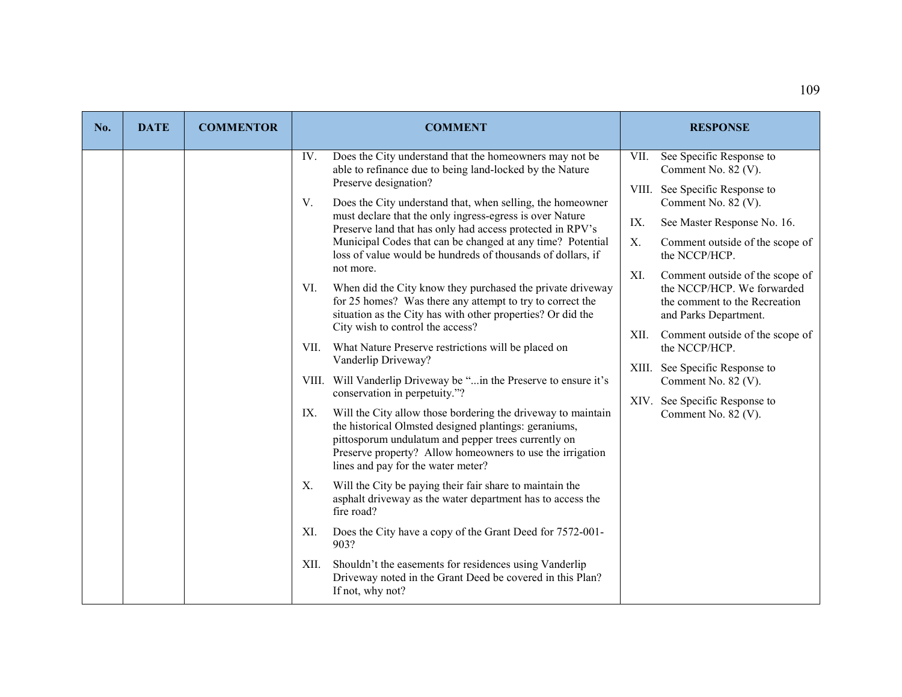| No. | <b>DATE</b> | <b>COMMENTOR</b> | <b>COMMENT</b>                                                                                                                                                                                                                                                                                                                                                                                                                                                                                                                                                                                                                                                                                                                                                                                                                                                 | <b>RESPONSE</b>                                                                                                                                                                                                                                                                                                                                       |
|-----|-------------|------------------|----------------------------------------------------------------------------------------------------------------------------------------------------------------------------------------------------------------------------------------------------------------------------------------------------------------------------------------------------------------------------------------------------------------------------------------------------------------------------------------------------------------------------------------------------------------------------------------------------------------------------------------------------------------------------------------------------------------------------------------------------------------------------------------------------------------------------------------------------------------|-------------------------------------------------------------------------------------------------------------------------------------------------------------------------------------------------------------------------------------------------------------------------------------------------------------------------------------------------------|
|     |             |                  | Does the City understand that the homeowners may not be<br>IV.<br>able to refinance due to being land-locked by the Nature<br>Preserve designation?<br>V.<br>Does the City understand that, when selling, the homeowner<br>must declare that the only ingress-egress is over Nature<br>Preserve land that has only had access protected in RPV's<br>Municipal Codes that can be changed at any time? Potential<br>loss of value would be hundreds of thousands of dollars, if<br>not more.<br>When did the City know they purchased the private driveway<br>VI.<br>for 25 homes? Was there any attempt to try to correct the<br>situation as the City has with other properties? Or did the<br>City wish to control the access?                                                                                                                                | VII.<br>See Specific Response to<br>Comment No. 82 (V).<br>See Specific Response to<br>VIII.<br>Comment No. 82 (V).<br>IX.<br>See Master Response No. 16.<br>Х.<br>Comment outside of the scope of<br>the NCCP/HCP.<br>XI.<br>Comment outside of the scope of<br>the NCCP/HCP. We forwarded<br>the comment to the Recreation<br>and Parks Department. |
|     |             |                  | What Nature Preserve restrictions will be placed on<br>VII.<br>Vanderlip Driveway?<br>VIII. Will Vanderlip Driveway be "in the Preserve to ensure it's<br>conservation in perpetuity."?<br>Will the City allow those bordering the driveway to maintain<br>IX.<br>the historical Olmsted designed plantings: geraniums,<br>pittosporum undulatum and pepper trees currently on<br>Preserve property? Allow homeowners to use the irrigation<br>lines and pay for the water meter?<br>Will the City be paying their fair share to maintain the<br>Χ.<br>asphalt driveway as the water department has to access the<br>fire road?<br>Does the City have a copy of the Grant Deed for 7572-001-<br>XI.<br>903?<br>Shouldn't the easements for residences using Vanderlip<br>XII.<br>Driveway noted in the Grant Deed be covered in this Plan?<br>If not, why not? | Comment outside of the scope of<br>XII.<br>the NCCP/HCP.<br>XIII. See Specific Response to<br>Comment No. 82 (V).<br>XIV. See Specific Response to<br>Comment No. 82 (V).                                                                                                                                                                             |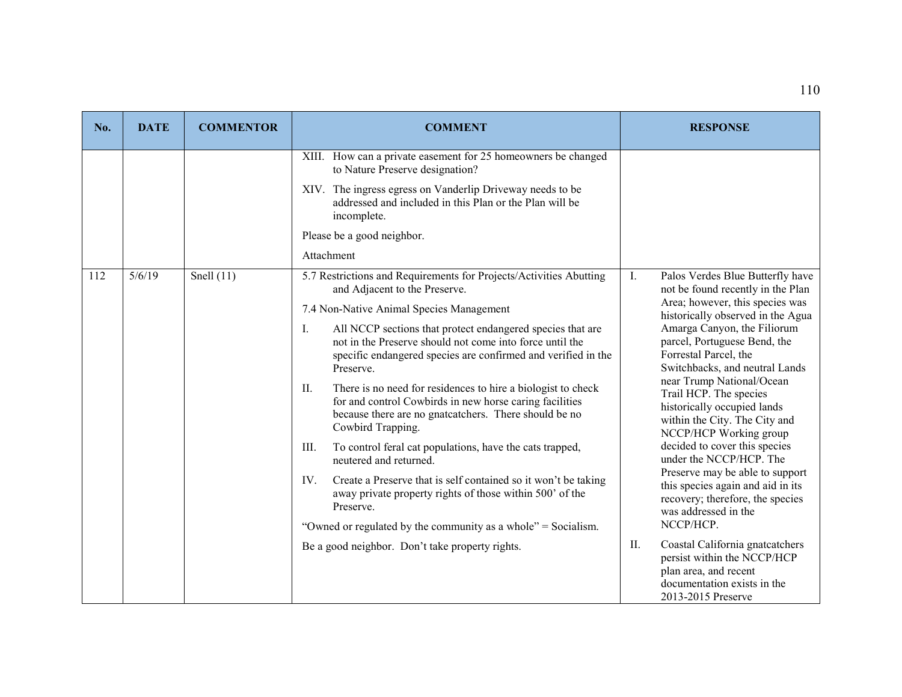| No. | <b>DATE</b> | <b>COMMENTOR</b> | <b>COMMENT</b>                                                                                                                                                                                              | <b>RESPONSE</b>                                                                                                                                     |
|-----|-------------|------------------|-------------------------------------------------------------------------------------------------------------------------------------------------------------------------------------------------------------|-----------------------------------------------------------------------------------------------------------------------------------------------------|
|     |             |                  | XIII. How can a private easement for 25 homeowners be changed<br>to Nature Preserve designation?                                                                                                            |                                                                                                                                                     |
|     |             |                  | XIV. The ingress egress on Vanderlip Driveway needs to be<br>addressed and included in this Plan or the Plan will be<br>incomplete.                                                                         |                                                                                                                                                     |
|     |             |                  | Please be a good neighbor.                                                                                                                                                                                  |                                                                                                                                                     |
|     |             |                  | Attachment                                                                                                                                                                                                  |                                                                                                                                                     |
| 112 | 5/6/19      | Snell $(11)$     | 5.7 Restrictions and Requirements for Projects/Activities Abutting<br>and Adjacent to the Preserve.                                                                                                         | Ι.<br>Palos Verdes Blue Butterfly have<br>not be found recently in the Plan                                                                         |
|     |             |                  | 7.4 Non-Native Animal Species Management                                                                                                                                                                    | Area; however, this species was<br>historically observed in the Agua                                                                                |
|     |             |                  | Ι.<br>All NCCP sections that protect endangered species that are<br>not in the Preserve should not come into force until the<br>specific endangered species are confirmed and verified in the<br>Preserve.  | Amarga Canyon, the Filiorum<br>parcel, Portuguese Bend, the<br>Forrestal Parcel, the<br>Switchbacks, and neutral Lands                              |
|     |             |                  | There is no need for residences to hire a biologist to check<br>П.<br>for and control Cowbirds in new horse caring facilities<br>because there are no gnatcatchers. There should be no<br>Cowbird Trapping. | near Trump National/Ocean<br>Trail HCP. The species<br>historically occupied lands<br>within the City. The City and<br>NCCP/HCP Working group       |
|     |             |                  | To control feral cat populations, have the cats trapped,<br>III.<br>neutered and returned.                                                                                                                  | decided to cover this species<br>under the NCCP/HCP. The                                                                                            |
|     |             |                  | IV.<br>Create a Preserve that is self contained so it won't be taking<br>away private property rights of those within 500' of the<br>Preserve.                                                              | Preserve may be able to support<br>this species again and aid in its<br>recovery; therefore, the species<br>was addressed in the                    |
|     |             |                  | "Owned or regulated by the community as a whole" = Socialism.                                                                                                                                               | NCCP/HCP.                                                                                                                                           |
|     |             |                  | Be a good neighbor. Don't take property rights.                                                                                                                                                             | Coastal California gnatcatchers<br>II.<br>persist within the NCCP/HCP<br>plan area, and recent<br>documentation exists in the<br>2013-2015 Preserve |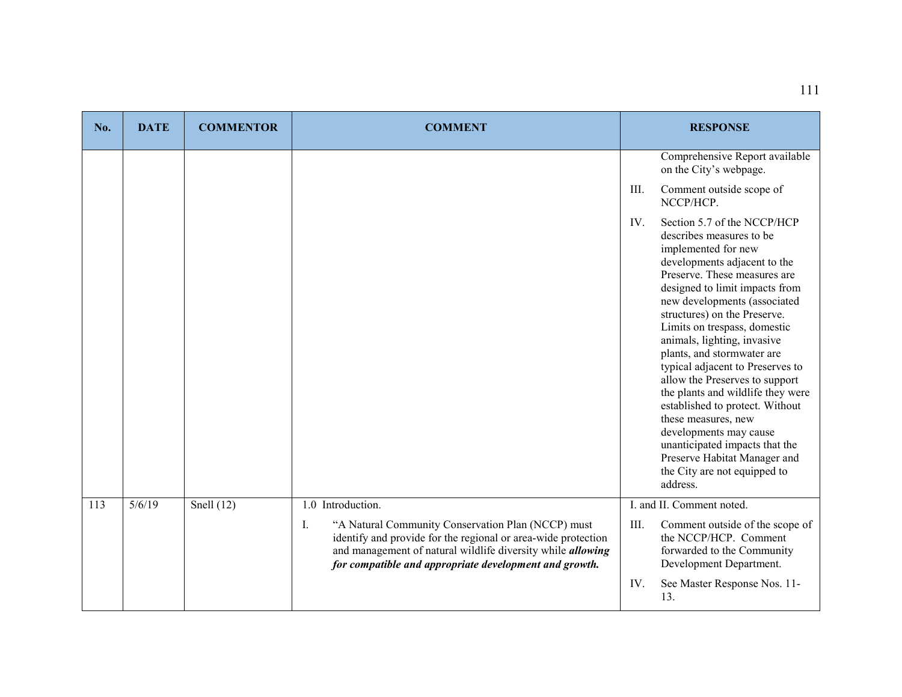| No. | <b>DATE</b> | <b>COMMENTOR</b> | <b>COMMENT</b>                                                                                                                                                                                                                                            |      | <b>RESPONSE</b>                                                                                                                                                                                                                                                                                                                                                                                                                                                                                                                                                                                                                                            |
|-----|-------------|------------------|-----------------------------------------------------------------------------------------------------------------------------------------------------------------------------------------------------------------------------------------------------------|------|------------------------------------------------------------------------------------------------------------------------------------------------------------------------------------------------------------------------------------------------------------------------------------------------------------------------------------------------------------------------------------------------------------------------------------------------------------------------------------------------------------------------------------------------------------------------------------------------------------------------------------------------------------|
|     |             |                  |                                                                                                                                                                                                                                                           |      | Comprehensive Report available<br>on the City's webpage.                                                                                                                                                                                                                                                                                                                                                                                                                                                                                                                                                                                                   |
|     |             |                  |                                                                                                                                                                                                                                                           | III. | Comment outside scope of<br>NCCP/HCP.                                                                                                                                                                                                                                                                                                                                                                                                                                                                                                                                                                                                                      |
|     |             |                  |                                                                                                                                                                                                                                                           | IV.  | Section 5.7 of the NCCP/HCP<br>describes measures to be<br>implemented for new<br>developments adjacent to the<br>Preserve. These measures are<br>designed to limit impacts from<br>new developments (associated<br>structures) on the Preserve.<br>Limits on trespass, domestic<br>animals, lighting, invasive<br>plants, and stormwater are<br>typical adjacent to Preserves to<br>allow the Preserves to support<br>the plants and wildlife they were<br>established to protect. Without<br>these measures, new<br>developments may cause<br>unanticipated impacts that the<br>Preserve Habitat Manager and<br>the City are not equipped to<br>address. |
| 113 | 5/6/19      | Snell $(12)$     | 1.0 Introduction.                                                                                                                                                                                                                                         |      | I. and II. Comment noted.                                                                                                                                                                                                                                                                                                                                                                                                                                                                                                                                                                                                                                  |
|     |             |                  | "A Natural Community Conservation Plan (NCCP) must<br>I.<br>identify and provide for the regional or area-wide protection<br>and management of natural wildlife diversity while <i>allowing</i><br>for compatible and appropriate development and growth. | III. | Comment outside of the scope of<br>the NCCP/HCP. Comment<br>forwarded to the Community<br>Development Department.                                                                                                                                                                                                                                                                                                                                                                                                                                                                                                                                          |
|     |             |                  |                                                                                                                                                                                                                                                           | IV.  | See Master Response Nos. 11-<br>13.                                                                                                                                                                                                                                                                                                                                                                                                                                                                                                                                                                                                                        |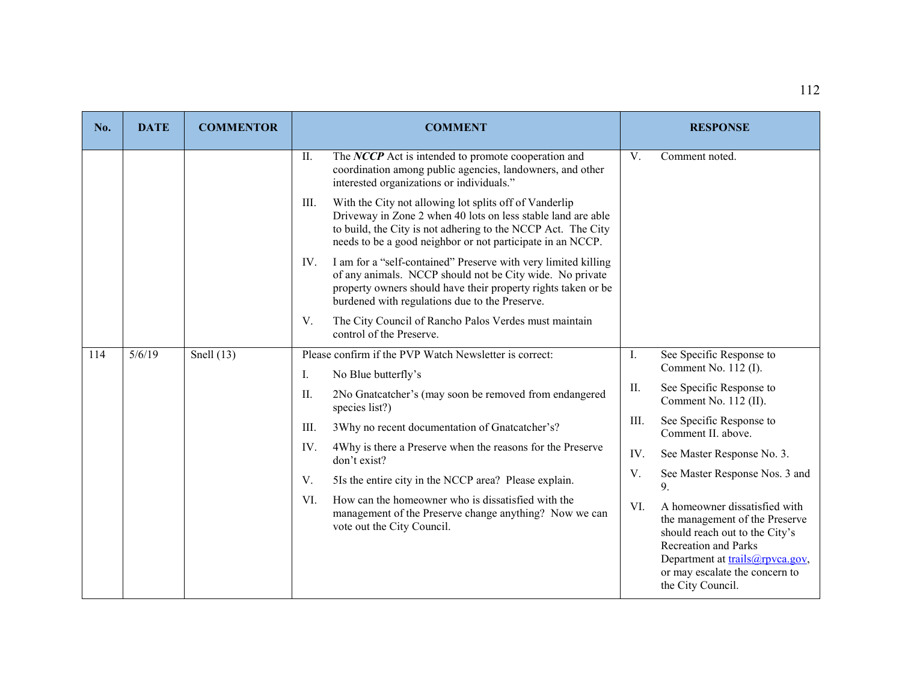| No. | <b>DATE</b> | <b>COMMENTOR</b> | <b>COMMENT</b>                                                                                                                                                                                                                                               |      | <b>RESPONSE</b>                                                                                                                                                                                                            |
|-----|-------------|------------------|--------------------------------------------------------------------------------------------------------------------------------------------------------------------------------------------------------------------------------------------------------------|------|----------------------------------------------------------------------------------------------------------------------------------------------------------------------------------------------------------------------------|
|     |             |                  | The NCCP Act is intended to promote cooperation and<br>II.<br>coordination among public agencies, landowners, and other<br>interested organizations or individuals."                                                                                         | V.   | Comment noted.                                                                                                                                                                                                             |
|     |             |                  | With the City not allowing lot splits off of Vanderlip<br>III.<br>Driveway in Zone 2 when 40 lots on less stable land are able<br>to build, the City is not adhering to the NCCP Act. The City<br>needs to be a good neighbor or not participate in an NCCP. |      |                                                                                                                                                                                                                            |
|     |             |                  | I am for a "self-contained" Preserve with very limited killing<br>IV.<br>of any animals. NCCP should not be City wide. No private<br>property owners should have their property rights taken or be<br>burdened with regulations due to the Preserve.         |      |                                                                                                                                                                                                                            |
|     |             |                  | The City Council of Rancho Palos Verdes must maintain<br>V.<br>control of the Preserve.                                                                                                                                                                      |      |                                                                                                                                                                                                                            |
| 114 | 5/6/19      | Snell $(13)$     | Please confirm if the PVP Watch Newsletter is correct:                                                                                                                                                                                                       | Ι.   | See Specific Response to                                                                                                                                                                                                   |
|     |             |                  | No Blue butterfly's<br>Ι.                                                                                                                                                                                                                                    |      | Comment No. 112 (I).                                                                                                                                                                                                       |
|     |             |                  | 2No Gnatcatcher's (may soon be removed from endangered<br>II.<br>species list?)                                                                                                                                                                              | II.  | See Specific Response to<br>Comment No. 112 (II).                                                                                                                                                                          |
|     |             |                  | 3Why no recent documentation of Gnatcatcher's?<br>III.                                                                                                                                                                                                       | III. | See Specific Response to<br>Comment II. above.                                                                                                                                                                             |
|     |             |                  | 4Why is there a Preserve when the reasons for the Preserve<br>IV.<br>don't exist?                                                                                                                                                                            | IV.  | See Master Response No. 3.                                                                                                                                                                                                 |
|     |             |                  | V.<br>5Is the entire city in the NCCP area? Please explain.                                                                                                                                                                                                  | V.   | See Master Response Nos. 3 and<br>9.                                                                                                                                                                                       |
|     |             |                  | How can the homeowner who is dissatisfied with the<br>VI.<br>management of the Preserve change anything? Now we can<br>vote out the City Council.                                                                                                            | VI.  | A homeowner dissatisfied with<br>the management of the Preserve<br>should reach out to the City's<br><b>Recreation and Parks</b><br>Department at trails@rpvca.gov,<br>or may escalate the concern to<br>the City Council. |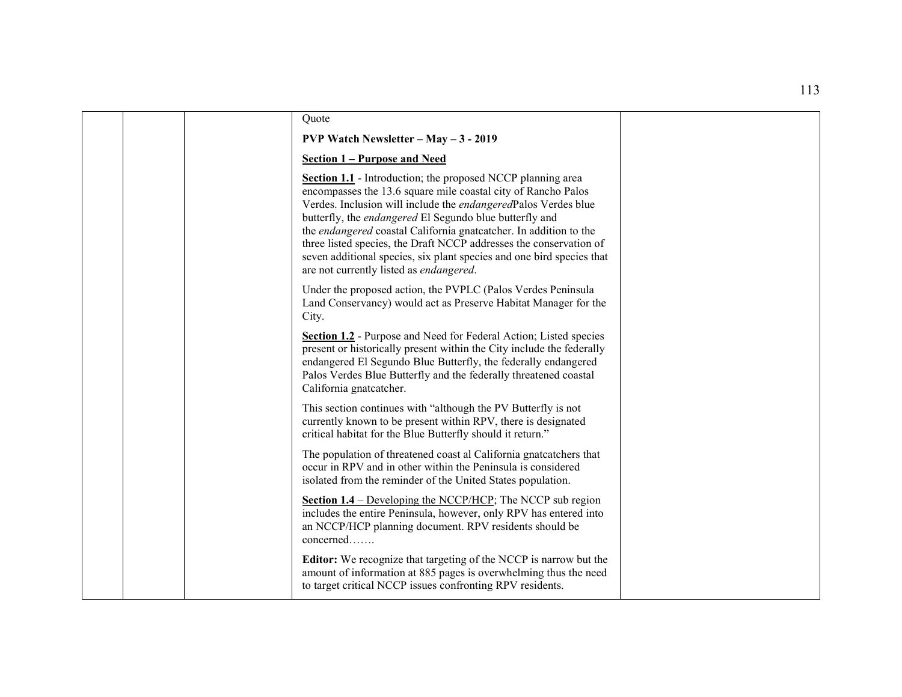| Quote                                                                                                                                                                                                                                                                                                                                                                                                                                                                                                                           |
|---------------------------------------------------------------------------------------------------------------------------------------------------------------------------------------------------------------------------------------------------------------------------------------------------------------------------------------------------------------------------------------------------------------------------------------------------------------------------------------------------------------------------------|
| <b>PVP Watch Newsletter - May - 3 - 2019</b>                                                                                                                                                                                                                                                                                                                                                                                                                                                                                    |
| Section 1 – Purpose and Need                                                                                                                                                                                                                                                                                                                                                                                                                                                                                                    |
| <b>Section 1.1</b> - Introduction; the proposed NCCP planning area<br>encompasses the 13.6 square mile coastal city of Rancho Palos<br>Verdes. Inclusion will include the endangeredPalos Verdes blue<br>butterfly, the endangered El Segundo blue butterfly and<br>the endangered coastal California gnatcatcher. In addition to the<br>three listed species, the Draft NCCP addresses the conservation of<br>seven additional species, six plant species and one bird species that<br>are not currently listed as endangered. |
| Under the proposed action, the PVPLC (Palos Verdes Peninsula<br>Land Conservancy) would act as Preserve Habitat Manager for the<br>City.                                                                                                                                                                                                                                                                                                                                                                                        |
| Section 1.2 - Purpose and Need for Federal Action; Listed species<br>present or historically present within the City include the federally<br>endangered El Segundo Blue Butterfly, the federally endangered<br>Palos Verdes Blue Butterfly and the federally threatened coastal<br>California gnatcatcher.                                                                                                                                                                                                                     |
| This section continues with "although the PV Butterfly is not<br>currently known to be present within RPV, there is designated<br>critical habitat for the Blue Butterfly should it return."                                                                                                                                                                                                                                                                                                                                    |
| The population of threatened coast al California gnatcatchers that<br>occur in RPV and in other within the Peninsula is considered<br>isolated from the reminder of the United States population.                                                                                                                                                                                                                                                                                                                               |
| Section 1.4 – Developing the NCCP/HCP; The NCCP sub region<br>includes the entire Peninsula, however, only RPV has entered into<br>an NCCP/HCP planning document. RPV residents should be<br>concerned                                                                                                                                                                                                                                                                                                                          |
| Editor: We recognize that targeting of the NCCP is narrow but the<br>amount of information at 885 pages is overwhelming thus the need<br>to target critical NCCP issues confronting RPV residents.                                                                                                                                                                                                                                                                                                                              |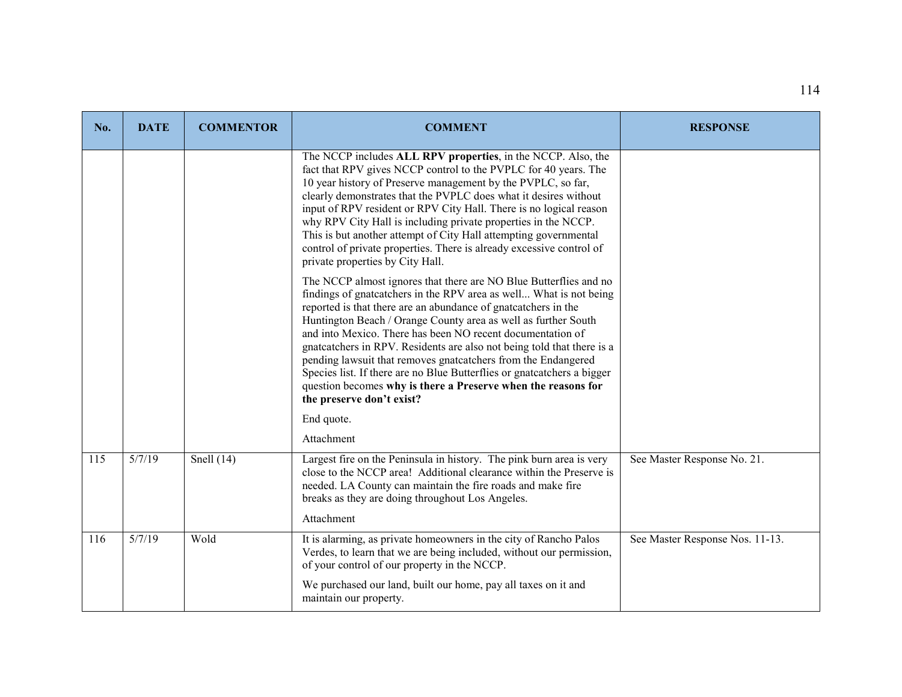| No. | <b>DATE</b>        | <b>COMMENTOR</b> | <b>COMMENT</b>                                                                                                                                                                                                                                                                                                                                                                                                                                                                                                                                                                                                                                                | <b>RESPONSE</b>                 |
|-----|--------------------|------------------|---------------------------------------------------------------------------------------------------------------------------------------------------------------------------------------------------------------------------------------------------------------------------------------------------------------------------------------------------------------------------------------------------------------------------------------------------------------------------------------------------------------------------------------------------------------------------------------------------------------------------------------------------------------|---------------------------------|
|     |                    |                  | The NCCP includes ALL RPV properties, in the NCCP. Also, the<br>fact that RPV gives NCCP control to the PVPLC for 40 years. The<br>10 year history of Preserve management by the PVPLC, so far,<br>clearly demonstrates that the PVPLC does what it desires without<br>input of RPV resident or RPV City Hall. There is no logical reason<br>why RPV City Hall is including private properties in the NCCP.<br>This is but another attempt of City Hall attempting governmental<br>control of private properties. There is already excessive control of<br>private properties by City Hall.                                                                   |                                 |
|     |                    |                  | The NCCP almost ignores that there are NO Blue Butterflies and no<br>findings of gnatcatchers in the RPV area as well What is not being<br>reported is that there are an abundance of gnatcatchers in the<br>Huntington Beach / Orange County area as well as further South<br>and into Mexico. There has been NO recent documentation of<br>gnatcatchers in RPV. Residents are also not being told that there is a<br>pending lawsuit that removes gnatcatchers from the Endangered<br>Species list. If there are no Blue Butterflies or gnatcatchers a bigger<br>question becomes why is there a Preserve when the reasons for<br>the preserve don't exist? |                                 |
|     |                    |                  | End quote.                                                                                                                                                                                                                                                                                                                                                                                                                                                                                                                                                                                                                                                    |                                 |
| 115 | 5/7/19             | Snell $(14)$     | Attachment<br>Largest fire on the Peninsula in history. The pink burn area is very<br>close to the NCCP area! Additional clearance within the Preserve is<br>needed. LA County can maintain the fire roads and make fire<br>breaks as they are doing throughout Los Angeles.                                                                                                                                                                                                                                                                                                                                                                                  | See Master Response No. 21.     |
|     |                    |                  | Attachment                                                                                                                                                                                                                                                                                                                                                                                                                                                                                                                                                                                                                                                    |                                 |
| 116 | $\frac{1}{5}/7/19$ | Wold             | It is alarming, as private homeowners in the city of Rancho Palos<br>Verdes, to learn that we are being included, without our permission,<br>of your control of our property in the NCCP.                                                                                                                                                                                                                                                                                                                                                                                                                                                                     | See Master Response Nos. 11-13. |
|     |                    |                  | We purchased our land, built our home, pay all taxes on it and<br>maintain our property.                                                                                                                                                                                                                                                                                                                                                                                                                                                                                                                                                                      |                                 |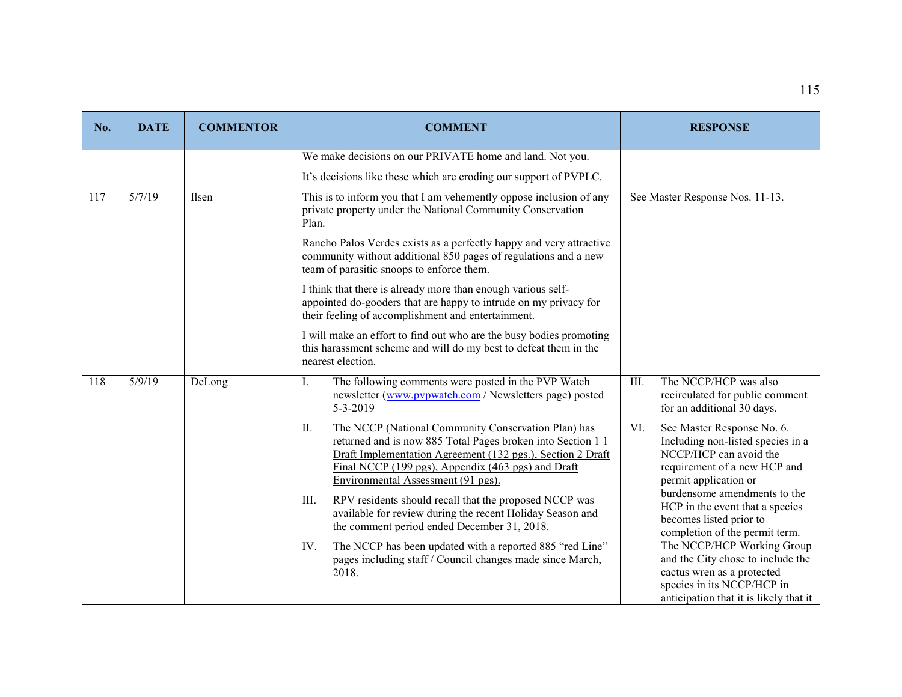| No. | <b>DATE</b> | <b>COMMENTOR</b> | <b>COMMENT</b>                                                                                                                                                                                                                                                                                                                                       | <b>RESPONSE</b>                                                                                                                                                                           |
|-----|-------------|------------------|------------------------------------------------------------------------------------------------------------------------------------------------------------------------------------------------------------------------------------------------------------------------------------------------------------------------------------------------------|-------------------------------------------------------------------------------------------------------------------------------------------------------------------------------------------|
|     |             |                  | We make decisions on our PRIVATE home and land. Not you.                                                                                                                                                                                                                                                                                             |                                                                                                                                                                                           |
|     |             |                  | It's decisions like these which are eroding our support of PVPLC.                                                                                                                                                                                                                                                                                    |                                                                                                                                                                                           |
| 117 | 5/7/19      | Ilsen            | This is to inform you that I am vehemently oppose inclusion of any<br>private property under the National Community Conservation<br>Plan.                                                                                                                                                                                                            | See Master Response Nos. 11-13.                                                                                                                                                           |
|     |             |                  | Rancho Palos Verdes exists as a perfectly happy and very attractive<br>community without additional 850 pages of regulations and a new<br>team of parasitic snoops to enforce them.                                                                                                                                                                  |                                                                                                                                                                                           |
|     |             |                  | I think that there is already more than enough various self-<br>appointed do-gooders that are happy to intrude on my privacy for<br>their feeling of accomplishment and entertainment.                                                                                                                                                               |                                                                                                                                                                                           |
|     |             |                  | I will make an effort to find out who are the busy bodies promoting<br>this harassment scheme and will do my best to defeat them in the<br>nearest election.                                                                                                                                                                                         |                                                                                                                                                                                           |
| 118 | 5/9/19      | DeLong           | The following comments were posted in the PVP Watch<br>Ι.<br>newsletter (www.pvpwatch.com / Newsletters page) posted<br>5-3-2019                                                                                                                                                                                                                     | The NCCP/HCP was also<br>III.<br>recirculated for public comment<br>for an additional 30 days.                                                                                            |
|     |             |                  | The NCCP (National Community Conservation Plan) has<br>II.<br>returned and is now 885 Total Pages broken into Section 11<br>Draft Implementation Agreement (132 pgs.), Section 2 Draft<br>Final NCCP (199 pgs), Appendix (463 pgs) and Draft<br>Environmental Assessment (91 pgs).<br>RPV residents should recall that the proposed NCCP was<br>III. | See Master Response No. 6.<br>VI.<br>Including non-listed species in a<br>NCCP/HCP can avoid the<br>requirement of a new HCP and<br>permit application or<br>burdensome amendments to the |
|     |             |                  | available for review during the recent Holiday Season and<br>the comment period ended December 31, 2018.                                                                                                                                                                                                                                             | HCP in the event that a species<br>becomes listed prior to<br>completion of the permit term.                                                                                              |
|     |             |                  | IV.<br>The NCCP has been updated with a reported 885 "red Line"<br>pages including staff / Council changes made since March,<br>2018.                                                                                                                                                                                                                | The NCCP/HCP Working Group<br>and the City chose to include the<br>cactus wren as a protected<br>species in its NCCP/HCP in<br>anticipation that it is likely that it                     |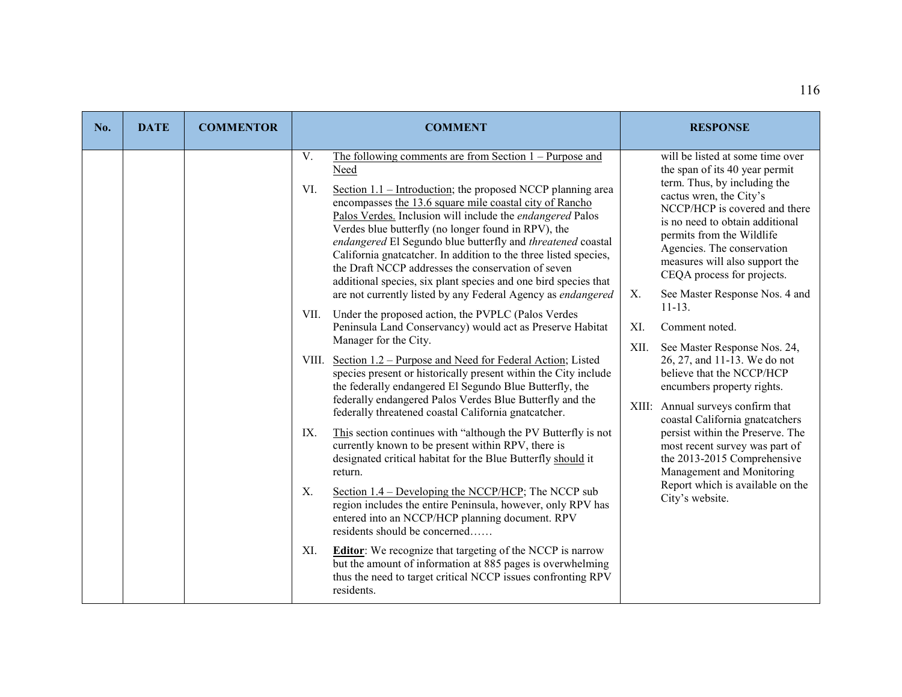| No. | <b>DATE</b> | <b>COMMENTOR</b> | <b>COMMENT</b>                                                                                                                                                                                                                                                                                                                                                                                                                                                                                                                                                                                                                                                                                                                                                                                                                                                                                                                                                                                                                                                                                                                                                                                                                                                                                                                                                                                                                                                                                                                                                                                                                                                                                                                                                                        | <b>RESPONSE</b>                                                                                                                                                                                                                                                                                                                                                                                                                                                                                                                                                                                                                                                                                                                                                                                                 |
|-----|-------------|------------------|---------------------------------------------------------------------------------------------------------------------------------------------------------------------------------------------------------------------------------------------------------------------------------------------------------------------------------------------------------------------------------------------------------------------------------------------------------------------------------------------------------------------------------------------------------------------------------------------------------------------------------------------------------------------------------------------------------------------------------------------------------------------------------------------------------------------------------------------------------------------------------------------------------------------------------------------------------------------------------------------------------------------------------------------------------------------------------------------------------------------------------------------------------------------------------------------------------------------------------------------------------------------------------------------------------------------------------------------------------------------------------------------------------------------------------------------------------------------------------------------------------------------------------------------------------------------------------------------------------------------------------------------------------------------------------------------------------------------------------------------------------------------------------------|-----------------------------------------------------------------------------------------------------------------------------------------------------------------------------------------------------------------------------------------------------------------------------------------------------------------------------------------------------------------------------------------------------------------------------------------------------------------------------------------------------------------------------------------------------------------------------------------------------------------------------------------------------------------------------------------------------------------------------------------------------------------------------------------------------------------|
|     |             |                  | V.<br>The following comments are from Section $1 -$ Purpose and<br>Need<br>Section $1.1$ – Introduction; the proposed NCCP planning area<br>VI.<br>encompasses the 13.6 square mile coastal city of Rancho<br>Palos Verdes. Inclusion will include the endangered Palos<br>Verdes blue butterfly (no longer found in RPV), the<br>endangered El Segundo blue butterfly and threatened coastal<br>California gnatcatcher. In addition to the three listed species,<br>the Draft NCCP addresses the conservation of seven<br>additional species, six plant species and one bird species that<br>are not currently listed by any Federal Agency as endangered<br>VII.<br>Under the proposed action, the PVPLC (Palos Verdes<br>Peninsula Land Conservancy) would act as Preserve Habitat<br>Manager for the City.<br>VIII. Section 1.2 – Purpose and Need for Federal Action; Listed<br>species present or historically present within the City include<br>the federally endangered El Segundo Blue Butterfly, the<br>federally endangered Palos Verdes Blue Butterfly and the<br>federally threatened coastal California gnatcatcher.<br>IX.<br>This section continues with "although the PV Butterfly is not<br>currently known to be present within RPV, there is<br>designated critical habitat for the Blue Butterfly should it<br>return.<br>X.<br>Section $1.4$ – Developing the NCCP/HCP; The NCCP sub<br>region includes the entire Peninsula, however, only RPV has<br>entered into an NCCP/HCP planning document. RPV<br>residents should be concerned<br>XI.<br><b>Editor:</b> We recognize that targeting of the NCCP is narrow<br>but the amount of information at 885 pages is overwhelming<br>thus the need to target critical NCCP issues confronting RPV<br>residents. | will be listed at some time over<br>the span of its 40 year permit<br>term. Thus, by including the<br>cactus wren, the City's<br>NCCP/HCP is covered and there<br>is no need to obtain additional<br>permits from the Wildlife<br>Agencies. The conservation<br>measures will also support the<br>CEQA process for projects.<br>See Master Response Nos. 4 and<br>Х.<br>$11 - 13.$<br>XI.<br>Comment noted.<br>XII.<br>See Master Response Nos. 24,<br>26, 27, and 11-13. We do not<br>believe that the NCCP/HCP<br>encumbers property rights.<br>XIII: Annual surveys confirm that<br>coastal California gnatcatchers<br>persist within the Preserve. The<br>most recent survey was part of<br>the 2013-2015 Comprehensive<br>Management and Monitoring<br>Report which is available on the<br>City's website. |